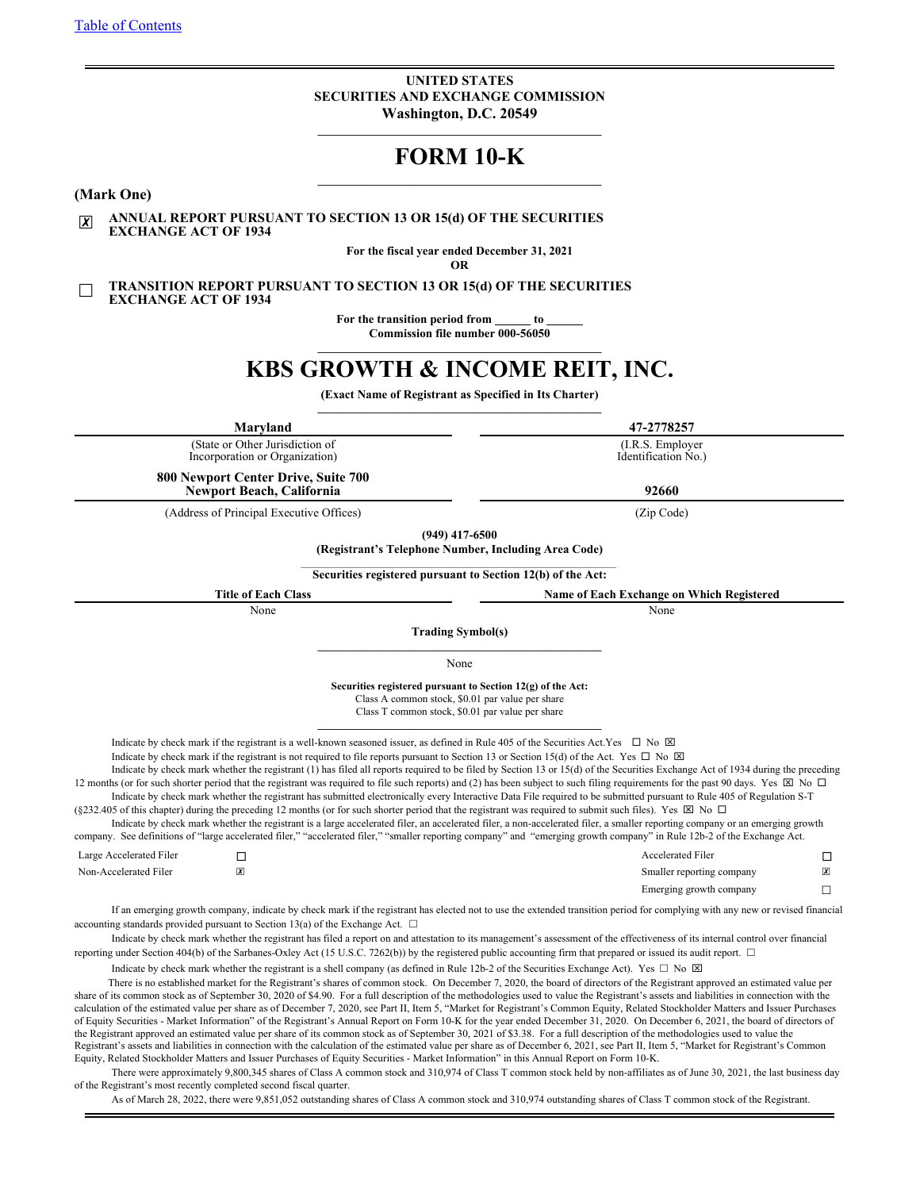#### **UNITED STATES SECURITIES AND EXCHANGE COMMISSION Washington, D.C. 20549**

# **FORM 10-K**

#### **(Mark One)**

#### ☒ **ANNUAL REPORT PURSUANT TO SECTION 13 OR 15(d) OF THE SECURITIES EXCHANGE ACT OF 1934**

**For the fiscal year ended December 31, 2021**

**OR**

☐ **TRANSITION REPORT PURSUANT TO SECTION 13 OR 15(d) OF THE SECURITIES EXCHANGE ACT OF 1934**

> For the transition period from \_\_\_\_\_\_ to **Commission file number 000-56050**

## **\_\_\_\_\_\_\_\_\_\_\_\_\_\_\_\_\_\_\_\_\_\_\_\_\_\_\_\_\_\_\_\_\_\_\_\_\_\_\_\_\_\_\_\_\_\_\_\_\_\_\_\_\_\_ KBS GROWTH & INCOME REIT, INC.**

**(Exact Name of Registrant as Specified in Its Charter) \_\_\_\_\_\_\_\_\_\_\_\_\_\_\_\_\_\_\_\_\_\_\_\_\_\_\_\_\_\_\_\_\_\_\_\_\_\_\_\_\_\_\_\_\_\_\_\_\_\_\_\_\_\_**

**Maryland 47-2778257** (State or Other Jurisdiction of Incorporation or Organization) (I.R.S. Employer Identification No.) **800 Newport Center Drive, Suite 700 Newport Beach, California 92660** (Address of Principal Executive Offices) (Zip Code) **(949) 417-6500 (Registrant's Telephone Number, Including Area Code)**  $\mathcal{L}_\text{max} = \frac{1}{2} \sum_{i=1}^n \mathcal{L}_\text{max} = \frac{1}{2} \sum_{i=1}^n \mathcal{L}_\text{max} = \frac{1}{2} \sum_{i=1}^n \mathcal{L}_\text{max} = \frac{1}{2} \sum_{i=1}^n \mathcal{L}_\text{max} = \frac{1}{2} \sum_{i=1}^n \mathcal{L}_\text{max} = \frac{1}{2} \sum_{i=1}^n \mathcal{L}_\text{max} = \frac{1}{2} \sum_{i=1}^n \mathcal{L}_\text{max} = \frac{1}{2} \sum_{i=$ **Securities registered pursuant to Section 12(b) of the Act: Title of Each Class Name of Each Exchange on Which Registered** None None **Trading Symbol(s) \_\_\_\_\_\_\_\_\_\_\_\_\_\_\_\_\_\_\_\_\_\_\_\_\_\_\_\_\_\_\_\_\_\_\_\_\_\_\_\_\_\_\_\_\_\_\_\_\_\_\_\_\_\_** None **Securities registered pursuant to Section 12(g) of the Act:** Class A common stock, \$0.01 par value per share Class T common stock, \$0.01 par value per share **\_\_\_\_\_\_\_\_\_\_\_\_\_\_\_\_\_\_\_\_\_\_\_\_\_\_\_\_\_\_\_\_\_\_\_\_\_\_\_\_\_\_\_\_\_\_\_\_\_\_\_\_\_\_** Indicate by check mark if the registrant is a well-known seasoned issuer, as defined in Rule 405 of the Securities Act.Yes  $\Box$  No  $\boxtimes$ Indicate by check mark if the registrant is not required to file reports pursuant to Section 13 or Section 15(d) of the Act. Yes  $\Box$  No  $\boxtimes$ Indicate by check mark whether the registrant (1) has filed all reports required to be filed by Section 13 or 15(d) of the Securities Exchange Act of 1934 during the preceding Indicate by check mark whether the registrant is a large accelerated filer, an accelerated filer, a non-accelerated filer, a smaller reporting company or an emerging growth Large Accelerated Filer  $\square$ Emerging growth company □ If an emerging growth company, indicate by check mark if the registrant has elected not to use the extended transition period for complying with any new or revised financial Indicate by check mark whether the registrant has filed a report on and attestation to its management's assessment of the effectiveness of its internal control over financial Indicate by check mark whether the registrant is a shell company (as defined in Rule 12b-2 of the Securities Exchange Act). Yes  $\Box$  No  $\boxtimes$ There is no established market for the Registrant's shares of common stock. On December 7, 2020, the board of directors of the Registrant approved an estimated value per

Equity, Related Stockholder Matters and Issuer Purchases of Equity Securities - Market Information" in this Annual Report on Form 10-K.

There were approximately 9,800,345 shares of Class A common stock and 310,974 of Class T common stock held by non-affiliates as of June 30, 2021, the last business day of the Registrant's most recently completed second fiscal quarter.

As of March 28, 2022, there were 9,851,052 outstanding shares of Class A common stock and 310,974 outstanding shares of Class T common stock of the Registrant.

# **\_\_\_\_\_\_\_\_\_\_\_\_\_\_\_\_\_\_\_\_\_\_\_\_\_\_\_\_\_\_\_\_\_\_\_\_\_\_\_\_\_\_\_\_\_\_\_\_\_\_\_\_\_\_**

12 months (or for such shorter period that the registrant was required to file such reports) and (2) has been subject to such filing requirements for the past 90 days. Yes  $\boxtimes$  No  $\Box$ Indicate by check mark whether the registrant has submitted electronically every Interactive Data File required to be submitted pursuant to Rule 405 of Regulation S-T (§232.405 of this chapter) during the preceding 12 months (or for such shorter period that the registrant was required to submit such files). Yes  $\boxtimes$  No  $\Box$ 

company. See definitions of "large accelerated filer," "accelerated filer," "smaller reporting company" and "emerging growth company" in Rule 12b-2 of the Exchange Act.

| Large Accelerated Filer |                | Accelerated Filer         |              |
|-------------------------|----------------|---------------------------|--------------|
| Non-Accelerated Filer   | $\overline{x}$ | Smaller reporting company | $\mathbf{x}$ |
|                         |                | Emerging growth company   |              |

accounting standards provided pursuant to Section 13(a) of the Exchange Act.  $\Box$ 

reporting under Section 404(b) of the Sarbanes-Oxley Act (15 U.S.C. 7262(b)) by the registered public accounting firm that prepared or issued its audit report. ☐

share of its common stock as of September 30, 2020 of \$4.90. For a full description of the methodologies used to value the Registrant's assets and liabilities in connection with the calculation of the estimated value per share as of December 7, 2020, see Part II, Item 5, "Market for Registrant's Common Equity, Related Stockholder Matters and Issuer Purchases of Equity Securities - Market Information" of the Registrant's Annual Report on Form 10-K for the year ended December 31, 2020. On December 6, 2021, the board of directors of the Registrant approved an estimated value per share of its common stock as of September 30, 2021 of \$3.38. For a full description of the methodologies used to value the Registrant's assets and liabilities in connection with the calculation of the estimated value per share as of December 6, 2021, see Part II, Item 5, "Market for Registrant's Common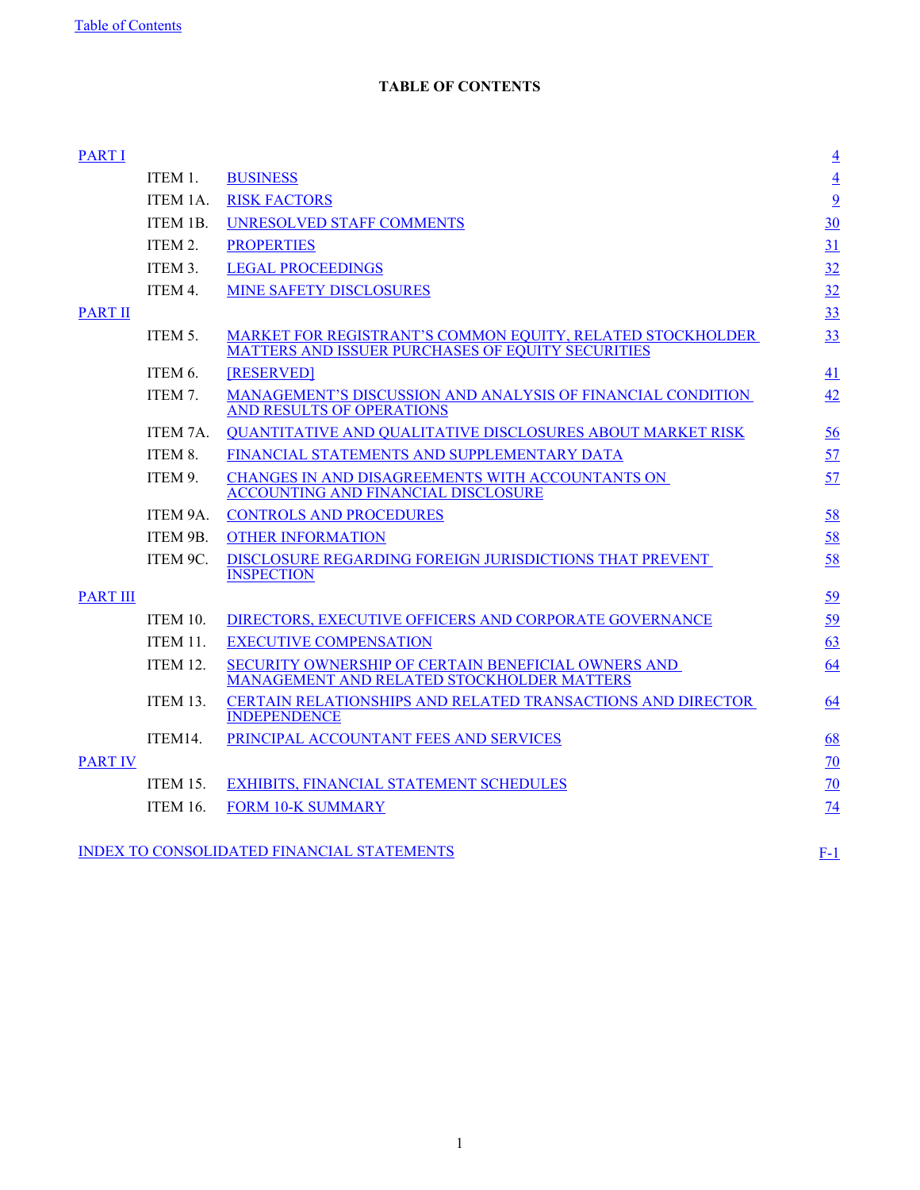<span id="page-1-0"></span>

| <b>PART I</b>   |                 |                                                                                                                 | $\overline{4}$ |
|-----------------|-----------------|-----------------------------------------------------------------------------------------------------------------|----------------|
|                 | ITEM 1.         | <b>BUSINESS</b>                                                                                                 | $\overline{4}$ |
|                 | ITEM 1A.        | <b>RISK FACTORS</b>                                                                                             | $\overline{9}$ |
|                 | ITEM 1B.        | <b>UNRESOLVED STAFF COMMENTS</b>                                                                                | 30             |
|                 | ITEM 2.         | <b>PROPERTIES</b>                                                                                               | 31             |
|                 | ITEM 3.         | <b>LEGAL PROCEEDINGS</b>                                                                                        | 32             |
|                 | ITEM 4.         | <b>MINE SAFETY DISCLOSURES</b>                                                                                  | 32             |
| <b>PART II</b>  |                 |                                                                                                                 | 33             |
|                 | ITEM 5.         | MARKET FOR REGISTRANT'S COMMON EQUITY, RELATED STOCKHOLDER<br>MATTERS AND ISSUER PURCHASES OF EQUITY SECURITIES | 33             |
|                 | ITEM 6.         | [RESERVED]                                                                                                      | 41             |
|                 | ITEM 7.         | MANAGEMENT'S DISCUSSION AND ANALYSIS OF FINANCIAL CONDITION<br><b>AND RESULTS OF OPERATIONS</b>                 | 42             |
|                 | ITEM 7A.        | <b>QUANTITATIVE AND QUALITATIVE DISCLOSURES ABOUT MARKET RISK</b>                                               | 56             |
|                 | ITEM 8.         | FINANCIAL STATEMENTS AND SUPPLEMENTARY DATA                                                                     | 57             |
|                 | ITEM 9.         | CHANGES IN AND DISAGREEMENTS WITH ACCOUNTANTS ON<br><b>ACCOUNTING AND FINANCIAL DISCLOSURE</b>                  | 57             |
|                 | ITEM 9A.        | <b>CONTROLS AND PROCEDURES</b>                                                                                  | 58             |
|                 | ITEM 9B.        | <b>OTHER INFORMATION</b>                                                                                        | 58             |
|                 | ITEM 9C.        | DISCLOSURE REGARDING FOREIGN JURISDICTIONS THAT PREVENT<br><b>INSPECTION</b>                                    | 58             |
| <b>PART III</b> |                 |                                                                                                                 | 59             |
|                 | ITEM 10.        | DIRECTORS, EXECUTIVE OFFICERS AND CORPORATE GOVERNANCE                                                          | 59             |
|                 | ITEM 11.        | <b>EXECUTIVE COMPENSATION</b>                                                                                   | 63             |
|                 | ITEM 12.        | SECURITY OWNERSHIP OF CERTAIN BENEFICIAL OWNERS AND<br><b>MANAGEMENT AND RELATED STOCKHOLDER MATTERS</b>        | 64             |
|                 | ITEM $13$ .     | <b>CERTAIN RELATIONSHIPS AND RELATED TRANSACTIONS AND DIRECTOR</b><br><b>INDEPENDENCE</b>                       | 64             |
|                 | ITEM14.         | PRINCIPAL ACCOUNTANT FEES AND SERVICES                                                                          | 68             |
| <b>PART IV</b>  |                 |                                                                                                                 | 70             |
|                 | ITEM 15.        | <b>EXHIBITS, FINANCIAL STATEMENT SCHEDULES</b>                                                                  | 70             |
|                 | <b>ITEM 16.</b> | <b>FORM 10-K SUMMARY</b>                                                                                        | 74             |
|                 |                 |                                                                                                                 |                |

 $\underline{\text{INDEX TO CONSOLIDATED FINANCIAL STATEMENTS}} \underbrace{\text{F-1}}$  $\underline{\text{INDEX TO CONSOLIDATED FINANCIAL STATEMENTS}} \underbrace{\text{F-1}}$  $\underline{\text{INDEX TO CONSOLIDATED FINANCIAL STATEMENTS}} \underbrace{\text{F-1}}$  $\underline{\text{INDEX TO CONSOLIDATED FINANCIAL STATEMENTS}} \underbrace{\text{F-1}}$  $\underline{\text{INDEX TO CONSOLIDATED FINANCIAL STATEMENTS}} \underbrace{\text{F-1}}$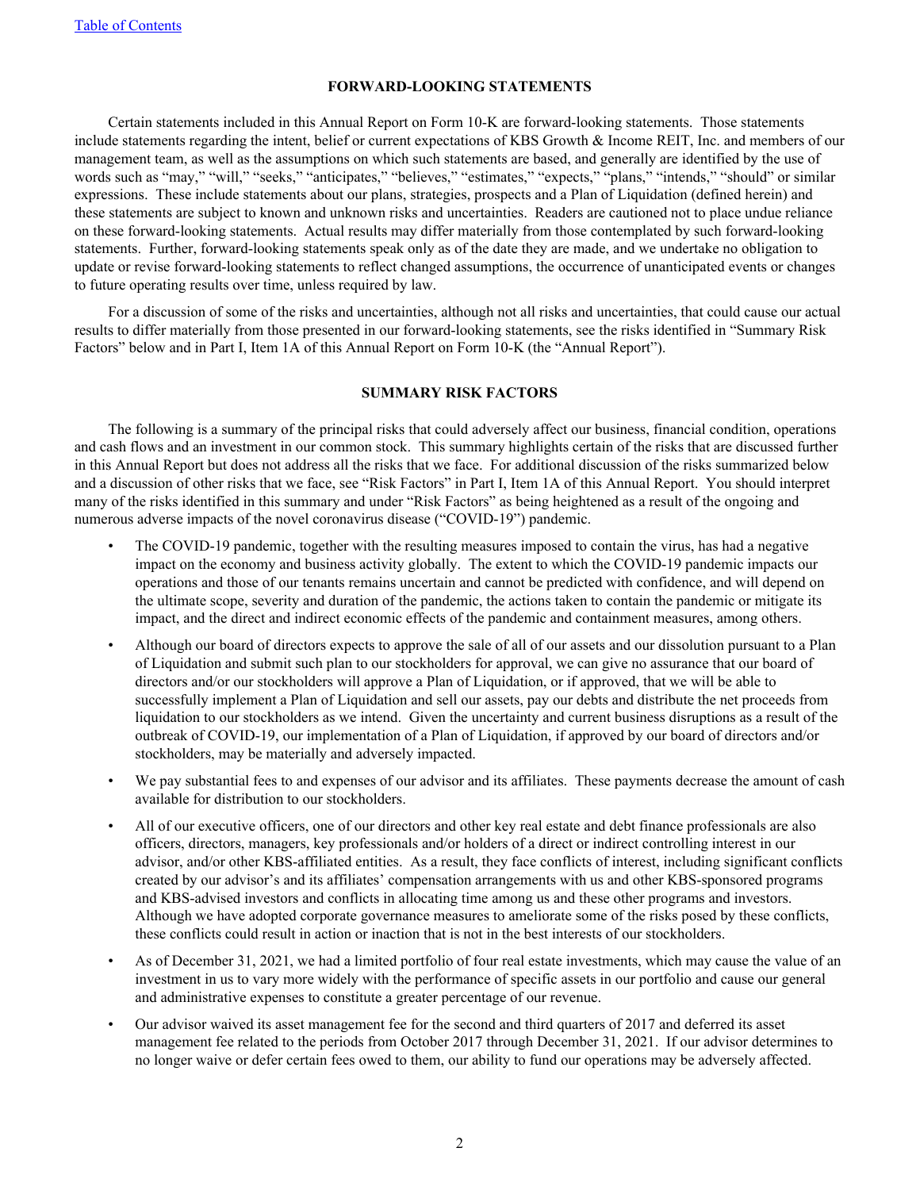#### **FORWARD-LOOKING STATEMENTS**

Certain statements included in this Annual Report on Form 10-K are forward-looking statements. Those statements include statements regarding the intent, belief or current expectations of KBS Growth & Income REIT, Inc. and members of our management team, as well as the assumptions on which such statements are based, and generally are identified by the use of words such as "may," "will," "seeks," "anticipates," "believes," "estimates," "expects," "plans," "intends," "should" or similar expressions. These include statements about our plans, strategies, prospects and a Plan of Liquidation (defined herein) and these statements are subject to known and unknown risks and uncertainties. Readers are cautioned not to place undue reliance on these forward-looking statements. Actual results may differ materially from those contemplated by such forward-looking statements. Further, forward-looking statements speak only as of the date they are made, and we undertake no obligation to update or revise forward-looking statements to reflect changed assumptions, the occurrence of unanticipated events or changes to future operating results over time, unless required by law.

For a discussion of some of the risks and uncertainties, although not all risks and uncertainties, that could cause our actual results to differ materially from those presented in our forward-looking statements, see the risks identified in "Summary Risk Factors" below and in Part I, Item 1A of this Annual Report on Form 10-K (the "Annual Report").

#### **SUMMARY RISK FACTORS**

The following is a summary of the principal risks that could adversely affect our business, financial condition, operations and cash flows and an investment in our common stock. This summary highlights certain of the risks that are discussed further in this Annual Report but does not address all the risks that we face. For additional discussion of the risks summarized below and a discussion of other risks that we face, see "Risk Factors" in Part I, Item 1A of this Annual Report. You should interpret many of the risks identified in this summary and under "Risk Factors" as being heightened as a result of the ongoing and numerous adverse impacts of the novel coronavirus disease ("COVID-19") pandemic.

- The COVID-19 pandemic, together with the resulting measures imposed to contain the virus, has had a negative impact on the economy and business activity globally. The extent to which the COVID-19 pandemic impacts our operations and those of our tenants remains uncertain and cannot be predicted with confidence, and will depend on the ultimate scope, severity and duration of the pandemic, the actions taken to contain the pandemic or mitigate its impact, and the direct and indirect economic effects of the pandemic and containment measures, among others.
- Although our board of directors expects to approve the sale of all of our assets and our dissolution pursuant to a Plan of Liquidation and submit such plan to our stockholders for approval, we can give no assurance that our board of directors and/or our stockholders will approve a Plan of Liquidation, or if approved, that we will be able to successfully implement a Plan of Liquidation and sell our assets, pay our debts and distribute the net proceeds from liquidation to our stockholders as we intend. Given the uncertainty and current business disruptions as a result of the outbreak of COVID-19, our implementation of a Plan of Liquidation, if approved by our board of directors and/or stockholders, may be materially and adversely impacted.
- We pay substantial fees to and expenses of our advisor and its affiliates. These payments decrease the amount of cash available for distribution to our stockholders.
- All of our executive officers, one of our directors and other key real estate and debt finance professionals are also officers, directors, managers, key professionals and/or holders of a direct or indirect controlling interest in our advisor, and/or other KBS-affiliated entities. As a result, they face conflicts of interest, including significant conflicts created by our advisor's and its affiliates' compensation arrangements with us and other KBS-sponsored programs and KBS-advised investors and conflicts in allocating time among us and these other programs and investors. Although we have adopted corporate governance measures to ameliorate some of the risks posed by these conflicts, these conflicts could result in action or inaction that is not in the best interests of our stockholders.
- As of December 31, 2021, we had a limited portfolio of four real estate investments, which may cause the value of an investment in us to vary more widely with the performance of specific assets in our portfolio and cause our general and administrative expenses to constitute a greater percentage of our revenue.
- Our advisor waived its asset management fee for the second and third quarters of 2017 and deferred its asset management fee related to the periods from October 2017 through December 31, 2021. If our advisor determines to no longer waive or defer certain fees owed to them, our ability to fund our operations may be adversely affected.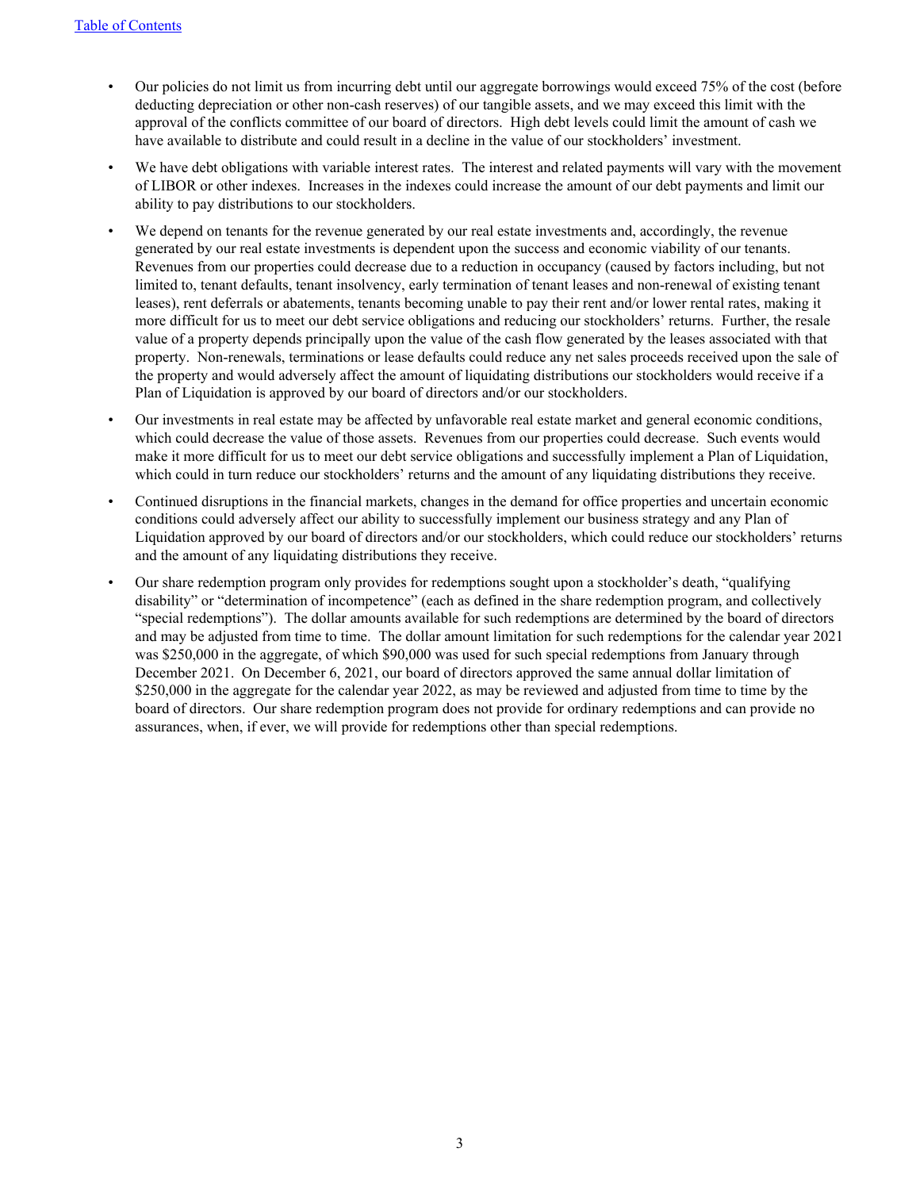- Our policies do not limit us from incurring debt until our aggregate borrowings would exceed 75% of the cost (before deducting depreciation or other non-cash reserves) of our tangible assets, and we may exceed this limit with the approval of the conflicts committee of our board of directors. High debt levels could limit the amount of cash we have available to distribute and could result in a decline in the value of our stockholders' investment.
- We have debt obligations with variable interest rates. The interest and related payments will vary with the movement of LIBOR or other indexes. Increases in the indexes could increase the amount of our debt payments and limit our ability to pay distributions to our stockholders.
- We depend on tenants for the revenue generated by our real estate investments and, accordingly, the revenue generated by our real estate investments is dependent upon the success and economic viability of our tenants. Revenues from our properties could decrease due to a reduction in occupancy (caused by factors including, but not limited to, tenant defaults, tenant insolvency, early termination of tenant leases and non-renewal of existing tenant leases), rent deferrals or abatements, tenants becoming unable to pay their rent and/or lower rental rates, making it more difficult for us to meet our debt service obligations and reducing our stockholders' returns. Further, the resale value of a property depends principally upon the value of the cash flow generated by the leases associated with that property. Non-renewals, terminations or lease defaults could reduce any net sales proceeds received upon the sale of the property and would adversely affect the amount of liquidating distributions our stockholders would receive if a Plan of Liquidation is approved by our board of directors and/or our stockholders.
- Our investments in real estate may be affected by unfavorable real estate market and general economic conditions, which could decrease the value of those assets. Revenues from our properties could decrease. Such events would make it more difficult for us to meet our debt service obligations and successfully implement a Plan of Liquidation, which could in turn reduce our stockholders' returns and the amount of any liquidating distributions they receive.
- Continued disruptions in the financial markets, changes in the demand for office properties and uncertain economic conditions could adversely affect our ability to successfully implement our business strategy and any Plan of Liquidation approved by our board of directors and/or our stockholders, which could reduce our stockholders' returns and the amount of any liquidating distributions they receive.
- Our share redemption program only provides for redemptions sought upon a stockholder's death, "qualifying disability" or "determination of incompetence" (each as defined in the share redemption program, and collectively "special redemptions"). The dollar amounts available for such redemptions are determined by the board of directors and may be adjusted from time to time. The dollar amount limitation for such redemptions for the calendar year 2021 was \$250,000 in the aggregate, of which \$90,000 was used for such special redemptions from January through December 2021. On December 6, 2021, our board of directors approved the same annual dollar limitation of \$250,000 in the aggregate for the calendar year 2022, as may be reviewed and adjusted from time to time by the board of directors. Our share redemption program does not provide for ordinary redemptions and can provide no assurances, when, if ever, we will provide for redemptions other than special redemptions.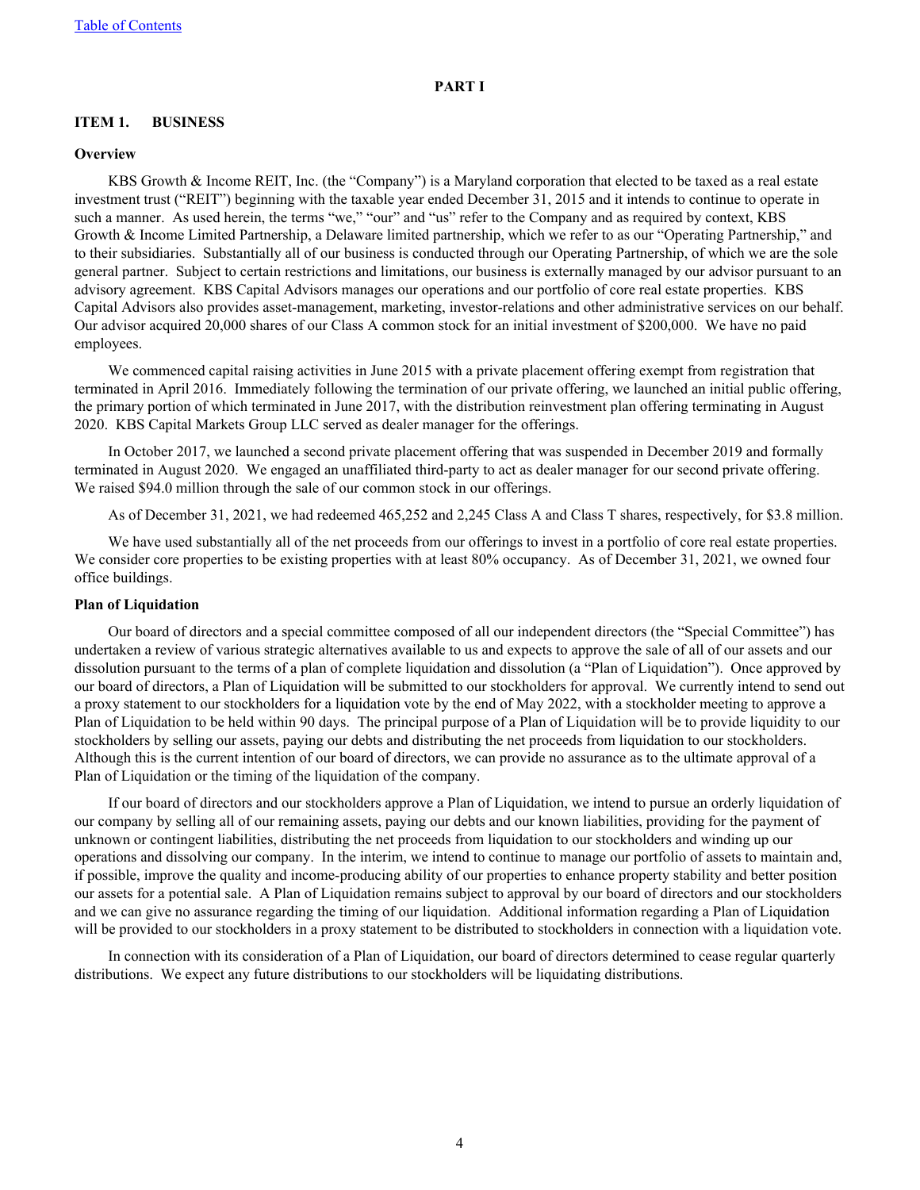#### **PART I**

#### <span id="page-4-0"></span>**ITEM 1. BUSINESS**

#### **Overview**

KBS Growth & Income REIT, Inc. (the "Company") is a Maryland corporation that elected to be taxed as a real estate investment trust ("REIT") beginning with the taxable year ended December 31, 2015 and it intends to continue to operate in such a manner. As used herein, the terms "we," "our" and "us" refer to the Company and as required by context, KBS Growth & Income Limited Partnership, a Delaware limited partnership, which we refer to as our "Operating Partnership," and to their subsidiaries. Substantially all of our business is conducted through our Operating Partnership, of which we are the sole general partner. Subject to certain restrictions and limitations, our business is externally managed by our advisor pursuant to an advisory agreement. KBS Capital Advisors manages our operations and our portfolio of core real estate properties. KBS Capital Advisors also provides asset-management, marketing, investor-relations and other administrative services on our behalf. Our advisor acquired 20,000 shares of our Class A common stock for an initial investment of \$200,000. We have no paid employees.

We commenced capital raising activities in June 2015 with a private placement offering exempt from registration that terminated in April 2016. Immediately following the termination of our private offering, we launched an initial public offering, the primary portion of which terminated in June 2017, with the distribution reinvestment plan offering terminating in August 2020. KBS Capital Markets Group LLC served as dealer manager for the offerings.

In October 2017, we launched a second private placement offering that was suspended in December 2019 and formally terminated in August 2020. We engaged an unaffiliated third-party to act as dealer manager for our second private offering. We raised \$94.0 million through the sale of our common stock in our offerings.

As of December 31, 2021, we had redeemed 465,252 and 2,245 Class A and Class T shares, respectively, for \$3.8 million.

We have used substantially all of the net proceeds from our offerings to invest in a portfolio of core real estate properties. We consider core properties to be existing properties with at least 80% occupancy. As of December 31, 2021, we owned four office buildings.

#### **Plan of Liquidation**

Our board of directors and a special committee composed of all our independent directors (the "Special Committee") has undertaken a review of various strategic alternatives available to us and expects to approve the sale of all of our assets and our dissolution pursuant to the terms of a plan of complete liquidation and dissolution (a "Plan of Liquidation"). Once approved by our board of directors, a Plan of Liquidation will be submitted to our stockholders for approval. We currently intend to send out a proxy statement to our stockholders for a liquidation vote by the end of May 2022, with a stockholder meeting to approve a Plan of Liquidation to be held within 90 days. The principal purpose of a Plan of Liquidation will be to provide liquidity to our stockholders by selling our assets, paying our debts and distributing the net proceeds from liquidation to our stockholders. Although this is the current intention of our board of directors, we can provide no assurance as to the ultimate approval of a Plan of Liquidation or the timing of the liquidation of the company.

If our board of directors and our stockholders approve a Plan of Liquidation, we intend to pursue an orderly liquidation of our company by selling all of our remaining assets, paying our debts and our known liabilities, providing for the payment of unknown or contingent liabilities, distributing the net proceeds from liquidation to our stockholders and winding up our operations and dissolving our company. In the interim, we intend to continue to manage our portfolio of assets to maintain and, if possible, improve the quality and income-producing ability of our properties to enhance property stability and better position our assets for a potential sale. A Plan of Liquidation remains subject to approval by our board of directors and our stockholders and we can give no assurance regarding the timing of our liquidation. Additional information regarding a Plan of Liquidation will be provided to our stockholders in a proxy statement to be distributed to stockholders in connection with a liquidation vote.

In connection with its consideration of a Plan of Liquidation, our board of directors determined to cease regular quarterly distributions. We expect any future distributions to our stockholders will be liquidating distributions.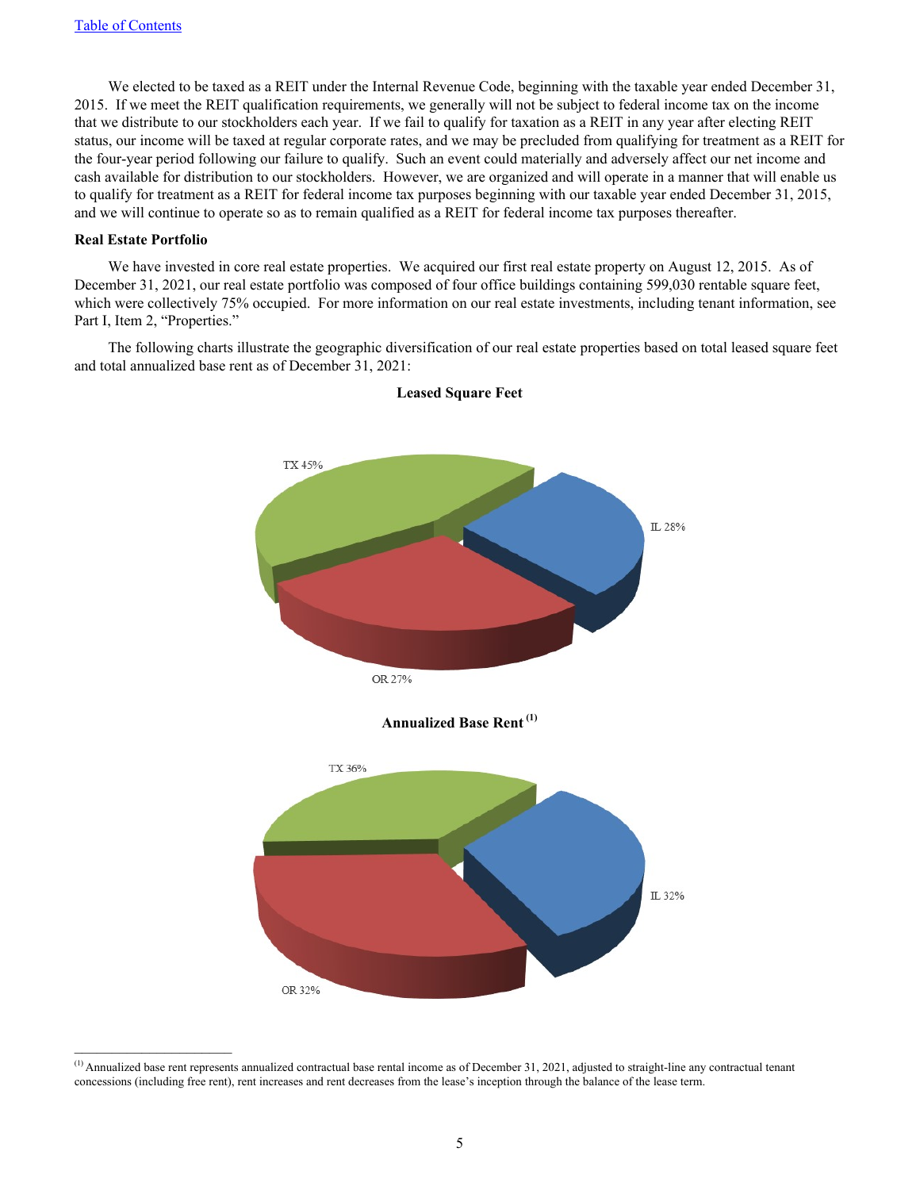We elected to be taxed as a REIT under the Internal Revenue Code, beginning with the taxable year ended December 31, 2015. If we meet the REIT qualification requirements, we generally will not be subject to federal income tax on the income that we distribute to our stockholders each year. If we fail to qualify for taxation as a REIT in any year after electing REIT status, our income will be taxed at regular corporate rates, and we may be precluded from qualifying for treatment as a REIT for the four-year period following our failure to qualify. Such an event could materially and adversely affect our net income and cash available for distribution to our stockholders. However, we are organized and will operate in a manner that will enable us to qualify for treatment as a REIT for federal income tax purposes beginning with our taxable year ended December 31, 2015, and we will continue to operate so as to remain qualified as a REIT for federal income tax purposes thereafter.

#### **Real Estate Portfolio**

We have invested in core real estate properties. We acquired our first real estate property on August 12, 2015. As of December 31, 2021, our real estate portfolio was composed of four office buildings containing 599,030 rentable square feet, which were collectively 75% occupied. For more information on our real estate investments, including tenant information, see Part I, Item 2, "Properties."

The following charts illustrate the geographic diversification of our real estate properties based on total leased square feet and total annualized base rent as of December 31, 2021:



**Leased Square Feet**

<sup>(1)</sup> Annualized base rent represents annualized contractual base rental income as of December 31, 2021, adjusted to straight-line any contractual tenant concessions (including free rent), rent increases and rent decreases from the lease's inception through the balance of the lease term.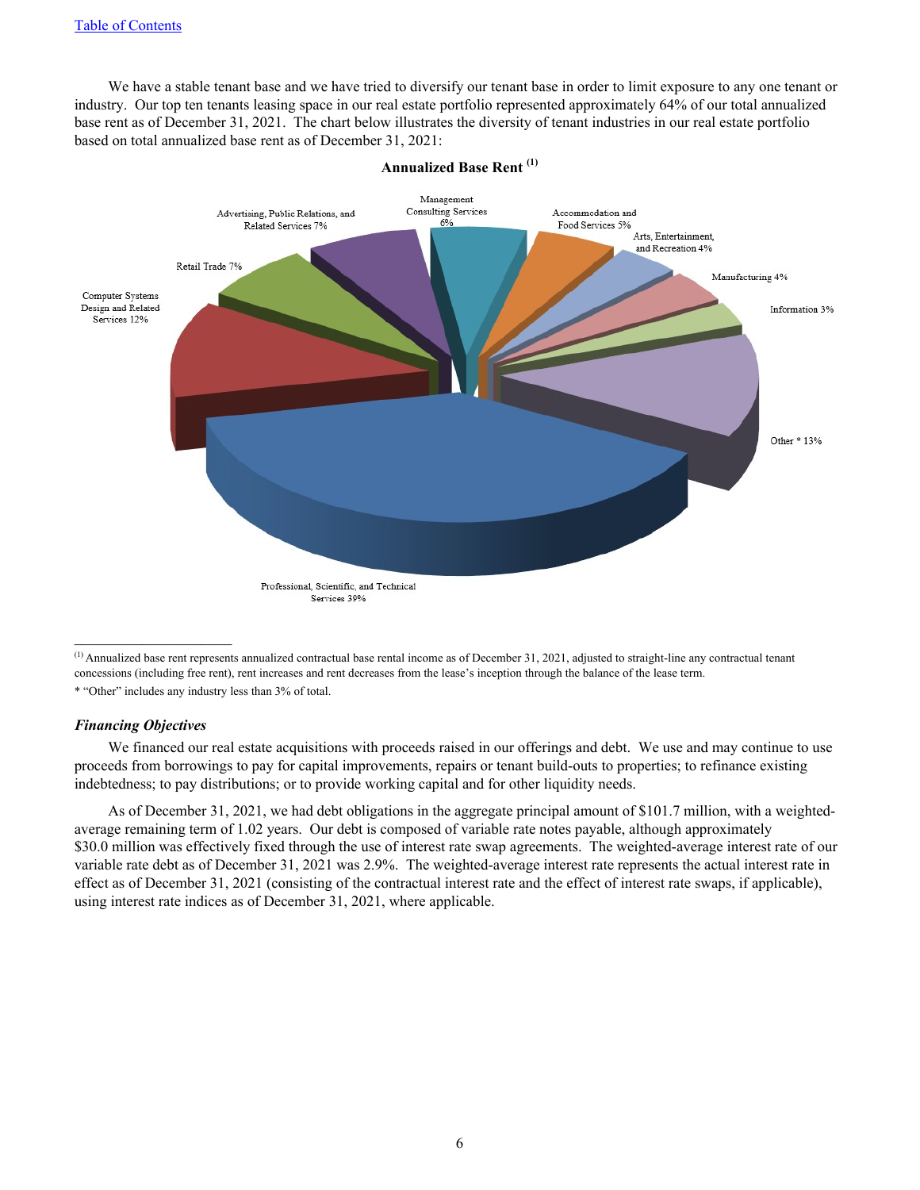We have a stable tenant base and we have tried to diversify our tenant base in order to limit exposure to any one tenant or industry. Our top ten tenants leasing space in our real estate portfolio represented approximately 64% of our total annualized base rent as of December 31, 2021. The chart below illustrates the diversity of tenant industries in our real estate portfolio based on total annualized base rent as of December 31, 2021:



**Annualized Base Rent (1)**

 $<sup>(1)</sup>$  Annualized base rent represents annualized contractual base rental income as of December 31, 2021, adjusted to straight-line any contractual tenant</sup> concessions (including free rent), rent increases and rent decreases from the lease's inception through the balance of the lease term. \* "Other" includes any industry less than 3% of total.

#### *Financing Objectives*

We financed our real estate acquisitions with proceeds raised in our offerings and debt. We use and may continue to use proceeds from borrowings to pay for capital improvements, repairs or tenant build-outs to properties; to refinance existing indebtedness; to pay distributions; or to provide working capital and for other liquidity needs.

As of December 31, 2021, we had debt obligations in the aggregate principal amount of \$101.7 million, with a weightedaverage remaining term of 1.02 years. Our debt is composed of variable rate notes payable, although approximately \$30.0 million was effectively fixed through the use of interest rate swap agreements. The weighted-average interest rate of our variable rate debt as of December 31, 2021 was 2.9%. The weighted-average interest rate represents the actual interest rate in effect as of December 31, 2021 (consisting of the contractual interest rate and the effect of interest rate swaps, if applicable), using interest rate indices as of December 31, 2021, where applicable.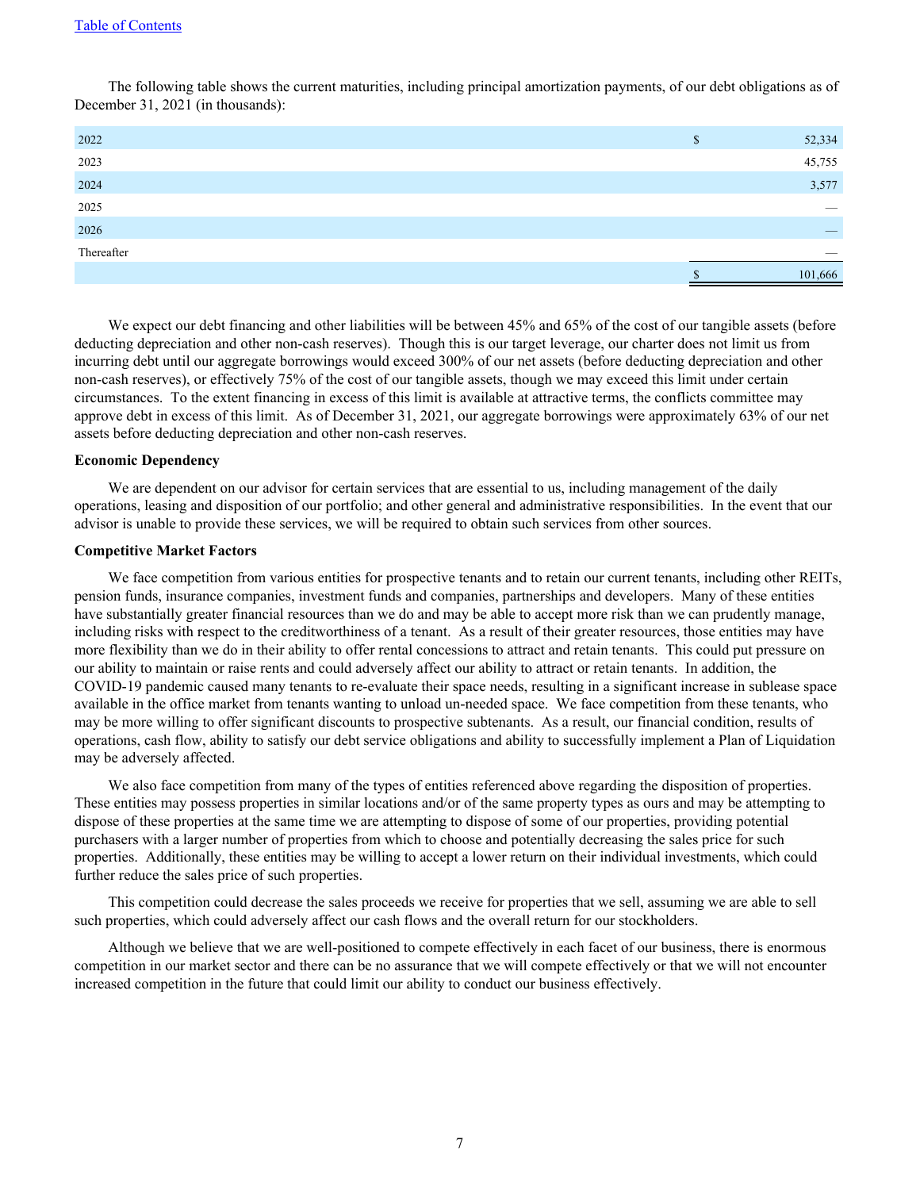The following table shows the current maturities, including principal amortization payments, of our debt obligations as of December 31, 2021 (in thousands):

| 2022       | $\mathcal{S}$ | 52,334  |
|------------|---------------|---------|
| 2023       |               | 45,755  |
| 2024       |               | 3,577   |
| 2025       |               |         |
| 2026       |               |         |
| Thereafter |               |         |
|            | ¢             | 101,666 |

We expect our debt financing and other liabilities will be between 45% and 65% of the cost of our tangible assets (before deducting depreciation and other non-cash reserves). Though this is our target leverage, our charter does not limit us from incurring debt until our aggregate borrowings would exceed 300% of our net assets (before deducting depreciation and other non-cash reserves), or effectively 75% of the cost of our tangible assets, though we may exceed this limit under certain circumstances. To the extent financing in excess of this limit is available at attractive terms, the conflicts committee may approve debt in excess of this limit. As of December 31, 2021, our aggregate borrowings were approximately 63% of our net assets before deducting depreciation and other non-cash reserves.

#### **Economic Dependency**

We are dependent on our advisor for certain services that are essential to us, including management of the daily operations, leasing and disposition of our portfolio; and other general and administrative responsibilities. In the event that our advisor is unable to provide these services, we will be required to obtain such services from other sources.

#### **Competitive Market Factors**

We face competition from various entities for prospective tenants and to retain our current tenants, including other REITs, pension funds, insurance companies, investment funds and companies, partnerships and developers. Many of these entities have substantially greater financial resources than we do and may be able to accept more risk than we can prudently manage, including risks with respect to the creditworthiness of a tenant. As a result of their greater resources, those entities may have more flexibility than we do in their ability to offer rental concessions to attract and retain tenants. This could put pressure on our ability to maintain or raise rents and could adversely affect our ability to attract or retain tenants. In addition, the COVID-19 pandemic caused many tenants to re-evaluate their space needs, resulting in a significant increase in sublease space available in the office market from tenants wanting to unload un-needed space. We face competition from these tenants, who may be more willing to offer significant discounts to prospective subtenants. As a result, our financial condition, results of operations, cash flow, ability to satisfy our debt service obligations and ability to successfully implement a Plan of Liquidation may be adversely affected.

We also face competition from many of the types of entities referenced above regarding the disposition of properties. These entities may possess properties in similar locations and/or of the same property types as ours and may be attempting to dispose of these properties at the same time we are attempting to dispose of some of our properties, providing potential purchasers with a larger number of properties from which to choose and potentially decreasing the sales price for such properties. Additionally, these entities may be willing to accept a lower return on their individual investments, which could further reduce the sales price of such properties.

This competition could decrease the sales proceeds we receive for properties that we sell, assuming we are able to sell such properties, which could adversely affect our cash flows and the overall return for our stockholders.

Although we believe that we are well-positioned to compete effectively in each facet of our business, there is enormous competition in our market sector and there can be no assurance that we will compete effectively or that we will not encounter increased competition in the future that could limit our ability to conduct our business effectively.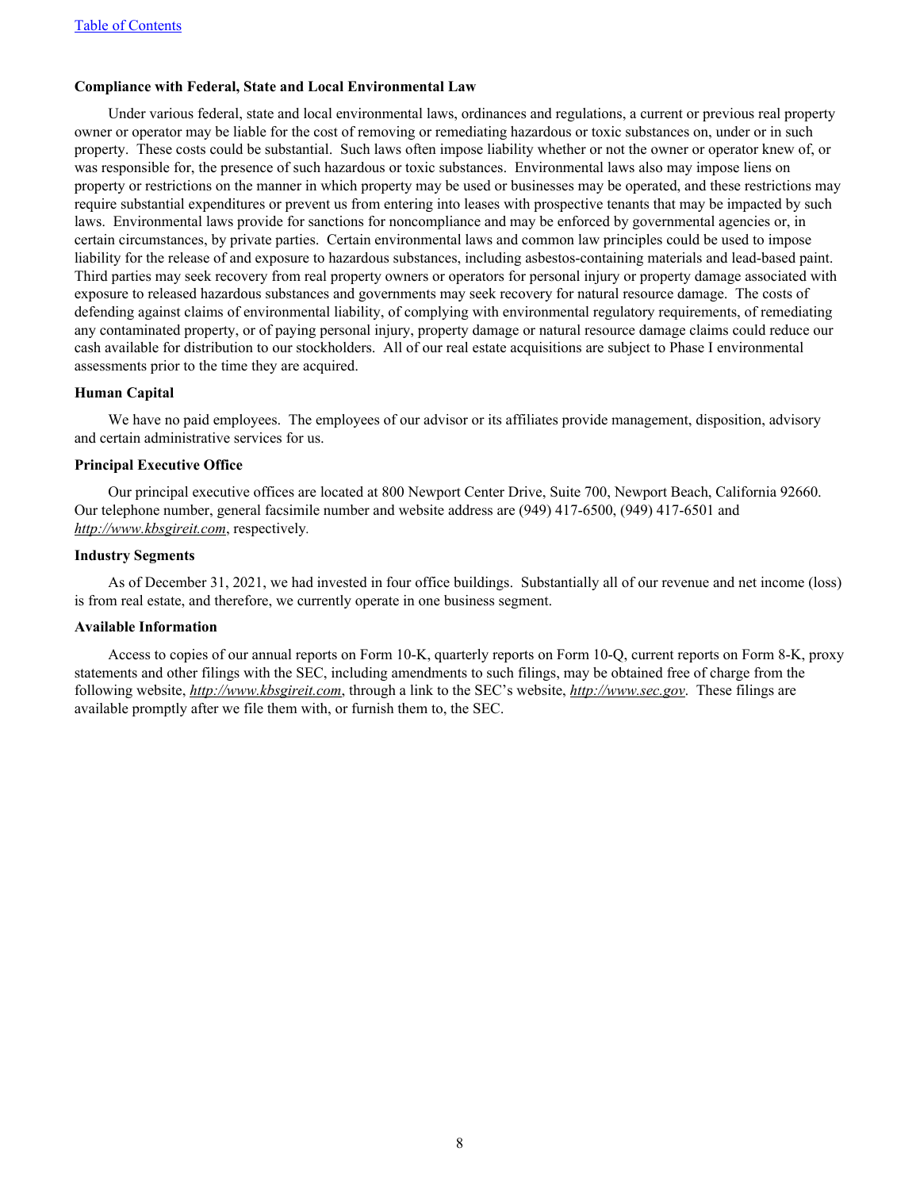#### **Compliance with Federal, State and Local Environmental Law**

Under various federal, state and local environmental laws, ordinances and regulations, a current or previous real property owner or operator may be liable for the cost of removing or remediating hazardous or toxic substances on, under or in such property. These costs could be substantial. Such laws often impose liability whether or not the owner or operator knew of, or was responsible for, the presence of such hazardous or toxic substances. Environmental laws also may impose liens on property or restrictions on the manner in which property may be used or businesses may be operated, and these restrictions may require substantial expenditures or prevent us from entering into leases with prospective tenants that may be impacted by such laws. Environmental laws provide for sanctions for noncompliance and may be enforced by governmental agencies or, in certain circumstances, by private parties. Certain environmental laws and common law principles could be used to impose liability for the release of and exposure to hazardous substances, including asbestos-containing materials and lead-based paint. Third parties may seek recovery from real property owners or operators for personal injury or property damage associated with exposure to released hazardous substances and governments may seek recovery for natural resource damage. The costs of defending against claims of environmental liability, of complying with environmental regulatory requirements, of remediating any contaminated property, or of paying personal injury, property damage or natural resource damage claims could reduce our cash available for distribution to our stockholders. All of our real estate acquisitions are subject to Phase I environmental assessments prior to the time they are acquired.

#### **Human Capital**

We have no paid employees. The employees of our advisor or its affiliates provide management, disposition, advisory and certain administrative services for us.

#### **Principal Executive Office**

Our principal executive offices are located at 800 Newport Center Drive, Suite 700, Newport Beach, California 92660. Our telephone number, general facsimile number and website address are (949) 417-6500, (949) 417-6501 and *http://www.kbsgireit.com*, respectively*.*

#### **Industry Segments**

As of December 31, 2021, we had invested in four office buildings. Substantially all of our revenue and net income (loss) is from real estate, and therefore, we currently operate in one business segment.

#### **Available Information**

Access to copies of our annual reports on Form 10-K, quarterly reports on Form 10-Q, current reports on Form 8-K, proxy statements and other filings with the SEC, including amendments to such filings, may be obtained free of charge from the following website, *http://www.kbsgireit.com*, through a link to the SEC's website, *http://www.sec.gov*. These filings are available promptly after we file them with, or furnish them to, the SEC.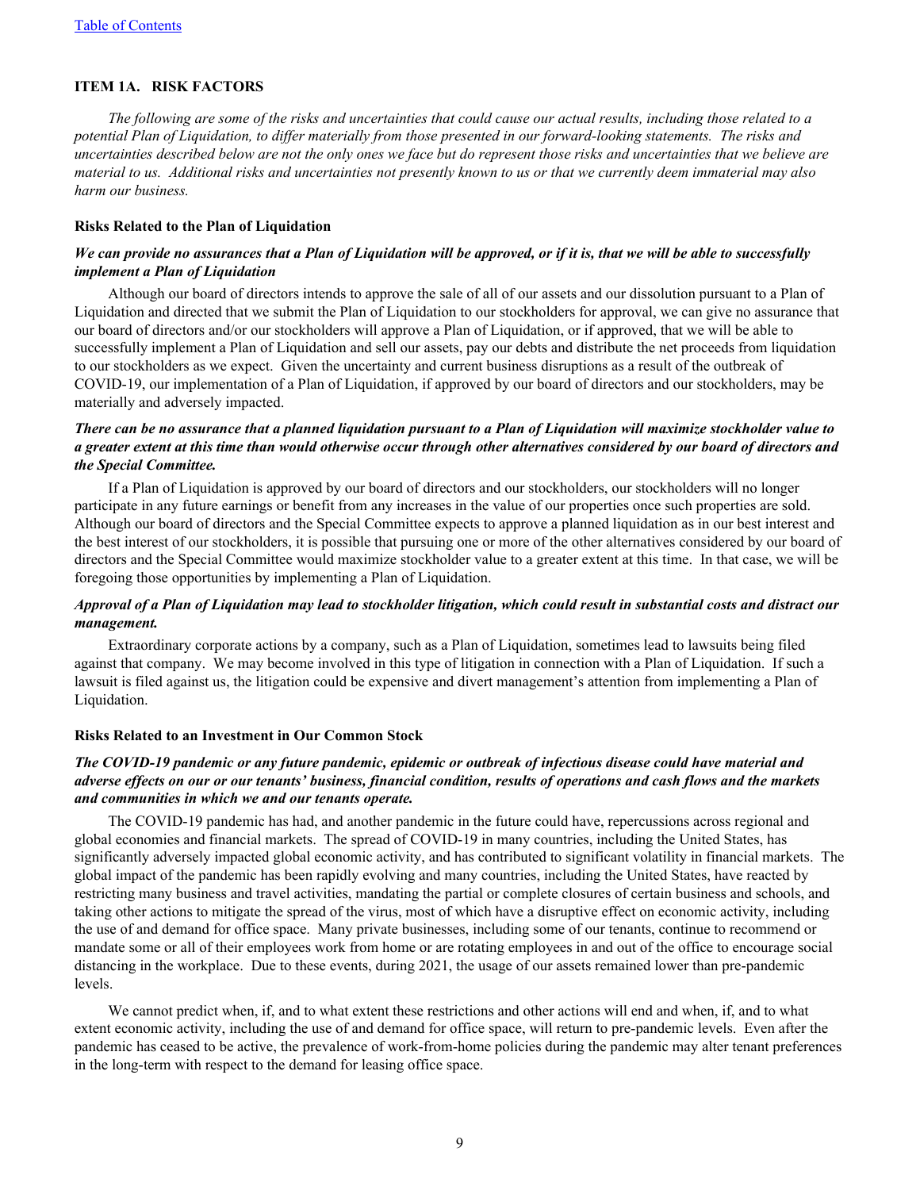## <span id="page-9-0"></span>**ITEM 1A. RISK FACTORS**

*The following are some of the risks and uncertainties that could cause our actual results, including those related to a potential Plan of Liquidation, to differ materially from those presented in our forward-looking statements. The risks and uncertainties described below are not the only ones we face but do represent those risks and uncertainties that we believe are material to us. Additional risks and uncertainties not presently known to us or that we currently deem immaterial may also harm our business.*

#### **Risks Related to the Plan of Liquidation**

#### *We can provide no assurances that a Plan of Liquidation will be approved, or if it is, that we will be able to successfully implement a Plan of Liquidation*

Although our board of directors intends to approve the sale of all of our assets and our dissolution pursuant to a Plan of Liquidation and directed that we submit the Plan of Liquidation to our stockholders for approval, we can give no assurance that our board of directors and/or our stockholders will approve a Plan of Liquidation, or if approved, that we will be able to successfully implement a Plan of Liquidation and sell our assets, pay our debts and distribute the net proceeds from liquidation to our stockholders as we expect. Given the uncertainty and current business disruptions as a result of the outbreak of COVID-19, our implementation of a Plan of Liquidation, if approved by our board of directors and our stockholders, may be materially and adversely impacted.

#### *There can be no assurance that a planned liquidation pursuant to a Plan of Liquidation will maximize stockholder value to a greater extent at this time than would otherwise occur through other alternatives considered by our board of directors and the Special Committee.*

If a Plan of Liquidation is approved by our board of directors and our stockholders, our stockholders will no longer participate in any future earnings or benefit from any increases in the value of our properties once such properties are sold. Although our board of directors and the Special Committee expects to approve a planned liquidation as in our best interest and the best interest of our stockholders, it is possible that pursuing one or more of the other alternatives considered by our board of directors and the Special Committee would maximize stockholder value to a greater extent at this time. In that case, we will be foregoing those opportunities by implementing a Plan of Liquidation.

#### *Approval of a Plan of Liquidation may lead to stockholder litigation, which could result in substantial costs and distract our management.*

Extraordinary corporate actions by a company, such as a Plan of Liquidation, sometimes lead to lawsuits being filed against that company. We may become involved in this type of litigation in connection with a Plan of Liquidation. If such a lawsuit is filed against us, the litigation could be expensive and divert management's attention from implementing a Plan of Liquidation.

#### **Risks Related to an Investment in Our Common Stock**

## *The COVID-19 pandemic or any future pandemic, epidemic or outbreak of infectious disease could have material and adverse effects on our or our tenants' business, financial condition, results of operations and cash flows and the markets and communities in which we and our tenants operate.*

The COVID-19 pandemic has had, and another pandemic in the future could have, repercussions across regional and global economies and financial markets. The spread of COVID-19 in many countries, including the United States, has significantly adversely impacted global economic activity, and has contributed to significant volatility in financial markets. The global impact of the pandemic has been rapidly evolving and many countries, including the United States, have reacted by restricting many business and travel activities, mandating the partial or complete closures of certain business and schools, and taking other actions to mitigate the spread of the virus, most of which have a disruptive effect on economic activity, including the use of and demand for office space. Many private businesses, including some of our tenants, continue to recommend or mandate some or all of their employees work from home or are rotating employees in and out of the office to encourage social distancing in the workplace. Due to these events, during 2021, the usage of our assets remained lower than pre-pandemic levels.

We cannot predict when, if, and to what extent these restrictions and other actions will end and when, if, and to what extent economic activity, including the use of and demand for office space, will return to pre-pandemic levels. Even after the pandemic has ceased to be active, the prevalence of work-from-home policies during the pandemic may alter tenant preferences in the long-term with respect to the demand for leasing office space.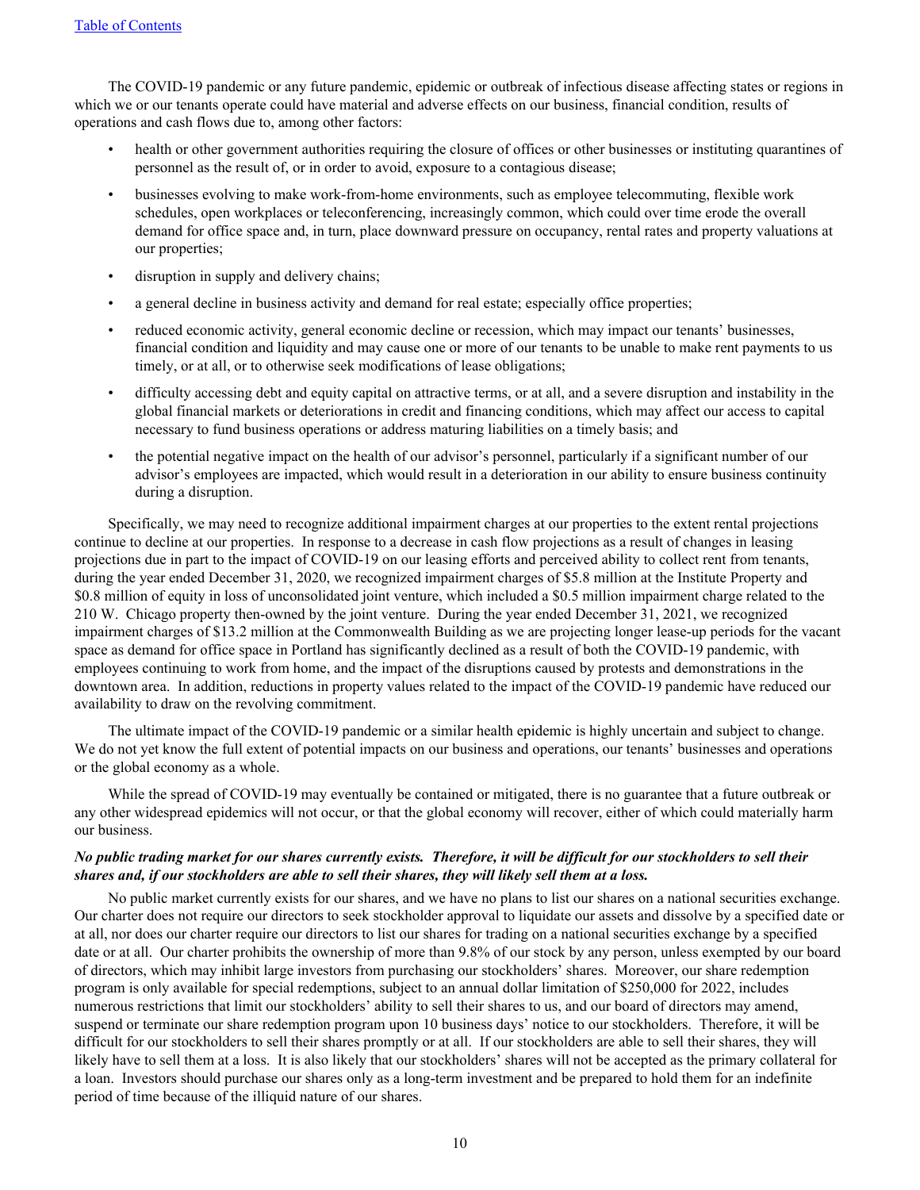The COVID-19 pandemic or any future pandemic, epidemic or outbreak of infectious disease affecting states or regions in which we or our tenants operate could have material and adverse effects on our business, financial condition, results of operations and cash flows due to, among other factors:

- health or other government authorities requiring the closure of offices or other businesses or instituting quarantines of personnel as the result of, or in order to avoid, exposure to a contagious disease;
- businesses evolving to make work-from-home environments, such as employee telecommuting, flexible work schedules, open workplaces or teleconferencing, increasingly common, which could over time erode the overall demand for office space and, in turn, place downward pressure on occupancy, rental rates and property valuations at our properties;
- disruption in supply and delivery chains;
- a general decline in business activity and demand for real estate; especially office properties;
- reduced economic activity, general economic decline or recession, which may impact our tenants' businesses, financial condition and liquidity and may cause one or more of our tenants to be unable to make rent payments to us timely, or at all, or to otherwise seek modifications of lease obligations;
- difficulty accessing debt and equity capital on attractive terms, or at all, and a severe disruption and instability in the global financial markets or deteriorations in credit and financing conditions, which may affect our access to capital necessary to fund business operations or address maturing liabilities on a timely basis; and
- the potential negative impact on the health of our advisor's personnel, particularly if a significant number of our advisor's employees are impacted, which would result in a deterioration in our ability to ensure business continuity during a disruption.

Specifically, we may need to recognize additional impairment charges at our properties to the extent rental projections continue to decline at our properties. In response to a decrease in cash flow projections as a result of changes in leasing projections due in part to the impact of COVID-19 on our leasing efforts and perceived ability to collect rent from tenants, during the year ended December 31, 2020, we recognized impairment charges of \$5.8 million at the Institute Property and \$0.8 million of equity in loss of unconsolidated joint venture, which included a \$0.5 million impairment charge related to the 210 W. Chicago property then-owned by the joint venture. During the year ended December 31, 2021, we recognized impairment charges of \$13.2 million at the Commonwealth Building as we are projecting longer lease-up periods for the vacant space as demand for office space in Portland has significantly declined as a result of both the COVID-19 pandemic, with employees continuing to work from home, and the impact of the disruptions caused by protests and demonstrations in the downtown area. In addition, reductions in property values related to the impact of the COVID-19 pandemic have reduced our availability to draw on the revolving commitment.

The ultimate impact of the COVID-19 pandemic or a similar health epidemic is highly uncertain and subject to change. We do not yet know the full extent of potential impacts on our business and operations, our tenants' businesses and operations or the global economy as a whole.

While the spread of COVID-19 may eventually be contained or mitigated, there is no guarantee that a future outbreak or any other widespread epidemics will not occur, or that the global economy will recover, either of which could materially harm our business.

#### *No public trading market for our shares currently exists. Therefore, it will be difficult for our stockholders to sell their shares and, if our stockholders are able to sell their shares, they will likely sell them at a loss.*

No public market currently exists for our shares, and we have no plans to list our shares on a national securities exchange. Our charter does not require our directors to seek stockholder approval to liquidate our assets and dissolve by a specified date or at all, nor does our charter require our directors to list our shares for trading on a national securities exchange by a specified date or at all. Our charter prohibits the ownership of more than 9.8% of our stock by any person, unless exempted by our board of directors, which may inhibit large investors from purchasing our stockholders' shares. Moreover, our share redemption program is only available for special redemptions, subject to an annual dollar limitation of \$250,000 for 2022, includes numerous restrictions that limit our stockholders' ability to sell their shares to us, and our board of directors may amend, suspend or terminate our share redemption program upon 10 business days' notice to our stockholders. Therefore, it will be difficult for our stockholders to sell their shares promptly or at all. If our stockholders are able to sell their shares, they will likely have to sell them at a loss. It is also likely that our stockholders' shares will not be accepted as the primary collateral for a loan. Investors should purchase our shares only as a long-term investment and be prepared to hold them for an indefinite period of time because of the illiquid nature of our shares.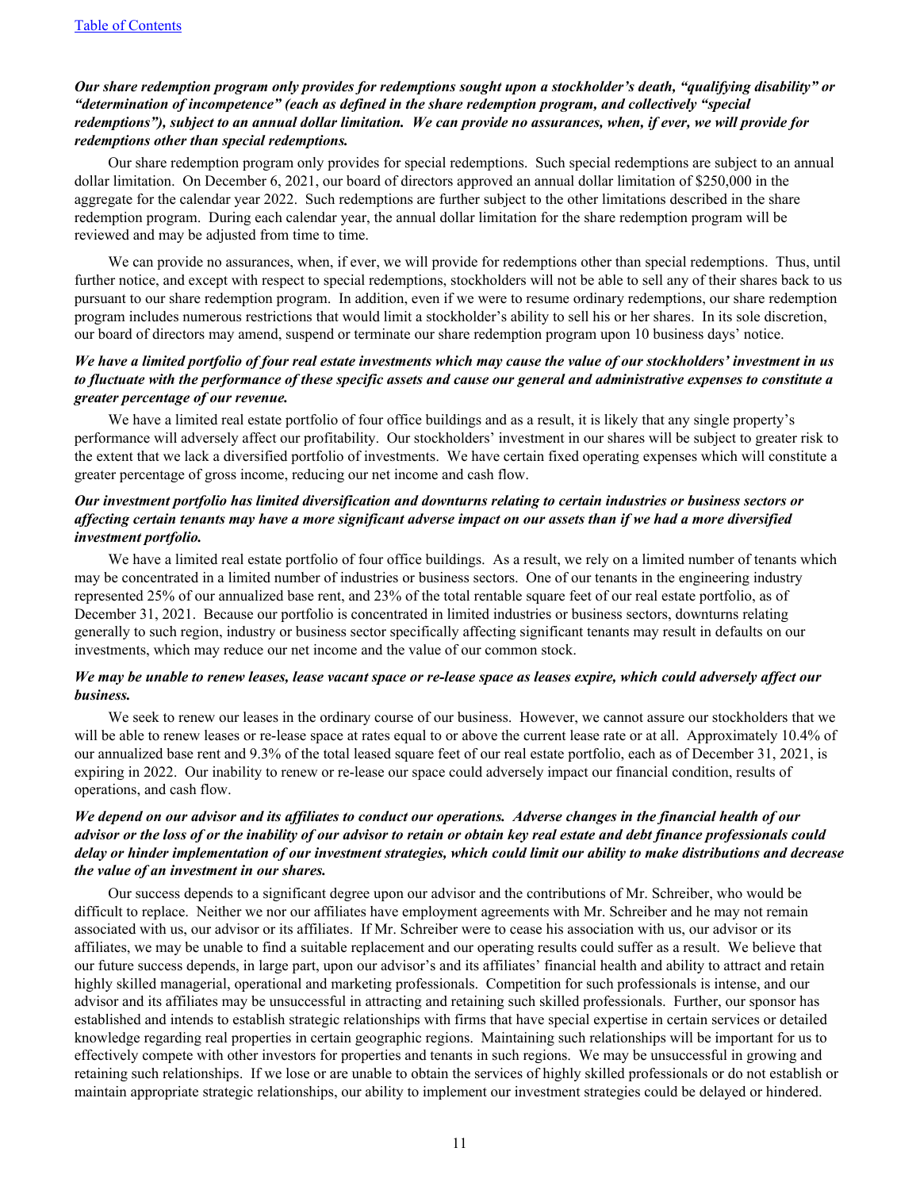## *Our share redemption program only provides for redemptions sought upon a stockholder's death, "qualifying disability" or "determination of incompetence" (each as defined in the share redemption program, and collectively "special redemptions"), subject to an annual dollar limitation. We can provide no assurances, when, if ever, we will provide for redemptions other than special redemptions.*

Our share redemption program only provides for special redemptions. Such special redemptions are subject to an annual dollar limitation. On December 6, 2021, our board of directors approved an annual dollar limitation of \$250,000 in the aggregate for the calendar year 2022. Such redemptions are further subject to the other limitations described in the share redemption program. During each calendar year, the annual dollar limitation for the share redemption program will be reviewed and may be adjusted from time to time.

We can provide no assurances, when, if ever, we will provide for redemptions other than special redemptions. Thus, until further notice, and except with respect to special redemptions, stockholders will not be able to sell any of their shares back to us pursuant to our share redemption program. In addition, even if we were to resume ordinary redemptions, our share redemption program includes numerous restrictions that would limit a stockholder's ability to sell his or her shares. In its sole discretion, our board of directors may amend, suspend or terminate our share redemption program upon 10 business days' notice.

## *We have a limited portfolio of four real estate investments which may cause the value of our stockholders' investment in us to fluctuate with the performance of these specific assets and cause our general and administrative expenses to constitute a greater percentage of our revenue.*

We have a limited real estate portfolio of four office buildings and as a result, it is likely that any single property's performance will adversely affect our profitability. Our stockholders' investment in our shares will be subject to greater risk to the extent that we lack a diversified portfolio of investments. We have certain fixed operating expenses which will constitute a greater percentage of gross income, reducing our net income and cash flow.

## *Our investment portfolio has limited diversification and downturns relating to certain industries or business sectors or affecting certain tenants may have a more significant adverse impact on our assets than if we had a more diversified investment portfolio.*

We have a limited real estate portfolio of four office buildings. As a result, we rely on a limited number of tenants which may be concentrated in a limited number of industries or business sectors. One of our tenants in the engineering industry represented 25% of our annualized base rent, and 23% of the total rentable square feet of our real estate portfolio, as of December 31, 2021. Because our portfolio is concentrated in limited industries or business sectors, downturns relating generally to such region, industry or business sector specifically affecting significant tenants may result in defaults on our investments, which may reduce our net income and the value of our common stock.

#### *We may be unable to renew leases, lease vacant space or re-lease space as leases expire, which could adversely affect our business.*

We seek to renew our leases in the ordinary course of our business. However, we cannot assure our stockholders that we will be able to renew leases or re-lease space at rates equal to or above the current lease rate or at all. Approximately 10.4% of our annualized base rent and 9.3% of the total leased square feet of our real estate portfolio, each as of December 31, 2021, is expiring in 2022. Our inability to renew or re-lease our space could adversely impact our financial condition, results of operations, and cash flow.

## *We depend on our advisor and its affiliates to conduct our operations. Adverse changes in the financial health of our advisor or the loss of or the inability of our advisor to retain or obtain key real estate and debt finance professionals could delay or hinder implementation of our investment strategies, which could limit our ability to make distributions and decrease the value of an investment in our shares.*

Our success depends to a significant degree upon our advisor and the contributions of Mr. Schreiber, who would be difficult to replace. Neither we nor our affiliates have employment agreements with Mr. Schreiber and he may not remain associated with us, our advisor or its affiliates. If Mr. Schreiber were to cease his association with us, our advisor or its affiliates, we may be unable to find a suitable replacement and our operating results could suffer as a result. We believe that our future success depends, in large part, upon our advisor's and its affiliates' financial health and ability to attract and retain highly skilled managerial, operational and marketing professionals. Competition for such professionals is intense, and our advisor and its affiliates may be unsuccessful in attracting and retaining such skilled professionals. Further, our sponsor has established and intends to establish strategic relationships with firms that have special expertise in certain services or detailed knowledge regarding real properties in certain geographic regions. Maintaining such relationships will be important for us to effectively compete with other investors for properties and tenants in such regions. We may be unsuccessful in growing and retaining such relationships. If we lose or are unable to obtain the services of highly skilled professionals or do not establish or maintain appropriate strategic relationships, our ability to implement our investment strategies could be delayed or hindered.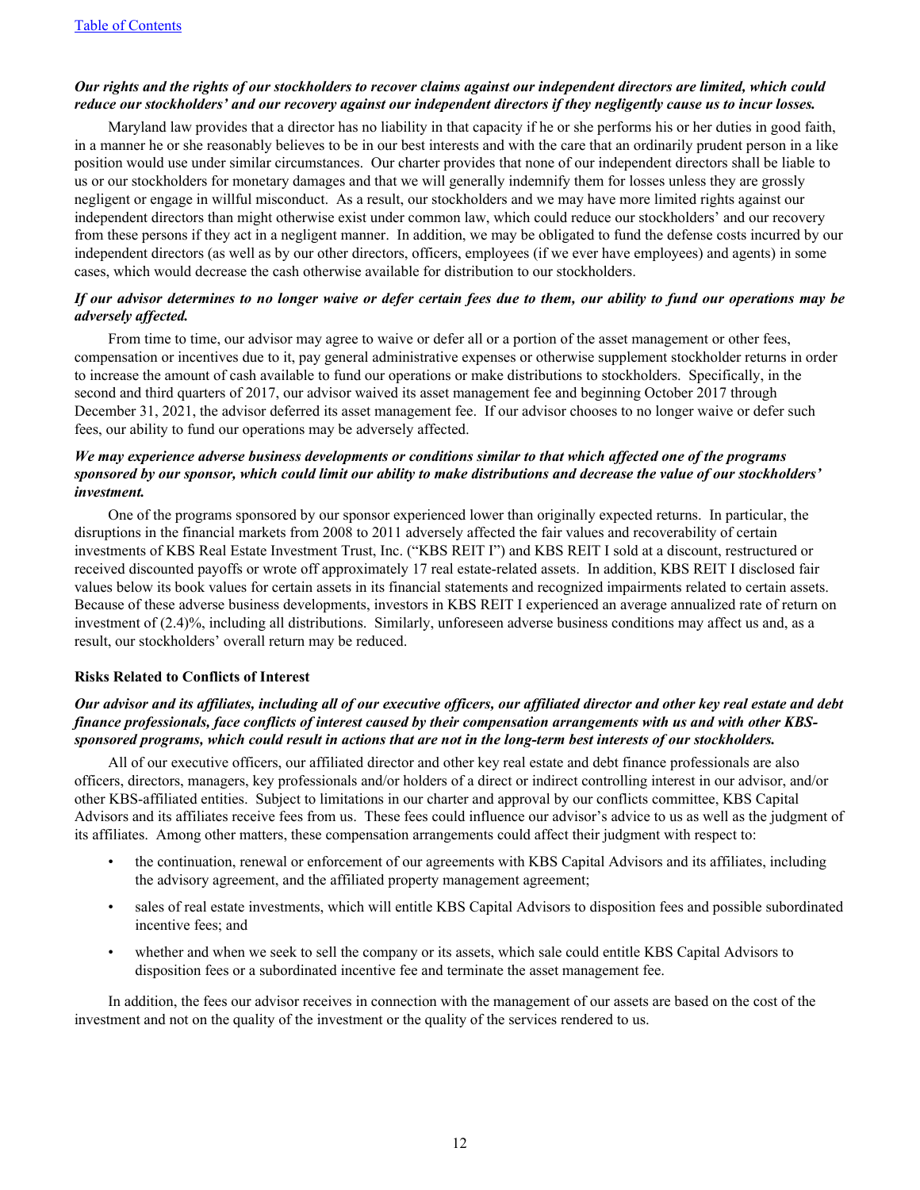## *Our rights and the rights of our stockholders to recover claims against our independent directors are limited, which could reduce our stockholders' and our recovery against our independent directors if they negligently cause us to incur losses.*

Maryland law provides that a director has no liability in that capacity if he or she performs his or her duties in good faith, in a manner he or she reasonably believes to be in our best interests and with the care that an ordinarily prudent person in a like position would use under similar circumstances. Our charter provides that none of our independent directors shall be liable to us or our stockholders for monetary damages and that we will generally indemnify them for losses unless they are grossly negligent or engage in willful misconduct. As a result, our stockholders and we may have more limited rights against our independent directors than might otherwise exist under common law, which could reduce our stockholders' and our recovery from these persons if they act in a negligent manner. In addition, we may be obligated to fund the defense costs incurred by our independent directors (as well as by our other directors, officers, employees (if we ever have employees) and agents) in some cases, which would decrease the cash otherwise available for distribution to our stockholders.

## *If our advisor determines to no longer waive or defer certain fees due to them, our ability to fund our operations may be adversely affected.*

From time to time, our advisor may agree to waive or defer all or a portion of the asset management or other fees, compensation or incentives due to it, pay general administrative expenses or otherwise supplement stockholder returns in order to increase the amount of cash available to fund our operations or make distributions to stockholders. Specifically, in the second and third quarters of 2017, our advisor waived its asset management fee and beginning October 2017 through December 31, 2021, the advisor deferred its asset management fee. If our advisor chooses to no longer waive or defer such fees, our ability to fund our operations may be adversely affected.

## *We may experience adverse business developments or conditions similar to that which affected one of the programs sponsored by our sponsor, which could limit our ability to make distributions and decrease the value of our stockholders' investment.*

One of the programs sponsored by our sponsor experienced lower than originally expected returns. In particular, the disruptions in the financial markets from 2008 to 2011 adversely affected the fair values and recoverability of certain investments of KBS Real Estate Investment Trust, Inc. ("KBS REIT I") and KBS REIT I sold at a discount, restructured or received discounted payoffs or wrote off approximately 17 real estate-related assets. In addition, KBS REIT I disclosed fair values below its book values for certain assets in its financial statements and recognized impairments related to certain assets. Because of these adverse business developments, investors in KBS REIT I experienced an average annualized rate of return on investment of (2.4)%, including all distributions. Similarly, unforeseen adverse business conditions may affect us and, as a result, our stockholders' overall return may be reduced.

#### **Risks Related to Conflicts of Interest**

## *Our advisor and its affiliates, including all of our executive officers, our affiliated director and other key real estate and debt finance professionals, face conflicts of interest caused by their compensation arrangements with us and with other KBSsponsored programs, which could result in actions that are not in the long-term best interests of our stockholders.*

All of our executive officers, our affiliated director and other key real estate and debt finance professionals are also officers, directors, managers, key professionals and/or holders of a direct or indirect controlling interest in our advisor, and/or other KBS-affiliated entities. Subject to limitations in our charter and approval by our conflicts committee, KBS Capital Advisors and its affiliates receive fees from us. These fees could influence our advisor's advice to us as well as the judgment of its affiliates. Among other matters, these compensation arrangements could affect their judgment with respect to:

- the continuation, renewal or enforcement of our agreements with KBS Capital Advisors and its affiliates, including the advisory agreement, and the affiliated property management agreement;
- sales of real estate investments, which will entitle KBS Capital Advisors to disposition fees and possible subordinated incentive fees; and
- whether and when we seek to sell the company or its assets, which sale could entitle KBS Capital Advisors to disposition fees or a subordinated incentive fee and terminate the asset management fee.

In addition, the fees our advisor receives in connection with the management of our assets are based on the cost of the investment and not on the quality of the investment or the quality of the services rendered to us.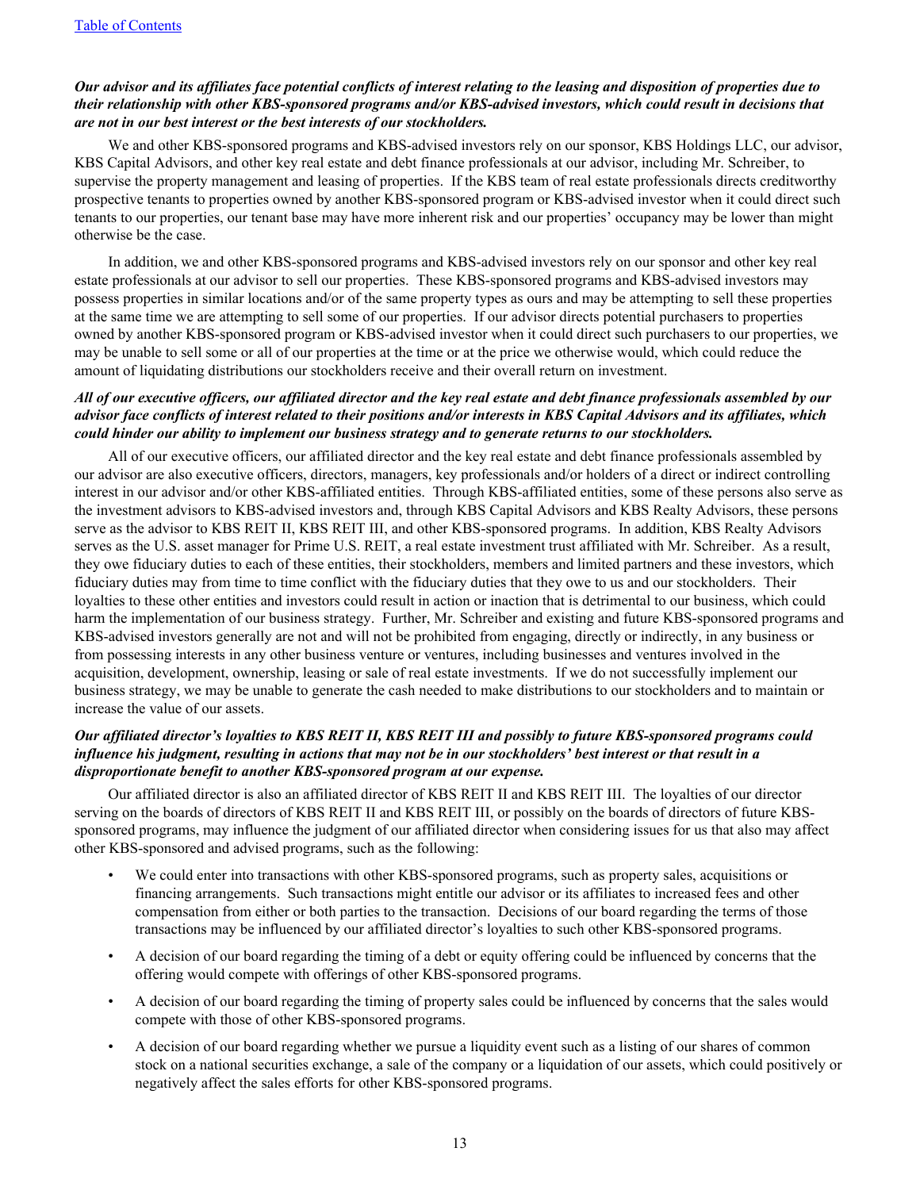## *Our advisor and its affiliates face potential conflicts of interest relating to the leasing and disposition of properties due to their relationship with other KBS-sponsored programs and/or KBS-advised investors, which could result in decisions that are not in our best interest or the best interests of our stockholders.*

We and other KBS-sponsored programs and KBS-advised investors rely on our sponsor, KBS Holdings LLC, our advisor, KBS Capital Advisors, and other key real estate and debt finance professionals at our advisor, including Mr. Schreiber, to supervise the property management and leasing of properties. If the KBS team of real estate professionals directs creditworthy prospective tenants to properties owned by another KBS-sponsored program or KBS-advised investor when it could direct such tenants to our properties, our tenant base may have more inherent risk and our properties' occupancy may be lower than might otherwise be the case.

In addition, we and other KBS-sponsored programs and KBS-advised investors rely on our sponsor and other key real estate professionals at our advisor to sell our properties. These KBS-sponsored programs and KBS-advised investors may possess properties in similar locations and/or of the same property types as ours and may be attempting to sell these properties at the same time we are attempting to sell some of our properties. If our advisor directs potential purchasers to properties owned by another KBS-sponsored program or KBS-advised investor when it could direct such purchasers to our properties, we may be unable to sell some or all of our properties at the time or at the price we otherwise would, which could reduce the amount of liquidating distributions our stockholders receive and their overall return on investment.

## *All of our executive officers, our affiliated director and the key real estate and debt finance professionals assembled by our advisor face conflicts of interest related to their positions and/or interests in KBS Capital Advisors and its affiliates, which could hinder our ability to implement our business strategy and to generate returns to our stockholders.*

All of our executive officers, our affiliated director and the key real estate and debt finance professionals assembled by our advisor are also executive officers, directors, managers, key professionals and/or holders of a direct or indirect controlling interest in our advisor and/or other KBS-affiliated entities. Through KBS-affiliated entities, some of these persons also serve as the investment advisors to KBS-advised investors and, through KBS Capital Advisors and KBS Realty Advisors, these persons serve as the advisor to KBS REIT II, KBS REIT III, and other KBS-sponsored programs. In addition, KBS Realty Advisors serves as the U.S. asset manager for Prime U.S. REIT, a real estate investment trust affiliated with Mr. Schreiber. As a result, they owe fiduciary duties to each of these entities, their stockholders, members and limited partners and these investors, which fiduciary duties may from time to time conflict with the fiduciary duties that they owe to us and our stockholders. Their loyalties to these other entities and investors could result in action or inaction that is detrimental to our business, which could harm the implementation of our business strategy. Further, Mr. Schreiber and existing and future KBS-sponsored programs and KBS-advised investors generally are not and will not be prohibited from engaging, directly or indirectly, in any business or from possessing interests in any other business venture or ventures, including businesses and ventures involved in the acquisition, development, ownership, leasing or sale of real estate investments. If we do not successfully implement our business strategy, we may be unable to generate the cash needed to make distributions to our stockholders and to maintain or increase the value of our assets.

## *Our affiliated director's loyalties to KBS REIT II, KBS REIT III and possibly to future KBS-sponsored programs could influence his judgment, resulting in actions that may not be in our stockholders' best interest or that result in a disproportionate benefit to another KBS-sponsored program at our expense.*

Our affiliated director is also an affiliated director of KBS REIT II and KBS REIT III. The loyalties of our director serving on the boards of directors of KBS REIT II and KBS REIT III, or possibly on the boards of directors of future KBSsponsored programs, may influence the judgment of our affiliated director when considering issues for us that also may affect other KBS-sponsored and advised programs, such as the following:

- We could enter into transactions with other KBS-sponsored programs, such as property sales, acquisitions or financing arrangements. Such transactions might entitle our advisor or its affiliates to increased fees and other compensation from either or both parties to the transaction. Decisions of our board regarding the terms of those transactions may be influenced by our affiliated director's loyalties to such other KBS-sponsored programs.
- A decision of our board regarding the timing of a debt or equity offering could be influenced by concerns that the offering would compete with offerings of other KBS-sponsored programs.
- A decision of our board regarding the timing of property sales could be influenced by concerns that the sales would compete with those of other KBS-sponsored programs.
- A decision of our board regarding whether we pursue a liquidity event such as a listing of our shares of common stock on a national securities exchange, a sale of the company or a liquidation of our assets, which could positively or negatively affect the sales efforts for other KBS-sponsored programs.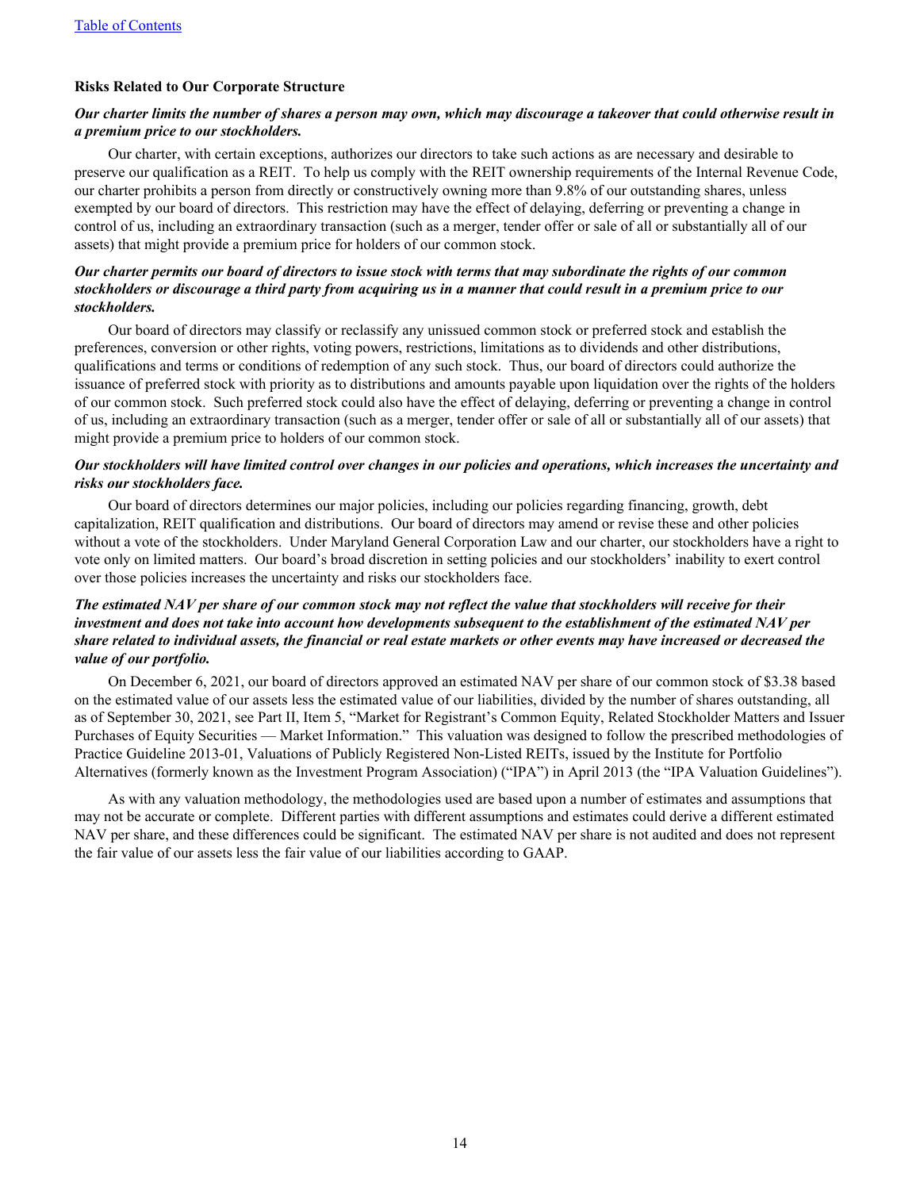#### **Risks Related to Our Corporate Structure**

#### *Our charter limits the number of shares a person may own, which may discourage a takeover that could otherwise result in a premium price to our stockholders.*

Our charter, with certain exceptions, authorizes our directors to take such actions as are necessary and desirable to preserve our qualification as a REIT. To help us comply with the REIT ownership requirements of the Internal Revenue Code, our charter prohibits a person from directly or constructively owning more than 9.8% of our outstanding shares, unless exempted by our board of directors. This restriction may have the effect of delaying, deferring or preventing a change in control of us, including an extraordinary transaction (such as a merger, tender offer or sale of all or substantially all of our assets) that might provide a premium price for holders of our common stock.

## *Our charter permits our board of directors to issue stock with terms that may subordinate the rights of our common stockholders or discourage a third party from acquiring us in a manner that could result in a premium price to our stockholders.*

Our board of directors may classify or reclassify any unissued common stock or preferred stock and establish the preferences, conversion or other rights, voting powers, restrictions, limitations as to dividends and other distributions, qualifications and terms or conditions of redemption of any such stock. Thus, our board of directors could authorize the issuance of preferred stock with priority as to distributions and amounts payable upon liquidation over the rights of the holders of our common stock. Such preferred stock could also have the effect of delaying, deferring or preventing a change in control of us, including an extraordinary transaction (such as a merger, tender offer or sale of all or substantially all of our assets) that might provide a premium price to holders of our common stock.

#### *Our stockholders will have limited control over changes in our policies and operations, which increases the uncertainty and risks our stockholders face.*

Our board of directors determines our major policies, including our policies regarding financing, growth, debt capitalization, REIT qualification and distributions. Our board of directors may amend or revise these and other policies without a vote of the stockholders. Under Maryland General Corporation Law and our charter, our stockholders have a right to vote only on limited matters. Our board's broad discretion in setting policies and our stockholders' inability to exert control over those policies increases the uncertainty and risks our stockholders face.

#### *The estimated NAV per share of our common stock may not reflect the value that stockholders will receive for their investment and does not take into account how developments subsequent to the establishment of the estimated NAV per share related to individual assets, the financial or real estate markets or other events may have increased or decreased the value of our portfolio.*

On December 6, 2021, our board of directors approved an estimated NAV per share of our common stock of \$3.38 based on the estimated value of our assets less the estimated value of our liabilities, divided by the number of shares outstanding, all as of September 30, 2021, see Part II, Item 5, "Market for Registrant's Common Equity, Related Stockholder Matters and Issuer Purchases of Equity Securities — Market Information." This valuation was designed to follow the prescribed methodologies of Practice Guideline 2013-01, Valuations of Publicly Registered Non-Listed REITs, issued by the Institute for Portfolio Alternatives (formerly known as the Investment Program Association) ("IPA") in April 2013 (the "IPA Valuation Guidelines").

As with any valuation methodology, the methodologies used are based upon a number of estimates and assumptions that may not be accurate or complete. Different parties with different assumptions and estimates could derive a different estimated NAV per share, and these differences could be significant. The estimated NAV per share is not audited and does not represent the fair value of our assets less the fair value of our liabilities according to GAAP.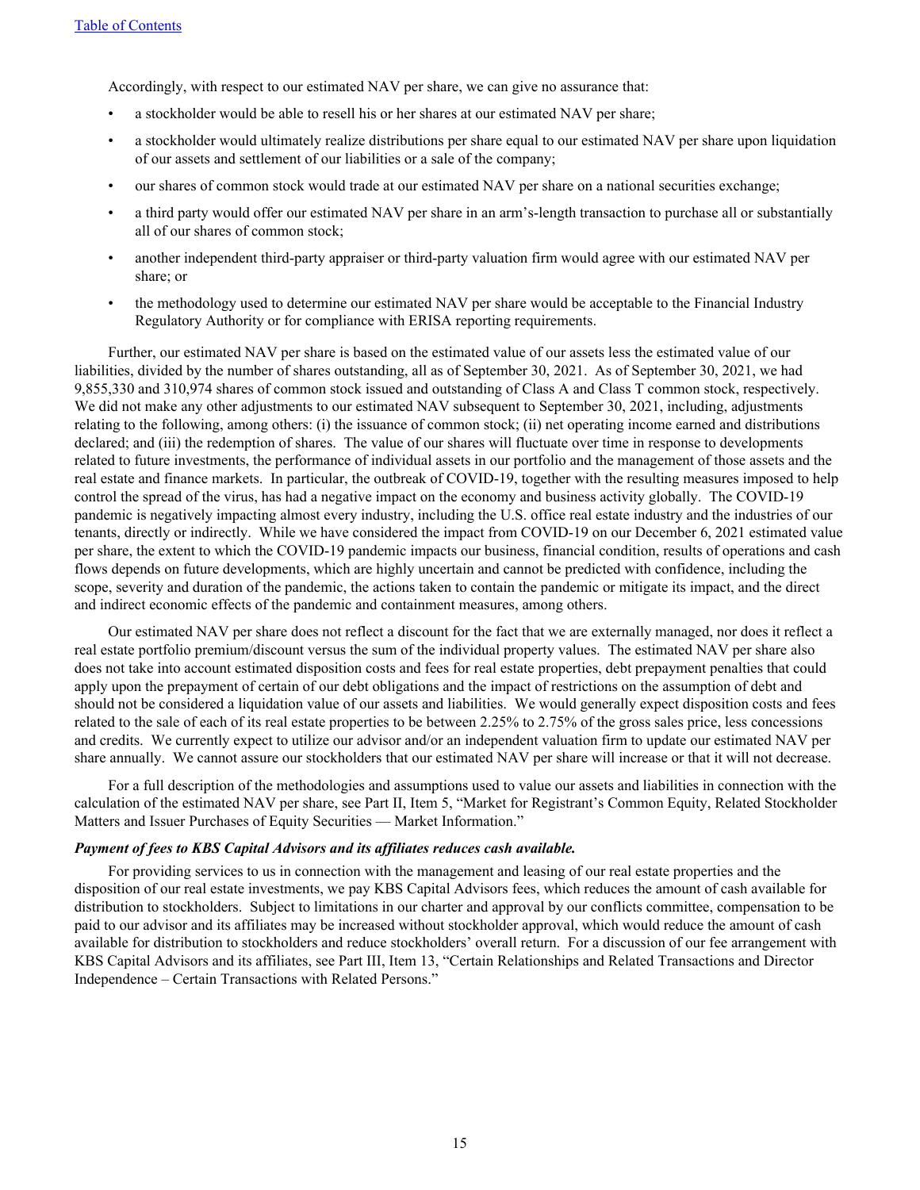Accordingly, with respect to our estimated NAV per share, we can give no assurance that:

- a stockholder would be able to resell his or her shares at our estimated NAV per share;
- a stockholder would ultimately realize distributions per share equal to our estimated NAV per share upon liquidation of our assets and settlement of our liabilities or a sale of the company;
- our shares of common stock would trade at our estimated NAV per share on a national securities exchange;
- a third party would offer our estimated NAV per share in an arm's-length transaction to purchase all or substantially all of our shares of common stock;
- another independent third-party appraiser or third-party valuation firm would agree with our estimated NAV per share; or
- the methodology used to determine our estimated NAV per share would be acceptable to the Financial Industry Regulatory Authority or for compliance with ERISA reporting requirements.

Further, our estimated NAV per share is based on the estimated value of our assets less the estimated value of our liabilities, divided by the number of shares outstanding, all as of September 30, 2021. As of September 30, 2021, we had 9,855,330 and 310,974 shares of common stock issued and outstanding of Class A and Class T common stock, respectively. We did not make any other adjustments to our estimated NAV subsequent to September 30, 2021, including, adjustments relating to the following, among others: (i) the issuance of common stock; (ii) net operating income earned and distributions declared; and (iii) the redemption of shares. The value of our shares will fluctuate over time in response to developments related to future investments, the performance of individual assets in our portfolio and the management of those assets and the real estate and finance markets. In particular, the outbreak of COVID-19, together with the resulting measures imposed to help control the spread of the virus, has had a negative impact on the economy and business activity globally. The COVID-19 pandemic is negatively impacting almost every industry, including the U.S. office real estate industry and the industries of our tenants, directly or indirectly. While we have considered the impact from COVID-19 on our December 6, 2021 estimated value per share, the extent to which the COVID-19 pandemic impacts our business, financial condition, results of operations and cash flows depends on future developments, which are highly uncertain and cannot be predicted with confidence, including the scope, severity and duration of the pandemic, the actions taken to contain the pandemic or mitigate its impact, and the direct and indirect economic effects of the pandemic and containment measures, among others.

Our estimated NAV per share does not reflect a discount for the fact that we are externally managed, nor does it reflect a real estate portfolio premium/discount versus the sum of the individual property values. The estimated NAV per share also does not take into account estimated disposition costs and fees for real estate properties, debt prepayment penalties that could apply upon the prepayment of certain of our debt obligations and the impact of restrictions on the assumption of debt and should not be considered a liquidation value of our assets and liabilities. We would generally expect disposition costs and fees related to the sale of each of its real estate properties to be between 2.25% to 2.75% of the gross sales price, less concessions and credits. We currently expect to utilize our advisor and/or an independent valuation firm to update our estimated NAV per share annually. We cannot assure our stockholders that our estimated NAV per share will increase or that it will not decrease.

For a full description of the methodologies and assumptions used to value our assets and liabilities in connection with the calculation of the estimated NAV per share, see Part II, Item 5, "Market for Registrant's Common Equity, Related Stockholder Matters and Issuer Purchases of Equity Securities — Market Information."

#### *Payment of fees to KBS Capital Advisors and its affiliates reduces cash available.*

For providing services to us in connection with the management and leasing of our real estate properties and the disposition of our real estate investments, we pay KBS Capital Advisors fees, which reduces the amount of cash available for distribution to stockholders. Subject to limitations in our charter and approval by our conflicts committee, compensation to be paid to our advisor and its affiliates may be increased without stockholder approval, which would reduce the amount of cash available for distribution to stockholders and reduce stockholders' overall return. For a discussion of our fee arrangement with KBS Capital Advisors and its affiliates, see Part III, Item 13, "Certain Relationships and Related Transactions and Director Independence – Certain Transactions with Related Persons."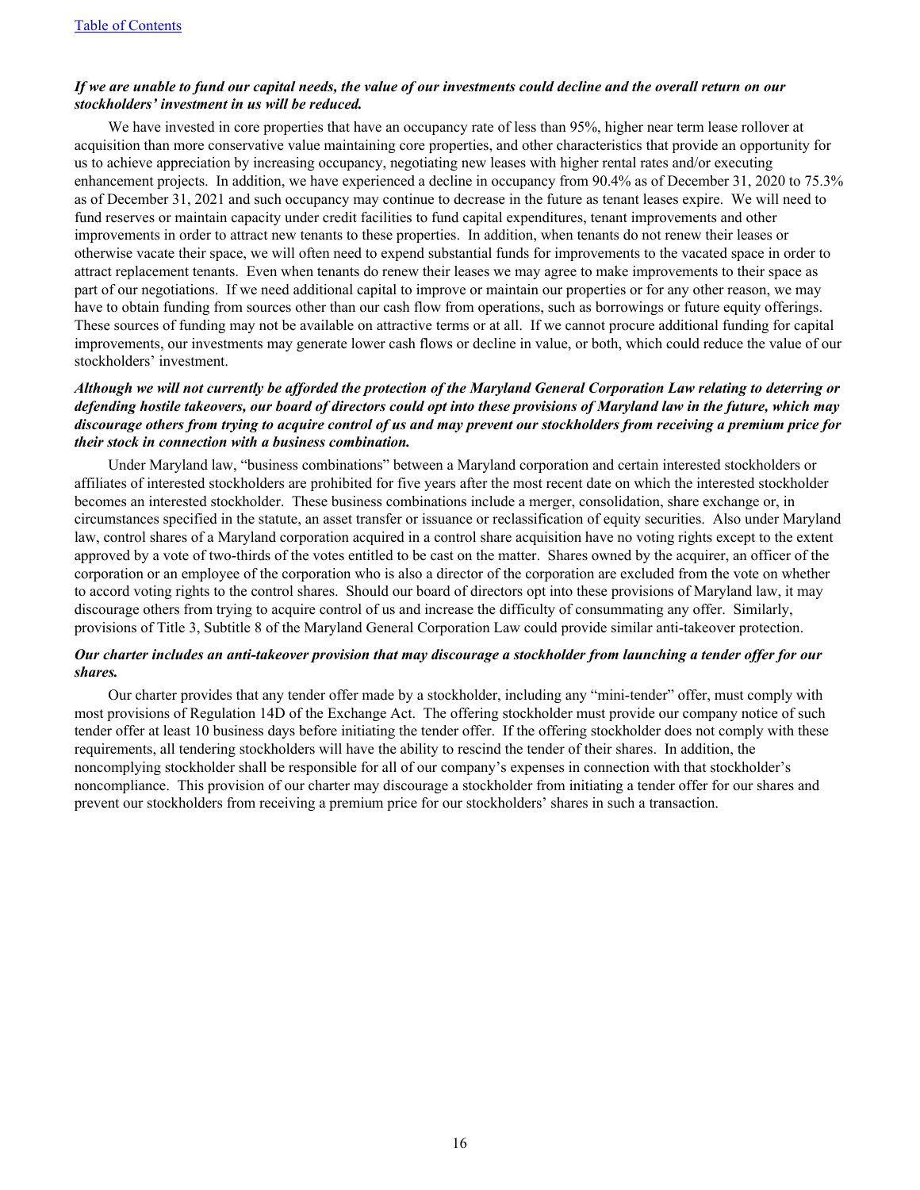#### *If we are unable to fund our capital needs, the value of our investments could decline and the overall return on our stockholders' investment in us will be reduced.*

We have invested in core properties that have an occupancy rate of less than 95%, higher near term lease rollover at acquisition than more conservative value maintaining core properties, and other characteristics that provide an opportunity for us to achieve appreciation by increasing occupancy, negotiating new leases with higher rental rates and/or executing enhancement projects. In addition, we have experienced a decline in occupancy from 90.4% as of December 31, 2020 to 75.3% as of December 31, 2021 and such occupancy may continue to decrease in the future as tenant leases expire. We will need to fund reserves or maintain capacity under credit facilities to fund capital expenditures, tenant improvements and other improvements in order to attract new tenants to these properties. In addition, when tenants do not renew their leases or otherwise vacate their space, we will often need to expend substantial funds for improvements to the vacated space in order to attract replacement tenants. Even when tenants do renew their leases we may agree to make improvements to their space as part of our negotiations. If we need additional capital to improve or maintain our properties or for any other reason, we may have to obtain funding from sources other than our cash flow from operations, such as borrowings or future equity offerings. These sources of funding may not be available on attractive terms or at all. If we cannot procure additional funding for capital improvements, our investments may generate lower cash flows or decline in value, or both, which could reduce the value of our stockholders' investment.

#### *Although we will not currently be afforded the protection of the Maryland General Corporation Law relating to deterring or defending hostile takeovers, our board of directors could opt into these provisions of Maryland law in the future, which may discourage others from trying to acquire control of us and may prevent our stockholders from receiving a premium price for their stock in connection with a business combination.*

Under Maryland law, "business combinations" between a Maryland corporation and certain interested stockholders or affiliates of interested stockholders are prohibited for five years after the most recent date on which the interested stockholder becomes an interested stockholder. These business combinations include a merger, consolidation, share exchange or, in circumstances specified in the statute, an asset transfer or issuance or reclassification of equity securities. Also under Maryland law, control shares of a Maryland corporation acquired in a control share acquisition have no voting rights except to the extent approved by a vote of two-thirds of the votes entitled to be cast on the matter. Shares owned by the acquirer, an officer of the corporation or an employee of the corporation who is also a director of the corporation are excluded from the vote on whether to accord voting rights to the control shares. Should our board of directors opt into these provisions of Maryland law, it may discourage others from trying to acquire control of us and increase the difficulty of consummating any offer. Similarly, provisions of Title 3, Subtitle 8 of the Maryland General Corporation Law could provide similar anti-takeover protection.

#### *Our charter includes an anti-takeover provision that may discourage a stockholder from launching a tender offer for our shares.*

Our charter provides that any tender offer made by a stockholder, including any "mini-tender" offer, must comply with most provisions of Regulation 14D of the Exchange Act. The offering stockholder must provide our company notice of such tender offer at least 10 business days before initiating the tender offer. If the offering stockholder does not comply with these requirements, all tendering stockholders will have the ability to rescind the tender of their shares. In addition, the noncomplying stockholder shall be responsible for all of our company's expenses in connection with that stockholder's noncompliance. This provision of our charter may discourage a stockholder from initiating a tender offer for our shares and prevent our stockholders from receiving a premium price for our stockholders' shares in such a transaction.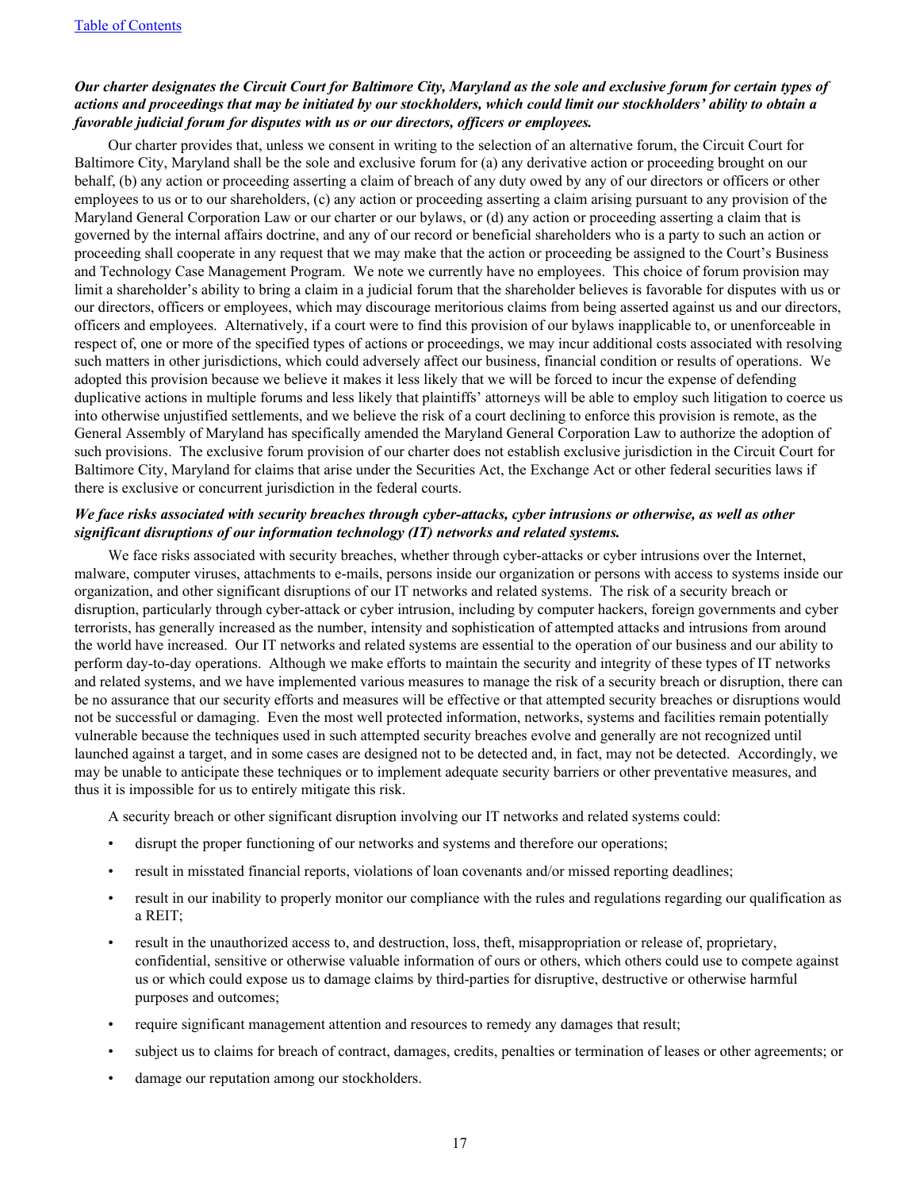#### *Our charter designates the Circuit Court for Baltimore City, Maryland as the sole and exclusive forum for certain types of actions and proceedings that may be initiated by our stockholders, which could limit our stockholders' ability to obtain a favorable judicial forum for disputes with us or our directors, officers or employees.*

Our charter provides that, unless we consent in writing to the selection of an alternative forum, the Circuit Court for Baltimore City, Maryland shall be the sole and exclusive forum for (a) any derivative action or proceeding brought on our behalf, (b) any action or proceeding asserting a claim of breach of any duty owed by any of our directors or officers or other employees to us or to our shareholders, (c) any action or proceeding asserting a claim arising pursuant to any provision of the Maryland General Corporation Law or our charter or our bylaws, or (d) any action or proceeding asserting a claim that is governed by the internal affairs doctrine, and any of our record or beneficial shareholders who is a party to such an action or proceeding shall cooperate in any request that we may make that the action or proceeding be assigned to the Court's Business and Technology Case Management Program. We note we currently have no employees. This choice of forum provision may limit a shareholder's ability to bring a claim in a judicial forum that the shareholder believes is favorable for disputes with us or our directors, officers or employees, which may discourage meritorious claims from being asserted against us and our directors, officers and employees. Alternatively, if a court were to find this provision of our bylaws inapplicable to, or unenforceable in respect of, one or more of the specified types of actions or proceedings, we may incur additional costs associated with resolving such matters in other jurisdictions, which could adversely affect our business, financial condition or results of operations. We adopted this provision because we believe it makes it less likely that we will be forced to incur the expense of defending duplicative actions in multiple forums and less likely that plaintiffs' attorneys will be able to employ such litigation to coerce us into otherwise unjustified settlements, and we believe the risk of a court declining to enforce this provision is remote, as the General Assembly of Maryland has specifically amended the Maryland General Corporation Law to authorize the adoption of such provisions. The exclusive forum provision of our charter does not establish exclusive jurisdiction in the Circuit Court for Baltimore City, Maryland for claims that arise under the Securities Act, the Exchange Act or other federal securities laws if there is exclusive or concurrent jurisdiction in the federal courts.

#### *We face risks associated with security breaches through cyber-attacks, cyber intrusions or otherwise, as well as other significant disruptions of our information technology (IT) networks and related systems.*

We face risks associated with security breaches, whether through cyber-attacks or cyber intrusions over the Internet, malware, computer viruses, attachments to e-mails, persons inside our organization or persons with access to systems inside our organization, and other significant disruptions of our IT networks and related systems. The risk of a security breach or disruption, particularly through cyber-attack or cyber intrusion, including by computer hackers, foreign governments and cyber terrorists, has generally increased as the number, intensity and sophistication of attempted attacks and intrusions from around the world have increased. Our IT networks and related systems are essential to the operation of our business and our ability to perform day-to-day operations. Although we make efforts to maintain the security and integrity of these types of IT networks and related systems, and we have implemented various measures to manage the risk of a security breach or disruption, there can be no assurance that our security efforts and measures will be effective or that attempted security breaches or disruptions would not be successful or damaging. Even the most well protected information, networks, systems and facilities remain potentially vulnerable because the techniques used in such attempted security breaches evolve and generally are not recognized until launched against a target, and in some cases are designed not to be detected and, in fact, may not be detected. Accordingly, we may be unable to anticipate these techniques or to implement adequate security barriers or other preventative measures, and thus it is impossible for us to entirely mitigate this risk.

A security breach or other significant disruption involving our IT networks and related systems could:

- disrupt the proper functioning of our networks and systems and therefore our operations;
- result in misstated financial reports, violations of loan covenants and/or missed reporting deadlines;
- result in our inability to properly monitor our compliance with the rules and regulations regarding our qualification as a REIT;
- result in the unauthorized access to, and destruction, loss, theft, misappropriation or release of, proprietary, confidential, sensitive or otherwise valuable information of ours or others, which others could use to compete against us or which could expose us to damage claims by third-parties for disruptive, destructive or otherwise harmful purposes and outcomes;
- require significant management attention and resources to remedy any damages that result;
- subject us to claims for breach of contract, damages, credits, penalties or termination of leases or other agreements; or
- damage our reputation among our stockholders.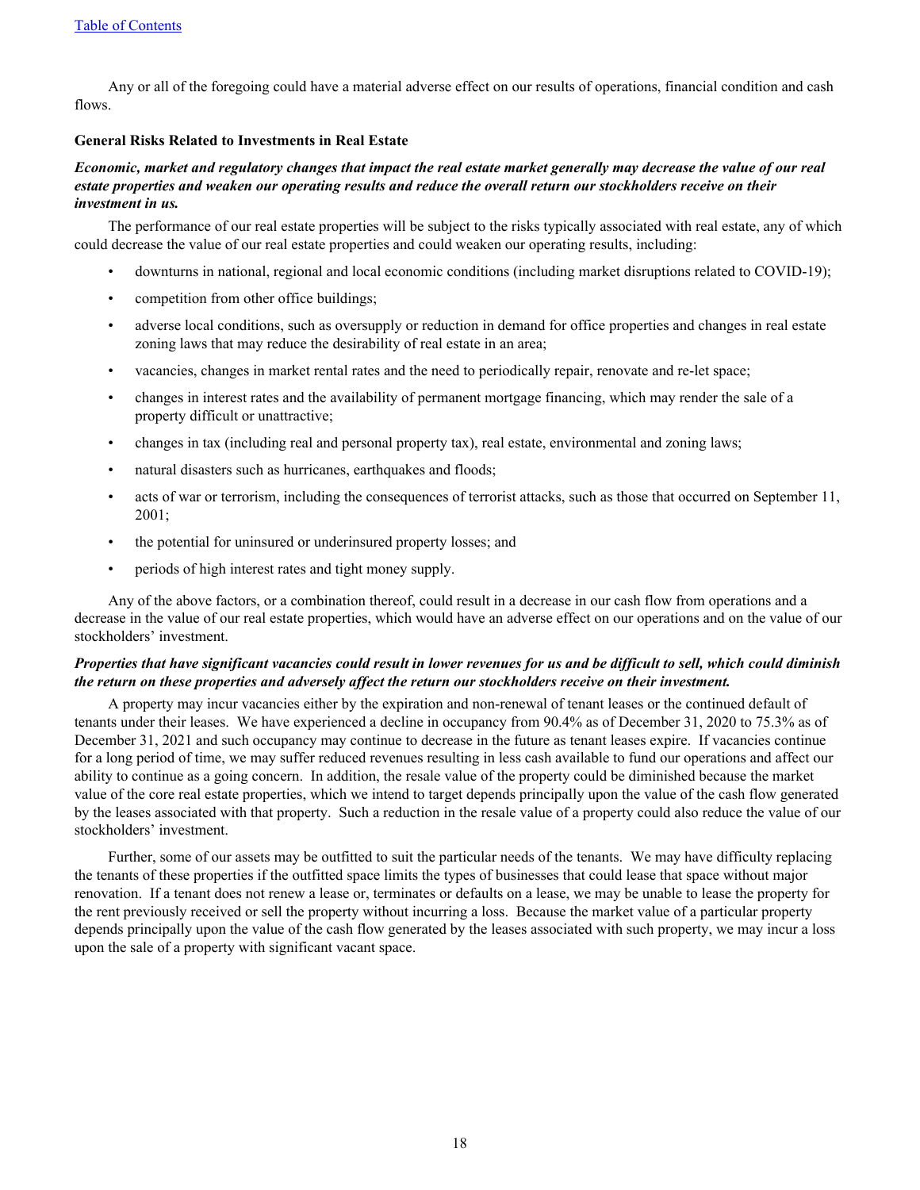Any or all of the foregoing could have a material adverse effect on our results of operations, financial condition and cash flows.

#### **General Risks Related to Investments in Real Estate**

#### *Economic, market and regulatory changes that impact the real estate market generally may decrease the value of our real estate properties and weaken our operating results and reduce the overall return our stockholders receive on their investment in us.*

The performance of our real estate properties will be subject to the risks typically associated with real estate, any of which could decrease the value of our real estate properties and could weaken our operating results, including:

- downturns in national, regional and local economic conditions (including market disruptions related to COVID-19);
- competition from other office buildings;
- adverse local conditions, such as oversupply or reduction in demand for office properties and changes in real estate zoning laws that may reduce the desirability of real estate in an area;
- vacancies, changes in market rental rates and the need to periodically repair, renovate and re-let space;
- changes in interest rates and the availability of permanent mortgage financing, which may render the sale of a property difficult or unattractive;
- changes in tax (including real and personal property tax), real estate, environmental and zoning laws;
- natural disasters such as hurricanes, earthquakes and floods;
- acts of war or terrorism, including the consequences of terrorist attacks, such as those that occurred on September 11, 2001;
- the potential for uninsured or underinsured property losses; and
- periods of high interest rates and tight money supply.

Any of the above factors, or a combination thereof, could result in a decrease in our cash flow from operations and a decrease in the value of our real estate properties, which would have an adverse effect on our operations and on the value of our stockholders' investment.

#### *Properties that have significant vacancies could result in lower revenues for us and be difficult to sell, which could diminish the return on these properties and adversely affect the return our stockholders receive on their investment.*

A property may incur vacancies either by the expiration and non-renewal of tenant leases or the continued default of tenants under their leases. We have experienced a decline in occupancy from 90.4% as of December 31, 2020 to 75.3% as of December 31, 2021 and such occupancy may continue to decrease in the future as tenant leases expire. If vacancies continue for a long period of time, we may suffer reduced revenues resulting in less cash available to fund our operations and affect our ability to continue as a going concern. In addition, the resale value of the property could be diminished because the market value of the core real estate properties, which we intend to target depends principally upon the value of the cash flow generated by the leases associated with that property. Such a reduction in the resale value of a property could also reduce the value of our stockholders' investment.

Further, some of our assets may be outfitted to suit the particular needs of the tenants. We may have difficulty replacing the tenants of these properties if the outfitted space limits the types of businesses that could lease that space without major renovation. If a tenant does not renew a lease or, terminates or defaults on a lease, we may be unable to lease the property for the rent previously received or sell the property without incurring a loss. Because the market value of a particular property depends principally upon the value of the cash flow generated by the leases associated with such property, we may incur a loss upon the sale of a property with significant vacant space.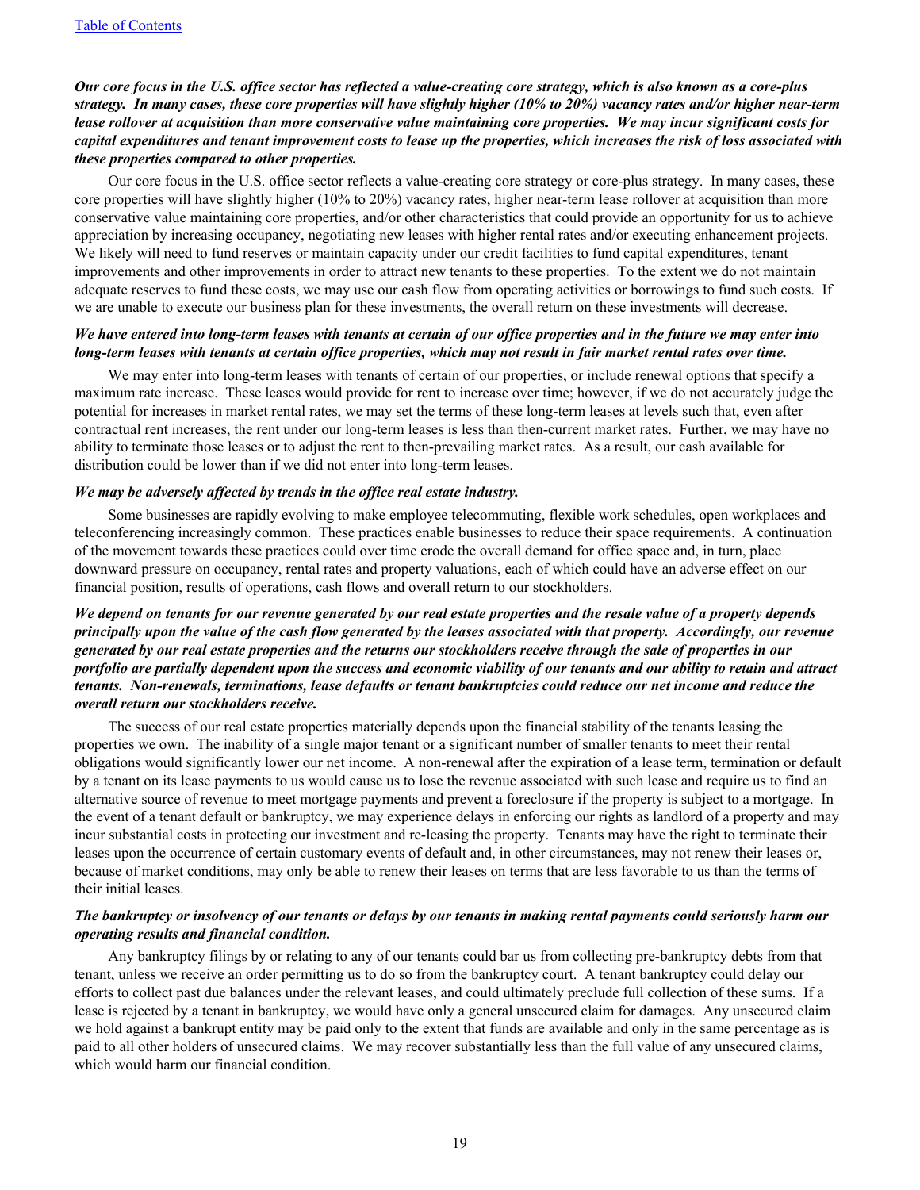#### *Our core focus in the U.S. office sector has reflected a value-creating core strategy, which is also known as a core-plus strategy. In many cases, these core properties will have slightly higher (10% to 20%) vacancy rates and/or higher near-term lease rollover at acquisition than more conservative value maintaining core properties. We may incur significant costs for capital expenditures and tenant improvement costs to lease up the properties, which increases the risk of loss associated with these properties compared to other properties.*

Our core focus in the U.S. office sector reflects a value-creating core strategy or core-plus strategy. In many cases, these core properties will have slightly higher (10% to 20%) vacancy rates, higher near-term lease rollover at acquisition than more conservative value maintaining core properties, and/or other characteristics that could provide an opportunity for us to achieve appreciation by increasing occupancy, negotiating new leases with higher rental rates and/or executing enhancement projects. We likely will need to fund reserves or maintain capacity under our credit facilities to fund capital expenditures, tenant improvements and other improvements in order to attract new tenants to these properties. To the extent we do not maintain adequate reserves to fund these costs, we may use our cash flow from operating activities or borrowings to fund such costs. If we are unable to execute our business plan for these investments, the overall return on these investments will decrease.

#### *We have entered into long-term leases with tenants at certain of our office properties and in the future we may enter into long-term leases with tenants at certain office properties, which may not result in fair market rental rates over time.*

We may enter into long-term leases with tenants of certain of our properties, or include renewal options that specify a maximum rate increase. These leases would provide for rent to increase over time; however, if we do not accurately judge the potential for increases in market rental rates, we may set the terms of these long-term leases at levels such that, even after contractual rent increases, the rent under our long-term leases is less than then-current market rates. Further, we may have no ability to terminate those leases or to adjust the rent to then-prevailing market rates. As a result, our cash available for distribution could be lower than if we did not enter into long-term leases.

#### *We may be adversely affected by trends in the office real estate industry.*

Some businesses are rapidly evolving to make employee telecommuting, flexible work schedules, open workplaces and teleconferencing increasingly common. These practices enable businesses to reduce their space requirements. A continuation of the movement towards these practices could over time erode the overall demand for office space and, in turn, place downward pressure on occupancy, rental rates and property valuations, each of which could have an adverse effect on our financial position, results of operations, cash flows and overall return to our stockholders.

*We depend on tenants for our revenue generated by our real estate properties and the resale value of a property depends principally upon the value of the cash flow generated by the leases associated with that property. Accordingly, our revenue generated by our real estate properties and the returns our stockholders receive through the sale of properties in our portfolio are partially dependent upon the success and economic viability of our tenants and our ability to retain and attract tenants. Non-renewals, terminations, lease defaults or tenant bankruptcies could reduce our net income and reduce the overall return our stockholders receive.*

The success of our real estate properties materially depends upon the financial stability of the tenants leasing the properties we own. The inability of a single major tenant or a significant number of smaller tenants to meet their rental obligations would significantly lower our net income. A non-renewal after the expiration of a lease term, termination or default by a tenant on its lease payments to us would cause us to lose the revenue associated with such lease and require us to find an alternative source of revenue to meet mortgage payments and prevent a foreclosure if the property is subject to a mortgage. In the event of a tenant default or bankruptcy, we may experience delays in enforcing our rights as landlord of a property and may incur substantial costs in protecting our investment and re-leasing the property. Tenants may have the right to terminate their leases upon the occurrence of certain customary events of default and, in other circumstances, may not renew their leases or, because of market conditions, may only be able to renew their leases on terms that are less favorable to us than the terms of their initial leases.

#### *The bankruptcy or insolvency of our tenants or delays by our tenants in making rental payments could seriously harm our operating results and financial condition.*

Any bankruptcy filings by or relating to any of our tenants could bar us from collecting pre-bankruptcy debts from that tenant, unless we receive an order permitting us to do so from the bankruptcy court. A tenant bankruptcy could delay our efforts to collect past due balances under the relevant leases, and could ultimately preclude full collection of these sums. If a lease is rejected by a tenant in bankruptcy, we would have only a general unsecured claim for damages. Any unsecured claim we hold against a bankrupt entity may be paid only to the extent that funds are available and only in the same percentage as is paid to all other holders of unsecured claims. We may recover substantially less than the full value of any unsecured claims, which would harm our financial condition.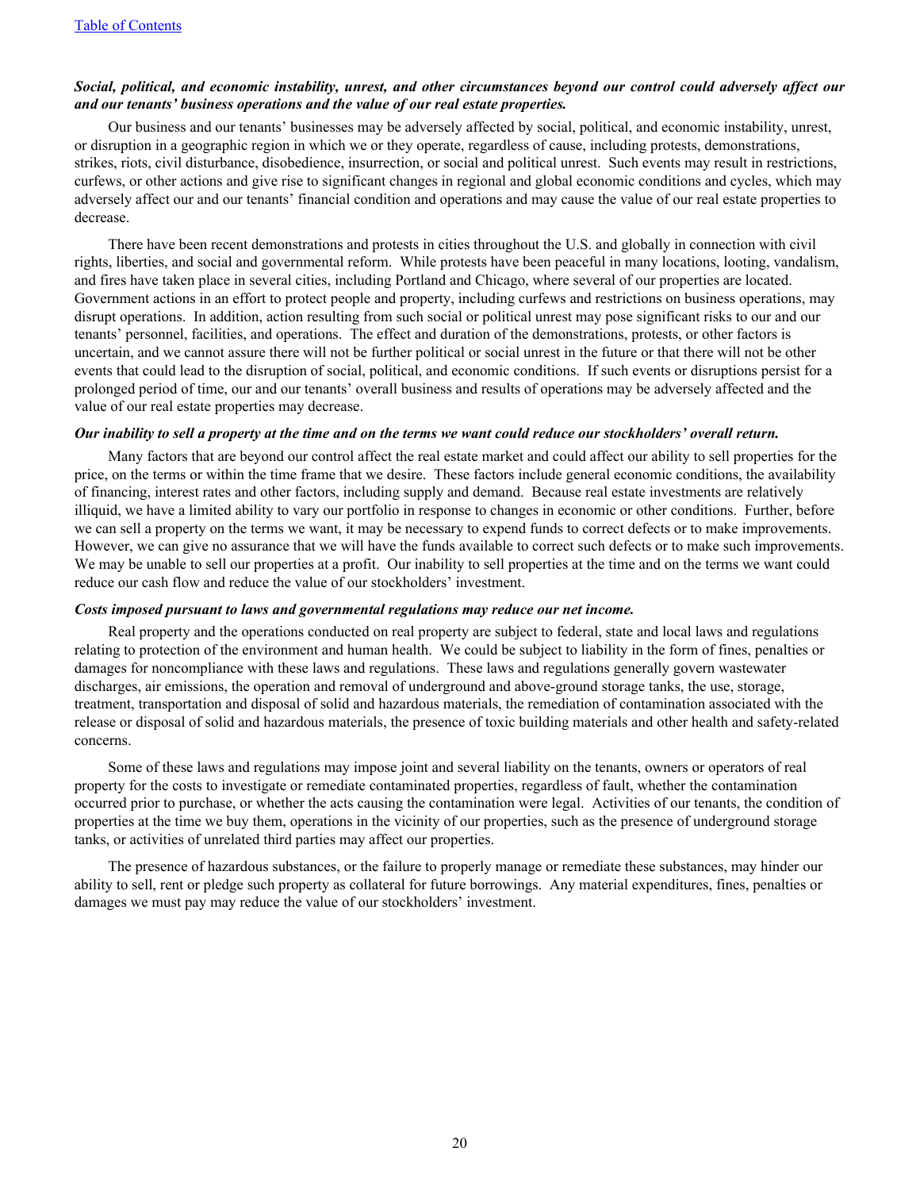#### *Social, political, and economic instability, unrest, and other circumstances beyond our control could adversely affect our and our tenants' business operations and the value of our real estate properties.*

Our business and our tenants' businesses may be adversely affected by social, political, and economic instability, unrest, or disruption in a geographic region in which we or they operate, regardless of cause, including protests, demonstrations, strikes, riots, civil disturbance, disobedience, insurrection, or social and political unrest. Such events may result in restrictions, curfews, or other actions and give rise to significant changes in regional and global economic conditions and cycles, which may adversely affect our and our tenants' financial condition and operations and may cause the value of our real estate properties to decrease.

There have been recent demonstrations and protests in cities throughout the U.S. and globally in connection with civil rights, liberties, and social and governmental reform. While protests have been peaceful in many locations, looting, vandalism, and fires have taken place in several cities, including Portland and Chicago, where several of our properties are located. Government actions in an effort to protect people and property, including curfews and restrictions on business operations, may disrupt operations. In addition, action resulting from such social or political unrest may pose significant risks to our and our tenants' personnel, facilities, and operations. The effect and duration of the demonstrations, protests, or other factors is uncertain, and we cannot assure there will not be further political or social unrest in the future or that there will not be other events that could lead to the disruption of social, political, and economic conditions. If such events or disruptions persist for a prolonged period of time, our and our tenants' overall business and results of operations may be adversely affected and the value of our real estate properties may decrease.

#### *Our inability to sell a property at the time and on the terms we want could reduce our stockholders' overall return.*

Many factors that are beyond our control affect the real estate market and could affect our ability to sell properties for the price, on the terms or within the time frame that we desire. These factors include general economic conditions, the availability of financing, interest rates and other factors, including supply and demand. Because real estate investments are relatively illiquid, we have a limited ability to vary our portfolio in response to changes in economic or other conditions. Further, before we can sell a property on the terms we want, it may be necessary to expend funds to correct defects or to make improvements. However, we can give no assurance that we will have the funds available to correct such defects or to make such improvements. We may be unable to sell our properties at a profit. Our inability to sell properties at the time and on the terms we want could reduce our cash flow and reduce the value of our stockholders' investment.

#### *Costs imposed pursuant to laws and governmental regulations may reduce our net income.*

Real property and the operations conducted on real property are subject to federal, state and local laws and regulations relating to protection of the environment and human health. We could be subject to liability in the form of fines, penalties or damages for noncompliance with these laws and regulations. These laws and regulations generally govern wastewater discharges, air emissions, the operation and removal of underground and above-ground storage tanks, the use, storage, treatment, transportation and disposal of solid and hazardous materials, the remediation of contamination associated with the release or disposal of solid and hazardous materials, the presence of toxic building materials and other health and safety-related concerns.

Some of these laws and regulations may impose joint and several liability on the tenants, owners or operators of real property for the costs to investigate or remediate contaminated properties, regardless of fault, whether the contamination occurred prior to purchase, or whether the acts causing the contamination were legal. Activities of our tenants, the condition of properties at the time we buy them, operations in the vicinity of our properties, such as the presence of underground storage tanks, or activities of unrelated third parties may affect our properties.

The presence of hazardous substances, or the failure to properly manage or remediate these substances, may hinder our ability to sell, rent or pledge such property as collateral for future borrowings. Any material expenditures, fines, penalties or damages we must pay may reduce the value of our stockholders' investment.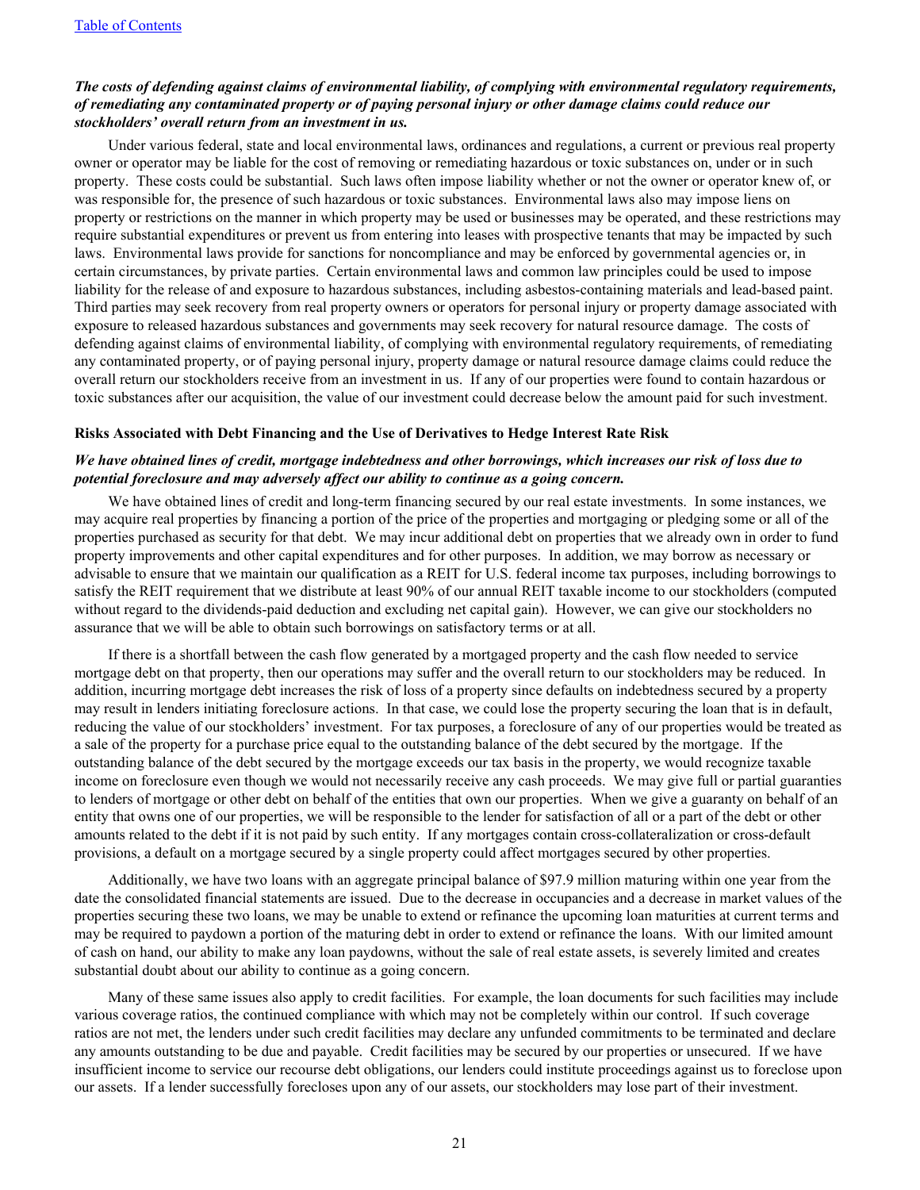#### *The costs of defending against claims of environmental liability, of complying with environmental regulatory requirements, of remediating any contaminated property or of paying personal injury or other damage claims could reduce our stockholders' overall return from an investment in us.*

Under various federal, state and local environmental laws, ordinances and regulations, a current or previous real property owner or operator may be liable for the cost of removing or remediating hazardous or toxic substances on, under or in such property. These costs could be substantial. Such laws often impose liability whether or not the owner or operator knew of, or was responsible for, the presence of such hazardous or toxic substances. Environmental laws also may impose liens on property or restrictions on the manner in which property may be used or businesses may be operated, and these restrictions may require substantial expenditures or prevent us from entering into leases with prospective tenants that may be impacted by such laws. Environmental laws provide for sanctions for noncompliance and may be enforced by governmental agencies or, in certain circumstances, by private parties. Certain environmental laws and common law principles could be used to impose liability for the release of and exposure to hazardous substances, including asbestos-containing materials and lead-based paint. Third parties may seek recovery from real property owners or operators for personal injury or property damage associated with exposure to released hazardous substances and governments may seek recovery for natural resource damage. The costs of defending against claims of environmental liability, of complying with environmental regulatory requirements, of remediating any contaminated property, or of paying personal injury, property damage or natural resource damage claims could reduce the overall return our stockholders receive from an investment in us. If any of our properties were found to contain hazardous or toxic substances after our acquisition, the value of our investment could decrease below the amount paid for such investment.

#### **Risks Associated with Debt Financing and the Use of Derivatives to Hedge Interest Rate Risk**

## *We have obtained lines of credit, mortgage indebtedness and other borrowings, which increases our risk of loss due to potential foreclosure and may adversely affect our ability to continue as a going concern.*

We have obtained lines of credit and long-term financing secured by our real estate investments. In some instances, we may acquire real properties by financing a portion of the price of the properties and mortgaging or pledging some or all of the properties purchased as security for that debt. We may incur additional debt on properties that we already own in order to fund property improvements and other capital expenditures and for other purposes. In addition, we may borrow as necessary or advisable to ensure that we maintain our qualification as a REIT for U.S. federal income tax purposes, including borrowings to satisfy the REIT requirement that we distribute at least 90% of our annual REIT taxable income to our stockholders (computed without regard to the dividends-paid deduction and excluding net capital gain). However, we can give our stockholders no assurance that we will be able to obtain such borrowings on satisfactory terms or at all.

If there is a shortfall between the cash flow generated by a mortgaged property and the cash flow needed to service mortgage debt on that property, then our operations may suffer and the overall return to our stockholders may be reduced. In addition, incurring mortgage debt increases the risk of loss of a property since defaults on indebtedness secured by a property may result in lenders initiating foreclosure actions. In that case, we could lose the property securing the loan that is in default, reducing the value of our stockholders' investment. For tax purposes, a foreclosure of any of our properties would be treated as a sale of the property for a purchase price equal to the outstanding balance of the debt secured by the mortgage. If the outstanding balance of the debt secured by the mortgage exceeds our tax basis in the property, we would recognize taxable income on foreclosure even though we would not necessarily receive any cash proceeds. We may give full or partial guaranties to lenders of mortgage or other debt on behalf of the entities that own our properties. When we give a guaranty on behalf of an entity that owns one of our properties, we will be responsible to the lender for satisfaction of all or a part of the debt or other amounts related to the debt if it is not paid by such entity. If any mortgages contain cross-collateralization or cross-default provisions, a default on a mortgage secured by a single property could affect mortgages secured by other properties.

Additionally, we have two loans with an aggregate principal balance of \$97.9 million maturing within one year from the date the consolidated financial statements are issued. Due to the decrease in occupancies and a decrease in market values of the properties securing these two loans, we may be unable to extend or refinance the upcoming loan maturities at current terms and may be required to paydown a portion of the maturing debt in order to extend or refinance the loans. With our limited amount of cash on hand, our ability to make any loan paydowns, without the sale of real estate assets, is severely limited and creates substantial doubt about our ability to continue as a going concern.

Many of these same issues also apply to credit facilities. For example, the loan documents for such facilities may include various coverage ratios, the continued compliance with which may not be completely within our control. If such coverage ratios are not met, the lenders under such credit facilities may declare any unfunded commitments to be terminated and declare any amounts outstanding to be due and payable. Credit facilities may be secured by our properties or unsecured. If we have insufficient income to service our recourse debt obligations, our lenders could institute proceedings against us to foreclose upon our assets. If a lender successfully forecloses upon any of our assets, our stockholders may lose part of their investment.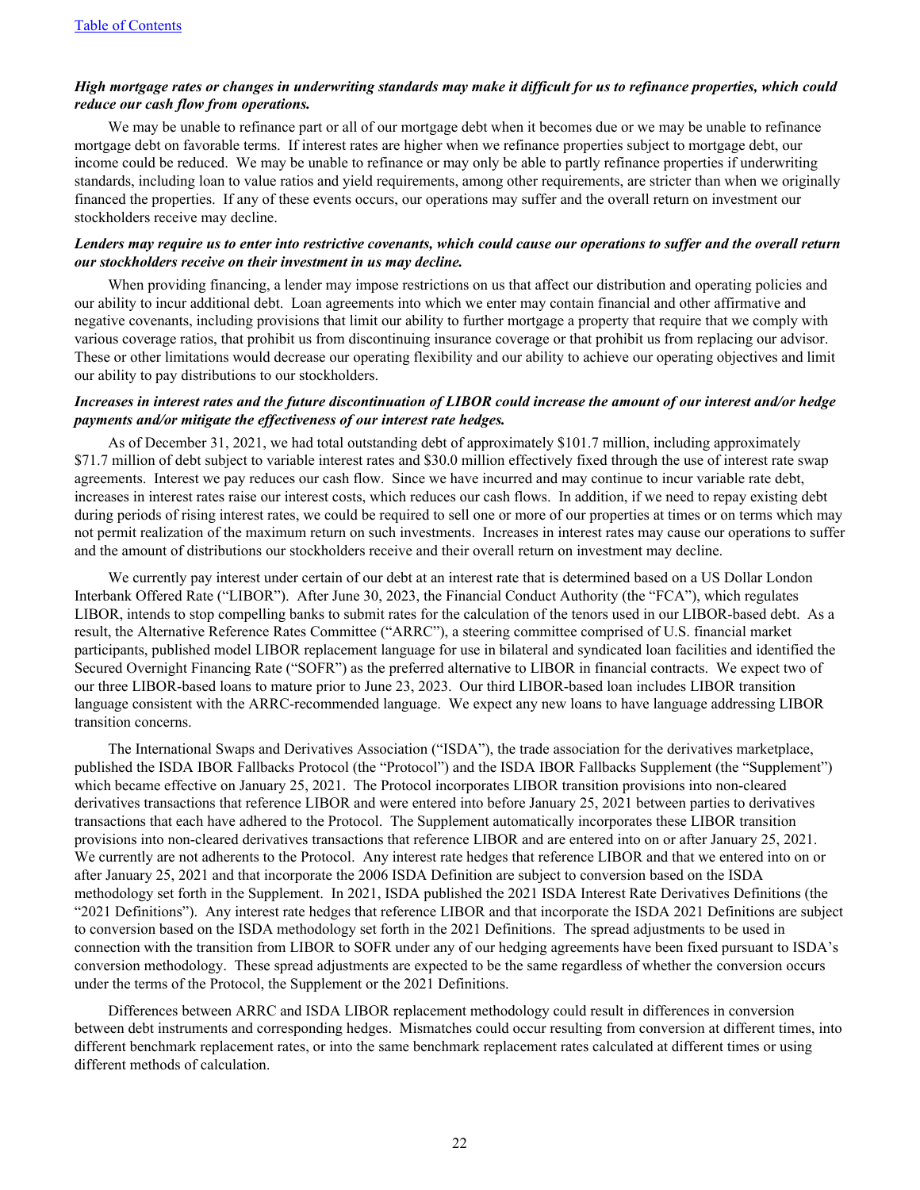#### *High mortgage rates or changes in underwriting standards may make it difficult for us to refinance properties, which could reduce our cash flow from operations.*

We may be unable to refinance part or all of our mortgage debt when it becomes due or we may be unable to refinance mortgage debt on favorable terms. If interest rates are higher when we refinance properties subject to mortgage debt, our income could be reduced. We may be unable to refinance or may only be able to partly refinance properties if underwriting standards, including loan to value ratios and yield requirements, among other requirements, are stricter than when we originally financed the properties. If any of these events occurs, our operations may suffer and the overall return on investment our stockholders receive may decline.

#### *Lenders may require us to enter into restrictive covenants, which could cause our operations to suffer and the overall return our stockholders receive on their investment in us may decline.*

When providing financing, a lender may impose restrictions on us that affect our distribution and operating policies and our ability to incur additional debt. Loan agreements into which we enter may contain financial and other affirmative and negative covenants, including provisions that limit our ability to further mortgage a property that require that we comply with various coverage ratios, that prohibit us from discontinuing insurance coverage or that prohibit us from replacing our advisor. These or other limitations would decrease our operating flexibility and our ability to achieve our operating objectives and limit our ability to pay distributions to our stockholders.

#### *Increases in interest rates and the future discontinuation of LIBOR could increase the amount of our interest and/or hedge payments and/or mitigate the effectiveness of our interest rate hedges.*

As of December 31, 2021, we had total outstanding debt of approximately \$101.7 million, including approximately \$71.7 million of debt subject to variable interest rates and \$30.0 million effectively fixed through the use of interest rate swap agreements. Interest we pay reduces our cash flow. Since we have incurred and may continue to incur variable rate debt, increases in interest rates raise our interest costs, which reduces our cash flows. In addition, if we need to repay existing debt during periods of rising interest rates, we could be required to sell one or more of our properties at times or on terms which may not permit realization of the maximum return on such investments. Increases in interest rates may cause our operations to suffer and the amount of distributions our stockholders receive and their overall return on investment may decline.

We currently pay interest under certain of our debt at an interest rate that is determined based on a US Dollar London Interbank Offered Rate ("LIBOR"). After June 30, 2023, the Financial Conduct Authority (the "FCA"), which regulates LIBOR, intends to stop compelling banks to submit rates for the calculation of the tenors used in our LIBOR-based debt. As a result, the Alternative Reference Rates Committee ("ARRC"), a steering committee comprised of U.S. financial market participants, published model LIBOR replacement language for use in bilateral and syndicated loan facilities and identified the Secured Overnight Financing Rate ("SOFR") as the preferred alternative to LIBOR in financial contracts. We expect two of our three LIBOR-based loans to mature prior to June 23, 2023. Our third LIBOR-based loan includes LIBOR transition language consistent with the ARRC-recommended language. We expect any new loans to have language addressing LIBOR transition concerns.

The International Swaps and Derivatives Association ("ISDA"), the trade association for the derivatives marketplace, published the ISDA IBOR Fallbacks Protocol (the "Protocol") and the ISDA IBOR Fallbacks Supplement (the "Supplement") which became effective on January 25, 2021. The Protocol incorporates LIBOR transition provisions into non-cleared derivatives transactions that reference LIBOR and were entered into before January 25, 2021 between parties to derivatives transactions that each have adhered to the Protocol. The Supplement automatically incorporates these LIBOR transition provisions into non-cleared derivatives transactions that reference LIBOR and are entered into on or after January 25, 2021. We currently are not adherents to the Protocol. Any interest rate hedges that reference LIBOR and that we entered into on or after January 25, 2021 and that incorporate the 2006 ISDA Definition are subject to conversion based on the ISDA methodology set forth in the Supplement. In 2021, ISDA published the 2021 ISDA Interest Rate Derivatives Definitions (the "2021 Definitions"). Any interest rate hedges that reference LIBOR and that incorporate the ISDA 2021 Definitions are subject to conversion based on the ISDA methodology set forth in the 2021 Definitions. The spread adjustments to be used in connection with the transition from LIBOR to SOFR under any of our hedging agreements have been fixed pursuant to ISDA's conversion methodology. These spread adjustments are expected to be the same regardless of whether the conversion occurs under the terms of the Protocol, the Supplement or the 2021 Definitions.

Differences between ARRC and ISDA LIBOR replacement methodology could result in differences in conversion between debt instruments and corresponding hedges. Mismatches could occur resulting from conversion at different times, into different benchmark replacement rates, or into the same benchmark replacement rates calculated at different times or using different methods of calculation.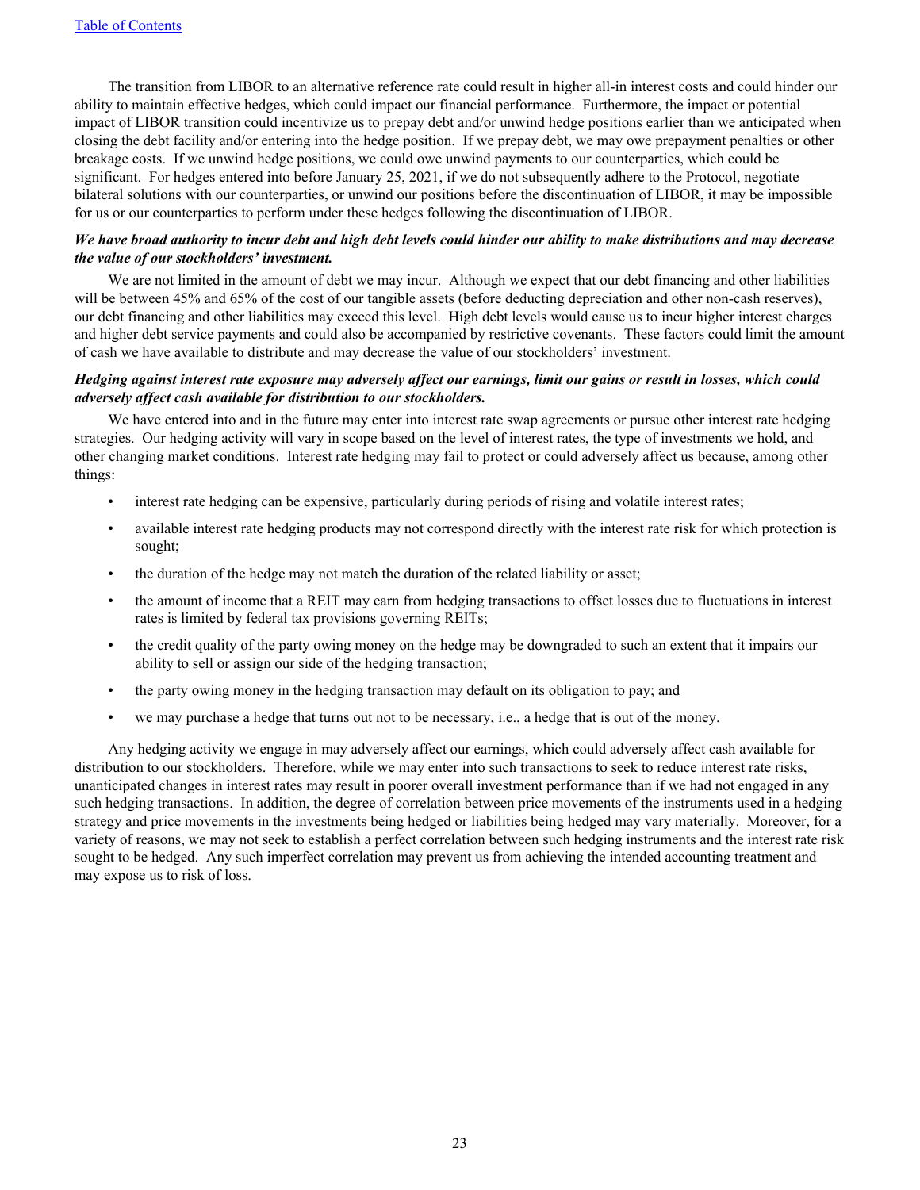The transition from LIBOR to an alternative reference rate could result in higher all-in interest costs and could hinder our ability to maintain effective hedges, which could impact our financial performance. Furthermore, the impact or potential impact of LIBOR transition could incentivize us to prepay debt and/or unwind hedge positions earlier than we anticipated when closing the debt facility and/or entering into the hedge position. If we prepay debt, we may owe prepayment penalties or other breakage costs. If we unwind hedge positions, we could owe unwind payments to our counterparties, which could be significant. For hedges entered into before January 25, 2021, if we do not subsequently adhere to the Protocol, negotiate bilateral solutions with our counterparties, or unwind our positions before the discontinuation of LIBOR, it may be impossible for us or our counterparties to perform under these hedges following the discontinuation of LIBOR.

#### *We have broad authority to incur debt and high debt levels could hinder our ability to make distributions and may decrease the value of our stockholders' investment.*

We are not limited in the amount of debt we may incur. Although we expect that our debt financing and other liabilities will be between 45% and 65% of the cost of our tangible assets (before deducting depreciation and other non-cash reserves), our debt financing and other liabilities may exceed this level. High debt levels would cause us to incur higher interest charges and higher debt service payments and could also be accompanied by restrictive covenants. These factors could limit the amount of cash we have available to distribute and may decrease the value of our stockholders' investment.

#### *Hedging against interest rate exposure may adversely affect our earnings, limit our gains or result in losses, which could adversely affect cash available for distribution to our stockholders.*

We have entered into and in the future may enter into interest rate swap agreements or pursue other interest rate hedging strategies. Our hedging activity will vary in scope based on the level of interest rates, the type of investments we hold, and other changing market conditions. Interest rate hedging may fail to protect or could adversely affect us because, among other things:

- interest rate hedging can be expensive, particularly during periods of rising and volatile interest rates;
- available interest rate hedging products may not correspond directly with the interest rate risk for which protection is sought;
- the duration of the hedge may not match the duration of the related liability or asset;
- the amount of income that a REIT may earn from hedging transactions to offset losses due to fluctuations in interest rates is limited by federal tax provisions governing REITs;
- the credit quality of the party owing money on the hedge may be downgraded to such an extent that it impairs our ability to sell or assign our side of the hedging transaction;
- the party owing money in the hedging transaction may default on its obligation to pay; and
- we may purchase a hedge that turns out not to be necessary, i.e., a hedge that is out of the money.

Any hedging activity we engage in may adversely affect our earnings, which could adversely affect cash available for distribution to our stockholders. Therefore, while we may enter into such transactions to seek to reduce interest rate risks, unanticipated changes in interest rates may result in poorer overall investment performance than if we had not engaged in any such hedging transactions. In addition, the degree of correlation between price movements of the instruments used in a hedging strategy and price movements in the investments being hedged or liabilities being hedged may vary materially. Moreover, for a variety of reasons, we may not seek to establish a perfect correlation between such hedging instruments and the interest rate risk sought to be hedged. Any such imperfect correlation may prevent us from achieving the intended accounting treatment and may expose us to risk of loss.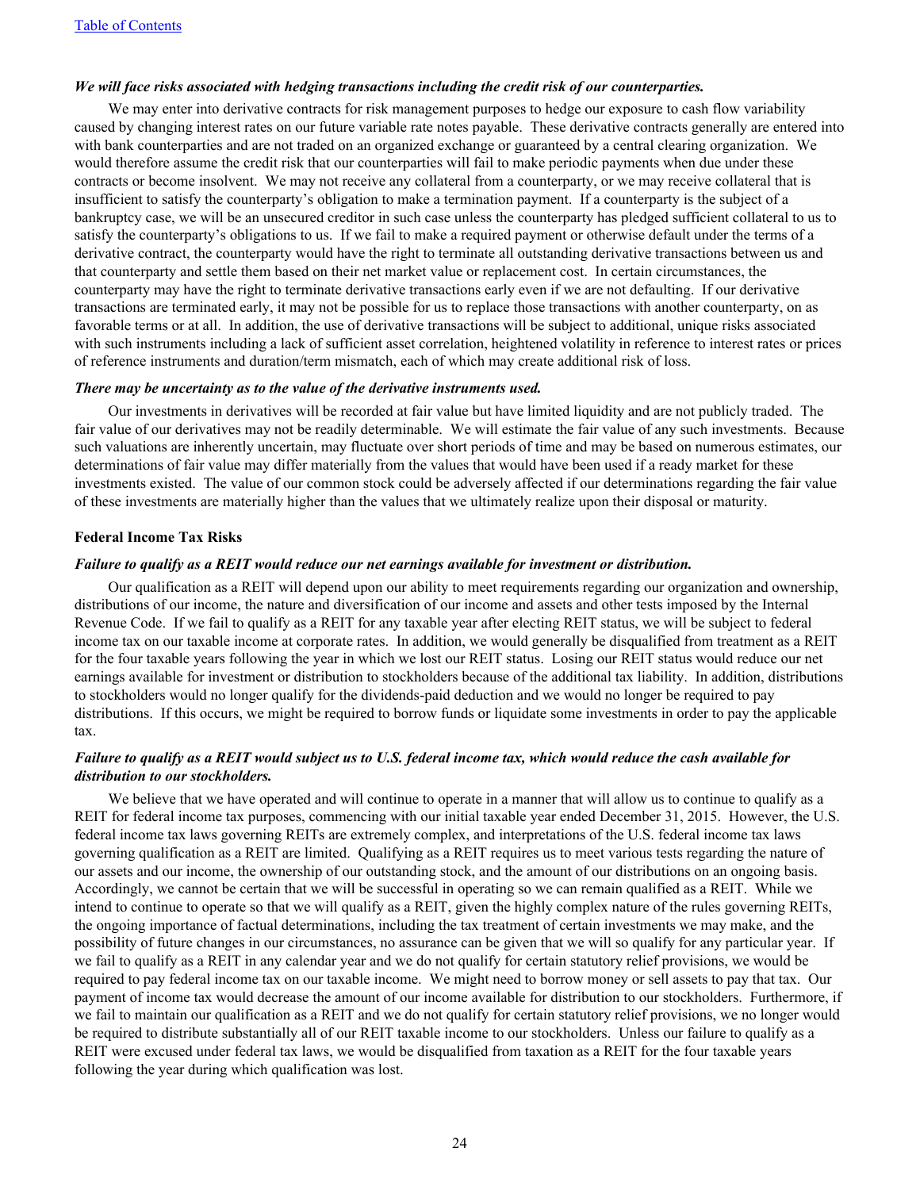#### *We will face risks associated with hedging transactions including the credit risk of our counterparties.*

We may enter into derivative contracts for risk management purposes to hedge our exposure to cash flow variability caused by changing interest rates on our future variable rate notes payable. These derivative contracts generally are entered into with bank counterparties and are not traded on an organized exchange or guaranteed by a central clearing organization. We would therefore assume the credit risk that our counterparties will fail to make periodic payments when due under these contracts or become insolvent. We may not receive any collateral from a counterparty, or we may receive collateral that is insufficient to satisfy the counterparty's obligation to make a termination payment. If a counterparty is the subject of a bankruptcy case, we will be an unsecured creditor in such case unless the counterparty has pledged sufficient collateral to us to satisfy the counterparty's obligations to us. If we fail to make a required payment or otherwise default under the terms of a derivative contract, the counterparty would have the right to terminate all outstanding derivative transactions between us and that counterparty and settle them based on their net market value or replacement cost. In certain circumstances, the counterparty may have the right to terminate derivative transactions early even if we are not defaulting. If our derivative transactions are terminated early, it may not be possible for us to replace those transactions with another counterparty, on as favorable terms or at all. In addition, the use of derivative transactions will be subject to additional, unique risks associated with such instruments including a lack of sufficient asset correlation, heightened volatility in reference to interest rates or prices of reference instruments and duration/term mismatch, each of which may create additional risk of loss.

#### *There may be uncertainty as to the value of the derivative instruments used.*

Our investments in derivatives will be recorded at fair value but have limited liquidity and are not publicly traded. The fair value of our derivatives may not be readily determinable. We will estimate the fair value of any such investments. Because such valuations are inherently uncertain, may fluctuate over short periods of time and may be based on numerous estimates, our determinations of fair value may differ materially from the values that would have been used if a ready market for these investments existed. The value of our common stock could be adversely affected if our determinations regarding the fair value of these investments are materially higher than the values that we ultimately realize upon their disposal or maturity.

#### **Federal Income Tax Risks**

#### *Failure to qualify as a REIT would reduce our net earnings available for investment or distribution.*

Our qualification as a REIT will depend upon our ability to meet requirements regarding our organization and ownership, distributions of our income, the nature and diversification of our income and assets and other tests imposed by the Internal Revenue Code. If we fail to qualify as a REIT for any taxable year after electing REIT status, we will be subject to federal income tax on our taxable income at corporate rates. In addition, we would generally be disqualified from treatment as a REIT for the four taxable years following the year in which we lost our REIT status. Losing our REIT status would reduce our net earnings available for investment or distribution to stockholders because of the additional tax liability. In addition, distributions to stockholders would no longer qualify for the dividends-paid deduction and we would no longer be required to pay distributions. If this occurs, we might be required to borrow funds or liquidate some investments in order to pay the applicable tax.

#### *Failure to qualify as a REIT would subject us to U.S. federal income tax, which would reduce the cash available for distribution to our stockholders.*

We believe that we have operated and will continue to operate in a manner that will allow us to continue to qualify as a REIT for federal income tax purposes, commencing with our initial taxable year ended December 31, 2015. However, the U.S. federal income tax laws governing REITs are extremely complex, and interpretations of the U.S. federal income tax laws governing qualification as a REIT are limited. Qualifying as a REIT requires us to meet various tests regarding the nature of our assets and our income, the ownership of our outstanding stock, and the amount of our distributions on an ongoing basis. Accordingly, we cannot be certain that we will be successful in operating so we can remain qualified as a REIT. While we intend to continue to operate so that we will qualify as a REIT, given the highly complex nature of the rules governing REITs, the ongoing importance of factual determinations, including the tax treatment of certain investments we may make, and the possibility of future changes in our circumstances, no assurance can be given that we will so qualify for any particular year. If we fail to qualify as a REIT in any calendar year and we do not qualify for certain statutory relief provisions, we would be required to pay federal income tax on our taxable income. We might need to borrow money or sell assets to pay that tax. Our payment of income tax would decrease the amount of our income available for distribution to our stockholders. Furthermore, if we fail to maintain our qualification as a REIT and we do not qualify for certain statutory relief provisions, we no longer would be required to distribute substantially all of our REIT taxable income to our stockholders. Unless our failure to qualify as a REIT were excused under federal tax laws, we would be disqualified from taxation as a REIT for the four taxable years following the year during which qualification was lost.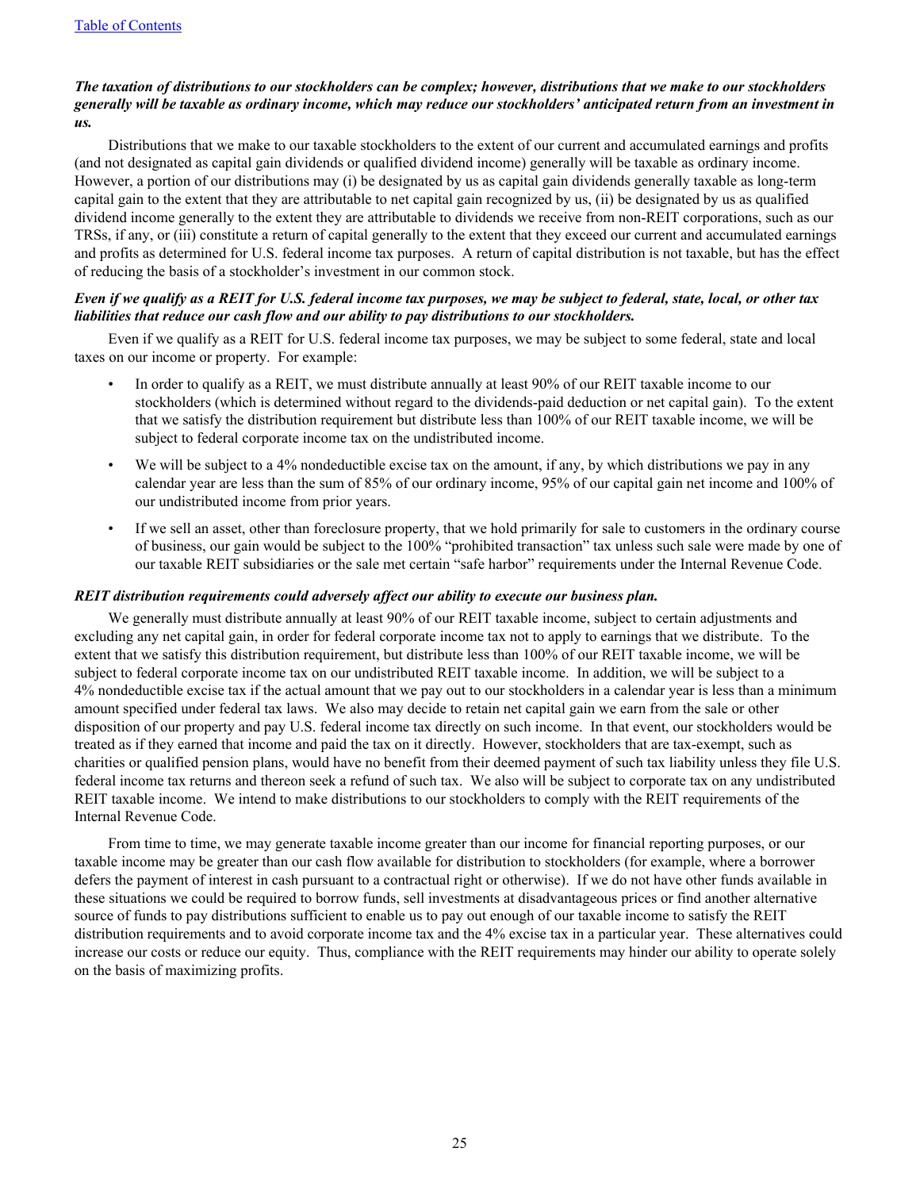#### *The taxation of distributions to our stockholders can be complex; however, distributions that we make to our stockholders generally will be taxable as ordinary income, which may reduce our stockholders' anticipated return from an investment in us.*

Distributions that we make to our taxable stockholders to the extent of our current and accumulated earnings and profits (and not designated as capital gain dividends or qualified dividend income) generally will be taxable as ordinary income. However, a portion of our distributions may (i) be designated by us as capital gain dividends generally taxable as long-term capital gain to the extent that they are attributable to net capital gain recognized by us, (ii) be designated by us as qualified dividend income generally to the extent they are attributable to dividends we receive from non-REIT corporations, such as our TRSs, if any, or (iii) constitute a return of capital generally to the extent that they exceed our current and accumulated earnings and profits as determined for U.S. federal income tax purposes. A return of capital distribution is not taxable, but has the effect of reducing the basis of a stockholder's investment in our common stock.

#### *Even if we qualify as a REIT for U.S. federal income tax purposes, we may be subject to federal, state, local, or other tax liabilities that reduce our cash flow and our ability to pay distributions to our stockholders.*

Even if we qualify as a REIT for U.S. federal income tax purposes, we may be subject to some federal, state and local taxes on our income or property. For example:

- In order to qualify as a REIT, we must distribute annually at least 90% of our REIT taxable income to our stockholders (which is determined without regard to the dividends-paid deduction or net capital gain). To the extent that we satisfy the distribution requirement but distribute less than 100% of our REIT taxable income, we will be subject to federal corporate income tax on the undistributed income.
- We will be subject to a 4% nondeductible excise tax on the amount, if any, by which distributions we pay in any calendar year are less than the sum of 85% of our ordinary income, 95% of our capital gain net income and 100% of our undistributed income from prior years.
- If we sell an asset, other than foreclosure property, that we hold primarily for sale to customers in the ordinary course of business, our gain would be subject to the 100% "prohibited transaction" tax unless such sale were made by one of our taxable REIT subsidiaries or the sale met certain "safe harbor" requirements under the Internal Revenue Code.

#### *REIT distribution requirements could adversely affect our ability to execute our business plan.*

We generally must distribute annually at least 90% of our REIT taxable income, subject to certain adjustments and excluding any net capital gain, in order for federal corporate income tax not to apply to earnings that we distribute. To the extent that we satisfy this distribution requirement, but distribute less than 100% of our REIT taxable income, we will be subject to federal corporate income tax on our undistributed REIT taxable income. In addition, we will be subject to a 4% nondeductible excise tax if the actual amount that we pay out to our stockholders in a calendar year is less than a minimum amount specified under federal tax laws. We also may decide to retain net capital gain we earn from the sale or other disposition of our property and pay U.S. federal income tax directly on such income. In that event, our stockholders would be treated as if they earned that income and paid the tax on it directly. However, stockholders that are tax-exempt, such as charities or qualified pension plans, would have no benefit from their deemed payment of such tax liability unless they file U.S. federal income tax returns and thereon seek a refund of such tax. We also will be subject to corporate tax on any undistributed REIT taxable income. We intend to make distributions to our stockholders to comply with the REIT requirements of the Internal Revenue Code.

From time to time, we may generate taxable income greater than our income for financial reporting purposes, or our taxable income may be greater than our cash flow available for distribution to stockholders (for example, where a borrower defers the payment of interest in cash pursuant to a contractual right or otherwise). If we do not have other funds available in these situations we could be required to borrow funds, sell investments at disadvantageous prices or find another alternative source of funds to pay distributions sufficient to enable us to pay out enough of our taxable income to satisfy the REIT distribution requirements and to avoid corporate income tax and the 4% excise tax in a particular year. These alternatives could increase our costs or reduce our equity. Thus, compliance with the REIT requirements may hinder our ability to operate solely on the basis of maximizing profits.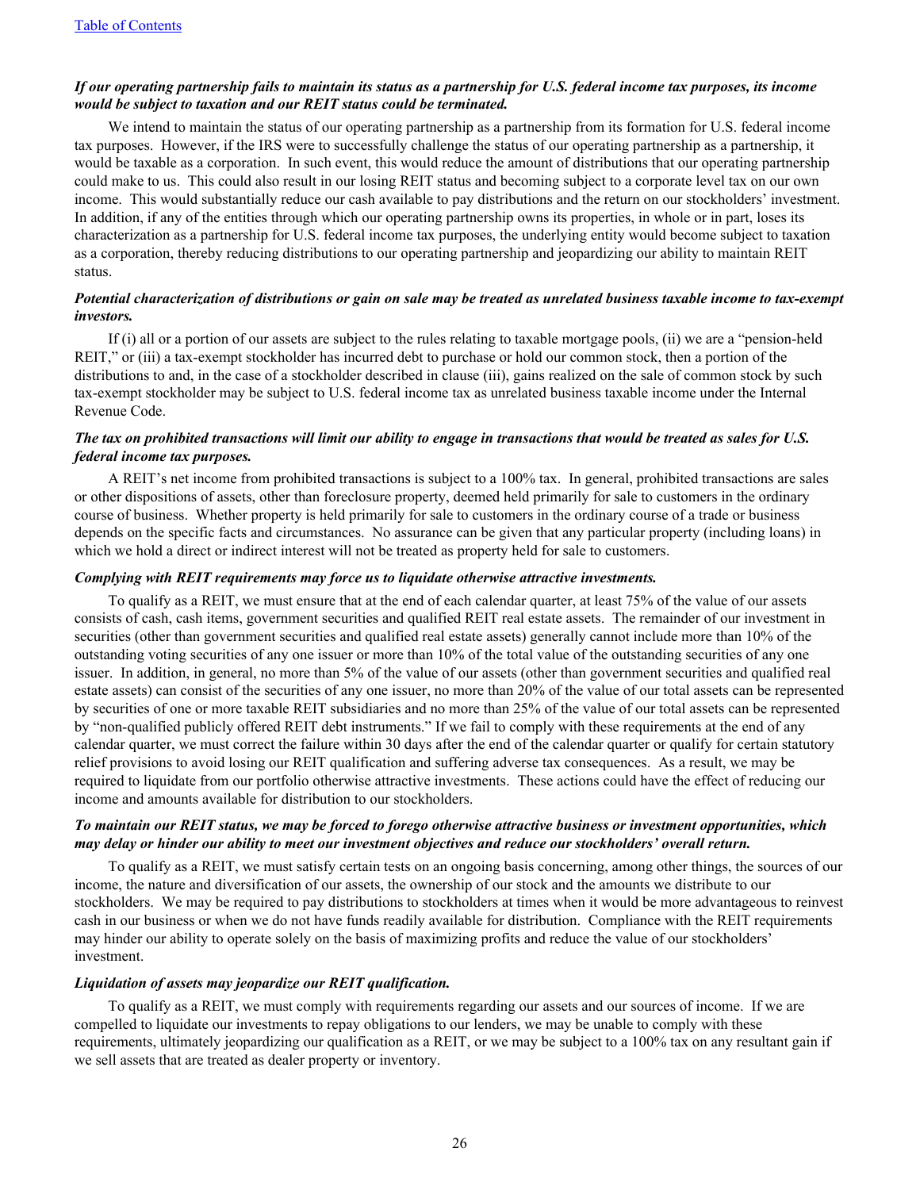#### *If our operating partnership fails to maintain its status as a partnership for U.S. federal income tax purposes, its income would be subject to taxation and our REIT status could be terminated.*

We intend to maintain the status of our operating partnership as a partnership from its formation for U.S. federal income tax purposes. However, if the IRS were to successfully challenge the status of our operating partnership as a partnership, it would be taxable as a corporation. In such event, this would reduce the amount of distributions that our operating partnership could make to us. This could also result in our losing REIT status and becoming subject to a corporate level tax on our own income. This would substantially reduce our cash available to pay distributions and the return on our stockholders' investment. In addition, if any of the entities through which our operating partnership owns its properties, in whole or in part, loses its characterization as a partnership for U.S. federal income tax purposes, the underlying entity would become subject to taxation as a corporation, thereby reducing distributions to our operating partnership and jeopardizing our ability to maintain REIT status.

## *Potential characterization of distributions or gain on sale may be treated as unrelated business taxable income to tax-exempt investors.*

If (i) all or a portion of our assets are subject to the rules relating to taxable mortgage pools, (ii) we are a "pension-held REIT," or (iii) a tax-exempt stockholder has incurred debt to purchase or hold our common stock, then a portion of the distributions to and, in the case of a stockholder described in clause (iii), gains realized on the sale of common stock by such tax-exempt stockholder may be subject to U.S. federal income tax as unrelated business taxable income under the Internal Revenue Code.

## *The tax on prohibited transactions will limit our ability to engage in transactions that would be treated as sales for U.S. federal income tax purposes.*

A REIT's net income from prohibited transactions is subject to a 100% tax. In general, prohibited transactions are sales or other dispositions of assets, other than foreclosure property, deemed held primarily for sale to customers in the ordinary course of business. Whether property is held primarily for sale to customers in the ordinary course of a trade or business depends on the specific facts and circumstances. No assurance can be given that any particular property (including loans) in which we hold a direct or indirect interest will not be treated as property held for sale to customers.

#### *Complying with REIT requirements may force us to liquidate otherwise attractive investments.*

To qualify as a REIT, we must ensure that at the end of each calendar quarter, at least 75% of the value of our assets consists of cash, cash items, government securities and qualified REIT real estate assets. The remainder of our investment in securities (other than government securities and qualified real estate assets) generally cannot include more than 10% of the outstanding voting securities of any one issuer or more than 10% of the total value of the outstanding securities of any one issuer. In addition, in general, no more than 5% of the value of our assets (other than government securities and qualified real estate assets) can consist of the securities of any one issuer, no more than 20% of the value of our total assets can be represented by securities of one or more taxable REIT subsidiaries and no more than 25% of the value of our total assets can be represented by "non-qualified publicly offered REIT debt instruments." If we fail to comply with these requirements at the end of any calendar quarter, we must correct the failure within 30 days after the end of the calendar quarter or qualify for certain statutory relief provisions to avoid losing our REIT qualification and suffering adverse tax consequences. As a result, we may be required to liquidate from our portfolio otherwise attractive investments. These actions could have the effect of reducing our income and amounts available for distribution to our stockholders.

#### *To maintain our REIT status, we may be forced to forego otherwise attractive business or investment opportunities, which may delay or hinder our ability to meet our investment objectives and reduce our stockholders' overall return.*

To qualify as a REIT, we must satisfy certain tests on an ongoing basis concerning, among other things, the sources of our income, the nature and diversification of our assets, the ownership of our stock and the amounts we distribute to our stockholders. We may be required to pay distributions to stockholders at times when it would be more advantageous to reinvest cash in our business or when we do not have funds readily available for distribution. Compliance with the REIT requirements may hinder our ability to operate solely on the basis of maximizing profits and reduce the value of our stockholders' investment.

#### *Liquidation of assets may jeopardize our REIT qualification.*

To qualify as a REIT, we must comply with requirements regarding our assets and our sources of income. If we are compelled to liquidate our investments to repay obligations to our lenders, we may be unable to comply with these requirements, ultimately jeopardizing our qualification as a REIT, or we may be subject to a 100% tax on any resultant gain if we sell assets that are treated as dealer property or inventory.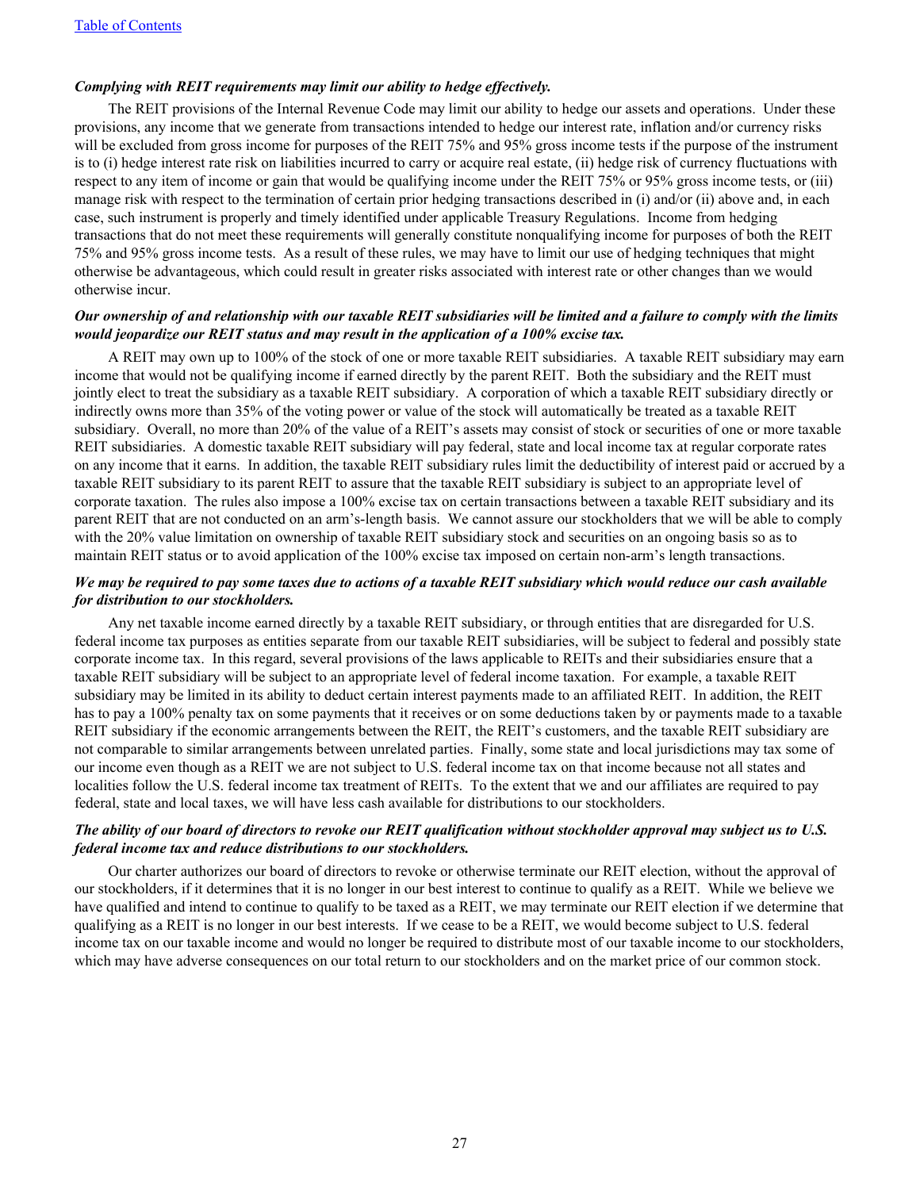#### *Complying with REIT requirements may limit our ability to hedge effectively.*

The REIT provisions of the Internal Revenue Code may limit our ability to hedge our assets and operations. Under these provisions, any income that we generate from transactions intended to hedge our interest rate, inflation and/or currency risks will be excluded from gross income for purposes of the REIT 75% and 95% gross income tests if the purpose of the instrument is to (i) hedge interest rate risk on liabilities incurred to carry or acquire real estate, (ii) hedge risk of currency fluctuations with respect to any item of income or gain that would be qualifying income under the REIT 75% or 95% gross income tests, or (iii) manage risk with respect to the termination of certain prior hedging transactions described in (i) and/or (ii) above and, in each case, such instrument is properly and timely identified under applicable Treasury Regulations. Income from hedging transactions that do not meet these requirements will generally constitute nonqualifying income for purposes of both the REIT 75% and 95% gross income tests. As a result of these rules, we may have to limit our use of hedging techniques that might otherwise be advantageous, which could result in greater risks associated with interest rate or other changes than we would otherwise incur.

#### *Our ownership of and relationship with our taxable REIT subsidiaries will be limited and a failure to comply with the limits would jeopardize our REIT status and may result in the application of a 100% excise tax.*

A REIT may own up to 100% of the stock of one or more taxable REIT subsidiaries. A taxable REIT subsidiary may earn income that would not be qualifying income if earned directly by the parent REIT. Both the subsidiary and the REIT must jointly elect to treat the subsidiary as a taxable REIT subsidiary. A corporation of which a taxable REIT subsidiary directly or indirectly owns more than 35% of the voting power or value of the stock will automatically be treated as a taxable REIT subsidiary. Overall, no more than 20% of the value of a REIT's assets may consist of stock or securities of one or more taxable REIT subsidiaries. A domestic taxable REIT subsidiary will pay federal, state and local income tax at regular corporate rates on any income that it earns. In addition, the taxable REIT subsidiary rules limit the deductibility of interest paid or accrued by a taxable REIT subsidiary to its parent REIT to assure that the taxable REIT subsidiary is subject to an appropriate level of corporate taxation. The rules also impose a 100% excise tax on certain transactions between a taxable REIT subsidiary and its parent REIT that are not conducted on an arm's-length basis. We cannot assure our stockholders that we will be able to comply with the 20% value limitation on ownership of taxable REIT subsidiary stock and securities on an ongoing basis so as to maintain REIT status or to avoid application of the 100% excise tax imposed on certain non-arm's length transactions.

#### *We may be required to pay some taxes due to actions of a taxable REIT subsidiary which would reduce our cash available for distribution to our stockholders.*

Any net taxable income earned directly by a taxable REIT subsidiary, or through entities that are disregarded for U.S. federal income tax purposes as entities separate from our taxable REIT subsidiaries, will be subject to federal and possibly state corporate income tax. In this regard, several provisions of the laws applicable to REITs and their subsidiaries ensure that a taxable REIT subsidiary will be subject to an appropriate level of federal income taxation. For example, a taxable REIT subsidiary may be limited in its ability to deduct certain interest payments made to an affiliated REIT. In addition, the REIT has to pay a 100% penalty tax on some payments that it receives or on some deductions taken by or payments made to a taxable REIT subsidiary if the economic arrangements between the REIT, the REIT's customers, and the taxable REIT subsidiary are not comparable to similar arrangements between unrelated parties. Finally, some state and local jurisdictions may tax some of our income even though as a REIT we are not subject to U.S. federal income tax on that income because not all states and localities follow the U.S. federal income tax treatment of REITs. To the extent that we and our affiliates are required to pay federal, state and local taxes, we will have less cash available for distributions to our stockholders.

#### *The ability of our board of directors to revoke our REIT qualification without stockholder approval may subject us to U.S. federal income tax and reduce distributions to our stockholders.*

Our charter authorizes our board of directors to revoke or otherwise terminate our REIT election, without the approval of our stockholders, if it determines that it is no longer in our best interest to continue to qualify as a REIT. While we believe we have qualified and intend to continue to qualify to be taxed as a REIT, we may terminate our REIT election if we determine that qualifying as a REIT is no longer in our best interests. If we cease to be a REIT, we would become subject to U.S. federal income tax on our taxable income and would no longer be required to distribute most of our taxable income to our stockholders, which may have adverse consequences on our total return to our stockholders and on the market price of our common stock.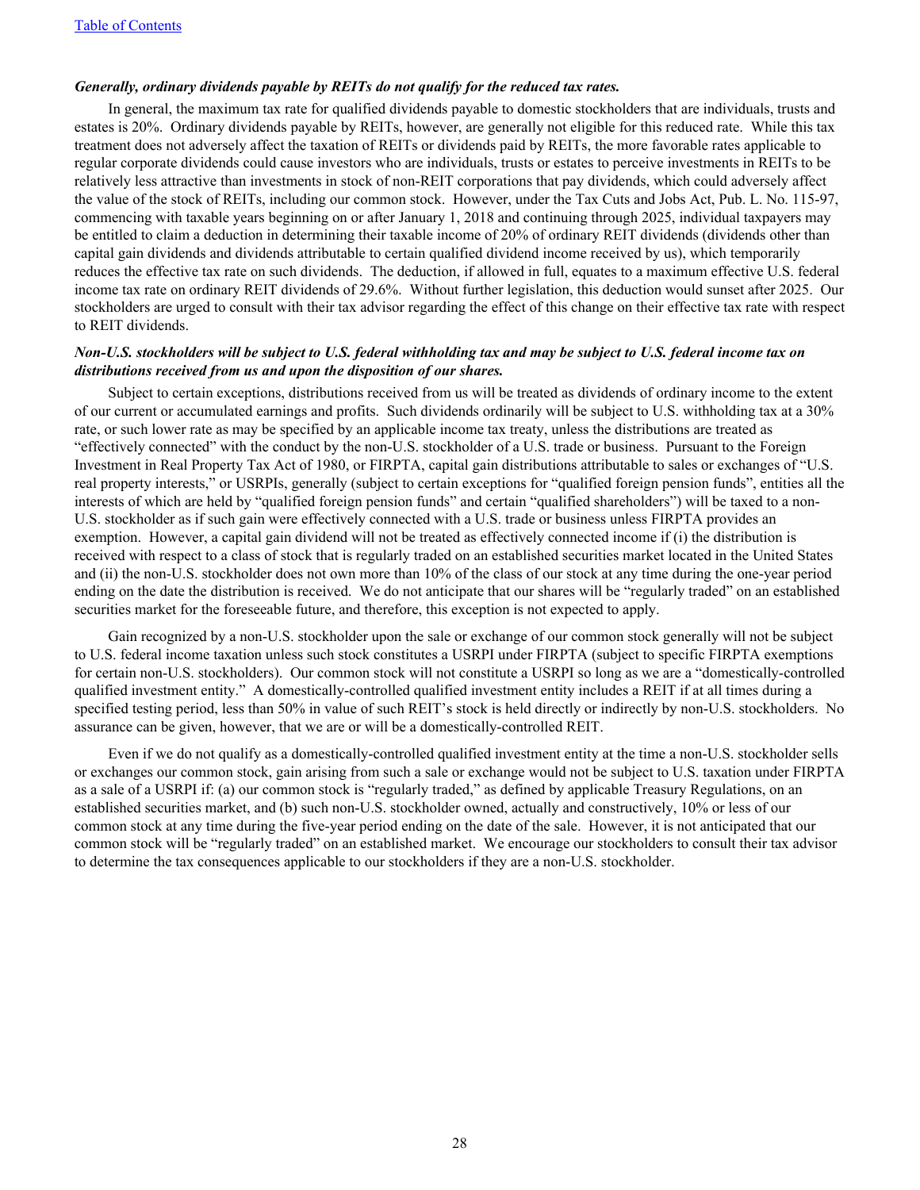#### *Generally, ordinary dividends payable by REITs do not qualify for the reduced tax rates.*

In general, the maximum tax rate for qualified dividends payable to domestic stockholders that are individuals, trusts and estates is 20%. Ordinary dividends payable by REITs, however, are generally not eligible for this reduced rate. While this tax treatment does not adversely affect the taxation of REITs or dividends paid by REITs, the more favorable rates applicable to regular corporate dividends could cause investors who are individuals, trusts or estates to perceive investments in REITs to be relatively less attractive than investments in stock of non-REIT corporations that pay dividends, which could adversely affect the value of the stock of REITs, including our common stock. However, under the Tax Cuts and Jobs Act, Pub. L. No. 115-97, commencing with taxable years beginning on or after January 1, 2018 and continuing through 2025, individual taxpayers may be entitled to claim a deduction in determining their taxable income of 20% of ordinary REIT dividends (dividends other than capital gain dividends and dividends attributable to certain qualified dividend income received by us), which temporarily reduces the effective tax rate on such dividends. The deduction, if allowed in full, equates to a maximum effective U.S. federal income tax rate on ordinary REIT dividends of 29.6%. Without further legislation, this deduction would sunset after 2025. Our stockholders are urged to consult with their tax advisor regarding the effect of this change on their effective tax rate with respect to REIT dividends.

#### *Non-U.S. stockholders will be subject to U.S. federal withholding tax and may be subject to U.S. federal income tax on distributions received from us and upon the disposition of our shares.*

Subject to certain exceptions, distributions received from us will be treated as dividends of ordinary income to the extent of our current or accumulated earnings and profits. Such dividends ordinarily will be subject to U.S. withholding tax at a 30% rate, or such lower rate as may be specified by an applicable income tax treaty, unless the distributions are treated as "effectively connected" with the conduct by the non-U.S. stockholder of a U.S. trade or business. Pursuant to the Foreign Investment in Real Property Tax Act of 1980, or FIRPTA, capital gain distributions attributable to sales or exchanges of "U.S. real property interests," or USRPIs, generally (subject to certain exceptions for "qualified foreign pension funds", entities all the interests of which are held by "qualified foreign pension funds" and certain "qualified shareholders") will be taxed to a non-U.S. stockholder as if such gain were effectively connected with a U.S. trade or business unless FIRPTA provides an exemption. However, a capital gain dividend will not be treated as effectively connected income if (i) the distribution is received with respect to a class of stock that is regularly traded on an established securities market located in the United States and (ii) the non-U.S. stockholder does not own more than 10% of the class of our stock at any time during the one-year period ending on the date the distribution is received. We do not anticipate that our shares will be "regularly traded" on an established securities market for the foreseeable future, and therefore, this exception is not expected to apply.

Gain recognized by a non-U.S. stockholder upon the sale or exchange of our common stock generally will not be subject to U.S. federal income taxation unless such stock constitutes a USRPI under FIRPTA (subject to specific FIRPTA exemptions for certain non-U.S. stockholders). Our common stock will not constitute a USRPI so long as we are a "domestically-controlled qualified investment entity." A domestically-controlled qualified investment entity includes a REIT if at all times during a specified testing period, less than 50% in value of such REIT's stock is held directly or indirectly by non-U.S. stockholders. No assurance can be given, however, that we are or will be a domestically-controlled REIT.

Even if we do not qualify as a domestically-controlled qualified investment entity at the time a non-U.S. stockholder sells or exchanges our common stock, gain arising from such a sale or exchange would not be subject to U.S. taxation under FIRPTA as a sale of a USRPI if: (a) our common stock is "regularly traded," as defined by applicable Treasury Regulations, on an established securities market, and (b) such non-U.S. stockholder owned, actually and constructively, 10% or less of our common stock at any time during the five-year period ending on the date of the sale. However, it is not anticipated that our common stock will be "regularly traded" on an established market. We encourage our stockholders to consult their tax advisor to determine the tax consequences applicable to our stockholders if they are a non-U.S. stockholder.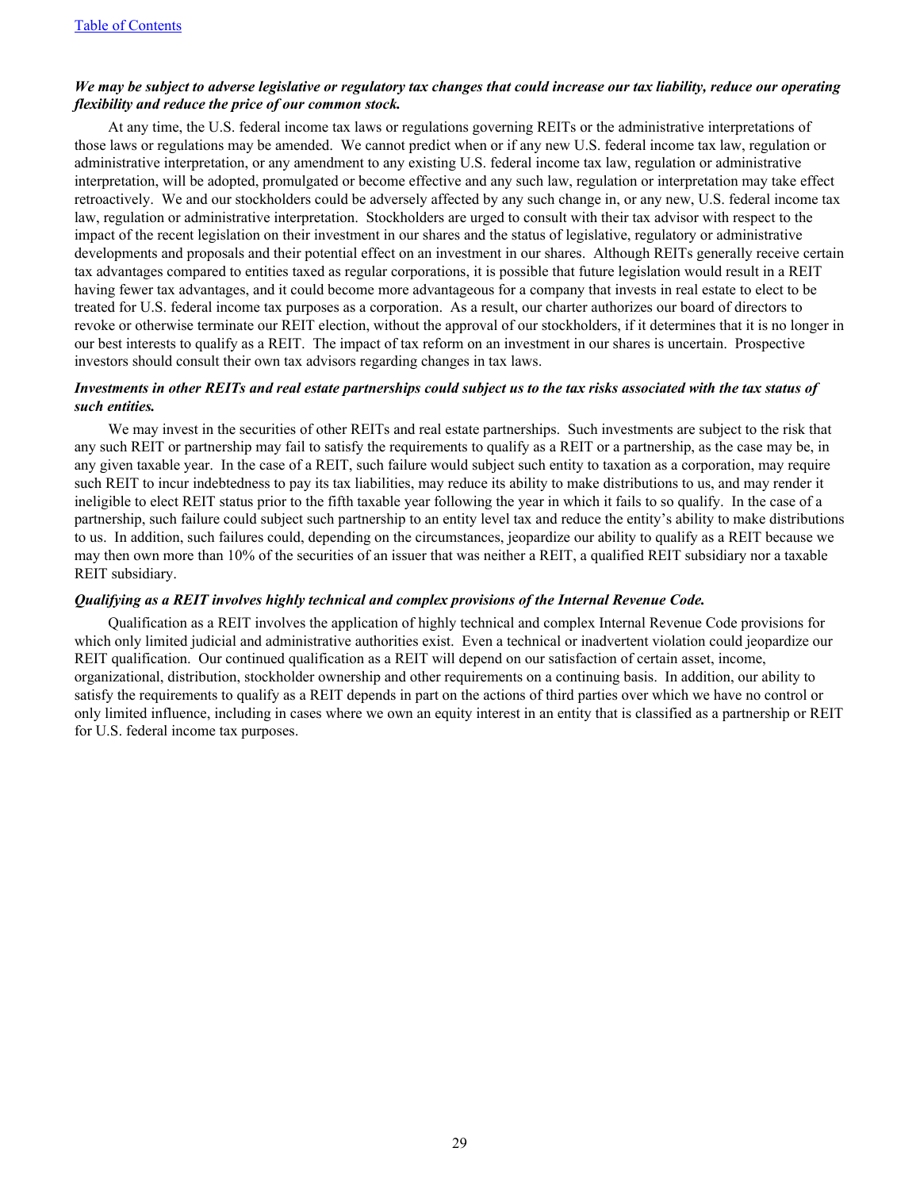#### *We may be subject to adverse legislative or regulatory tax changes that could increase our tax liability, reduce our operating flexibility and reduce the price of our common stock.*

At any time, the U.S. federal income tax laws or regulations governing REITs or the administrative interpretations of those laws or regulations may be amended. We cannot predict when or if any new U.S. federal income tax law, regulation or administrative interpretation, or any amendment to any existing U.S. federal income tax law, regulation or administrative interpretation, will be adopted, promulgated or become effective and any such law, regulation or interpretation may take effect retroactively. We and our stockholders could be adversely affected by any such change in, or any new, U.S. federal income tax law, regulation or administrative interpretation. Stockholders are urged to consult with their tax advisor with respect to the impact of the recent legislation on their investment in our shares and the status of legislative, regulatory or administrative developments and proposals and their potential effect on an investment in our shares. Although REITs generally receive certain tax advantages compared to entities taxed as regular corporations, it is possible that future legislation would result in a REIT having fewer tax advantages, and it could become more advantageous for a company that invests in real estate to elect to be treated for U.S. federal income tax purposes as a corporation. As a result, our charter authorizes our board of directors to revoke or otherwise terminate our REIT election, without the approval of our stockholders, if it determines that it is no longer in our best interests to qualify as a REIT. The impact of tax reform on an investment in our shares is uncertain. Prospective investors should consult their own tax advisors regarding changes in tax laws.

#### *Investments in other REITs and real estate partnerships could subject us to the tax risks associated with the tax status of such entities.*

We may invest in the securities of other REITs and real estate partnerships. Such investments are subject to the risk that any such REIT or partnership may fail to satisfy the requirements to qualify as a REIT or a partnership, as the case may be, in any given taxable year. In the case of a REIT, such failure would subject such entity to taxation as a corporation, may require such REIT to incur indebtedness to pay its tax liabilities, may reduce its ability to make distributions to us, and may render it ineligible to elect REIT status prior to the fifth taxable year following the year in which it fails to so qualify. In the case of a partnership, such failure could subject such partnership to an entity level tax and reduce the entity's ability to make distributions to us. In addition, such failures could, depending on the circumstances, jeopardize our ability to qualify as a REIT because we may then own more than 10% of the securities of an issuer that was neither a REIT, a qualified REIT subsidiary nor a taxable REIT subsidiary.

#### *Qualifying as a REIT involves highly technical and complex provisions of the Internal Revenue Code.*

Qualification as a REIT involves the application of highly technical and complex Internal Revenue Code provisions for which only limited judicial and administrative authorities exist. Even a technical or inadvertent violation could jeopardize our REIT qualification. Our continued qualification as a REIT will depend on our satisfaction of certain asset, income, organizational, distribution, stockholder ownership and other requirements on a continuing basis. In addition, our ability to satisfy the requirements to qualify as a REIT depends in part on the actions of third parties over which we have no control or only limited influence, including in cases where we own an equity interest in an entity that is classified as a partnership or REIT for U.S. federal income tax purposes.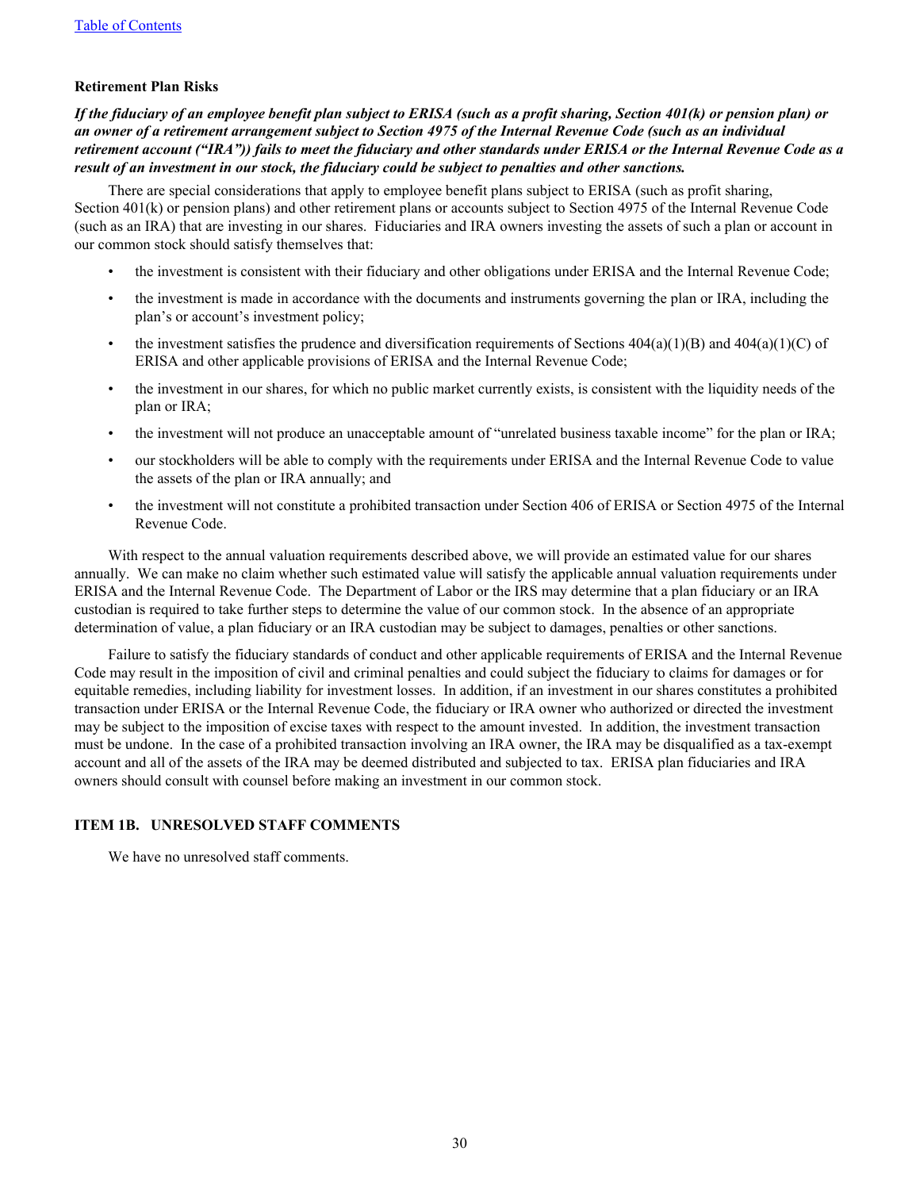#### <span id="page-30-0"></span>**Retirement Plan Risks**

*If the fiduciary of an employee benefit plan subject to ERISA (such as a profit sharing, Section 401(k) or pension plan) or an owner of a retirement arrangement subject to Section 4975 of the Internal Revenue Code (such as an individual retirement account ("IRA")) fails to meet the fiduciary and other standards under ERISA or the Internal Revenue Code as a result of an investment in our stock, the fiduciary could be subject to penalties and other sanctions.* 

There are special considerations that apply to employee benefit plans subject to ERISA (such as profit sharing, Section 401(k) or pension plans) and other retirement plans or accounts subject to Section 4975 of the Internal Revenue Code (such as an IRA) that are investing in our shares. Fiduciaries and IRA owners investing the assets of such a plan or account in our common stock should satisfy themselves that:

- the investment is consistent with their fiduciary and other obligations under ERISA and the Internal Revenue Code;
- the investment is made in accordance with the documents and instruments governing the plan or IRA, including the plan's or account's investment policy;
- the investment satisfies the prudence and diversification requirements of Sections  $404(a)(1)(B)$  and  $404(a)(1)(C)$  of ERISA and other applicable provisions of ERISA and the Internal Revenue Code;
- the investment in our shares, for which no public market currently exists, is consistent with the liquidity needs of the plan or IRA;
- the investment will not produce an unacceptable amount of "unrelated business taxable income" for the plan or IRA;
- our stockholders will be able to comply with the requirements under ERISA and the Internal Revenue Code to value the assets of the plan or IRA annually; and
- the investment will not constitute a prohibited transaction under Section 406 of ERISA or Section 4975 of the Internal Revenue Code.

With respect to the annual valuation requirements described above, we will provide an estimated value for our shares annually. We can make no claim whether such estimated value will satisfy the applicable annual valuation requirements under ERISA and the Internal Revenue Code. The Department of Labor or the IRS may determine that a plan fiduciary or an IRA custodian is required to take further steps to determine the value of our common stock. In the absence of an appropriate determination of value, a plan fiduciary or an IRA custodian may be subject to damages, penalties or other sanctions.

Failure to satisfy the fiduciary standards of conduct and other applicable requirements of ERISA and the Internal Revenue Code may result in the imposition of civil and criminal penalties and could subject the fiduciary to claims for damages or for equitable remedies, including liability for investment losses. In addition, if an investment in our shares constitutes a prohibited transaction under ERISA or the Internal Revenue Code, the fiduciary or IRA owner who authorized or directed the investment may be subject to the imposition of excise taxes with respect to the amount invested. In addition, the investment transaction must be undone. In the case of a prohibited transaction involving an IRA owner, the IRA may be disqualified as a tax-exempt account and all of the assets of the IRA may be deemed distributed and subjected to tax. ERISA plan fiduciaries and IRA owners should consult with counsel before making an investment in our common stock.

#### **ITEM 1B. UNRESOLVED STAFF COMMENTS**

We have no unresolved staff comments.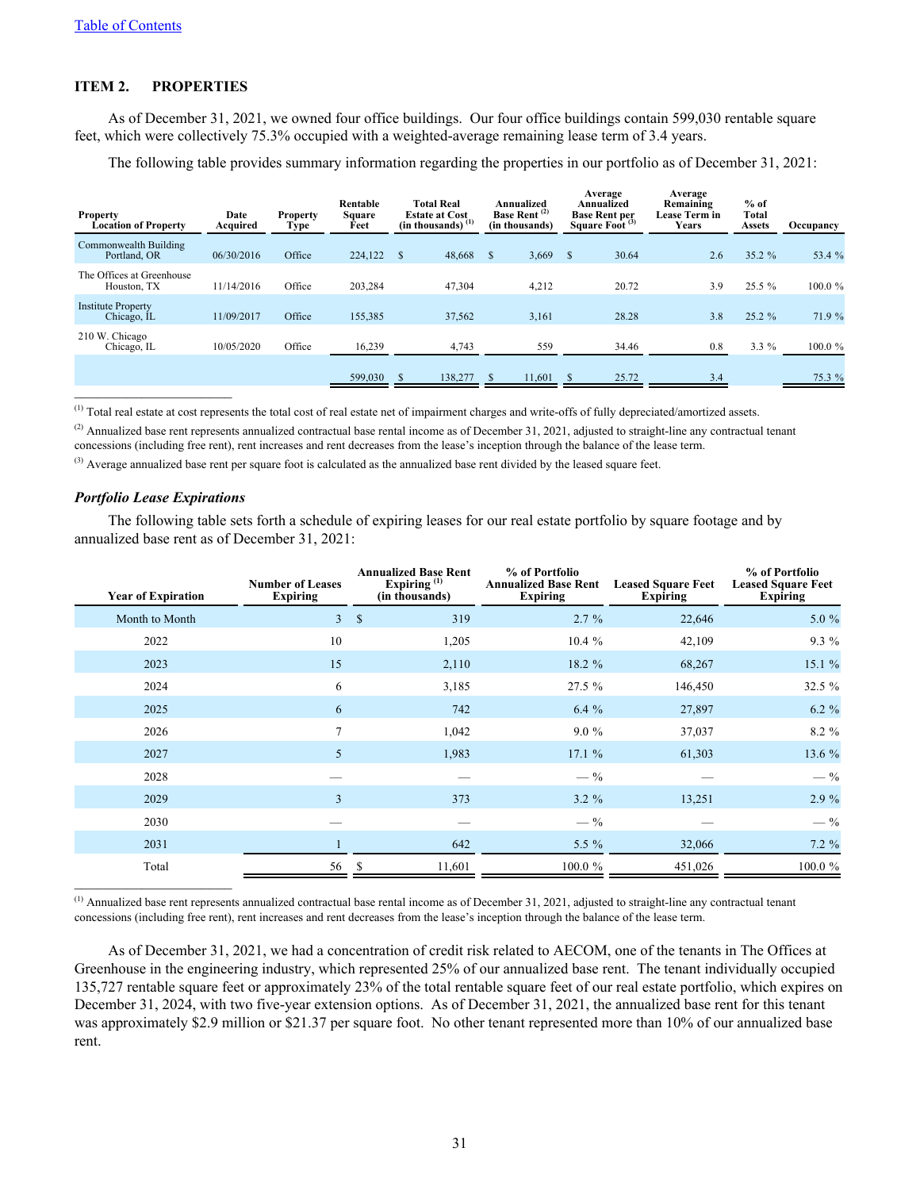## <span id="page-31-0"></span>**ITEM 2. PROPERTIES**

As of December 31, 2021, we owned four office buildings. Our four office buildings contain 599,030 rentable square feet, which were collectively 75.3% occupied with a weighted-average remaining lease term of 3.4 years.

The following table provides summary information regarding the properties in our portfolio as of December 31, 2021:

| <b>Property</b><br><b>Location of Property</b> | Date<br>Acquired | <b>Property</b><br>Type | Rentable<br><b>Square</b><br>Feet | <b>Total Real</b><br><b>Estate at Cost</b><br>$(in thousands)$ <sup>(1)</sup> |         | Annualized<br>Base Rent <sup>(2)</sup><br>(in thousands) |        | Average<br>Annualized<br><b>Base Rent per</b><br>Square Foot <sup>(3)</sup> |       | Average<br>Remaining<br>Lease Term in<br>Years | $%$ of<br><b>Total</b><br><b>Assets</b> | Occupancy |
|------------------------------------------------|------------------|-------------------------|-----------------------------------|-------------------------------------------------------------------------------|---------|----------------------------------------------------------|--------|-----------------------------------------------------------------------------|-------|------------------------------------------------|-----------------------------------------|-----------|
| Commonwealth Building<br>Portland, OR          | 06/30/2016       | Office                  | 224,122                           | -S                                                                            | 48,668  | S                                                        | 3,669  | \$                                                                          | 30.64 | 2.6                                            | 35.2 %                                  | 53.4 %    |
| The Offices at Greenhouse<br>Houston, TX       | 11/14/2016       | Office                  | 203,284                           |                                                                               | 47,304  |                                                          | 4,212  |                                                                             | 20.72 | 3.9                                            | 25.5 %                                  | 100.0%    |
| <b>Institute Property</b><br>Chicago, IL       | 11/09/2017       | Office                  | 155,385                           |                                                                               | 37,562  |                                                          | 3.161  |                                                                             | 28.28 | 3.8                                            | $25.2 \%$                               | 71.9 %    |
| 210 W. Chicago<br>Chicago, IL                  | 10/05/2020       | Office                  | 16,239                            |                                                                               | 4,743   |                                                          | 559    |                                                                             | 34.46 | 0.8                                            | $3.3\%$                                 | 100.0%    |
|                                                |                  |                         | 599,030                           |                                                                               | 138,277 | -8                                                       | 11,601 |                                                                             | 25.72 | 3.4                                            |                                         | 75.3 %    |
|                                                |                  |                         |                                   |                                                                               |         |                                                          |        |                                                                             |       |                                                |                                         |           |

(1) Total real estate at cost represents the total cost of real estate net of impairment charges and write-offs of fully depreciated/amortized assets.

 $^{(2)}$  Annualized base rent represents annualized contractual base rental income as of December 31, 2021, adjusted to straight-line any contractual tenant

concessions (including free rent), rent increases and rent decreases from the lease's inception through the balance of the lease term.

 $<sup>(3)</sup>$  Average annualized base rent per square foot is calculated as the annualized base rent divided by the leased square feet.</sup>

#### *Portfolio Lease Expirations*

The following table sets forth a schedule of expiring leases for our real estate portfolio by square footage and by annualized base rent as of December 31, 2021:

| <b>Year of Expiration</b> | <b>Number of Leases</b><br><b>Expiring</b> | <b>Annualized Base Rent</b><br>Expiring $(1)$<br>(in thousands) | % of Portfolio<br><b>Annualized Base Rent</b><br><b>Expiring</b> | <b>Leased Square Feet</b><br><b>Expiring</b> | % of Portfolio<br><b>Leased Square Feet</b><br><b>Expiring</b> |
|---------------------------|--------------------------------------------|-----------------------------------------------------------------|------------------------------------------------------------------|----------------------------------------------|----------------------------------------------------------------|
| Month to Month            | $\overline{3}$                             | 319<br><sup>S</sup>                                             | $2.7\%$                                                          | 22,646                                       | 5.0 %                                                          |
| 2022                      | 10                                         | 1,205                                                           | 10.4%                                                            | 42,109                                       | 9.3 %                                                          |
| 2023                      | 15                                         | 2,110                                                           | 18.2 %                                                           | 68,267                                       | 15.1 %                                                         |
| 2024                      | 6                                          | 3,185                                                           | 27.5 %                                                           | 146,450                                      | 32.5 %                                                         |
| 2025                      | 6                                          | 742                                                             | $6.4\%$                                                          | 27,897                                       | 6.2 %                                                          |
| 2026                      | 7                                          | 1,042                                                           | $9.0\%$                                                          | 37,037                                       | 8.2 %                                                          |
| 2027                      | 5                                          | 1,983                                                           | 17.1%                                                            | 61,303                                       | 13.6 %                                                         |
| 2028                      |                                            |                                                                 | $-$ %                                                            |                                              | $-$ %                                                          |
| 2029                      | $\overline{3}$                             | 373                                                             | $3.2 \%$                                                         | 13,251                                       | 2.9 %                                                          |
| 2030                      |                                            |                                                                 | $-$ %                                                            |                                              | $-$ %                                                          |
| 2031                      |                                            | 642                                                             | 5.5 $%$                                                          | 32,066                                       | $7.2 \%$                                                       |
| Total                     | 56                                         | 11,601                                                          | 100.0 %                                                          | 451,026                                      | 100.0 %                                                        |

(1) Annualized base rent represents annualized contractual base rental income as of December 31, 2021, adjusted to straight-line any contractual tenant concessions (including free rent), rent increases and rent decreases from the lease's inception through the balance of the lease term.

As of December 31, 2021, we had a concentration of credit risk related to AECOM, one of the tenants in The Offices at Greenhouse in the engineering industry, which represented 25% of our annualized base rent. The tenant individually occupied 135,727 rentable square feet or approximately 23% of the total rentable square feet of our real estate portfolio, which expires on December 31, 2024, with two five-year extension options. As of December 31, 2021, the annualized base rent for this tenant was approximately \$2.9 million or \$21.37 per square foot. No other tenant represented more than 10% of our annualized base rent.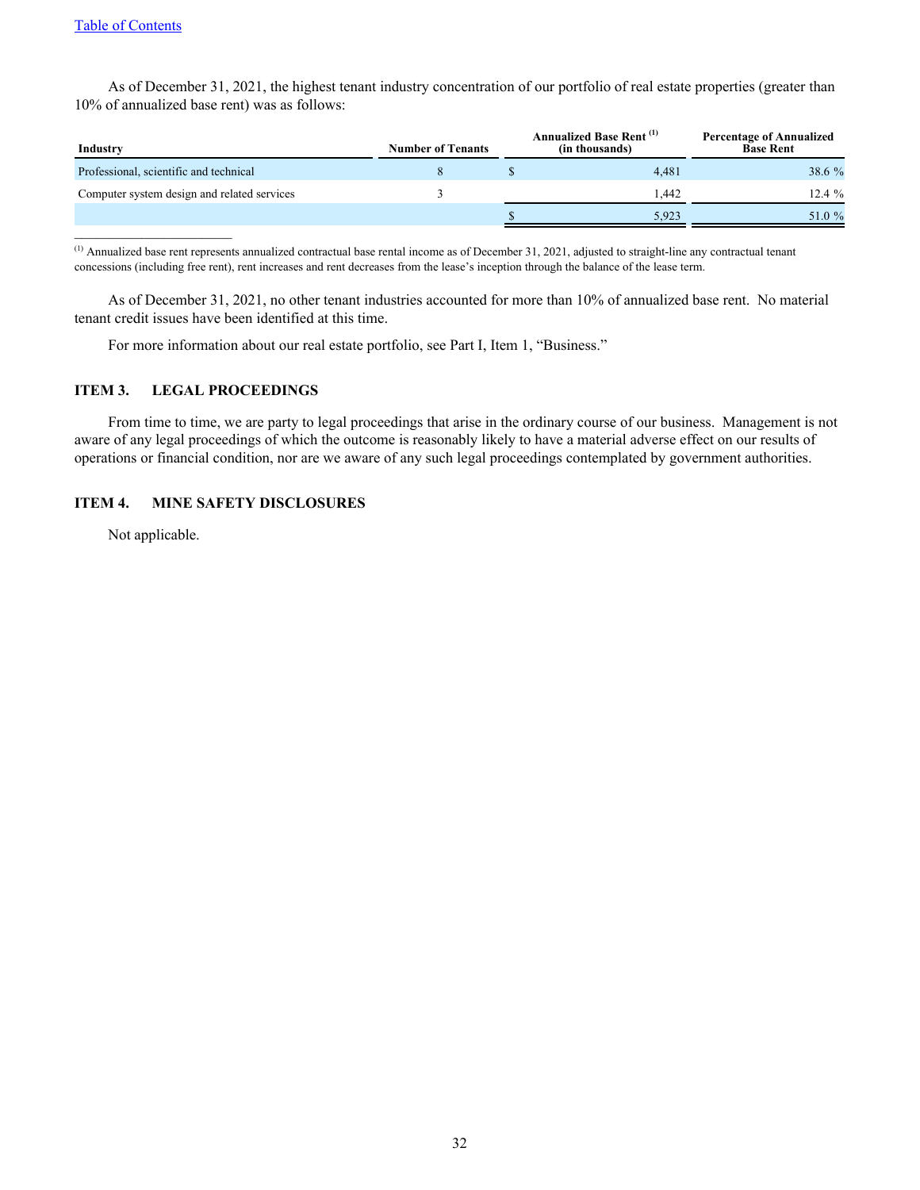<span id="page-32-0"></span>As of December 31, 2021, the highest tenant industry concentration of our portfolio of real estate properties (greater than 10% of annualized base rent) was as follows:

| Industry                                    | <b>Number of Tenants</b> | <b>Annualized Base Rent (1)</b><br>(in thousands) | <b>Percentage of Annualized</b><br><b>Base Rent</b> |
|---------------------------------------------|--------------------------|---------------------------------------------------|-----------------------------------------------------|
| Professional, scientific and technical      |                          | 4.481                                             | 38.6 %                                              |
| Computer system design and related services |                          | .442                                              | 12.4%                                               |
|                                             |                          | 5.923                                             | 51.0 %                                              |
|                                             |                          |                                                   |                                                     |

 $<sup>(1)</sup>$  Annualized base rent represents annualized contractual base rental income as of December 31, 2021, adjusted to straight-line any contractual tenant</sup> concessions (including free rent), rent increases and rent decreases from the lease's inception through the balance of the lease term.

As of December 31, 2021, no other tenant industries accounted for more than 10% of annualized base rent. No material tenant credit issues have been identified at this time.

For more information about our real estate portfolio, see Part I, Item 1, "Business."

## **ITEM 3. LEGAL PROCEEDINGS**

From time to time, we are party to legal proceedings that arise in the ordinary course of our business. Management is not aware of any legal proceedings of which the outcome is reasonably likely to have a material adverse effect on our results of operations or financial condition, nor are we aware of any such legal proceedings contemplated by government authorities.

#### **ITEM 4. MINE SAFETY DISCLOSURES**

Not applicable.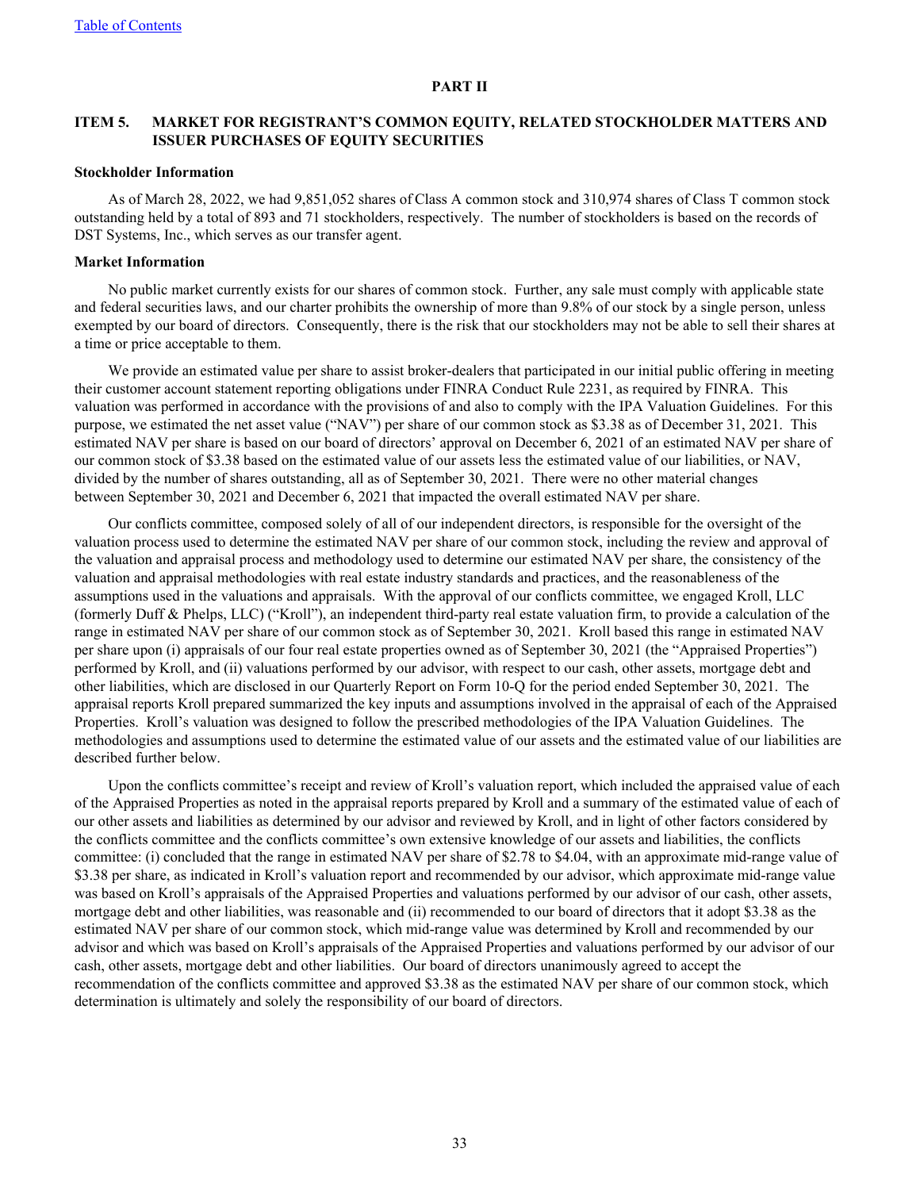#### **PART II**

## <span id="page-33-0"></span>**ITEM 5. MARKET FOR REGISTRANT'S COMMON EQUITY, RELATED STOCKHOLDER MATTERS AND ISSUER PURCHASES OF EQUITY SECURITIES**

#### **Stockholder Information**

As of March 28, 2022, we had 9,851,052 shares of Class A common stock and 310,974 shares of Class T common stock outstanding held by a total of 893 and 71 stockholders, respectively. The number of stockholders is based on the records of DST Systems, Inc., which serves as our transfer agent.

#### **Market Information**

No public market currently exists for our shares of common stock. Further, any sale must comply with applicable state and federal securities laws, and our charter prohibits the ownership of more than 9.8% of our stock by a single person, unless exempted by our board of directors. Consequently, there is the risk that our stockholders may not be able to sell their shares at a time or price acceptable to them.

We provide an estimated value per share to assist broker-dealers that participated in our initial public offering in meeting their customer account statement reporting obligations under FINRA Conduct Rule 2231, as required by FINRA. This valuation was performed in accordance with the provisions of and also to comply with the IPA Valuation Guidelines. For this purpose, we estimated the net asset value ("NAV") per share of our common stock as \$3.38 as of December 31, 2021. This estimated NAV per share is based on our board of directors' approval on December 6, 2021 of an estimated NAV per share of our common stock of \$3.38 based on the estimated value of our assets less the estimated value of our liabilities, or NAV, divided by the number of shares outstanding, all as of September 30, 2021. There were no other material changes between September 30, 2021 and December 6, 2021 that impacted the overall estimated NAV per share.

Our conflicts committee, composed solely of all of our independent directors, is responsible for the oversight of the valuation process used to determine the estimated NAV per share of our common stock, including the review and approval of the valuation and appraisal process and methodology used to determine our estimated NAV per share, the consistency of the valuation and appraisal methodologies with real estate industry standards and practices, and the reasonableness of the assumptions used in the valuations and appraisals. With the approval of our conflicts committee, we engaged Kroll, LLC (formerly Duff & Phelps, LLC) ("Kroll"), an independent third-party real estate valuation firm, to provide a calculation of the range in estimated NAV per share of our common stock as of September 30, 2021. Kroll based this range in estimated NAV per share upon (i) appraisals of our four real estate properties owned as of September 30, 2021 (the "Appraised Properties") performed by Kroll, and (ii) valuations performed by our advisor, with respect to our cash, other assets, mortgage debt and other liabilities, which are disclosed in our Quarterly Report on Form 10-Q for the period ended September 30, 2021. The appraisal reports Kroll prepared summarized the key inputs and assumptions involved in the appraisal of each of the Appraised Properties. Kroll's valuation was designed to follow the prescribed methodologies of the IPA Valuation Guidelines. The methodologies and assumptions used to determine the estimated value of our assets and the estimated value of our liabilities are described further below.

Upon the conflicts committee's receipt and review of Kroll's valuation report, which included the appraised value of each of the Appraised Properties as noted in the appraisal reports prepared by Kroll and a summary of the estimated value of each of our other assets and liabilities as determined by our advisor and reviewed by Kroll, and in light of other factors considered by the conflicts committee and the conflicts committee's own extensive knowledge of our assets and liabilities, the conflicts committee: (i) concluded that the range in estimated NAV per share of \$2.78 to \$4.04, with an approximate mid-range value of \$3.38 per share, as indicated in Kroll's valuation report and recommended by our advisor, which approximate mid-range value was based on Kroll's appraisals of the Appraised Properties and valuations performed by our advisor of our cash, other assets, mortgage debt and other liabilities, was reasonable and (ii) recommended to our board of directors that it adopt \$3.38 as the estimated NAV per share of our common stock, which mid-range value was determined by Kroll and recommended by our advisor and which was based on Kroll's appraisals of the Appraised Properties and valuations performed by our advisor of our cash, other assets, mortgage debt and other liabilities. Our board of directors unanimously agreed to accept the recommendation of the conflicts committee and approved \$3.38 as the estimated NAV per share of our common stock, which determination is ultimately and solely the responsibility of our board of directors.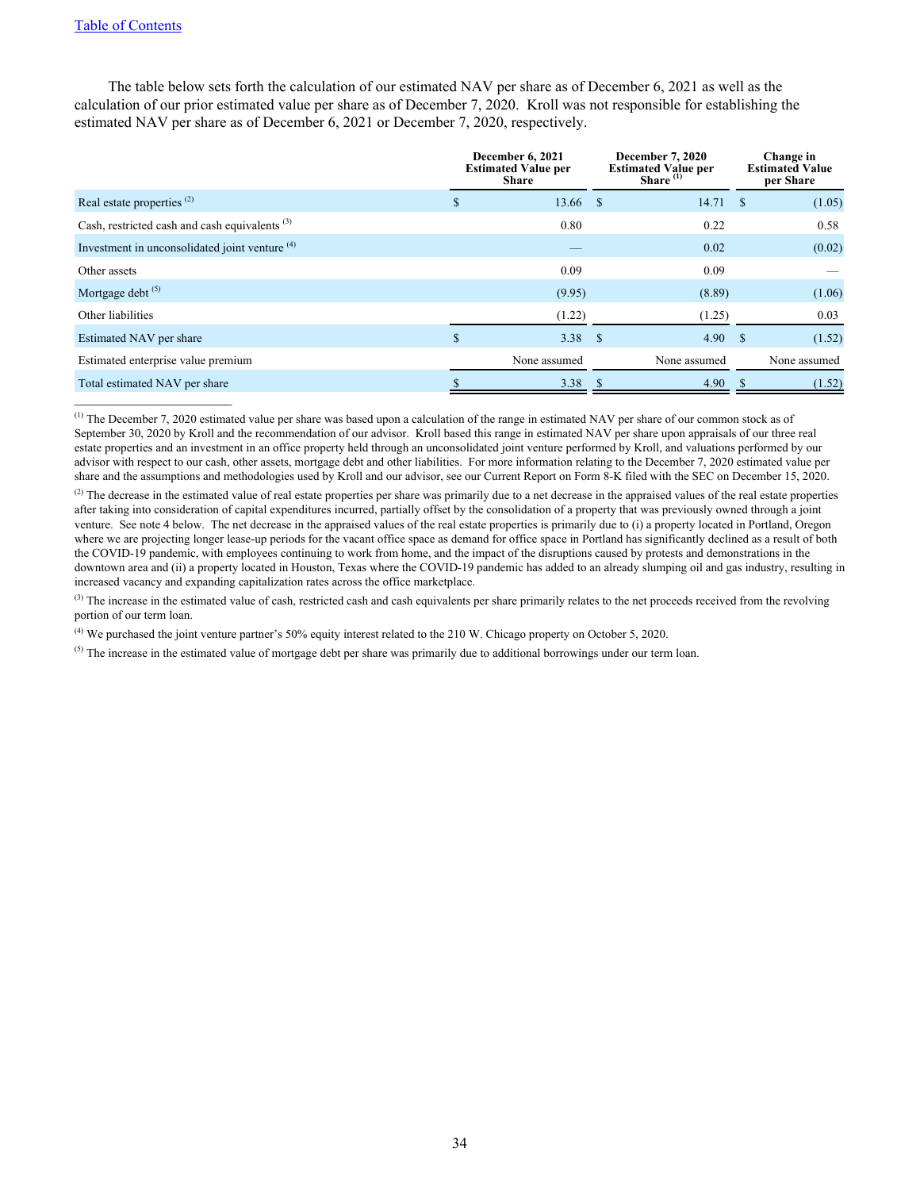The table below sets forth the calculation of our estimated NAV per share as of December 6, 2021 as well as the calculation of our prior estimated value per share as of December 7, 2020. Kroll was not responsible for establishing the estimated NAV per share as of December 6, 2021 or December 7, 2020, respectively.

|                                                           |              | December 6, 2021<br><b>Estimated Value per</b><br><b>Share</b> | <b>December 7, 2020</b><br><b>Estimated Value per</b><br>Share $(1)$ | Change in<br><b>Estimated Value</b><br>per Share |
|-----------------------------------------------------------|--------------|----------------------------------------------------------------|----------------------------------------------------------------------|--------------------------------------------------|
| Real estate properties $(2)$                              | S            | $13.66$ \$                                                     | 14.71 S                                                              | (1.05)                                           |
| Cash, restricted cash and cash equivalents $(3)$          |              | 0.80                                                           | 0.22                                                                 | 0.58                                             |
| Investment in unconsolidated joint venture <sup>(4)</sup> |              |                                                                | 0.02                                                                 | (0.02)                                           |
| Other assets                                              |              | 0.09                                                           | 0.09                                                                 |                                                  |
| Mortgage debt <sup>(5)</sup>                              |              | (9.95)                                                         | (8.89)                                                               | (1.06)                                           |
| Other liabilities                                         |              | (1.22)                                                         | (1.25)                                                               | 0.03                                             |
| Estimated NAV per share                                   | $\mathbf{s}$ |                                                                | 4.90 S                                                               | (1.52)                                           |
| Estimated enterprise value premium                        |              | None assumed                                                   | None assumed                                                         | None assumed                                     |
| Total estimated NAV per share                             |              | 3.38                                                           | 4.90                                                                 | (1.52)                                           |
|                                                           |              |                                                                |                                                                      |                                                  |

(1) The December 7, 2020 estimated value per share was based upon a calculation of the range in estimated NAV per share of our common stock as of September 30, 2020 by Kroll and the recommendation of our advisor. Kroll based this range in estimated NAV per share upon appraisals of our three real estate properties and an investment in an office property held through an unconsolidated joint venture performed by Kroll, and valuations performed by our advisor with respect to our cash, other assets, mortgage debt and other liabilities. For more information relating to the December 7, 2020 estimated value per share and the assumptions and methodologies used by Kroll and our advisor, see our Current Report on Form 8-K filed with the SEC on December 15, 2020.

<sup>(3)</sup> The increase in the estimated value of cash, restricted cash and cash equivalents per share primarily relates to the net proceeds received from the revolving portion of our term loan.

<sup>(4)</sup> We purchased the joint venture partner's 50% equity interest related to the 210 W. Chicago property on October 5, 2020.

 $<sup>(5)</sup>$  The increase in the estimated value of mortgage debt per share was primarily due to additional borrowings under our term loan.</sup>

 $^{(2)}$  The decrease in the estimated value of real estate properties per share was primarily due to a net decrease in the appraised values of the real estate properties after taking into consideration of capital expenditures incurred, partially offset by the consolidation of a property that was previously owned through a joint venture. See note 4 below. The net decrease in the appraised values of the real estate properties is primarily due to (i) a property located in Portland, Oregon where we are projecting longer lease-up periods for the vacant office space as demand for office space in Portland has significantly declined as a result of both the COVID-19 pandemic, with employees continuing to work from home, and the impact of the disruptions caused by protests and demonstrations in the downtown area and (ii) a property located in Houston, Texas where the COVID-19 pandemic has added to an already slumping oil and gas industry, resulting in increased vacancy and expanding capitalization rates across the office marketplace.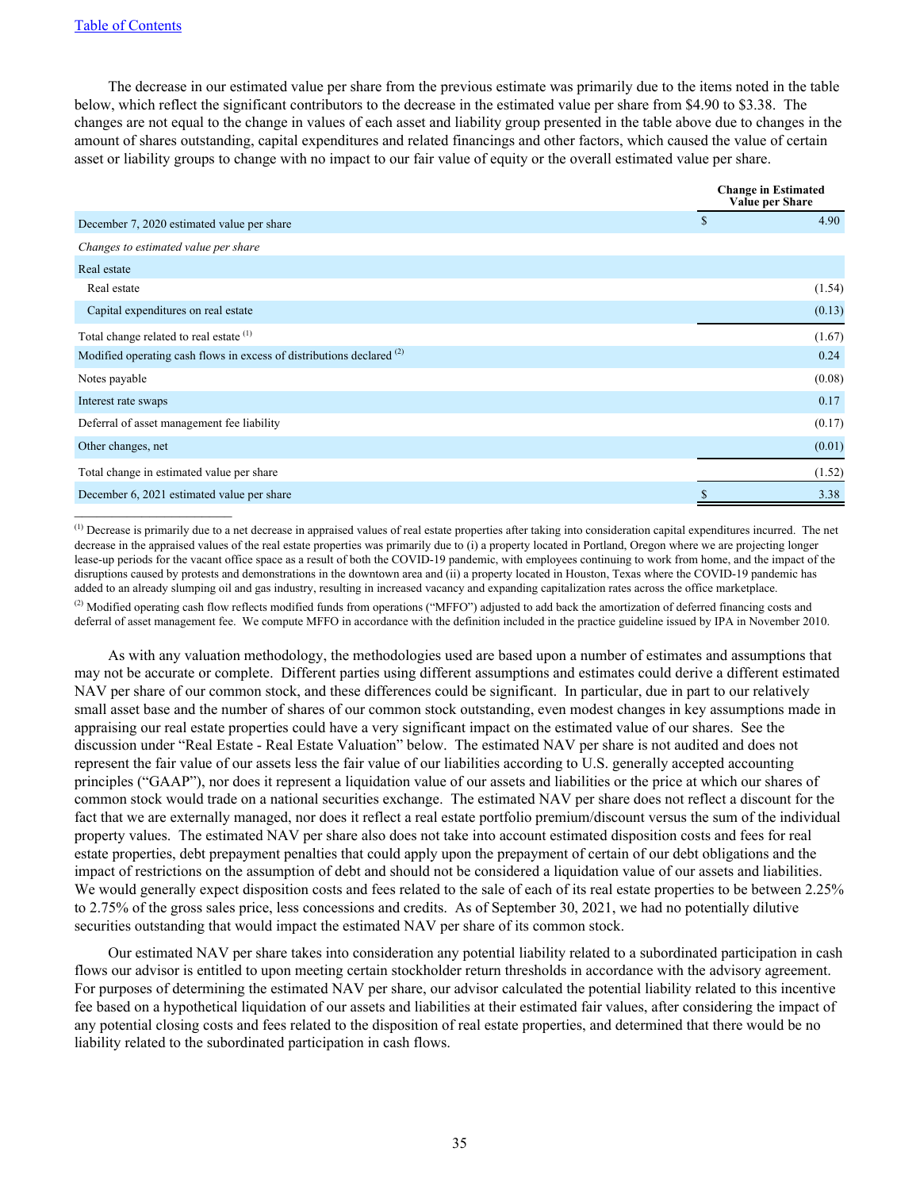#### [Table of Contents](#page-1-0)

The decrease in our estimated value per share from the previous estimate was primarily due to the items noted in the table below, which reflect the significant contributors to the decrease in the estimated value per share from \$4.90 to \$3.38. The changes are not equal to the change in values of each asset and liability group presented in the table above due to changes in the amount of shares outstanding, capital expenditures and related financings and other factors, which caused the value of certain asset or liability groups to change with no impact to our fair value of equity or the overall estimated value per share.

|                                                                                  |             | <b>Change in Estimated</b><br>Value per Share |
|----------------------------------------------------------------------------------|-------------|-----------------------------------------------|
| December 7, 2020 estimated value per share                                       | $\mathbf S$ | 4.90                                          |
| Changes to estimated value per share                                             |             |                                               |
| Real estate                                                                      |             |                                               |
| Real estate                                                                      |             | (1.54)                                        |
| Capital expenditures on real estate                                              |             | (0.13)                                        |
| Total change related to real estate <sup>(1)</sup>                               |             | (1.67)                                        |
| Modified operating cash flows in excess of distributions declared <sup>(2)</sup> |             | 0.24                                          |
| Notes payable                                                                    |             | (0.08)                                        |
| Interest rate swaps                                                              |             | 0.17                                          |
| Deferral of asset management fee liability                                       |             | (0.17)                                        |
| Other changes, net                                                               |             | (0.01)                                        |
| Total change in estimated value per share                                        |             | (1.52)                                        |
| December 6, 2021 estimated value per share                                       |             | 3.38                                          |
|                                                                                  |             |                                               |

<sup>(1)</sup> Decrease is primarily due to a net decrease in appraised values of real estate properties after taking into consideration capital expenditures incurred. The net decrease in the appraised values of the real estate properties was primarily due to (i) a property located in Portland, Oregon where we are projecting longer lease-up periods for the vacant office space as a result of both the COVID-19 pandemic, with employees continuing to work from home, and the impact of the disruptions caused by protests and demonstrations in the downtown area and (ii) a property located in Houston, Texas where the COVID-19 pandemic has added to an already slumping oil and gas industry, resulting in increased vacancy and expanding capitalization rates across the office marketplace.  $^{(2)}$  Modified operating cash flow reflects modified funds from operations ("MFFO") adjusted to add back the amortization of deferred financing costs and deferral of asset management fee. We compute MFFO in accordance with the definition included in the practice guideline issued by IPA in November 2010.

As with any valuation methodology, the methodologies used are based upon a number of estimates and assumptions that may not be accurate or complete. Different parties using different assumptions and estimates could derive a different estimated NAV per share of our common stock, and these differences could be significant. In particular, due in part to our relatively small asset base and the number of shares of our common stock outstanding, even modest changes in key assumptions made in appraising our real estate properties could have a very significant impact on the estimated value of our shares. See the discussion under "Real Estate - Real Estate Valuation" below. The estimated NAV per share is not audited and does not represent the fair value of our assets less the fair value of our liabilities according to U.S. generally accepted accounting principles ("GAAP"), nor does it represent a liquidation value of our assets and liabilities or the price at which our shares of common stock would trade on a national securities exchange. The estimated NAV per share does not reflect a discount for the fact that we are externally managed, nor does it reflect a real estate portfolio premium/discount versus the sum of the individual property values. The estimated NAV per share also does not take into account estimated disposition costs and fees for real estate properties, debt prepayment penalties that could apply upon the prepayment of certain of our debt obligations and the impact of restrictions on the assumption of debt and should not be considered a liquidation value of our assets and liabilities. We would generally expect disposition costs and fees related to the sale of each of its real estate properties to be between 2.25% to 2.75% of the gross sales price, less concessions and credits. As of September 30, 2021, we had no potentially dilutive securities outstanding that would impact the estimated NAV per share of its common stock.

Our estimated NAV per share takes into consideration any potential liability related to a subordinated participation in cash flows our advisor is entitled to upon meeting certain stockholder return thresholds in accordance with the advisory agreement. For purposes of determining the estimated NAV per share, our advisor calculated the potential liability related to this incentive fee based on a hypothetical liquidation of our assets and liabilities at their estimated fair values, after considering the impact of any potential closing costs and fees related to the disposition of real estate properties, and determined that there would be no liability related to the subordinated participation in cash flows.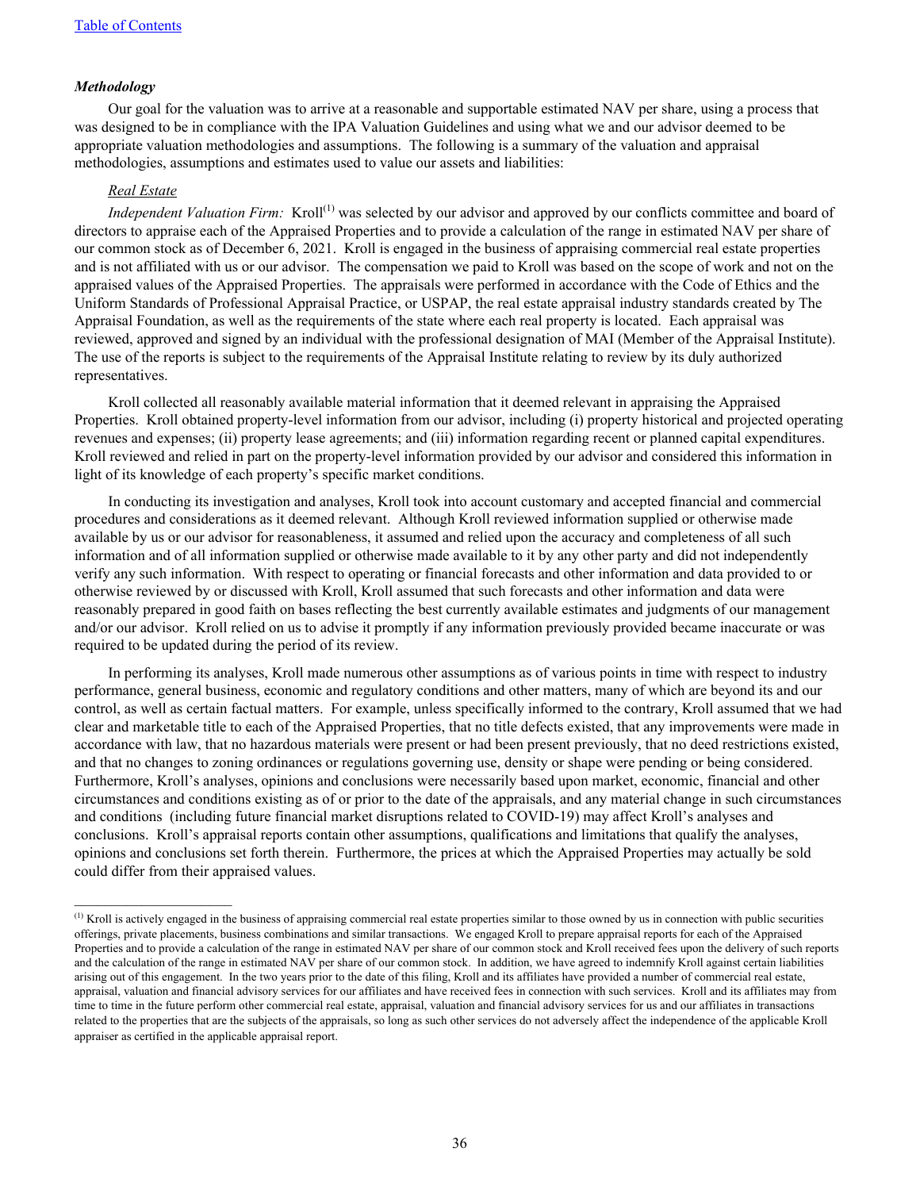### *Methodology*

Our goal for the valuation was to arrive at a reasonable and supportable estimated NAV per share, using a process that was designed to be in compliance with the IPA Valuation Guidelines and using what we and our advisor deemed to be appropriate valuation methodologies and assumptions. The following is a summary of the valuation and appraisal methodologies, assumptions and estimates used to value our assets and liabilities:

# *Real Estate*

 $\mathcal{L}_\text{max}$  , where  $\mathcal{L}_\text{max}$  , we have the set of the set of the set of the set of the set of the set of the set of the set of the set of the set of the set of the set of the set of the set of the set of the set of

*Independent Valuation Firm:* Kroll<sup>(1)</sup> was selected by our advisor and approved by our conflicts committee and board of directors to appraise each of the Appraised Properties and to provide a calculation of the range in estimated NAV per share of our common stock as of December 6, 2021. Kroll is engaged in the business of appraising commercial real estate properties and is not affiliated with us or our advisor. The compensation we paid to Kroll was based on the scope of work and not on the appraised values of the Appraised Properties. The appraisals were performed in accordance with the Code of Ethics and the Uniform Standards of Professional Appraisal Practice, or USPAP, the real estate appraisal industry standards created by The Appraisal Foundation, as well as the requirements of the state where each real property is located. Each appraisal was reviewed, approved and signed by an individual with the professional designation of MAI (Member of the Appraisal Institute). The use of the reports is subject to the requirements of the Appraisal Institute relating to review by its duly authorized representatives.

Kroll collected all reasonably available material information that it deemed relevant in appraising the Appraised Properties. Kroll obtained property-level information from our advisor, including (i) property historical and projected operating revenues and expenses; (ii) property lease agreements; and (iii) information regarding recent or planned capital expenditures. Kroll reviewed and relied in part on the property-level information provided by our advisor and considered this information in light of its knowledge of each property's specific market conditions.

In conducting its investigation and analyses, Kroll took into account customary and accepted financial and commercial procedures and considerations as it deemed relevant. Although Kroll reviewed information supplied or otherwise made available by us or our advisor for reasonableness, it assumed and relied upon the accuracy and completeness of all such information and of all information supplied or otherwise made available to it by any other party and did not independently verify any such information. With respect to operating or financial forecasts and other information and data provided to or otherwise reviewed by or discussed with Kroll, Kroll assumed that such forecasts and other information and data were reasonably prepared in good faith on bases reflecting the best currently available estimates and judgments of our management and/or our advisor. Kroll relied on us to advise it promptly if any information previously provided became inaccurate or was required to be updated during the period of its review.

In performing its analyses, Kroll made numerous other assumptions as of various points in time with respect to industry performance, general business, economic and regulatory conditions and other matters, many of which are beyond its and our control, as well as certain factual matters. For example, unless specifically informed to the contrary, Kroll assumed that we had clear and marketable title to each of the Appraised Properties, that no title defects existed, that any improvements were made in accordance with law, that no hazardous materials were present or had been present previously, that no deed restrictions existed, and that no changes to zoning ordinances or regulations governing use, density or shape were pending or being considered. Furthermore, Kroll's analyses, opinions and conclusions were necessarily based upon market, economic, financial and other circumstances and conditions existing as of or prior to the date of the appraisals, and any material change in such circumstances and conditions (including future financial market disruptions related to COVID-19) may affect Kroll's analyses and conclusions. Kroll's appraisal reports contain other assumptions, qualifications and limitations that qualify the analyses, opinions and conclusions set forth therein. Furthermore, the prices at which the Appraised Properties may actually be sold could differ from their appraised values.

 $<sup>(1)</sup>$  Kroll is actively engaged in the business of appraising commercial real estate properties similar to those owned by us in connection with public securities</sup> offerings, private placements, business combinations and similar transactions. We engaged Kroll to prepare appraisal reports for each of the Appraised Properties and to provide a calculation of the range in estimated NAV per share of our common stock and Kroll received fees upon the delivery of such reports and the calculation of the range in estimated NAV per share of our common stock. In addition, we have agreed to indemnify Kroll against certain liabilities arising out of this engagement. In the two years prior to the date of this filing, Kroll and its affiliates have provided a number of commercial real estate, appraisal, valuation and financial advisory services for our affiliates and have received fees in connection with such services. Kroll and its affiliates may from time to time in the future perform other commercial real estate, appraisal, valuation and financial advisory services for us and our affiliates in transactions related to the properties that are the subjects of the appraisals, so long as such other services do not adversely affect the independence of the applicable Kroll appraiser as certified in the applicable appraisal report.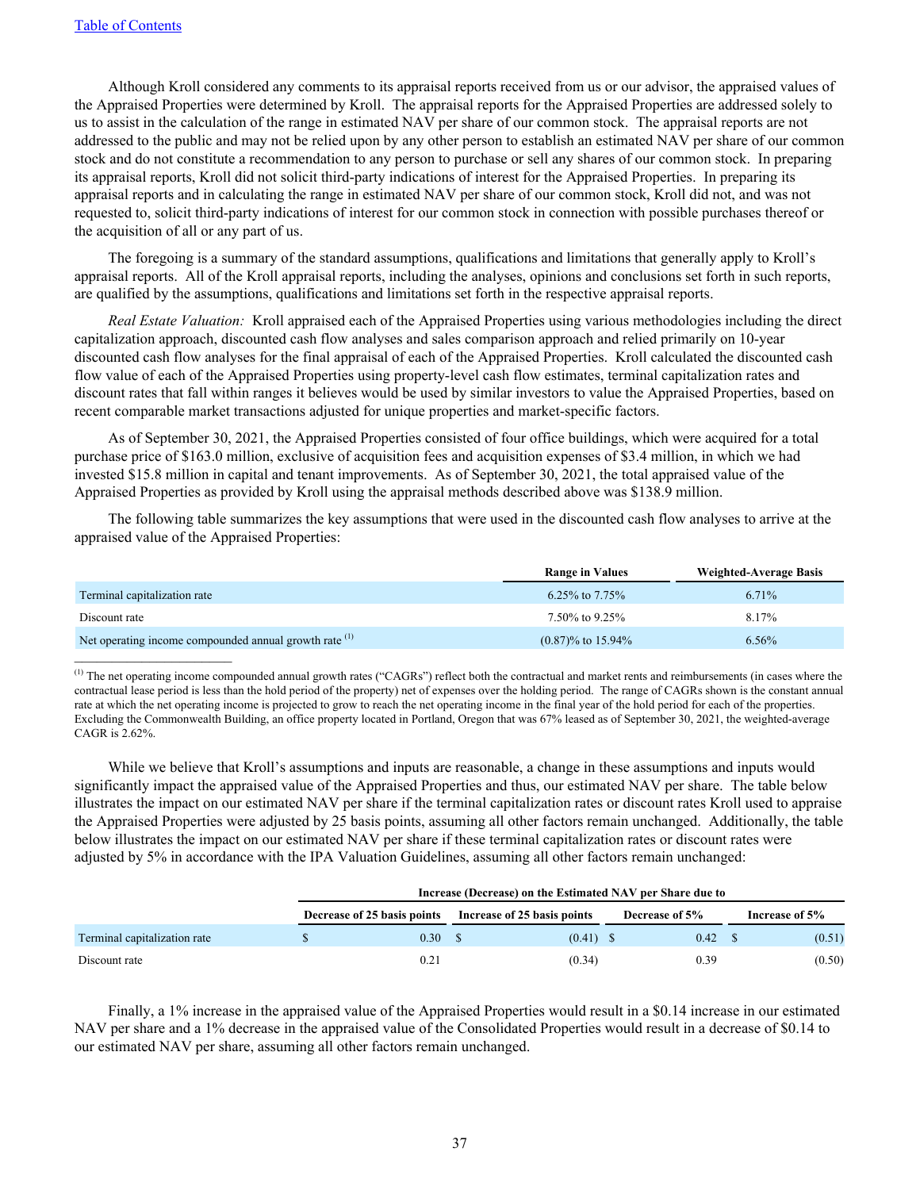Although Kroll considered any comments to its appraisal reports received from us or our advisor, the appraised values of the Appraised Properties were determined by Kroll. The appraisal reports for the Appraised Properties are addressed solely to us to assist in the calculation of the range in estimated NAV per share of our common stock. The appraisal reports are not addressed to the public and may not be relied upon by any other person to establish an estimated NAV per share of our common stock and do not constitute a recommendation to any person to purchase or sell any shares of our common stock. In preparing its appraisal reports, Kroll did not solicit third-party indications of interest for the Appraised Properties. In preparing its appraisal reports and in calculating the range in estimated NAV per share of our common stock, Kroll did not, and was not requested to, solicit third-party indications of interest for our common stock in connection with possible purchases thereof or the acquisition of all or any part of us.

The foregoing is a summary of the standard assumptions, qualifications and limitations that generally apply to Kroll's appraisal reports. All of the Kroll appraisal reports, including the analyses, opinions and conclusions set forth in such reports, are qualified by the assumptions, qualifications and limitations set forth in the respective appraisal reports.

*Real Estate Valuation:* Kroll appraised each of the Appraised Properties using various methodologies including the direct capitalization approach, discounted cash flow analyses and sales comparison approach and relied primarily on 10-year discounted cash flow analyses for the final appraisal of each of the Appraised Properties. Kroll calculated the discounted cash flow value of each of the Appraised Properties using property-level cash flow estimates, terminal capitalization rates and discount rates that fall within ranges it believes would be used by similar investors to value the Appraised Properties, based on recent comparable market transactions adjusted for unique properties and market-specific factors.

As of September 30, 2021, the Appraised Properties consisted of four office buildings, which were acquired for a total purchase price of \$163.0 million, exclusive of acquisition fees and acquisition expenses of \$3.4 million, in which we had invested \$15.8 million in capital and tenant improvements. As of September 30, 2021, the total appraised value of the Appraised Properties as provided by Kroll using the appraisal methods described above was \$138.9 million.

The following table summarizes the key assumptions that were used in the discounted cash flow analyses to arrive at the appraised value of the Appraised Properties:

|                                                                   | <b>Range in Values</b> | <b>Weighted-Average Basis</b> |
|-------------------------------------------------------------------|------------------------|-------------------------------|
| Terminal capitalization rate                                      | 6.25\% to 7.75\%       | 6.71%                         |
| Discount rate                                                     | 7.50% to 9.25%         | 8.17%                         |
| Net operating income compounded annual growth rate <sup>(1)</sup> | $(0.87)$ % to 15.94%   | 6.56%                         |
|                                                                   |                        |                               |

 $<sup>(1)</sup>$  The net operating income compounded annual growth rates ("CAGRs") reflect both the contractual and market rents and reimbursements (in cases where the</sup> contractual lease period is less than the hold period of the property) net of expenses over the holding period. The range of CAGRs shown is the constant annual rate at which the net operating income is projected to grow to reach the net operating income in the final year of the hold period for each of the properties. Excluding the Commonwealth Building, an office property located in Portland, Oregon that was 67% leased as of September 30, 2021, the weighted-average CAGR is 2.62%.

While we believe that Kroll's assumptions and inputs are reasonable, a change in these assumptions and inputs would significantly impact the appraised value of the Appraised Properties and thus, our estimated NAV per share. The table below illustrates the impact on our estimated NAV per share if the terminal capitalization rates or discount rates Kroll used to appraise the Appraised Properties were adjusted by 25 basis points, assuming all other factors remain unchanged. Additionally, the table below illustrates the impact on our estimated NAV per share if these terminal capitalization rates or discount rates were adjusted by 5% in accordance with the IPA Valuation Guidelines, assuming all other factors remain unchanged:

|                              |      | Increase (Decrease) on the Estimated NAV per Share due to |                                                         |  |                |  |                |  |
|------------------------------|------|-----------------------------------------------------------|---------------------------------------------------------|--|----------------|--|----------------|--|
|                              |      |                                                           | Decrease of 25 basis points Increase of 25 basis points |  | Decrease of 5% |  | Increase of 5% |  |
| Terminal capitalization rate |      | 0.30                                                      | $(0.41)$ \$                                             |  | 0.42           |  | (0.51)         |  |
| Discount rate                | 0.21 |                                                           | (0.34)                                                  |  | 0.39           |  | (0.50)         |  |

Finally, a 1% increase in the appraised value of the Appraised Properties would result in a \$0.14 increase in our estimated NAV per share and a 1% decrease in the appraised value of the Consolidated Properties would result in a decrease of \$0.14 to our estimated NAV per share, assuming all other factors remain unchanged.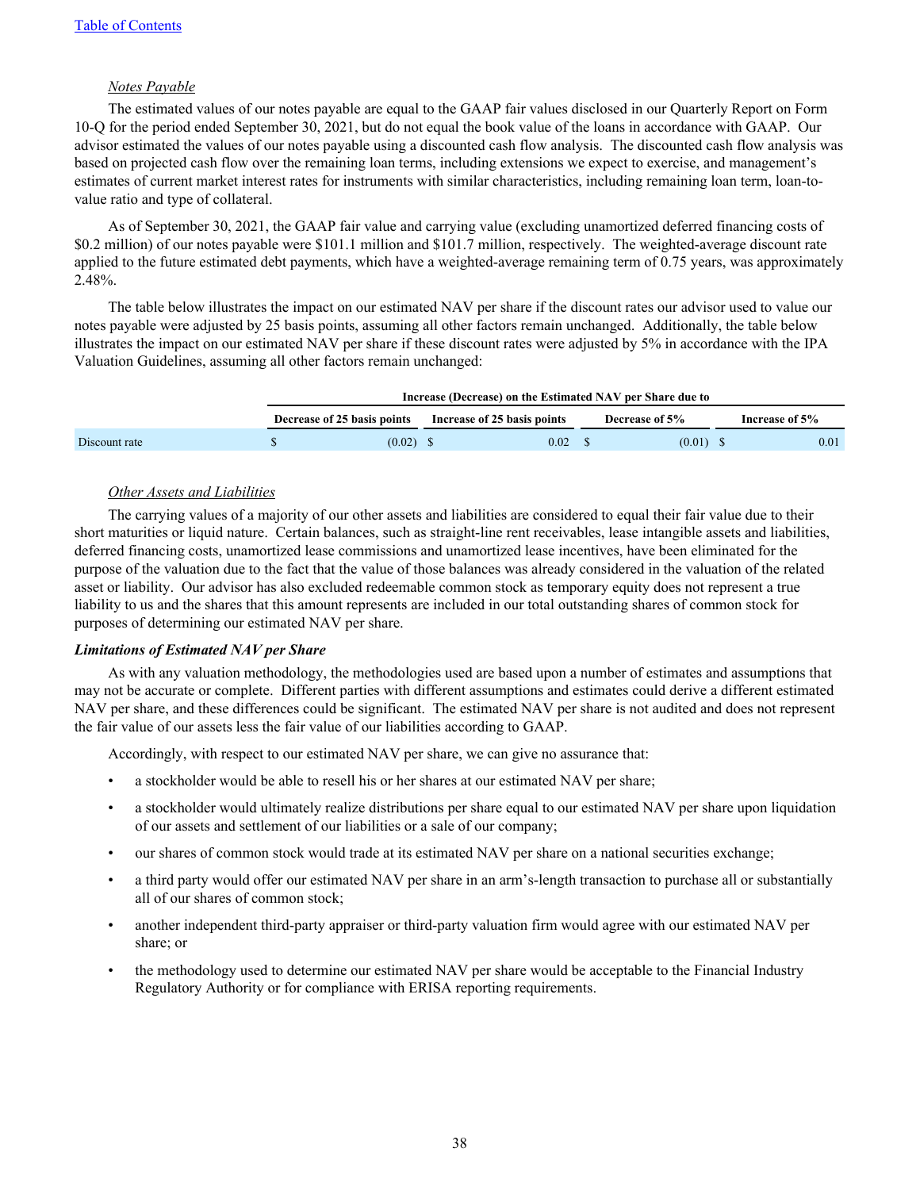# *Notes Payable*

The estimated values of our notes payable are equal to the GAAP fair values disclosed in our Quarterly Report on Form 10-Q for the period ended September 30, 2021, but do not equal the book value of the loans in accordance with GAAP. Our advisor estimated the values of our notes payable using a discounted cash flow analysis. The discounted cash flow analysis was based on projected cash flow over the remaining loan terms, including extensions we expect to exercise, and management's estimates of current market interest rates for instruments with similar characteristics, including remaining loan term, loan-tovalue ratio and type of collateral.

As of September 30, 2021, the GAAP fair value and carrying value (excluding unamortized deferred financing costs of \$0.2 million) of our notes payable were \$101.1 million and \$101.7 million, respectively. The weighted-average discount rate applied to the future estimated debt payments, which have a weighted-average remaining term of 0.75 years, was approximately 2.48%.

The table below illustrates the impact on our estimated NAV per share if the discount rates our advisor used to value our notes payable were adjusted by 25 basis points, assuming all other factors remain unchanged. Additionally, the table below illustrates the impact on our estimated NAV per share if these discount rates were adjusted by 5% in accordance with the IPA Valuation Guidelines, assuming all other factors remain unchanged:

|               | Increase (Decrease) on the Estimated NAV per Share due to |                                                         |        |                |  |                       |  |  |  |
|---------------|-----------------------------------------------------------|---------------------------------------------------------|--------|----------------|--|-----------------------|--|--|--|
|               |                                                           | Decrease of 25 basis points Increase of 25 basis points |        | Decrease of 5% |  | <b>Increase of 5%</b> |  |  |  |
| Discount rate |                                                           | $(0.02)$ \$                                             | 0.02 S | $(0.01)$ \$    |  | 0.01                  |  |  |  |

## *Other Assets and Liabilities*

The carrying values of a majority of our other assets and liabilities are considered to equal their fair value due to their short maturities or liquid nature. Certain balances, such as straight-line rent receivables, lease intangible assets and liabilities, deferred financing costs, unamortized lease commissions and unamortized lease incentives, have been eliminated for the purpose of the valuation due to the fact that the value of those balances was already considered in the valuation of the related asset or liability. Our advisor has also excluded redeemable common stock as temporary equity does not represent a true liability to us and the shares that this amount represents are included in our total outstanding shares of common stock for purposes of determining our estimated NAV per share.

### *Limitations of Estimated NAV per Share*

As with any valuation methodology, the methodologies used are based upon a number of estimates and assumptions that may not be accurate or complete. Different parties with different assumptions and estimates could derive a different estimated NAV per share, and these differences could be significant. The estimated NAV per share is not audited and does not represent the fair value of our assets less the fair value of our liabilities according to GAAP.

Accordingly, with respect to our estimated NAV per share, we can give no assurance that:

- a stockholder would be able to resell his or her shares at our estimated NAV per share;
- a stockholder would ultimately realize distributions per share equal to our estimated NAV per share upon liquidation of our assets and settlement of our liabilities or a sale of our company;
- our shares of common stock would trade at its estimated NAV per share on a national securities exchange;
- a third party would offer our estimated NAV per share in an arm's-length transaction to purchase all or substantially all of our shares of common stock;
- another independent third-party appraiser or third-party valuation firm would agree with our estimated NAV per share; or
- the methodology used to determine our estimated NAV per share would be acceptable to the Financial Industry Regulatory Authority or for compliance with ERISA reporting requirements.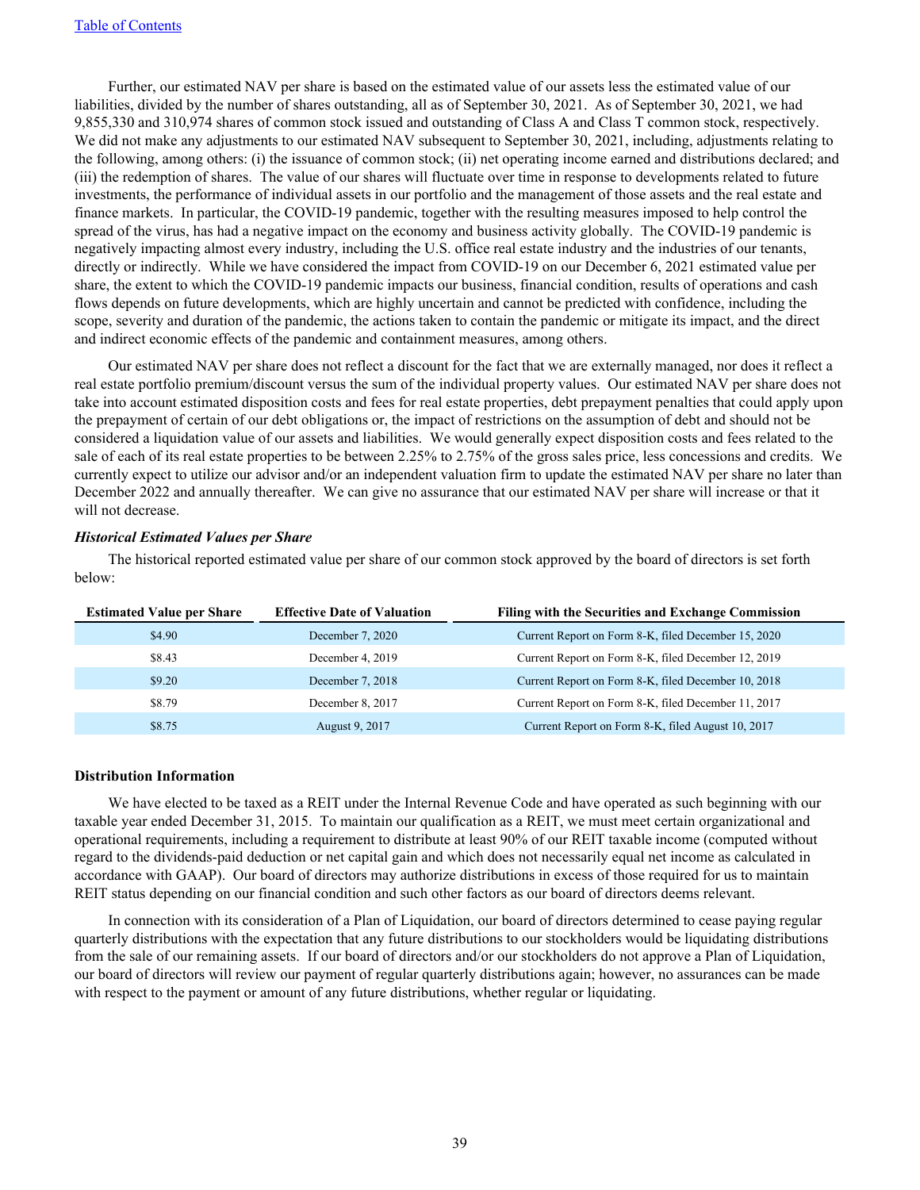Further, our estimated NAV per share is based on the estimated value of our assets less the estimated value of our liabilities, divided by the number of shares outstanding, all as of September 30, 2021. As of September 30, 2021, we had 9,855,330 and 310,974 shares of common stock issued and outstanding of Class A and Class T common stock, respectively. We did not make any adjustments to our estimated NAV subsequent to September 30, 2021, including, adjustments relating to the following, among others: (i) the issuance of common stock; (ii) net operating income earned and distributions declared; and (iii) the redemption of shares. The value of our shares will fluctuate over time in response to developments related to future investments, the performance of individual assets in our portfolio and the management of those assets and the real estate and finance markets. In particular, the COVID-19 pandemic, together with the resulting measures imposed to help control the spread of the virus, has had a negative impact on the economy and business activity globally. The COVID-19 pandemic is negatively impacting almost every industry, including the U.S. office real estate industry and the industries of our tenants, directly or indirectly. While we have considered the impact from COVID-19 on our December 6, 2021 estimated value per share, the extent to which the COVID-19 pandemic impacts our business, financial condition, results of operations and cash flows depends on future developments, which are highly uncertain and cannot be predicted with confidence, including the scope, severity and duration of the pandemic, the actions taken to contain the pandemic or mitigate its impact, and the direct and indirect economic effects of the pandemic and containment measures, among others.

Our estimated NAV per share does not reflect a discount for the fact that we are externally managed, nor does it reflect a real estate portfolio premium/discount versus the sum of the individual property values. Our estimated NAV per share does not take into account estimated disposition costs and fees for real estate properties, debt prepayment penalties that could apply upon the prepayment of certain of our debt obligations or, the impact of restrictions on the assumption of debt and should not be considered a liquidation value of our assets and liabilities. We would generally expect disposition costs and fees related to the sale of each of its real estate properties to be between 2.25% to 2.75% of the gross sales price, less concessions and credits. We currently expect to utilize our advisor and/or an independent valuation firm to update the estimated NAV per share no later than December 2022 and annually thereafter. We can give no assurance that our estimated NAV per share will increase or that it will not decrease.

# *Historical Estimated Values per Share*

The historical reported estimated value per share of our common stock approved by the board of directors is set forth below:

| <b>Estimated Value per Share</b> | <b>Effective Date of Valuation</b> | Filing with the Securities and Exchange Commission  |
|----------------------------------|------------------------------------|-----------------------------------------------------|
| \$4.90                           | December 7, 2020                   | Current Report on Form 8-K, filed December 15, 2020 |
| \$8.43                           | December 4, 2019                   | Current Report on Form 8-K, filed December 12, 2019 |
| \$9.20                           | December 7, 2018                   | Current Report on Form 8-K, filed December 10, 2018 |
| \$8.79                           | December 8, 2017                   | Current Report on Form 8-K, filed December 11, 2017 |
| \$8.75                           | August 9, 2017                     | Current Report on Form 8-K, filed August 10, 2017   |

### **Distribution Information**

We have elected to be taxed as a REIT under the Internal Revenue Code and have operated as such beginning with our taxable year ended December 31, 2015. To maintain our qualification as a REIT, we must meet certain organizational and operational requirements, including a requirement to distribute at least 90% of our REIT taxable income (computed without regard to the dividends-paid deduction or net capital gain and which does not necessarily equal net income as calculated in accordance with GAAP). Our board of directors may authorize distributions in excess of those required for us to maintain REIT status depending on our financial condition and such other factors as our board of directors deems relevant.

In connection with its consideration of a Plan of Liquidation, our board of directors determined to cease paying regular quarterly distributions with the expectation that any future distributions to our stockholders would be liquidating distributions from the sale of our remaining assets. If our board of directors and/or our stockholders do not approve a Plan of Liquidation, our board of directors will review our payment of regular quarterly distributions again; however, no assurances can be made with respect to the payment or amount of any future distributions, whether regular or liquidating.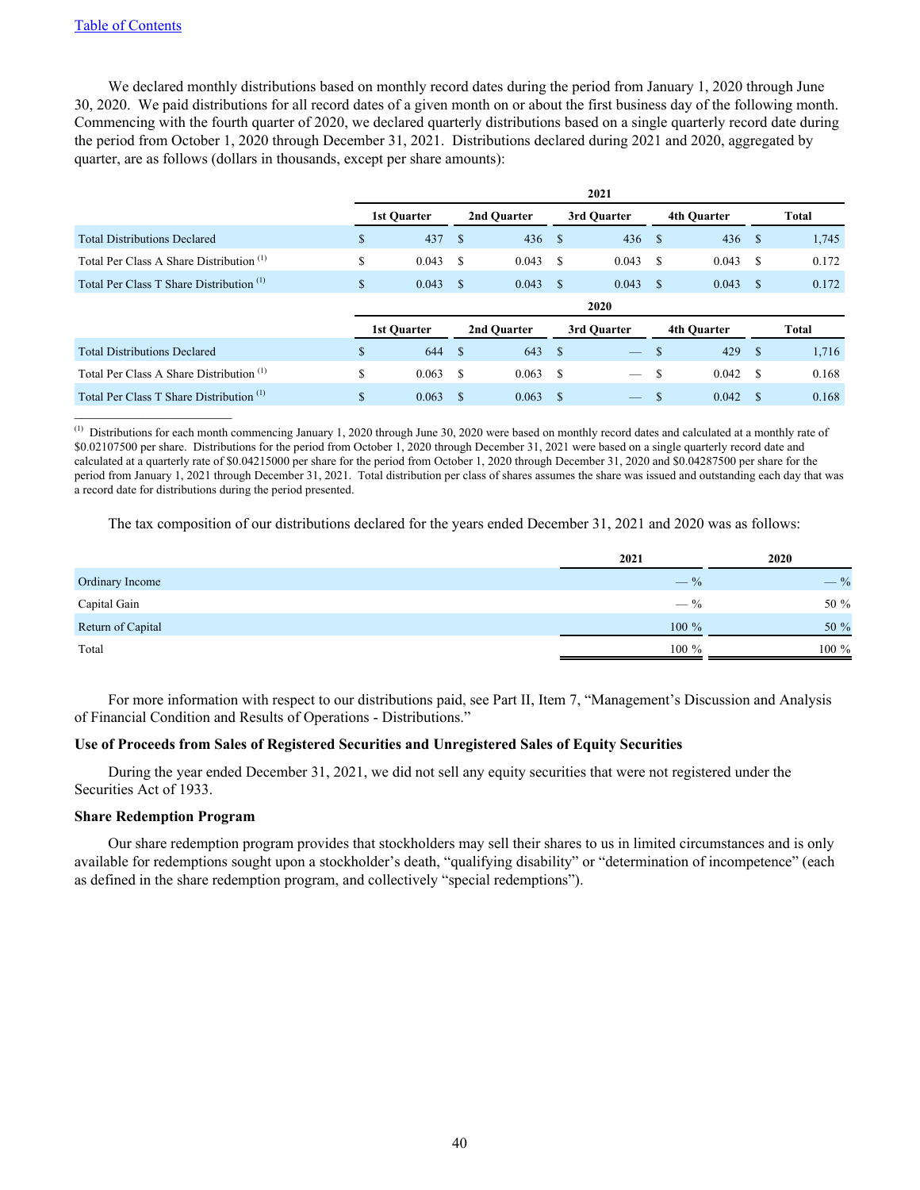## [Table of Contents](#page-1-0)

We declared monthly distributions based on monthly record dates during the period from January 1, 2020 through June 30, 2020. We paid distributions for all record dates of a given month on or about the first business day of the following month. Commencing with the fourth quarter of 2020, we declared quarterly distributions based on a single quarterly record date during the period from October 1, 2020 through December 31, 2021. Distributions declared during 2021 and 2020, aggregated by quarter, are as follows (dollars in thousands, except per share amounts):

|                                                     |               |             |               |               |               | 2021                            |                    |                  |            |       |
|-----------------------------------------------------|---------------|-------------|---------------|---------------|---------------|---------------------------------|--------------------|------------------|------------|-------|
|                                                     |               | 1st Ouarter |               | 2nd Ouarter   |               | 3rd Ouarter                     | <b>4th Quarter</b> |                  |            | Total |
| <b>Total Distributions Declared</b>                 | \$            | 437         | S             | $436 \quad S$ |               | 436                             | <sup>S</sup>       | 436S             |            | 1,745 |
| Total Per Class A Share Distribution <sup>(1)</sup> | \$            | 0.043       | S             | 0.043         | S             | 0.043                           | S                  | 0.043            | S          | 0.172 |
| Total Per Class T Share Distribution <sup>(1)</sup> | \$            | 0.043       | <sup>\$</sup> | 0.043         | <sup>\$</sup> | 0.043                           | - \$               | $0.043 \quad$ \$ |            | 0.172 |
|                                                     |               |             | 2020          |               |               |                                 |                    |                  |            |       |
|                                                     |               | 1st Ouarter |               | 2nd Ouarter   |               | 3rd Ouarter                     |                    | 4th Ouarter      |            | Total |
| <b>Total Distributions Declared</b>                 | <sup>\$</sup> | 644         | S             | 643           | <sup>\$</sup> | $\overline{\phantom{m}}$        | S                  | 429              | $^{\circ}$ | 1,716 |
| Total Per Class A Share Distribution <sup>(1)</sup> | S             | 0.063       | -S            | 0.063         | -S            | $\hspace{0.1mm}-\hspace{0.1mm}$ | S                  | 0.042            | - S        | 0.168 |
| Total Per Class T Share Distribution <sup>(1)</sup> | \$            | 0.063       | S             | 0.063         | \$            | $\overline{\phantom{m}}$        | \$                 | $0.042 \quad$ \$ |            | 0.168 |
|                                                     |               |             |               |               |               |                                 |                    |                  |            |       |

 $<sup>(1)</sup>$  Distributions for each month commencing January 1, 2020 through June 30, 2020 were based on monthly record dates and calculated at a monthly rate of</sup> \$0.02107500 per share. Distributions for the period from October 1, 2020 through December 31, 2021 were based on a single quarterly record date and calculated at a quarterly rate of \$0.04215000 per share for the period from October 1, 2020 through December 31, 2020 and \$0.04287500 per share for the period from January 1, 2021 through December 31, 2021. Total distribution per class of shares assumes the share was issued and outstanding each day that was a record date for distributions during the period presented.

The tax composition of our distributions declared for the years ended December 31, 2021 and 2020 was as follows:

|                   | 2021    | 2020  |
|-------------------|---------|-------|
| Ordinary Income   | $-$ %   | $-$ % |
| Capital Gain      | $-$ %   | 50 %  |
| Return of Capital | $100\%$ | 50 %  |
| Total             | $100\%$ | 100 % |

For more information with respect to our distributions paid, see Part II, Item 7, "Management's Discussion and Analysis of Financial Condition and Results of Operations - Distributions."

### **Use of Proceeds from Sales of Registered Securities and Unregistered Sales of Equity Securities**

During the year ended December 31, 2021, we did not sell any equity securities that were not registered under the Securities Act of 1933.

### **Share Redemption Program**

Our share redemption program provides that stockholders may sell their shares to us in limited circumstances and is only available for redemptions sought upon a stockholder's death, "qualifying disability" or "determination of incompetence" (each as defined in the share redemption program, and collectively "special redemptions").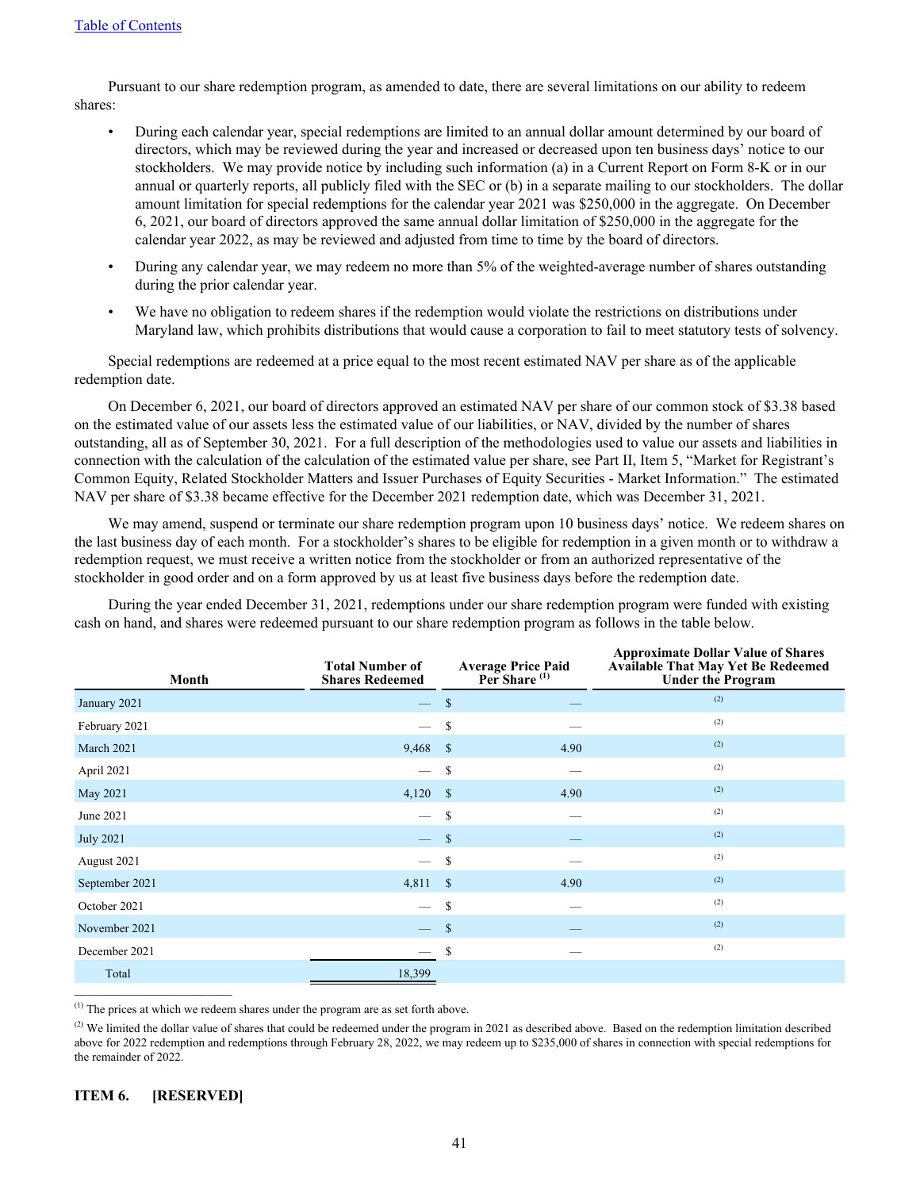Pursuant to our share redemption program, as amended to date, there are several limitations on our ability to redeem shares:

- During each calendar year, special redemptions are limited to an annual dollar amount determined by our board of directors, which may be reviewed during the year and increased or decreased upon ten business days' notice to our stockholders. We may provide notice by including such information (a) in a Current Report on Form 8-K or in our annual or quarterly reports, all publicly filed with the SEC or (b) in a separate mailing to our stockholders. The dollar amount limitation for special redemptions for the calendar year 2021 was \$250,000 in the aggregate. On December 6, 2021, our board of directors approved the same annual dollar limitation of \$250,000 in the aggregate for the calendar year 2022, as may be reviewed and adjusted from time to time by the board of directors.
- During any calendar year, we may redeem no more than 5% of the weighted-average number of shares outstanding during the prior calendar year.
- We have no obligation to redeem shares if the redemption would violate the restrictions on distributions under Maryland law, which prohibits distributions that would cause a corporation to fail to meet statutory tests of solvency.

Special redemptions are redeemed at a price equal to the most recent estimated NAV per share as of the applicable redemption date.

On December 6, 2021, our board of directors approved an estimated NAV per share of our common stock of \$3.38 based on the estimated value of our assets less the estimated value of our liabilities, or NAV, divided by the number of shares outstanding, all as of September 30, 2021. For a full description of the methodologies used to value our assets and liabilities in connection with the calculation of the calculation of the estimated value per share, see Part II, Item 5, "Market for Registrant's Common Equity, Related Stockholder Matters and Issuer Purchases of Equity Securities - Market Information." The estimated NAV per share of \$3.38 became effective for the December 2021 redemption date, which was December 31, 2021.

We may amend, suspend or terminate our share redemption program upon 10 business days' notice. We redeem shares on the last business day of each month. For a stockholder's shares to be eligible for redemption in a given month or to withdraw a redemption request, we must receive a written notice from the stockholder or from an authorized representative of the stockholder in good order and on a form approved by us at least five business days before the redemption date.

During the year ended December 31, 2021, redemptions under our share redemption program were funded with existing cash on hand, and shares were redeemed pursuant to our share redemption program as follows in the table below.

| Month            | <b>Total Number of</b><br><b>Shares Redeemed</b> |                    | <b>Average Price Paid<br/>Per Share</b> <sup>(1)</sup> | <b>Approximate Dollar Value of Shares</b><br><b>Available That May Yet Be Redeemed</b><br><b>Under the Program</b> |
|------------------|--------------------------------------------------|--------------------|--------------------------------------------------------|--------------------------------------------------------------------------------------------------------------------|
| January 2021     | $\overline{\phantom{a}}$                         | $\mathbf{\hat{s}}$ |                                                        | (2)                                                                                                                |
| February 2021    |                                                  | \$                 |                                                        | (2)                                                                                                                |
| March 2021       | $9,468$ \$                                       |                    | 4.90                                                   | (2)                                                                                                                |
| April 2021       |                                                  | \$                 |                                                        | (2)                                                                                                                |
| May 2021         | $4,120$ \$                                       |                    | 4.90                                                   | (2)                                                                                                                |
| June 2021        |                                                  | \$                 |                                                        | (2)                                                                                                                |
| <b>July 2021</b> | $\overline{\phantom{a}}$                         | $\mathcal{S}$      |                                                        | (2)                                                                                                                |
| August 2021      |                                                  | \$                 |                                                        | (2)                                                                                                                |
| September 2021   | 4,811                                            | $\mathcal{S}$      | 4.90                                                   | (2)                                                                                                                |
| October 2021     |                                                  | \$                 |                                                        | (2)                                                                                                                |
| November 2021    |                                                  | $\mathbb{S}$       |                                                        | (2)                                                                                                                |
| December 2021    |                                                  | \$                 |                                                        | (2)                                                                                                                |
| Total            | 18,399                                           |                    |                                                        |                                                                                                                    |

(1) The prices at which we redeem shares under the program are as set forth above.

 $^{(2)}$  We limited the dollar value of shares that could be redeemed under the program in 2021 as described above. Based on the redemption limitation described above for 2022 redemption and redemptions through February 28, 2022, we may redeem up to \$235,000 of shares in connection with special redemptions for the remainder of 2022.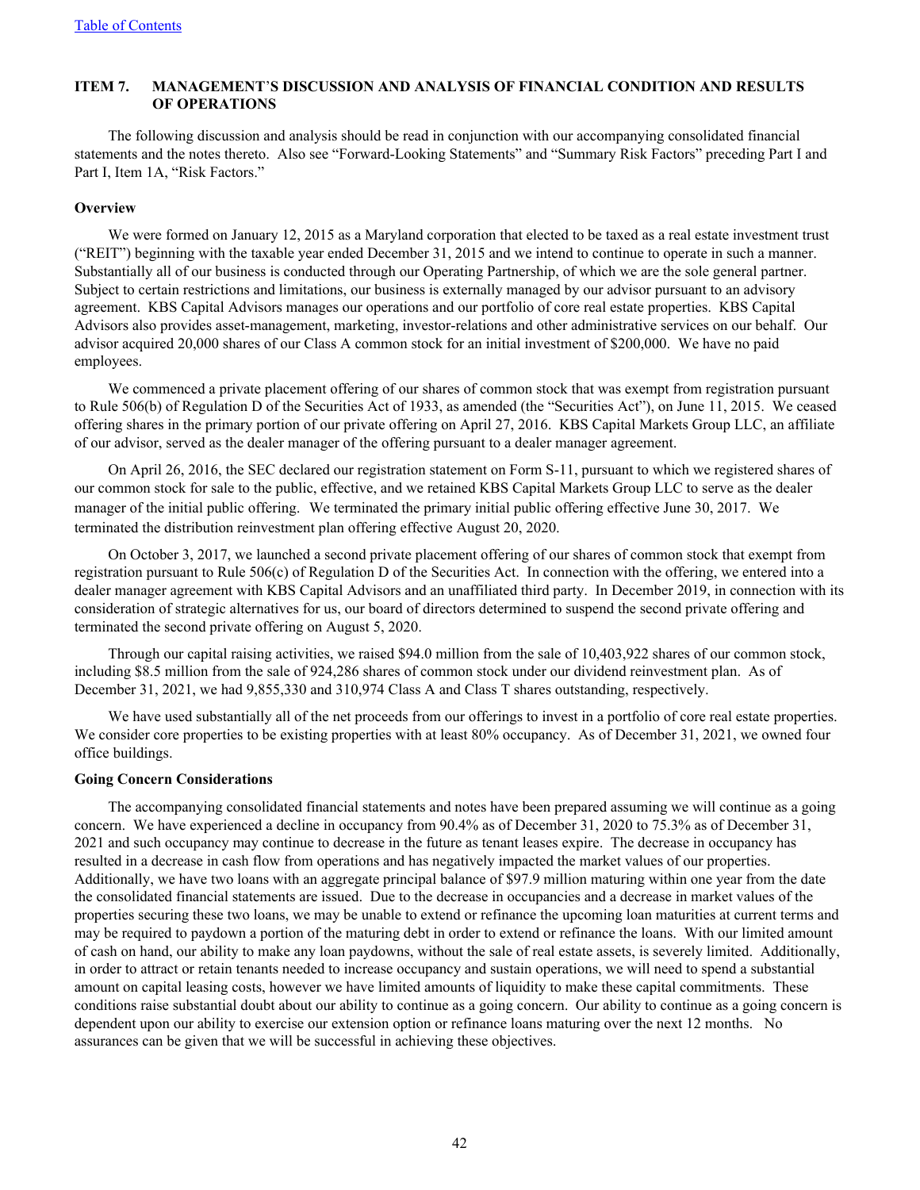# **ITEM 7. MANAGEMENT**'**S DISCUSSION AND ANALYSIS OF FINANCIAL CONDITION AND RESULTS OF OPERATIONS**

The following discussion and analysis should be read in conjunction with our accompanying consolidated financial statements and the notes thereto. Also see "Forward-Looking Statements" and "Summary Risk Factors" preceding Part I and Part I, Item 1A, "Risk Factors."

## **Overview**

We were formed on January 12, 2015 as a Maryland corporation that elected to be taxed as a real estate investment trust ("REIT") beginning with the taxable year ended December 31, 2015 and we intend to continue to operate in such a manner. Substantially all of our business is conducted through our Operating Partnership, of which we are the sole general partner. Subject to certain restrictions and limitations, our business is externally managed by our advisor pursuant to an advisory agreement. KBS Capital Advisors manages our operations and our portfolio of core real estate properties. KBS Capital Advisors also provides asset-management, marketing, investor-relations and other administrative services on our behalf. Our advisor acquired 20,000 shares of our Class A common stock for an initial investment of \$200,000. We have no paid employees.

We commenced a private placement offering of our shares of common stock that was exempt from registration pursuant to Rule 506(b) of Regulation D of the Securities Act of 1933, as amended (the "Securities Act"), on June 11, 2015. We ceased offering shares in the primary portion of our private offering on April 27, 2016. KBS Capital Markets Group LLC, an affiliate of our advisor, served as the dealer manager of the offering pursuant to a dealer manager agreement.

On April 26, 2016, the SEC declared our registration statement on Form S-11, pursuant to which we registered shares of our common stock for sale to the public, effective, and we retained KBS Capital Markets Group LLC to serve as the dealer manager of the initial public offering. We terminated the primary initial public offering effective June 30, 2017. We terminated the distribution reinvestment plan offering effective August 20, 2020.

On October 3, 2017, we launched a second private placement offering of our shares of common stock that exempt from registration pursuant to Rule 506(c) of Regulation D of the Securities Act. In connection with the offering, we entered into a dealer manager agreement with KBS Capital Advisors and an unaffiliated third party. In December 2019, in connection with its consideration of strategic alternatives for us, our board of directors determined to suspend the second private offering and terminated the second private offering on August 5, 2020.

Through our capital raising activities, we raised \$94.0 million from the sale of 10,403,922 shares of our common stock, including \$8.5 million from the sale of 924,286 shares of common stock under our dividend reinvestment plan. As of December 31, 2021, we had 9,855,330 and 310,974 Class A and Class T shares outstanding, respectively.

We have used substantially all of the net proceeds from our offerings to invest in a portfolio of core real estate properties. We consider core properties to be existing properties with at least 80% occupancy. As of December 31, 2021, we owned four office buildings.

### **Going Concern Considerations**

The accompanying consolidated financial statements and notes have been prepared assuming we will continue as a going concern. We have experienced a decline in occupancy from 90.4% as of December 31, 2020 to 75.3% as of December 31, 2021 and such occupancy may continue to decrease in the future as tenant leases expire. The decrease in occupancy has resulted in a decrease in cash flow from operations and has negatively impacted the market values of our properties. Additionally, we have two loans with an aggregate principal balance of \$97.9 million maturing within one year from the date the consolidated financial statements are issued. Due to the decrease in occupancies and a decrease in market values of the properties securing these two loans, we may be unable to extend or refinance the upcoming loan maturities at current terms and may be required to paydown a portion of the maturing debt in order to extend or refinance the loans. With our limited amount of cash on hand, our ability to make any loan paydowns, without the sale of real estate assets, is severely limited. Additionally, in order to attract or retain tenants needed to increase occupancy and sustain operations, we will need to spend a substantial amount on capital leasing costs, however we have limited amounts of liquidity to make these capital commitments. These conditions raise substantial doubt about our ability to continue as a going concern. Our ability to continue as a going concern is dependent upon our ability to exercise our extension option or refinance loans maturing over the next 12 months. No assurances can be given that we will be successful in achieving these objectives.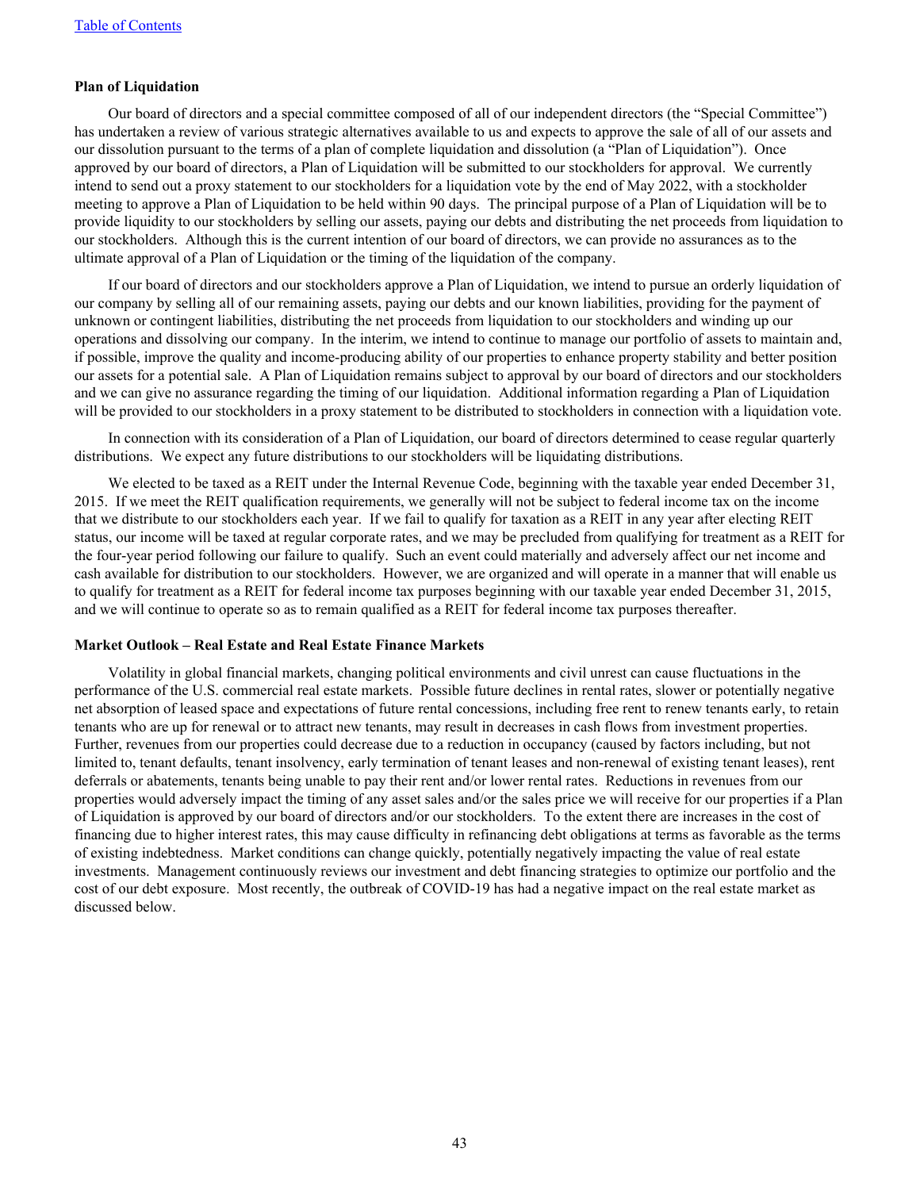## **Plan of Liquidation**

Our board of directors and a special committee composed of all of our independent directors (the "Special Committee") has undertaken a review of various strategic alternatives available to us and expects to approve the sale of all of our assets and our dissolution pursuant to the terms of a plan of complete liquidation and dissolution (a "Plan of Liquidation"). Once approved by our board of directors, a Plan of Liquidation will be submitted to our stockholders for approval. We currently intend to send out a proxy statement to our stockholders for a liquidation vote by the end of May 2022, with a stockholder meeting to approve a Plan of Liquidation to be held within 90 days. The principal purpose of a Plan of Liquidation will be to provide liquidity to our stockholders by selling our assets, paying our debts and distributing the net proceeds from liquidation to our stockholders. Although this is the current intention of our board of directors, we can provide no assurances as to the ultimate approval of a Plan of Liquidation or the timing of the liquidation of the company.

If our board of directors and our stockholders approve a Plan of Liquidation, we intend to pursue an orderly liquidation of our company by selling all of our remaining assets, paying our debts and our known liabilities, providing for the payment of unknown or contingent liabilities, distributing the net proceeds from liquidation to our stockholders and winding up our operations and dissolving our company. In the interim, we intend to continue to manage our portfolio of assets to maintain and, if possible, improve the quality and income-producing ability of our properties to enhance property stability and better position our assets for a potential sale. A Plan of Liquidation remains subject to approval by our board of directors and our stockholders and we can give no assurance regarding the timing of our liquidation. Additional information regarding a Plan of Liquidation will be provided to our stockholders in a proxy statement to be distributed to stockholders in connection with a liquidation vote.

In connection with its consideration of a Plan of Liquidation, our board of directors determined to cease regular quarterly distributions. We expect any future distributions to our stockholders will be liquidating distributions.

We elected to be taxed as a REIT under the Internal Revenue Code, beginning with the taxable year ended December 31, 2015. If we meet the REIT qualification requirements, we generally will not be subject to federal income tax on the income that we distribute to our stockholders each year. If we fail to qualify for taxation as a REIT in any year after electing REIT status, our income will be taxed at regular corporate rates, and we may be precluded from qualifying for treatment as a REIT for the four-year period following our failure to qualify. Such an event could materially and adversely affect our net income and cash available for distribution to our stockholders. However, we are organized and will operate in a manner that will enable us to qualify for treatment as a REIT for federal income tax purposes beginning with our taxable year ended December 31, 2015, and we will continue to operate so as to remain qualified as a REIT for federal income tax purposes thereafter.

### **Market Outlook – Real Estate and Real Estate Finance Markets**

Volatility in global financial markets, changing political environments and civil unrest can cause fluctuations in the performance of the U.S. commercial real estate markets. Possible future declines in rental rates, slower or potentially negative net absorption of leased space and expectations of future rental concessions, including free rent to renew tenants early, to retain tenants who are up for renewal or to attract new tenants, may result in decreases in cash flows from investment properties. Further, revenues from our properties could decrease due to a reduction in occupancy (caused by factors including, but not limited to, tenant defaults, tenant insolvency, early termination of tenant leases and non-renewal of existing tenant leases), rent deferrals or abatements, tenants being unable to pay their rent and/or lower rental rates. Reductions in revenues from our properties would adversely impact the timing of any asset sales and/or the sales price we will receive for our properties if a Plan of Liquidation is approved by our board of directors and/or our stockholders. To the extent there are increases in the cost of financing due to higher interest rates, this may cause difficulty in refinancing debt obligations at terms as favorable as the terms of existing indebtedness. Market conditions can change quickly, potentially negatively impacting the value of real estate investments. Management continuously reviews our investment and debt financing strategies to optimize our portfolio and the cost of our debt exposure. Most recently, the outbreak of COVID-19 has had a negative impact on the real estate market as discussed below.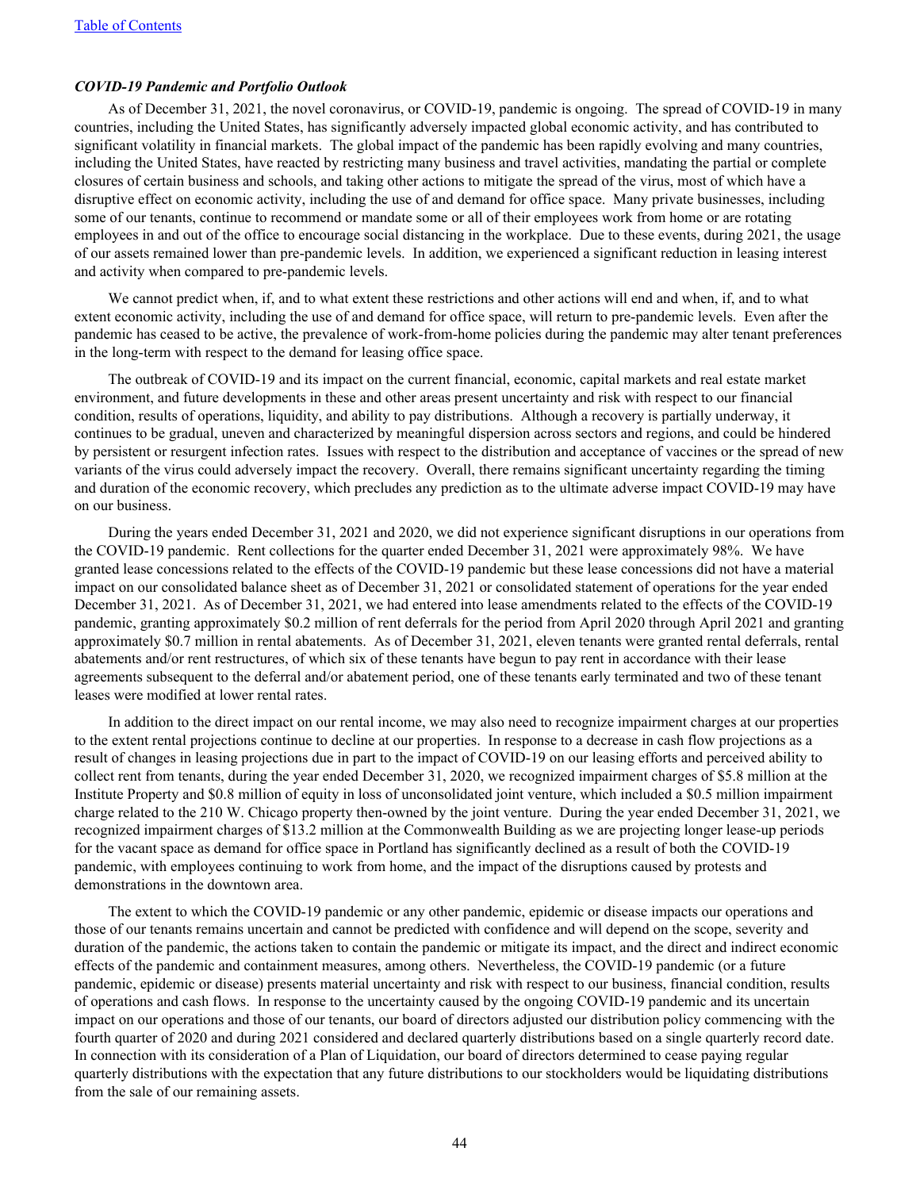## *COVID-19 Pandemic and Portfolio Outlook*

As of December 31, 2021, the novel coronavirus, or COVID-19, pandemic is ongoing. The spread of COVID-19 in many countries, including the United States, has significantly adversely impacted global economic activity, and has contributed to significant volatility in financial markets. The global impact of the pandemic has been rapidly evolving and many countries, including the United States, have reacted by restricting many business and travel activities, mandating the partial or complete closures of certain business and schools, and taking other actions to mitigate the spread of the virus, most of which have a disruptive effect on economic activity, including the use of and demand for office space. Many private businesses, including some of our tenants, continue to recommend or mandate some or all of their employees work from home or are rotating employees in and out of the office to encourage social distancing in the workplace. Due to these events, during 2021, the usage of our assets remained lower than pre-pandemic levels. In addition, we experienced a significant reduction in leasing interest and activity when compared to pre-pandemic levels.

We cannot predict when, if, and to what extent these restrictions and other actions will end and when, if, and to what extent economic activity, including the use of and demand for office space, will return to pre-pandemic levels. Even after the pandemic has ceased to be active, the prevalence of work-from-home policies during the pandemic may alter tenant preferences in the long-term with respect to the demand for leasing office space.

The outbreak of COVID-19 and its impact on the current financial, economic, capital markets and real estate market environment, and future developments in these and other areas present uncertainty and risk with respect to our financial condition, results of operations, liquidity, and ability to pay distributions. Although a recovery is partially underway, it continues to be gradual, uneven and characterized by meaningful dispersion across sectors and regions, and could be hindered by persistent or resurgent infection rates. Issues with respect to the distribution and acceptance of vaccines or the spread of new variants of the virus could adversely impact the recovery. Overall, there remains significant uncertainty regarding the timing and duration of the economic recovery, which precludes any prediction as to the ultimate adverse impact COVID-19 may have on our business.

During the years ended December 31, 2021 and 2020, we did not experience significant disruptions in our operations from the COVID-19 pandemic. Rent collections for the quarter ended December 31, 2021 were approximately 98%. We have granted lease concessions related to the effects of the COVID-19 pandemic but these lease concessions did not have a material impact on our consolidated balance sheet as of December 31, 2021 or consolidated statement of operations for the year ended December 31, 2021. As of December 31, 2021, we had entered into lease amendments related to the effects of the COVID-19 pandemic, granting approximately \$0.2 million of rent deferrals for the period from April 2020 through April 2021 and granting approximately \$0.7 million in rental abatements. As of December 31, 2021, eleven tenants were granted rental deferrals, rental abatements and/or rent restructures, of which six of these tenants have begun to pay rent in accordance with their lease agreements subsequent to the deferral and/or abatement period, one of these tenants early terminated and two of these tenant leases were modified at lower rental rates.

In addition to the direct impact on our rental income, we may also need to recognize impairment charges at our properties to the extent rental projections continue to decline at our properties. In response to a decrease in cash flow projections as a result of changes in leasing projections due in part to the impact of COVID-19 on our leasing efforts and perceived ability to collect rent from tenants, during the year ended December 31, 2020, we recognized impairment charges of \$5.8 million at the Institute Property and \$0.8 million of equity in loss of unconsolidated joint venture, which included a \$0.5 million impairment charge related to the 210 W. Chicago property then-owned by the joint venture. During the year ended December 31, 2021, we recognized impairment charges of \$13.2 million at the Commonwealth Building as we are projecting longer lease-up periods for the vacant space as demand for office space in Portland has significantly declined as a result of both the COVID-19 pandemic, with employees continuing to work from home, and the impact of the disruptions caused by protests and demonstrations in the downtown area.

The extent to which the COVID-19 pandemic or any other pandemic, epidemic or disease impacts our operations and those of our tenants remains uncertain and cannot be predicted with confidence and will depend on the scope, severity and duration of the pandemic, the actions taken to contain the pandemic or mitigate its impact, and the direct and indirect economic effects of the pandemic and containment measures, among others. Nevertheless, the COVID-19 pandemic (or a future pandemic, epidemic or disease) presents material uncertainty and risk with respect to our business, financial condition, results of operations and cash flows. In response to the uncertainty caused by the ongoing COVID-19 pandemic and its uncertain impact on our operations and those of our tenants, our board of directors adjusted our distribution policy commencing with the fourth quarter of 2020 and during 2021 considered and declared quarterly distributions based on a single quarterly record date. In connection with its consideration of a Plan of Liquidation, our board of directors determined to cease paying regular quarterly distributions with the expectation that any future distributions to our stockholders would be liquidating distributions from the sale of our remaining assets.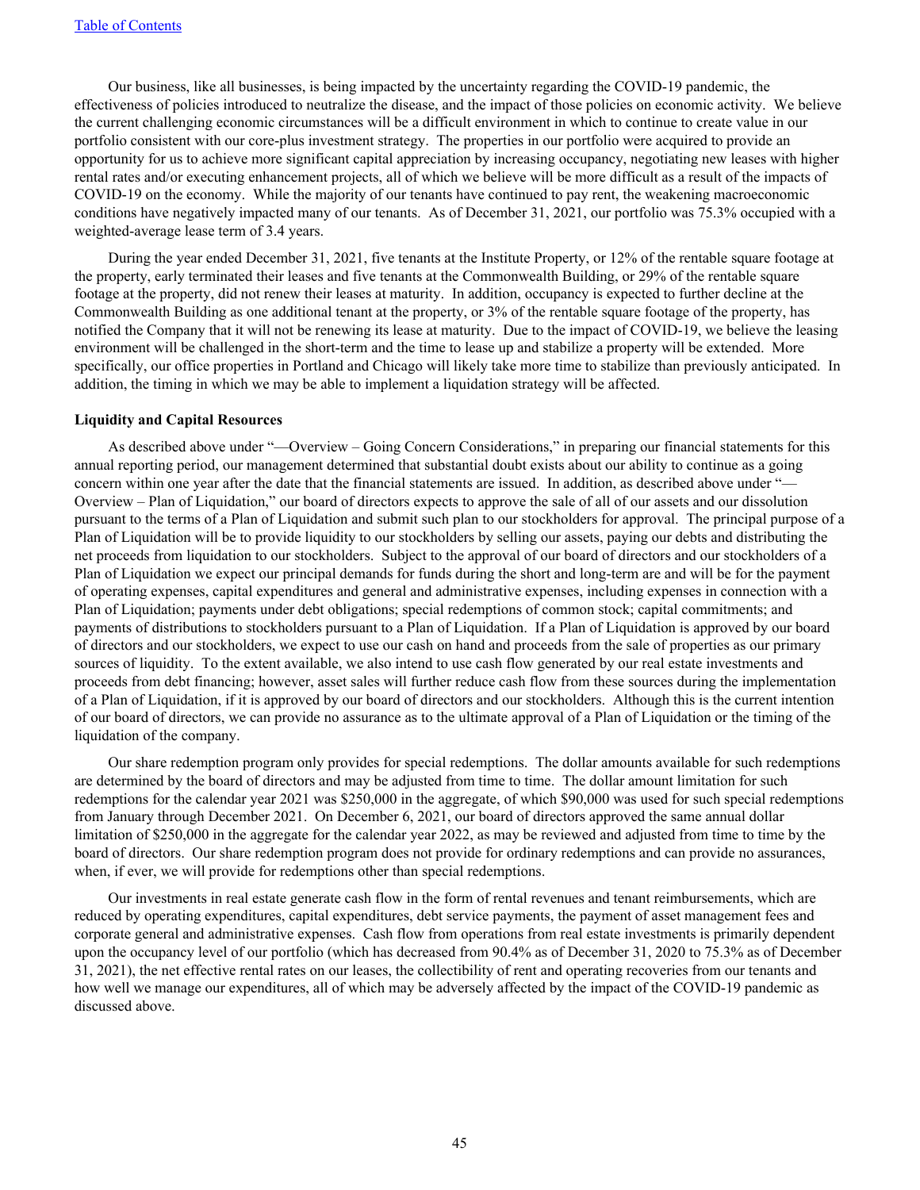Our business, like all businesses, is being impacted by the uncertainty regarding the COVID-19 pandemic, the effectiveness of policies introduced to neutralize the disease, and the impact of those policies on economic activity. We believe the current challenging economic circumstances will be a difficult environment in which to continue to create value in our portfolio consistent with our core-plus investment strategy. The properties in our portfolio were acquired to provide an opportunity for us to achieve more significant capital appreciation by increasing occupancy, negotiating new leases with higher rental rates and/or executing enhancement projects, all of which we believe will be more difficult as a result of the impacts of COVID-19 on the economy. While the majority of our tenants have continued to pay rent, the weakening macroeconomic conditions have negatively impacted many of our tenants. As of December 31, 2021, our portfolio was 75.3% occupied with a weighted-average lease term of 3.4 years.

During the year ended December 31, 2021, five tenants at the Institute Property, or 12% of the rentable square footage at the property, early terminated their leases and five tenants at the Commonwealth Building, or 29% of the rentable square footage at the property, did not renew their leases at maturity. In addition, occupancy is expected to further decline at the Commonwealth Building as one additional tenant at the property, or 3% of the rentable square footage of the property, has notified the Company that it will not be renewing its lease at maturity. Due to the impact of COVID-19, we believe the leasing environment will be challenged in the short-term and the time to lease up and stabilize a property will be extended. More specifically, our office properties in Portland and Chicago will likely take more time to stabilize than previously anticipated. In addition, the timing in which we may be able to implement a liquidation strategy will be affected.

#### **Liquidity and Capital Resources**

As described above under "—Overview – Going Concern Considerations," in preparing our financial statements for this annual reporting period, our management determined that substantial doubt exists about our ability to continue as a going concern within one year after the date that the financial statements are issued. In addition, as described above under "— Overview – Plan of Liquidation," our board of directors expects to approve the sale of all of our assets and our dissolution pursuant to the terms of a Plan of Liquidation and submit such plan to our stockholders for approval. The principal purpose of a Plan of Liquidation will be to provide liquidity to our stockholders by selling our assets, paying our debts and distributing the net proceeds from liquidation to our stockholders. Subject to the approval of our board of directors and our stockholders of a Plan of Liquidation we expect our principal demands for funds during the short and long-term are and will be for the payment of operating expenses, capital expenditures and general and administrative expenses, including expenses in connection with a Plan of Liquidation; payments under debt obligations; special redemptions of common stock; capital commitments; and payments of distributions to stockholders pursuant to a Plan of Liquidation. If a Plan of Liquidation is approved by our board of directors and our stockholders, we expect to use our cash on hand and proceeds from the sale of properties as our primary sources of liquidity. To the extent available, we also intend to use cash flow generated by our real estate investments and proceeds from debt financing; however, asset sales will further reduce cash flow from these sources during the implementation of a Plan of Liquidation, if it is approved by our board of directors and our stockholders. Although this is the current intention of our board of directors, we can provide no assurance as to the ultimate approval of a Plan of Liquidation or the timing of the liquidation of the company.

Our share redemption program only provides for special redemptions. The dollar amounts available for such redemptions are determined by the board of directors and may be adjusted from time to time. The dollar amount limitation for such redemptions for the calendar year 2021 was \$250,000 in the aggregate, of which \$90,000 was used for such special redemptions from January through December 2021. On December 6, 2021, our board of directors approved the same annual dollar limitation of \$250,000 in the aggregate for the calendar year 2022, as may be reviewed and adjusted from time to time by the board of directors. Our share redemption program does not provide for ordinary redemptions and can provide no assurances, when, if ever, we will provide for redemptions other than special redemptions.

Our investments in real estate generate cash flow in the form of rental revenues and tenant reimbursements, which are reduced by operating expenditures, capital expenditures, debt service payments, the payment of asset management fees and corporate general and administrative expenses. Cash flow from operations from real estate investments is primarily dependent upon the occupancy level of our portfolio (which has decreased from 90.4% as of December 31, 2020 to 75.3% as of December 31, 2021), the net effective rental rates on our leases, the collectibility of rent and operating recoveries from our tenants and how well we manage our expenditures, all of which may be adversely affected by the impact of the COVID-19 pandemic as discussed above.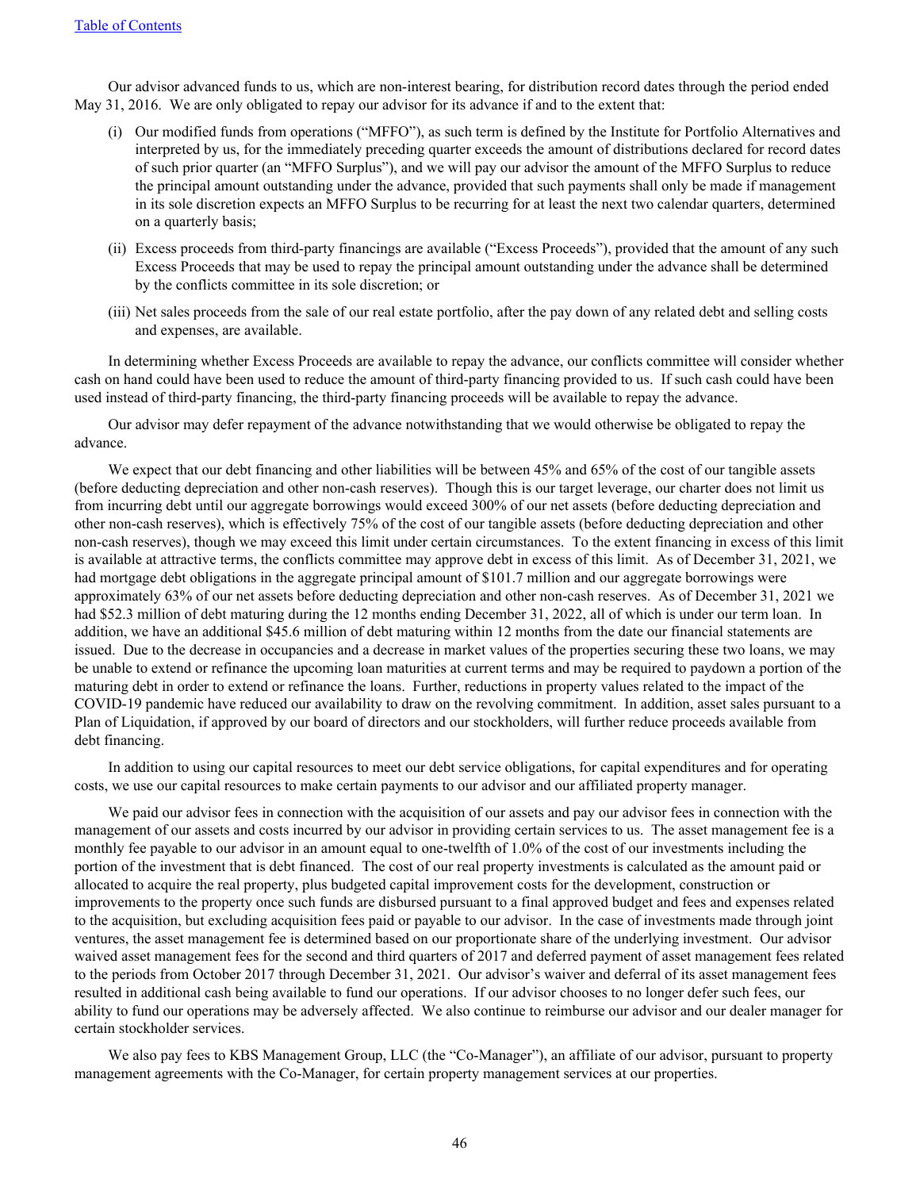Our advisor advanced funds to us, which are non-interest bearing, for distribution record dates through the period ended May 31, 2016. We are only obligated to repay our advisor for its advance if and to the extent that:

- (i) Our modified funds from operations ("MFFO"), as such term is defined by the Institute for Portfolio Alternatives and interpreted by us, for the immediately preceding quarter exceeds the amount of distributions declared for record dates of such prior quarter (an "MFFO Surplus"), and we will pay our advisor the amount of the MFFO Surplus to reduce the principal amount outstanding under the advance, provided that such payments shall only be made if management in its sole discretion expects an MFFO Surplus to be recurring for at least the next two calendar quarters, determined on a quarterly basis;
- (ii) Excess proceeds from third-party financings are available ("Excess Proceeds"), provided that the amount of any such Excess Proceeds that may be used to repay the principal amount outstanding under the advance shall be determined by the conflicts committee in its sole discretion; or
- (iii) Net sales proceeds from the sale of our real estate portfolio, after the pay down of any related debt and selling costs and expenses, are available.

In determining whether Excess Proceeds are available to repay the advance, our conflicts committee will consider whether cash on hand could have been used to reduce the amount of third-party financing provided to us. If such cash could have been used instead of third-party financing, the third-party financing proceeds will be available to repay the advance.

Our advisor may defer repayment of the advance notwithstanding that we would otherwise be obligated to repay the advance.

We expect that our debt financing and other liabilities will be between 45% and 65% of the cost of our tangible assets (before deducting depreciation and other non-cash reserves). Though this is our target leverage, our charter does not limit us from incurring debt until our aggregate borrowings would exceed 300% of our net assets (before deducting depreciation and other non-cash reserves), which is effectively 75% of the cost of our tangible assets (before deducting depreciation and other non-cash reserves), though we may exceed this limit under certain circumstances. To the extent financing in excess of this limit is available at attractive terms, the conflicts committee may approve debt in excess of this limit. As of December 31, 2021, we had mortgage debt obligations in the aggregate principal amount of \$101.7 million and our aggregate borrowings were approximately 63% of our net assets before deducting depreciation and other non-cash reserves. As of December 31, 2021 we had \$52.3 million of debt maturing during the 12 months ending December 31, 2022, all of which is under our term loan. In addition, we have an additional \$45.6 million of debt maturing within 12 months from the date our financial statements are issued. Due to the decrease in occupancies and a decrease in market values of the properties securing these two loans, we may be unable to extend or refinance the upcoming loan maturities at current terms and may be required to paydown a portion of the maturing debt in order to extend or refinance the loans. Further, reductions in property values related to the impact of the COVID-19 pandemic have reduced our availability to draw on the revolving commitment. In addition, asset sales pursuant to a Plan of Liquidation, if approved by our board of directors and our stockholders, will further reduce proceeds available from debt financing.

In addition to using our capital resources to meet our debt service obligations, for capital expenditures and for operating costs, we use our capital resources to make certain payments to our advisor and our affiliated property manager.

We paid our advisor fees in connection with the acquisition of our assets and pay our advisor fees in connection with the management of our assets and costs incurred by our advisor in providing certain services to us. The asset management fee is a monthly fee payable to our advisor in an amount equal to one-twelfth of 1.0% of the cost of our investments including the portion of the investment that is debt financed. The cost of our real property investments is calculated as the amount paid or allocated to acquire the real property, plus budgeted capital improvement costs for the development, construction or improvements to the property once such funds are disbursed pursuant to a final approved budget and fees and expenses related to the acquisition, but excluding acquisition fees paid or payable to our advisor. In the case of investments made through joint ventures, the asset management fee is determined based on our proportionate share of the underlying investment. Our advisor waived asset management fees for the second and third quarters of 2017 and deferred payment of asset management fees related to the periods from October 2017 through December 31, 2021. Our advisor's waiver and deferral of its asset management fees resulted in additional cash being available to fund our operations. If our advisor chooses to no longer defer such fees, our ability to fund our operations may be adversely affected. We also continue to reimburse our advisor and our dealer manager for certain stockholder services.

We also pay fees to KBS Management Group, LLC (the "Co-Manager"), an affiliate of our advisor, pursuant to property management agreements with the Co-Manager, for certain property management services at our properties.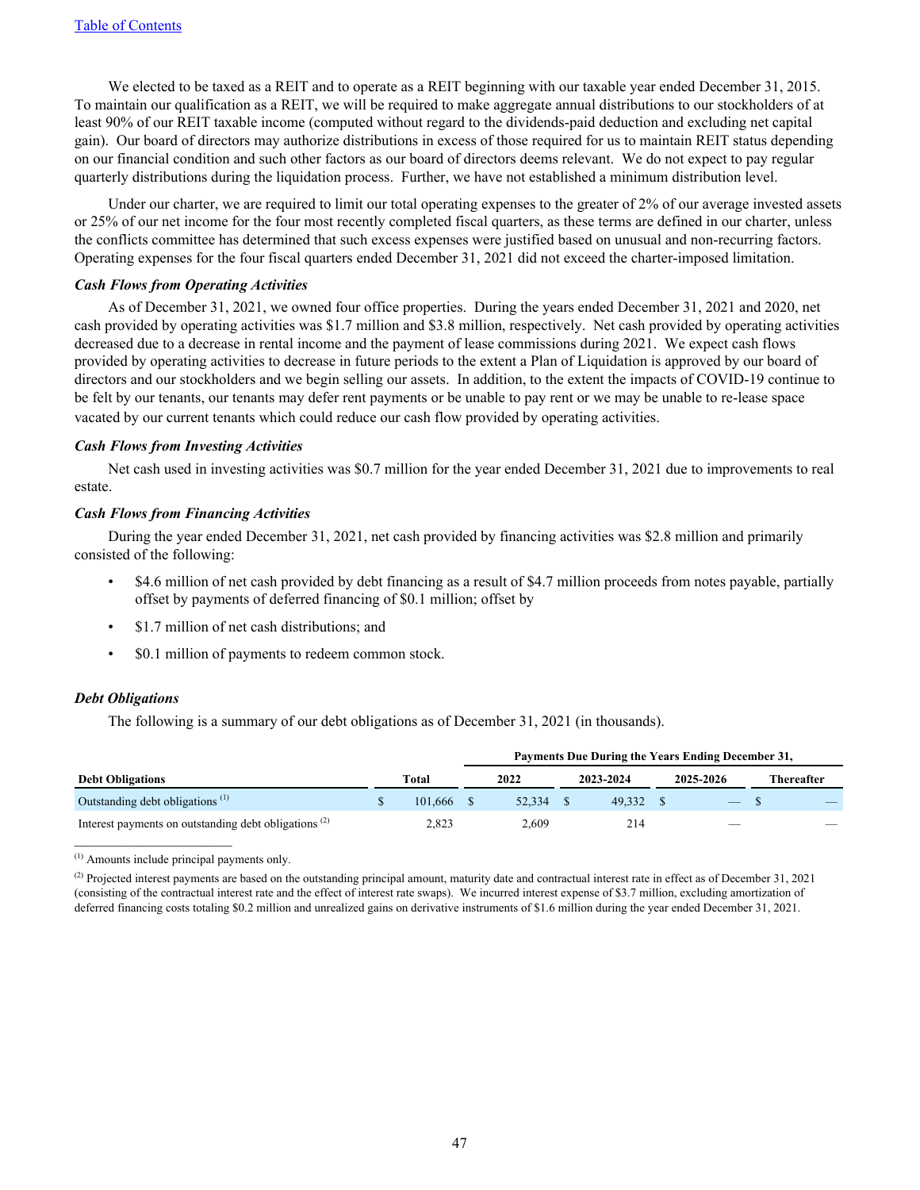We elected to be taxed as a REIT and to operate as a REIT beginning with our taxable year ended December 31, 2015. To maintain our qualification as a REIT, we will be required to make aggregate annual distributions to our stockholders of at least 90% of our REIT taxable income (computed without regard to the dividends-paid deduction and excluding net capital gain). Our board of directors may authorize distributions in excess of those required for us to maintain REIT status depending on our financial condition and such other factors as our board of directors deems relevant. We do not expect to pay regular quarterly distributions during the liquidation process. Further, we have not established a minimum distribution level.

Under our charter, we are required to limit our total operating expenses to the greater of 2% of our average invested assets or 25% of our net income for the four most recently completed fiscal quarters, as these terms are defined in our charter, unless the conflicts committee has determined that such excess expenses were justified based on unusual and non-recurring factors. Operating expenses for the four fiscal quarters ended December 31, 2021 did not exceed the charter-imposed limitation.

## *Cash Flows from Operating Activities*

As of December 31, 2021, we owned four office properties. During the years ended December 31, 2021 and 2020, net cash provided by operating activities was \$1.7 million and \$3.8 million, respectively. Net cash provided by operating activities decreased due to a decrease in rental income and the payment of lease commissions during 2021. We expect cash flows provided by operating activities to decrease in future periods to the extent a Plan of Liquidation is approved by our board of directors and our stockholders and we begin selling our assets. In addition, to the extent the impacts of COVID-19 continue to be felt by our tenants, our tenants may defer rent payments or be unable to pay rent or we may be unable to re-lease space vacated by our current tenants which could reduce our cash flow provided by operating activities.

## *Cash Flows from Investing Activities*

Net cash used in investing activities was \$0.7 million for the year ended December 31, 2021 due to improvements to real estate.

## *Cash Flows from Financing Activities*

During the year ended December 31, 2021, net cash provided by financing activities was \$2.8 million and primarily consisted of the following:

- \$4.6 million of net cash provided by debt financing as a result of \$4.7 million proceeds from notes payable, partially offset by payments of deferred financing of \$0.1 million; offset by
- \$1.7 million of net cash distributions; and
- \$0.1 million of payments to redeem common stock.

### *Debt Obligations*

The following is a summary of our debt obligations as of December 31, 2021 (in thousands).

|                                                         |              |        |           | Payments Due During the Years Ending December 31, |            |
|---------------------------------------------------------|--------------|--------|-----------|---------------------------------------------------|------------|
| <b>Debt Obligations</b>                                 | <b>Total</b> | 2022   | 2023-2024 | 2025-2026                                         | Thereafter |
| Outstanding debt obligations <sup>(1)</sup>             | 101.666      | 52.334 | 49.332    |                                                   |            |
| Interest payments on outstanding debt obligations $(2)$ | 2.823        | 2.609  | 214       |                                                   |            |

(1) Amounts include principal payments only.

<sup>&</sup>lt;sup>(2)</sup> Projected interest payments are based on the outstanding principal amount, maturity date and contractual interest rate in effect as of December 31, 2021 (consisting of the contractual interest rate and the effect of interest rate swaps). We incurred interest expense of \$3.7 million, excluding amortization of deferred financing costs totaling \$0.2 million and unrealized gains on derivative instruments of \$1.6 million during the year ended December 31, 2021.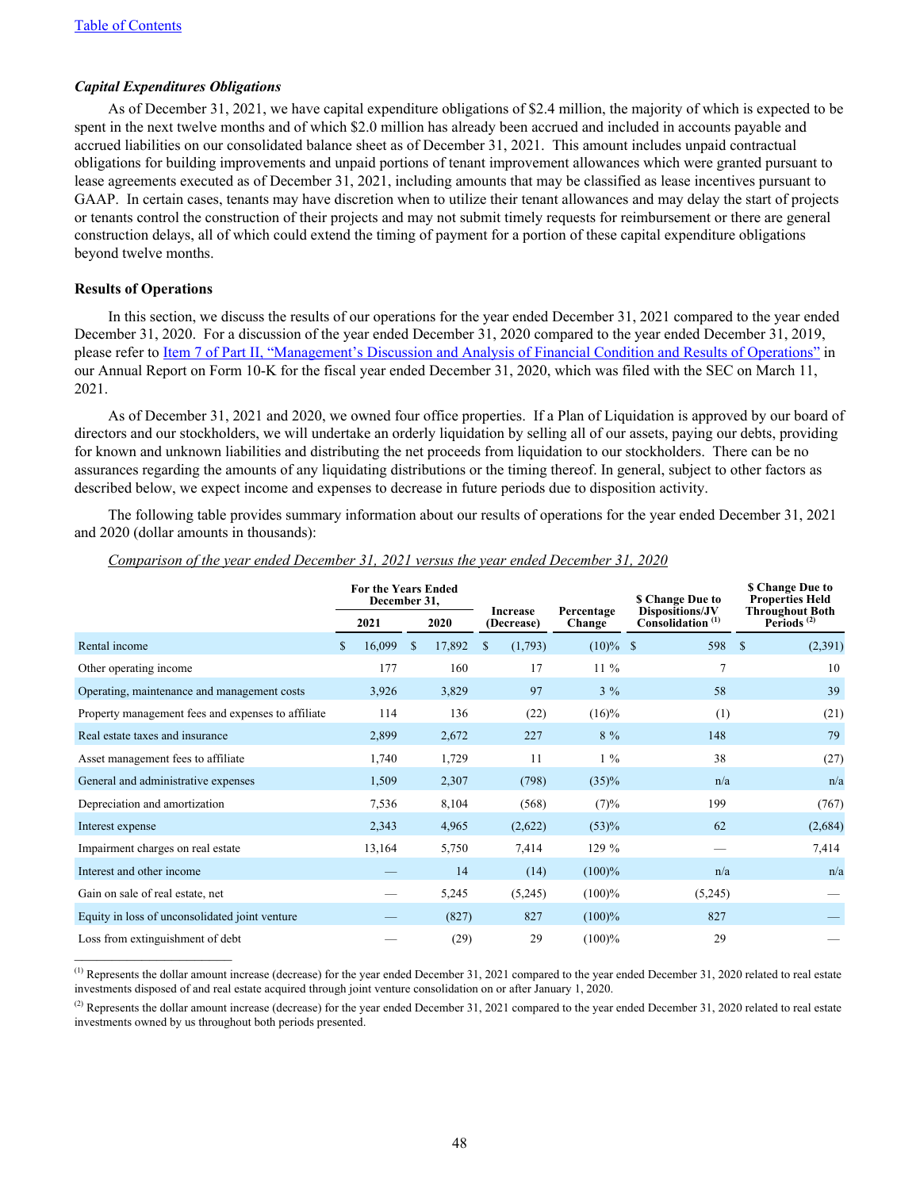## *Capital Expenditures Obligations*

As of December 31, 2021, we have capital expenditure obligations of \$2.4 million, the majority of which is expected to be spent in the next twelve months and of which \$2.0 million has already been accrued and included in accounts payable and accrued liabilities on our consolidated balance sheet as of December 31, 2021. This amount includes unpaid contractual obligations for building improvements and unpaid portions of tenant improvement allowances which were granted pursuant to lease agreements executed as of December 31, 2021, including amounts that may be classified as lease incentives pursuant to GAAP. In certain cases, tenants may have discretion when to utilize their tenant allowances and may delay the start of projects or tenants control the construction of their projects and may not submit timely requests for reimbursement or there are general construction delays, all of which could extend the timing of payment for a portion of these capital expenditure obligations beyond twelve months.

## **Results of Operations**

In this section, we discuss the results of our operations for the year ended December 31, 2021 compared to the year ended December 31, 2020. For a discussion of the year ended December 31, 2020 compared to the year ended December 31, 2019, please refer to [Item 7 of Part II, "Management's Discussion and Analysis of Financial Condition and Results of Operations"](http://www.sec.gov/ix?doc=/Archives/edgar/data/1631256/000163125621000008/kbsgi-20201231.htm) in our Annual Report on Form 10-K for the fiscal year ended December 31, 2020, which was filed with the SEC on March 11, 2021.

As of December 31, 2021 and 2020, we owned four office properties. If a Plan of Liquidation is approved by our board of directors and our stockholders, we will undertake an orderly liquidation by selling all of our assets, paying our debts, providing for known and unknown liabilities and distributing the net proceeds from liquidation to our stockholders. There can be no assurances regarding the amounts of any liquidating distributions or the timing thereof. In general, subject to other factors as described below, we expect income and expenses to decrease in future periods due to disposition activity.

The following table provides summary information about our results of operations for the year ended December 31, 2021 and 2020 (dollar amounts in thousands):

|                                                    |   | <b>For the Years Ended</b><br>December 31, |              |        |               |                        |                      | \$ Change Due to                                | <b>S</b> Change Due to<br><b>Properties Held</b> |  |
|----------------------------------------------------|---|--------------------------------------------|--------------|--------|---------------|------------------------|----------------------|-------------------------------------------------|--------------------------------------------------|--|
|                                                    |   | 2021                                       |              | 2020   |               | Increase<br>(Decrease) | Percentage<br>Change | Dispositions/JV<br>Consolidation <sup>(1)</sup> | Throughout Both<br>Periods $(2)$                 |  |
| Rental income                                      | S | 16,099                                     | <sup>S</sup> | 17,892 | <sup>\$</sup> | (1,793)                | $(10)\%$ \$          | 598                                             | <sup>\$</sup><br>(2,391)                         |  |
| Other operating income                             |   | 177                                        |              | 160    |               | 17                     | $11\%$               | $\overline{7}$                                  | 10                                               |  |
| Operating, maintenance and management costs        |   | 3,926                                      |              | 3,829  |               | 97                     | $3\%$                | 58                                              | 39                                               |  |
| Property management fees and expenses to affiliate |   | 114                                        |              | 136    |               | (22)                   | $(16)\%$             | (1)                                             | (21)                                             |  |
| Real estate taxes and insurance                    |   | 2,899                                      |              | 2,672  |               | 227                    | $8\%$                | 148                                             | 79                                               |  |
| Asset management fees to affiliate                 |   | 1,740                                      |              | 1,729  |               | 11                     | $1\%$                | 38                                              | (27)                                             |  |
| General and administrative expenses                |   | 1,509                                      |              | 2,307  |               | (798)                  | (35)%                | n/a                                             | n/a                                              |  |
| Depreciation and amortization                      |   | 7,536                                      |              | 8,104  |               | (568)                  | (7)%                 | 199                                             | (767)                                            |  |
| Interest expense                                   |   | 2,343                                      |              | 4,965  |               | (2,622)                | (53)%                | 62                                              | (2,684)                                          |  |
| Impairment charges on real estate                  |   | 13,164                                     |              | 5,750  |               | 7,414                  | 129 %                |                                                 | 7,414                                            |  |
| Interest and other income                          |   |                                            |              | 14     |               | (14)                   | $(100)\%$            | n/a                                             | n/a                                              |  |
| Gain on sale of real estate, net                   |   |                                            |              | 5,245  |               | (5,245)                | (100)%               | (5,245)                                         |                                                  |  |
| Equity in loss of unconsolidated joint venture     |   |                                            |              | (827)  |               | 827                    | $(100)\%$            | 827                                             |                                                  |  |
| Loss from extinguishment of debt                   |   |                                            |              | (29)   |               | 29                     | (100)%               | 29                                              |                                                  |  |

#### *Comparison of the year ended December 31, 2021 versus the year ended December 31, 2020*

 $^{(1)}$  Represents the dollar amount increase (decrease) for the year ended December 31, 2021 compared to the year ended December 31, 2020 related to real estate investments disposed of and real estate acquired through joint venture consolidation on or after January 1, 2020.

(2) Represents the dollar amount increase (decrease) for the year ended December 31, 2021 compared to the year ended December 31, 2020 related to real estate investments owned by us throughout both periods presented.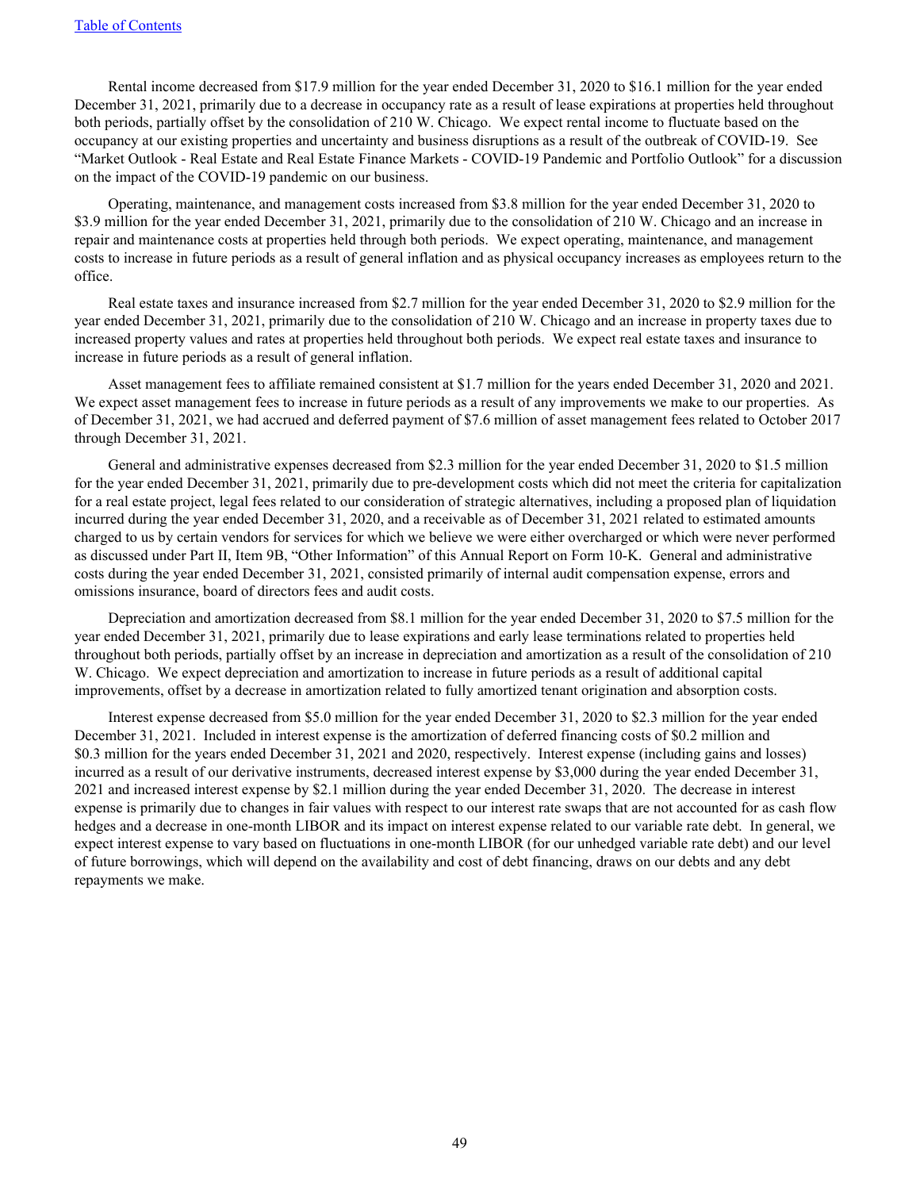Rental income decreased from \$17.9 million for the year ended December 31, 2020 to \$16.1 million for the year ended December 31, 2021, primarily due to a decrease in occupancy rate as a result of lease expirations at properties held throughout both periods, partially offset by the consolidation of 210 W. Chicago. We expect rental income to fluctuate based on the occupancy at our existing properties and uncertainty and business disruptions as a result of the outbreak of COVID-19. See "Market Outlook - Real Estate and Real Estate Finance Markets - COVID-19 Pandemic and Portfolio Outlook" for a discussion on the impact of the COVID-19 pandemic on our business.

Operating, maintenance, and management costs increased from \$3.8 million for the year ended December 31, 2020 to \$3.9 million for the year ended December 31, 2021, primarily due to the consolidation of 210 W. Chicago and an increase in repair and maintenance costs at properties held through both periods. We expect operating, maintenance, and management costs to increase in future periods as a result of general inflation and as physical occupancy increases as employees return to the office.

Real estate taxes and insurance increased from \$2.7 million for the year ended December 31, 2020 to \$2.9 million for the year ended December 31, 2021, primarily due to the consolidation of 210 W. Chicago and an increase in property taxes due to increased property values and rates at properties held throughout both periods. We expect real estate taxes and insurance to increase in future periods as a result of general inflation.

Asset management fees to affiliate remained consistent at \$1.7 million for the years ended December 31, 2020 and 2021. We expect asset management fees to increase in future periods as a result of any improvements we make to our properties. As of December 31, 2021, we had accrued and deferred payment of \$7.6 million of asset management fees related to October 2017 through December 31, 2021.

General and administrative expenses decreased from \$2.3 million for the year ended December 31, 2020 to \$1.5 million for the year ended December 31, 2021, primarily due to pre-development costs which did not meet the criteria for capitalization for a real estate project, legal fees related to our consideration of strategic alternatives, including a proposed plan of liquidation incurred during the year ended December 31, 2020, and a receivable as of December 31, 2021 related to estimated amounts charged to us by certain vendors for services for which we believe we were either overcharged or which were never performed as discussed under Part II, Item 9B, "Other Information" of this Annual Report on Form 10-K. General and administrative costs during the year ended December 31, 2021, consisted primarily of internal audit compensation expense, errors and omissions insurance, board of directors fees and audit costs.

Depreciation and amortization decreased from \$8.1 million for the year ended December 31, 2020 to \$7.5 million for the year ended December 31, 2021, primarily due to lease expirations and early lease terminations related to properties held throughout both periods, partially offset by an increase in depreciation and amortization as a result of the consolidation of 210 W. Chicago. We expect depreciation and amortization to increase in future periods as a result of additional capital improvements, offset by a decrease in amortization related to fully amortized tenant origination and absorption costs.

Interest expense decreased from \$5.0 million for the year ended December 31, 2020 to \$2.3 million for the year ended December 31, 2021. Included in interest expense is the amortization of deferred financing costs of \$0.2 million and \$0.3 million for the years ended December 31, 2021 and 2020, respectively. Interest expense (including gains and losses) incurred as a result of our derivative instruments, decreased interest expense by \$3,000 during the year ended December 31, 2021 and increased interest expense by \$2.1 million during the year ended December 31, 2020. The decrease in interest expense is primarily due to changes in fair values with respect to our interest rate swaps that are not accounted for as cash flow hedges and a decrease in one-month LIBOR and its impact on interest expense related to our variable rate debt. In general, we expect interest expense to vary based on fluctuations in one-month LIBOR (for our unhedged variable rate debt) and our level of future borrowings, which will depend on the availability and cost of debt financing, draws on our debts and any debt repayments we make.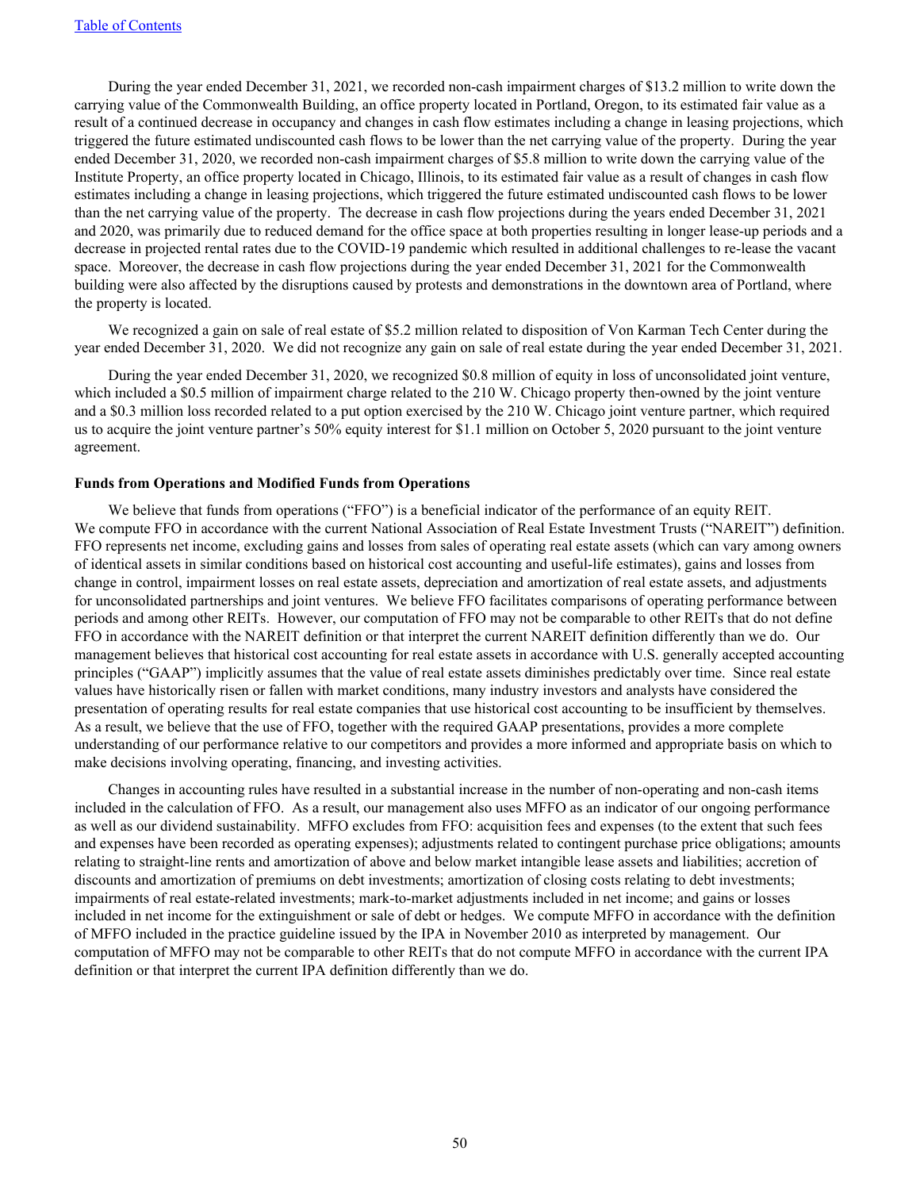During the year ended December 31, 2021, we recorded non-cash impairment charges of \$13.2 million to write down the carrying value of the Commonwealth Building, an office property located in Portland, Oregon, to its estimated fair value as a result of a continued decrease in occupancy and changes in cash flow estimates including a change in leasing projections, which triggered the future estimated undiscounted cash flows to be lower than the net carrying value of the property. During the year ended December 31, 2020, we recorded non-cash impairment charges of \$5.8 million to write down the carrying value of the Institute Property, an office property located in Chicago, Illinois, to its estimated fair value as a result of changes in cash flow estimates including a change in leasing projections, which triggered the future estimated undiscounted cash flows to be lower than the net carrying value of the property. The decrease in cash flow projections during the years ended December 31, 2021 and 2020, was primarily due to reduced demand for the office space at both properties resulting in longer lease-up periods and a decrease in projected rental rates due to the COVID-19 pandemic which resulted in additional challenges to re-lease the vacant space. Moreover, the decrease in cash flow projections during the year ended December 31, 2021 for the Commonwealth building were also affected by the disruptions caused by protests and demonstrations in the downtown area of Portland, where the property is located.

We recognized a gain on sale of real estate of \$5.2 million related to disposition of Von Karman Tech Center during the year ended December 31, 2020. We did not recognize any gain on sale of real estate during the year ended December 31, 2021.

During the year ended December 31, 2020, we recognized \$0.8 million of equity in loss of unconsolidated joint venture, which included a \$0.5 million of impairment charge related to the 210 W. Chicago property then-owned by the joint venture and a \$0.3 million loss recorded related to a put option exercised by the 210 W. Chicago joint venture partner, which required us to acquire the joint venture partner's 50% equity interest for \$1.1 million on October 5, 2020 pursuant to the joint venture agreement.

#### **Funds from Operations and Modified Funds from Operations**

We believe that funds from operations ("FFO") is a beneficial indicator of the performance of an equity REIT. We compute FFO in accordance with the current National Association of Real Estate Investment Trusts ("NAREIT") definition. FFO represents net income, excluding gains and losses from sales of operating real estate assets (which can vary among owners of identical assets in similar conditions based on historical cost accounting and useful-life estimates), gains and losses from change in control, impairment losses on real estate assets, depreciation and amortization of real estate assets, and adjustments for unconsolidated partnerships and joint ventures. We believe FFO facilitates comparisons of operating performance between periods and among other REITs. However, our computation of FFO may not be comparable to other REITs that do not define FFO in accordance with the NAREIT definition or that interpret the current NAREIT definition differently than we do. Our management believes that historical cost accounting for real estate assets in accordance with U.S. generally accepted accounting principles ("GAAP") implicitly assumes that the value of real estate assets diminishes predictably over time. Since real estate values have historically risen or fallen with market conditions, many industry investors and analysts have considered the presentation of operating results for real estate companies that use historical cost accounting to be insufficient by themselves. As a result, we believe that the use of FFO, together with the required GAAP presentations, provides a more complete understanding of our performance relative to our competitors and provides a more informed and appropriate basis on which to make decisions involving operating, financing, and investing activities.

Changes in accounting rules have resulted in a substantial increase in the number of non-operating and non-cash items included in the calculation of FFO. As a result, our management also uses MFFO as an indicator of our ongoing performance as well as our dividend sustainability. MFFO excludes from FFO: acquisition fees and expenses (to the extent that such fees and expenses have been recorded as operating expenses); adjustments related to contingent purchase price obligations; amounts relating to straight-line rents and amortization of above and below market intangible lease assets and liabilities; accretion of discounts and amortization of premiums on debt investments; amortization of closing costs relating to debt investments; impairments of real estate-related investments; mark-to-market adjustments included in net income; and gains or losses included in net income for the extinguishment or sale of debt or hedges. We compute MFFO in accordance with the definition of MFFO included in the practice guideline issued by the IPA in November 2010 as interpreted by management. Our computation of MFFO may not be comparable to other REITs that do not compute MFFO in accordance with the current IPA definition or that interpret the current IPA definition differently than we do.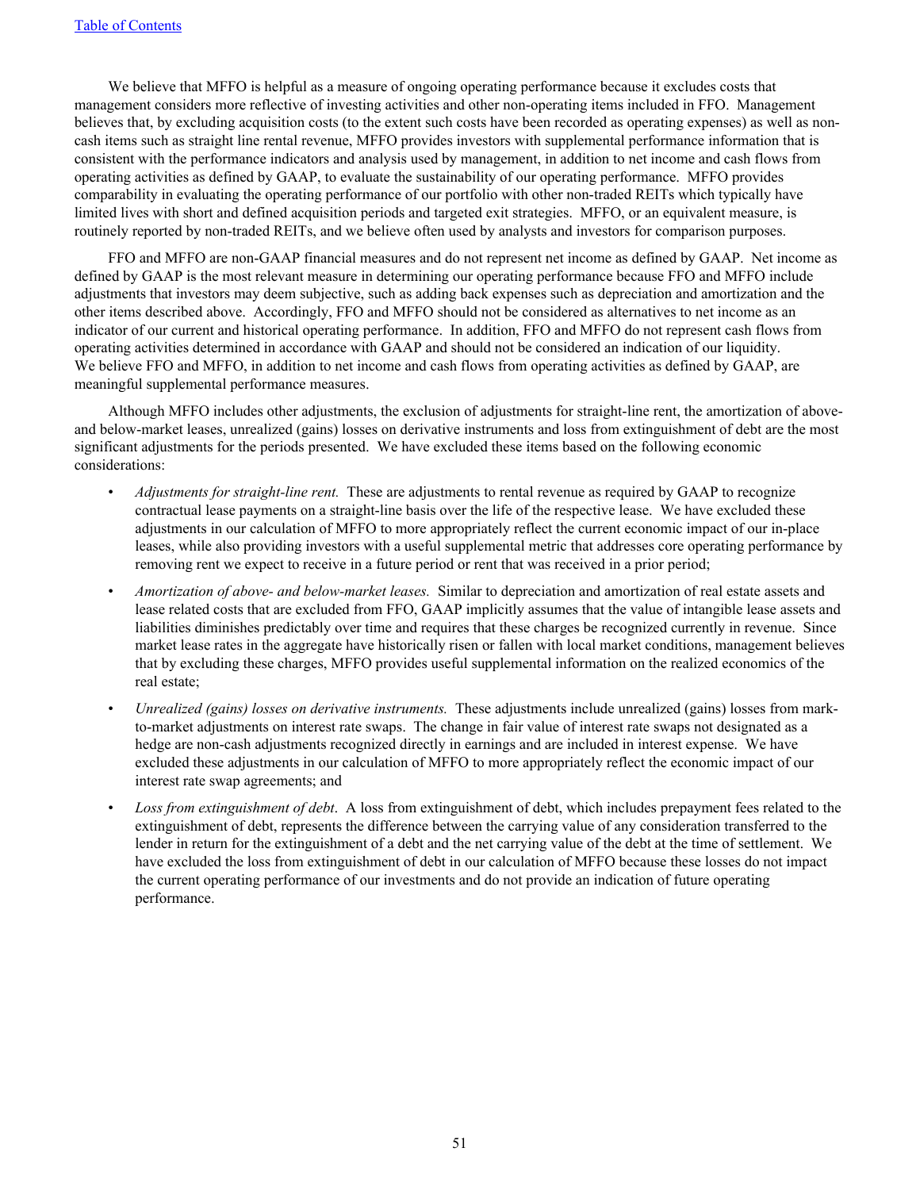We believe that MFFO is helpful as a measure of ongoing operating performance because it excludes costs that management considers more reflective of investing activities and other non-operating items included in FFO. Management believes that, by excluding acquisition costs (to the extent such costs have been recorded as operating expenses) as well as noncash items such as straight line rental revenue, MFFO provides investors with supplemental performance information that is consistent with the performance indicators and analysis used by management, in addition to net income and cash flows from operating activities as defined by GAAP, to evaluate the sustainability of our operating performance. MFFO provides comparability in evaluating the operating performance of our portfolio with other non-traded REITs which typically have limited lives with short and defined acquisition periods and targeted exit strategies. MFFO, or an equivalent measure, is routinely reported by non-traded REITs, and we believe often used by analysts and investors for comparison purposes.

FFO and MFFO are non-GAAP financial measures and do not represent net income as defined by GAAP. Net income as defined by GAAP is the most relevant measure in determining our operating performance because FFO and MFFO include adjustments that investors may deem subjective, such as adding back expenses such as depreciation and amortization and the other items described above. Accordingly, FFO and MFFO should not be considered as alternatives to net income as an indicator of our current and historical operating performance. In addition, FFO and MFFO do not represent cash flows from operating activities determined in accordance with GAAP and should not be considered an indication of our liquidity. We believe FFO and MFFO, in addition to net income and cash flows from operating activities as defined by GAAP, are meaningful supplemental performance measures.

Although MFFO includes other adjustments, the exclusion of adjustments for straight-line rent, the amortization of aboveand below-market leases, unrealized (gains) losses on derivative instruments and loss from extinguishment of debt are the most significant adjustments for the periods presented. We have excluded these items based on the following economic considerations:

- *Adjustments for straight-line rent.* These are adjustments to rental revenue as required by GAAP to recognize contractual lease payments on a straight-line basis over the life of the respective lease. We have excluded these adjustments in our calculation of MFFO to more appropriately reflect the current economic impact of our in-place leases, while also providing investors with a useful supplemental metric that addresses core operating performance by removing rent we expect to receive in a future period or rent that was received in a prior period;
- *Amortization of above- and below-market leases.* Similar to depreciation and amortization of real estate assets and lease related costs that are excluded from FFO, GAAP implicitly assumes that the value of intangible lease assets and liabilities diminishes predictably over time and requires that these charges be recognized currently in revenue. Since market lease rates in the aggregate have historically risen or fallen with local market conditions, management believes that by excluding these charges, MFFO provides useful supplemental information on the realized economics of the real estate;
- *Unrealized (gains) losses on derivative instruments.* These adjustments include unrealized (gains) losses from markto-market adjustments on interest rate swaps. The change in fair value of interest rate swaps not designated as a hedge are non-cash adjustments recognized directly in earnings and are included in interest expense. We have excluded these adjustments in our calculation of MFFO to more appropriately reflect the economic impact of our interest rate swap agreements; and
- *Loss from extinguishment of debt*. A loss from extinguishment of debt, which includes prepayment fees related to the extinguishment of debt, represents the difference between the carrying value of any consideration transferred to the lender in return for the extinguishment of a debt and the net carrying value of the debt at the time of settlement. We have excluded the loss from extinguishment of debt in our calculation of MFFO because these losses do not impact the current operating performance of our investments and do not provide an indication of future operating performance.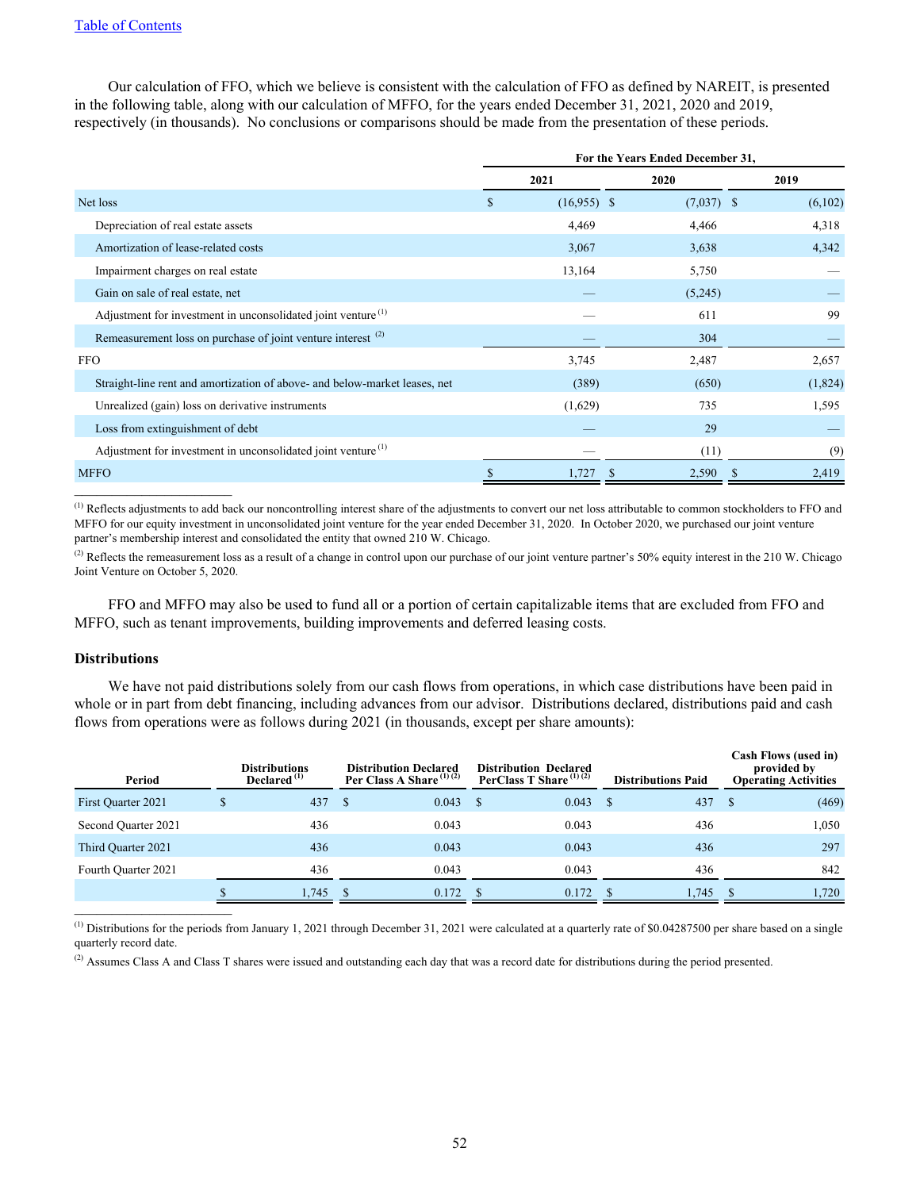Our calculation of FFO, which we believe is consistent with the calculation of FFO as defined by NAREIT, is presented in the following table, along with our calculation of MFFO, for the years ended December 31, 2021, 2020 and 2019, respectively (in thousands). No conclusions or comparisons should be made from the presentation of these periods.

|                                                                            | For the Years Ended December 31, |               |              |         |  |  |
|----------------------------------------------------------------------------|----------------------------------|---------------|--------------|---------|--|--|
|                                                                            |                                  | 2021          | 2020         | 2019    |  |  |
| Net loss                                                                   | \$                               | $(16,955)$ \$ | $(7,037)$ \$ | (6,102) |  |  |
| Depreciation of real estate assets                                         |                                  | 4,469         | 4,466        | 4,318   |  |  |
| Amortization of lease-related costs                                        |                                  | 3,067         | 3,638        | 4,342   |  |  |
| Impairment charges on real estate                                          |                                  | 13,164        | 5,750        |         |  |  |
| Gain on sale of real estate, net                                           |                                  |               | (5,245)      |         |  |  |
| Adjustment for investment in unconsolidated joint venture <sup>(1)</sup>   |                                  |               | 611          | 99      |  |  |
| Remeasurement loss on purchase of joint venture interest <sup>(2)</sup>    |                                  |               | 304          |         |  |  |
| <b>FFO</b>                                                                 |                                  | 3,745         | 2,487        | 2,657   |  |  |
| Straight-line rent and amortization of above- and below-market leases, net |                                  | (389)         | (650)        | (1,824) |  |  |
| Unrealized (gain) loss on derivative instruments                           |                                  | (1,629)       | 735          | 1,595   |  |  |
| Loss from extinguishment of debt                                           |                                  |               | 29           |         |  |  |
| Adjustment for investment in unconsolidated joint venture <sup>(1)</sup>   |                                  |               | (11)         | (9)     |  |  |
| <b>MFFO</b>                                                                |                                  | 1.727         | 2,590        | 2,419   |  |  |
|                                                                            |                                  |               |              |         |  |  |

 $<sup>(1)</sup>$  Reflects adjustments to add back our noncontrolling interest share of the adjustments to convert our net loss attributable to common stockholders to FFO and</sup> MFFO for our equity investment in unconsolidated joint venture for the year ended December 31, 2020. In October 2020, we purchased our joint venture partner's membership interest and consolidated the entity that owned 210 W. Chicago.

 $^{(2)}$  Reflects the remeasurement loss as a result of a change in control upon our purchase of our joint venture partner's 50% equity interest in the 210 W. Chicago Joint Venture on October 5, 2020.

FFO and MFFO may also be used to fund all or a portion of certain capitalizable items that are excluded from FFO and MFFO, such as tenant improvements, building improvements and deferred leasing costs.

### **Distributions**

We have not paid distributions solely from our cash flows from operations, in which case distributions have been paid in whole or in part from debt financing, including advances from our advisor. Distributions declared, distributions paid and cash flows from operations were as follows during 2021 (in thousands, except per share amounts):

| Period              |   | <b>Distributions</b><br>Declared $^{(1)}$ |               | <b>Distribution Declared</b><br>Per Class A Share $(1)(2)$ |     | <b>Distribution Declared</b><br>PerClass T Share $(1)(2)$ |               | <b>Distributions Paid</b> | Cash Flows (used in)<br>provided by<br><b>Operating Activities</b> |
|---------------------|---|-------------------------------------------|---------------|------------------------------------------------------------|-----|-----------------------------------------------------------|---------------|---------------------------|--------------------------------------------------------------------|
| First Ouarter 2021  | D | 437                                       | <sup>\$</sup> | 0.043                                                      | \$. | 0.043                                                     | <sup>\$</sup> | 437                       | (469)                                                              |
| Second Quarter 2021 |   | 436                                       |               | 0.043                                                      |     | 0.043                                                     |               | 436                       | 1,050                                                              |
| Third Quarter 2021  |   | 436                                       |               | 0.043                                                      |     | 0.043                                                     |               | 436                       | 297                                                                |
| Fourth Quarter 2021 |   | 436                                       |               | 0.043                                                      |     | 0.043                                                     |               | 436                       | 842                                                                |
|                     |   | 1,745                                     |               | 0.172                                                      |     | 0.172                                                     |               | 1.745                     | 1,720                                                              |
|                     |   |                                           |               |                                                            |     |                                                           |               |                           |                                                                    |

 $^{(1)}$  Distributions for the periods from January 1, 2021 through December 31, 2021 were calculated at a quarterly rate of \$0.04287500 per share based on a single quarterly record date.

<sup>(2)</sup> Assumes Class A and Class T shares were issued and outstanding each day that was a record date for distributions during the period presented.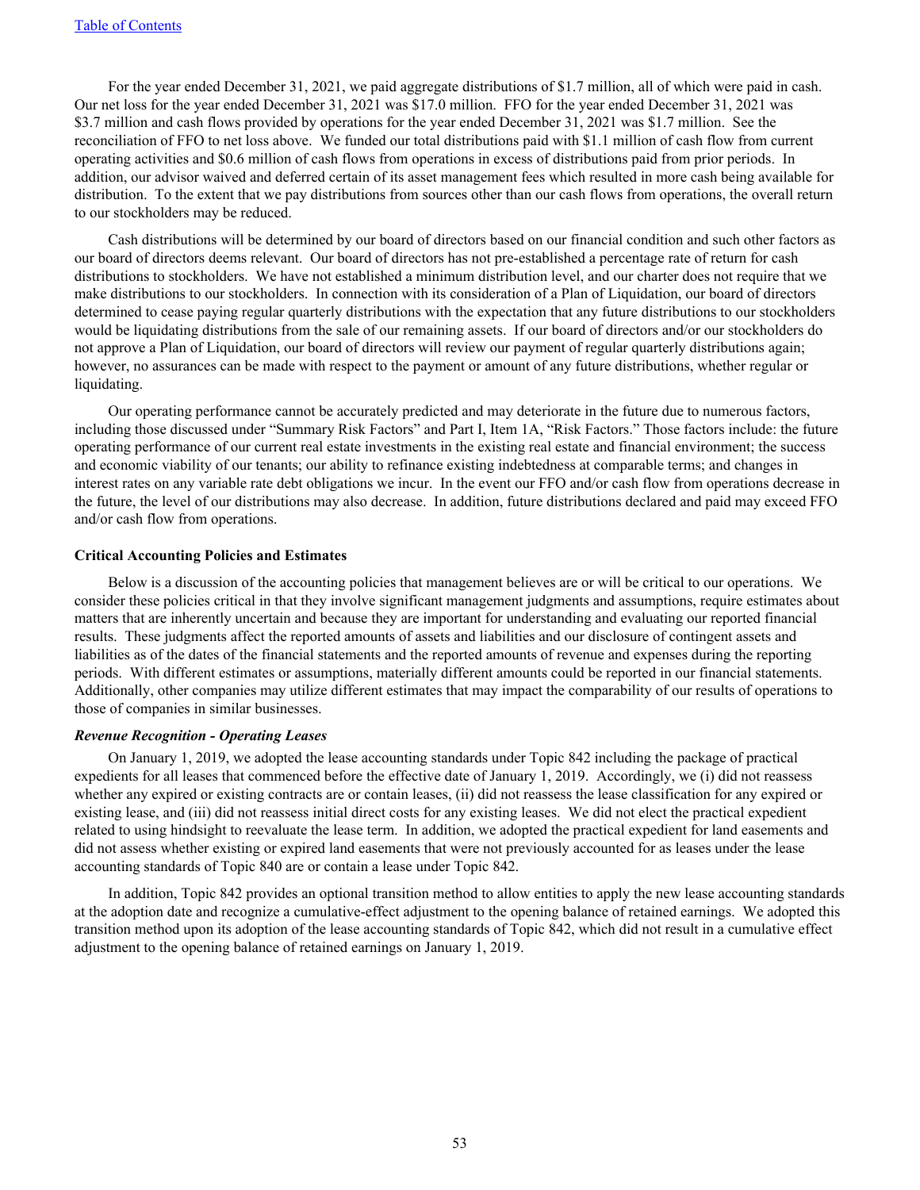For the year ended December 31, 2021, we paid aggregate distributions of \$1.7 million, all of which were paid in cash. Our net loss for the year ended December 31, 2021 was \$17.0 million. FFO for the year ended December 31, 2021 was \$3.7 million and cash flows provided by operations for the year ended December 31, 2021 was \$1.7 million. See the reconciliation of FFO to net loss above. We funded our total distributions paid with \$1.1 million of cash flow from current operating activities and \$0.6 million of cash flows from operations in excess of distributions paid from prior periods. In addition, our advisor waived and deferred certain of its asset management fees which resulted in more cash being available for distribution. To the extent that we pay distributions from sources other than our cash flows from operations, the overall return to our stockholders may be reduced.

Cash distributions will be determined by our board of directors based on our financial condition and such other factors as our board of directors deems relevant. Our board of directors has not pre-established a percentage rate of return for cash distributions to stockholders. We have not established a minimum distribution level, and our charter does not require that we make distributions to our stockholders. In connection with its consideration of a Plan of Liquidation, our board of directors determined to cease paying regular quarterly distributions with the expectation that any future distributions to our stockholders would be liquidating distributions from the sale of our remaining assets. If our board of directors and/or our stockholders do not approve a Plan of Liquidation, our board of directors will review our payment of regular quarterly distributions again; however, no assurances can be made with respect to the payment or amount of any future distributions, whether regular or liquidating.

Our operating performance cannot be accurately predicted and may deteriorate in the future due to numerous factors, including those discussed under "Summary Risk Factors" and Part I, Item 1A, "Risk Factors." Those factors include: the future operating performance of our current real estate investments in the existing real estate and financial environment; the success and economic viability of our tenants; our ability to refinance existing indebtedness at comparable terms; and changes in interest rates on any variable rate debt obligations we incur. In the event our FFO and/or cash flow from operations decrease in the future, the level of our distributions may also decrease. In addition, future distributions declared and paid may exceed FFO and/or cash flow from operations.

#### **Critical Accounting Policies and Estimates**

Below is a discussion of the accounting policies that management believes are or will be critical to our operations. We consider these policies critical in that they involve significant management judgments and assumptions, require estimates about matters that are inherently uncertain and because they are important for understanding and evaluating our reported financial results. These judgments affect the reported amounts of assets and liabilities and our disclosure of contingent assets and liabilities as of the dates of the financial statements and the reported amounts of revenue and expenses during the reporting periods. With different estimates or assumptions, materially different amounts could be reported in our financial statements. Additionally, other companies may utilize different estimates that may impact the comparability of our results of operations to those of companies in similar businesses.

#### *Revenue Recognition - Operating Leases*

On January 1, 2019, we adopted the lease accounting standards under Topic 842 including the package of practical expedients for all leases that commenced before the effective date of January 1, 2019. Accordingly, we (i) did not reassess whether any expired or existing contracts are or contain leases, (ii) did not reassess the lease classification for any expired or existing lease, and (iii) did not reassess initial direct costs for any existing leases. We did not elect the practical expedient related to using hindsight to reevaluate the lease term. In addition, we adopted the practical expedient for land easements and did not assess whether existing or expired land easements that were not previously accounted for as leases under the lease accounting standards of Topic 840 are or contain a lease under Topic 842.

In addition, Topic 842 provides an optional transition method to allow entities to apply the new lease accounting standards at the adoption date and recognize a cumulative-effect adjustment to the opening balance of retained earnings. We adopted this transition method upon its adoption of the lease accounting standards of Topic 842, which did not result in a cumulative effect adjustment to the opening balance of retained earnings on January 1, 2019.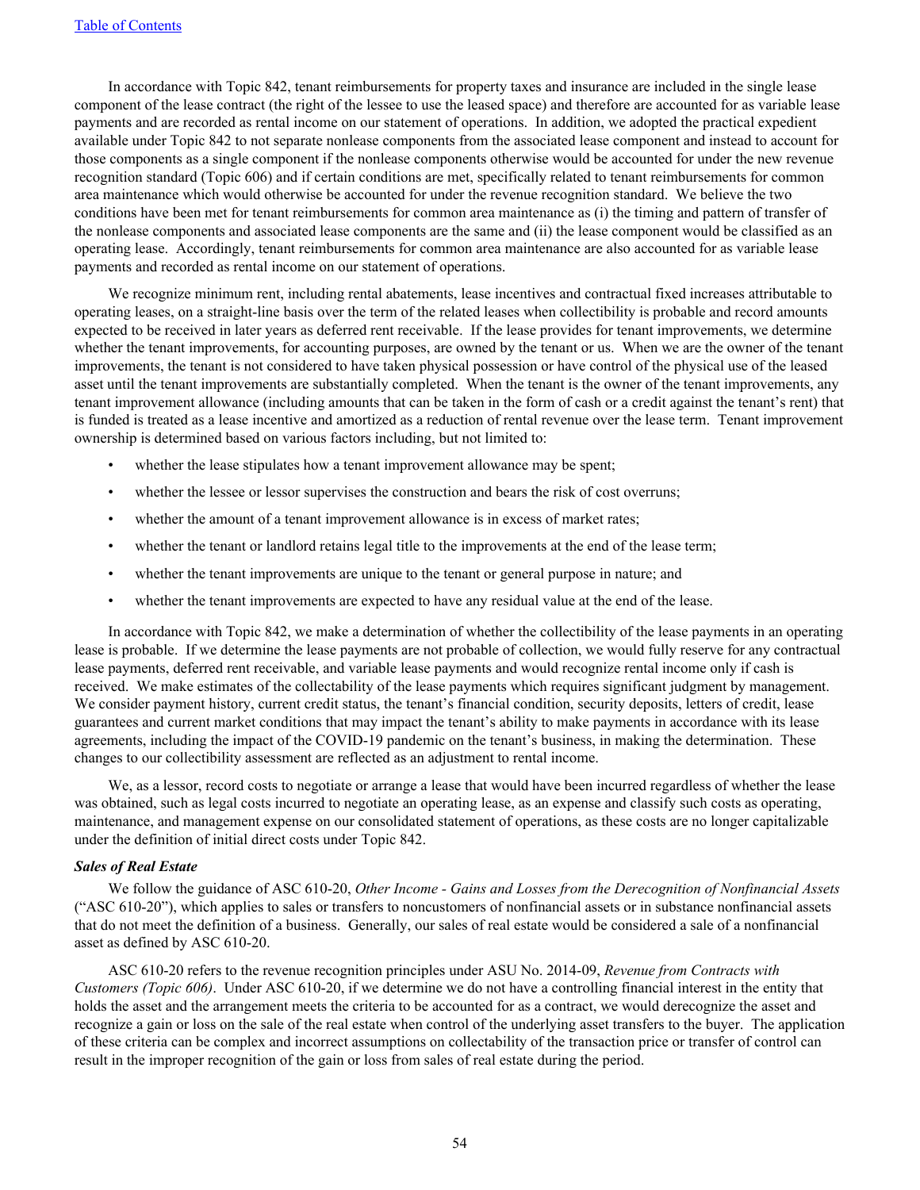In accordance with Topic 842, tenant reimbursements for property taxes and insurance are included in the single lease component of the lease contract (the right of the lessee to use the leased space) and therefore are accounted for as variable lease payments and are recorded as rental income on our statement of operations. In addition, we adopted the practical expedient available under Topic 842 to not separate nonlease components from the associated lease component and instead to account for those components as a single component if the nonlease components otherwise would be accounted for under the new revenue recognition standard (Topic 606) and if certain conditions are met, specifically related to tenant reimbursements for common area maintenance which would otherwise be accounted for under the revenue recognition standard. We believe the two conditions have been met for tenant reimbursements for common area maintenance as (i) the timing and pattern of transfer of the nonlease components and associated lease components are the same and (ii) the lease component would be classified as an operating lease. Accordingly, tenant reimbursements for common area maintenance are also accounted for as variable lease payments and recorded as rental income on our statement of operations.

We recognize minimum rent, including rental abatements, lease incentives and contractual fixed increases attributable to operating leases, on a straight-line basis over the term of the related leases when collectibility is probable and record amounts expected to be received in later years as deferred rent receivable. If the lease provides for tenant improvements, we determine whether the tenant improvements, for accounting purposes, are owned by the tenant or us. When we are the owner of the tenant improvements, the tenant is not considered to have taken physical possession or have control of the physical use of the leased asset until the tenant improvements are substantially completed. When the tenant is the owner of the tenant improvements, any tenant improvement allowance (including amounts that can be taken in the form of cash or a credit against the tenant's rent) that is funded is treated as a lease incentive and amortized as a reduction of rental revenue over the lease term. Tenant improvement ownership is determined based on various factors including, but not limited to:

- whether the lease stipulates how a tenant improvement allowance may be spent;
- whether the lessee or lessor supervises the construction and bears the risk of cost overruns;
- whether the amount of a tenant improvement allowance is in excess of market rates;
- whether the tenant or landlord retains legal title to the improvements at the end of the lease term;
- whether the tenant improvements are unique to the tenant or general purpose in nature; and
- whether the tenant improvements are expected to have any residual value at the end of the lease.

In accordance with Topic 842, we make a determination of whether the collectibility of the lease payments in an operating lease is probable. If we determine the lease payments are not probable of collection, we would fully reserve for any contractual lease payments, deferred rent receivable, and variable lease payments and would recognize rental income only if cash is received. We make estimates of the collectability of the lease payments which requires significant judgment by management. We consider payment history, current credit status, the tenant's financial condition, security deposits, letters of credit, lease guarantees and current market conditions that may impact the tenant's ability to make payments in accordance with its lease agreements, including the impact of the COVID-19 pandemic on the tenant's business, in making the determination. These changes to our collectibility assessment are reflected as an adjustment to rental income.

We, as a lessor, record costs to negotiate or arrange a lease that would have been incurred regardless of whether the lease was obtained, such as legal costs incurred to negotiate an operating lease, as an expense and classify such costs as operating, maintenance, and management expense on our consolidated statement of operations, as these costs are no longer capitalizable under the definition of initial direct costs under Topic 842.

#### *Sales of Real Estate*

We follow the guidance of ASC 610-20, *Other Income - Gains and Losses from the Derecognition of Nonfinancial Assets* ("ASC 610-20"), which applies to sales or transfers to noncustomers of nonfinancial assets or in substance nonfinancial assets that do not meet the definition of a business. Generally, our sales of real estate would be considered a sale of a nonfinancial asset as defined by ASC 610-20.

ASC 610-20 refers to the revenue recognition principles under ASU No. 2014-09, *Revenue from Contracts with Customers (Topic 606)*. Under ASC 610-20, if we determine we do not have a controlling financial interest in the entity that holds the asset and the arrangement meets the criteria to be accounted for as a contract, we would derecognize the asset and recognize a gain or loss on the sale of the real estate when control of the underlying asset transfers to the buyer. The application of these criteria can be complex and incorrect assumptions on collectability of the transaction price or transfer of control can result in the improper recognition of the gain or loss from sales of real estate during the period.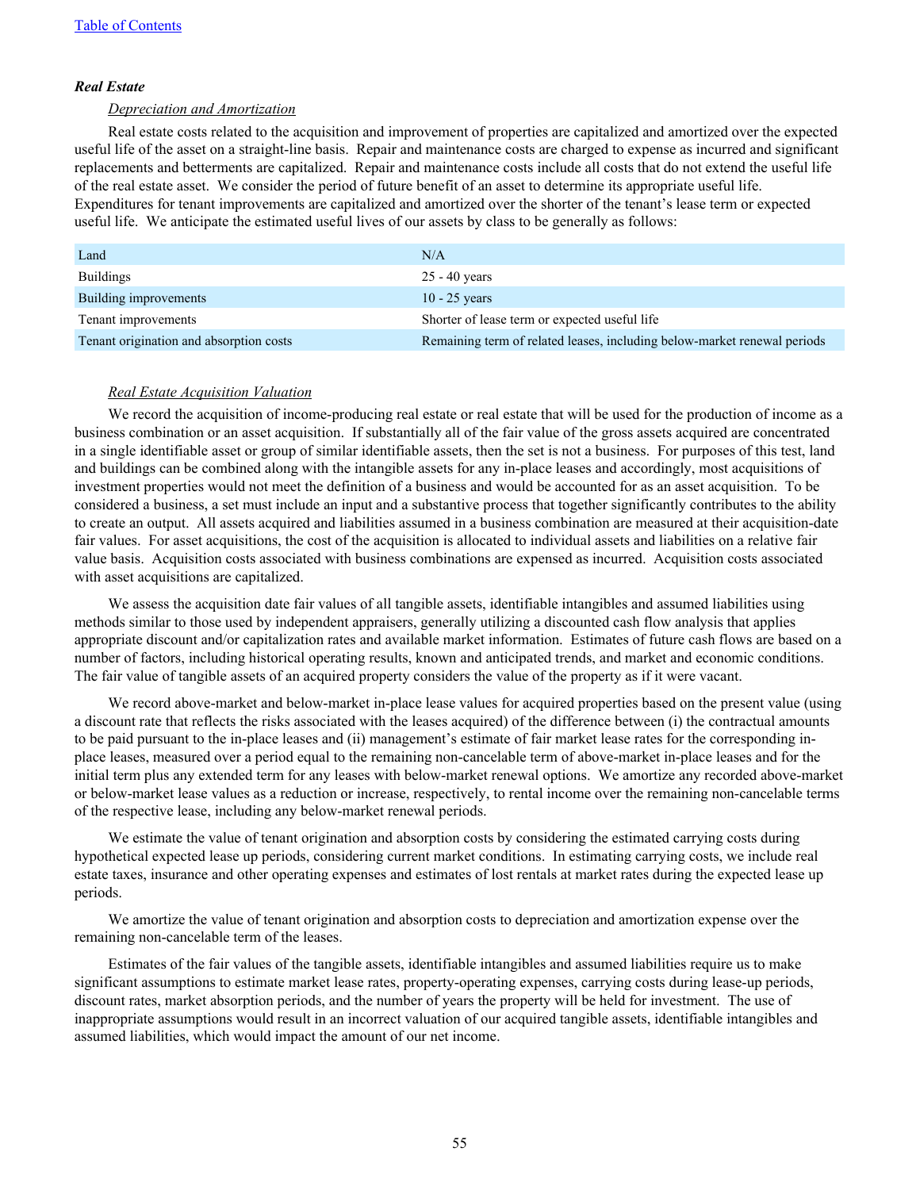## *Real Estate*

## *Depreciation and Amortization*

Real estate costs related to the acquisition and improvement of properties are capitalized and amortized over the expected useful life of the asset on a straight-line basis. Repair and maintenance costs are charged to expense as incurred and significant replacements and betterments are capitalized. Repair and maintenance costs include all costs that do not extend the useful life of the real estate asset. We consider the period of future benefit of an asset to determine its appropriate useful life. Expenditures for tenant improvements are capitalized and amortized over the shorter of the tenant's lease term or expected useful life. We anticipate the estimated useful lives of our assets by class to be generally as follows:

| Land                                    | N/A                                                                      |
|-----------------------------------------|--------------------------------------------------------------------------|
| <b>Buildings</b>                        | $25 - 40$ years                                                          |
| Building improvements                   | $10 - 25$ years                                                          |
| Tenant improvements                     | Shorter of lease term or expected useful life                            |
| Tenant origination and absorption costs | Remaining term of related leases, including below-market renewal periods |

# *Real Estate Acquisition Valuation*

We record the acquisition of income-producing real estate or real estate that will be used for the production of income as a business combination or an asset acquisition. If substantially all of the fair value of the gross assets acquired are concentrated in a single identifiable asset or group of similar identifiable assets, then the set is not a business. For purposes of this test, land and buildings can be combined along with the intangible assets for any in-place leases and accordingly, most acquisitions of investment properties would not meet the definition of a business and would be accounted for as an asset acquisition. To be considered a business, a set must include an input and a substantive process that together significantly contributes to the ability to create an output. All assets acquired and liabilities assumed in a business combination are measured at their acquisition-date fair values. For asset acquisitions, the cost of the acquisition is allocated to individual assets and liabilities on a relative fair value basis. Acquisition costs associated with business combinations are expensed as incurred. Acquisition costs associated with asset acquisitions are capitalized.

We assess the acquisition date fair values of all tangible assets, identifiable intangibles and assumed liabilities using methods similar to those used by independent appraisers, generally utilizing a discounted cash flow analysis that applies appropriate discount and/or capitalization rates and available market information. Estimates of future cash flows are based on a number of factors, including historical operating results, known and anticipated trends, and market and economic conditions. The fair value of tangible assets of an acquired property considers the value of the property as if it were vacant.

We record above-market and below-market in-place lease values for acquired properties based on the present value (using a discount rate that reflects the risks associated with the leases acquired) of the difference between (i) the contractual amounts to be paid pursuant to the in-place leases and (ii) management's estimate of fair market lease rates for the corresponding inplace leases, measured over a period equal to the remaining non-cancelable term of above-market in-place leases and for the initial term plus any extended term for any leases with below-market renewal options. We amortize any recorded above-market or below-market lease values as a reduction or increase, respectively, to rental income over the remaining non-cancelable terms of the respective lease, including any below-market renewal periods.

We estimate the value of tenant origination and absorption costs by considering the estimated carrying costs during hypothetical expected lease up periods, considering current market conditions. In estimating carrying costs, we include real estate taxes, insurance and other operating expenses and estimates of lost rentals at market rates during the expected lease up periods.

We amortize the value of tenant origination and absorption costs to depreciation and amortization expense over the remaining non-cancelable term of the leases.

Estimates of the fair values of the tangible assets, identifiable intangibles and assumed liabilities require us to make significant assumptions to estimate market lease rates, property-operating expenses, carrying costs during lease-up periods, discount rates, market absorption periods, and the number of years the property will be held for investment. The use of inappropriate assumptions would result in an incorrect valuation of our acquired tangible assets, identifiable intangibles and assumed liabilities, which would impact the amount of our net income.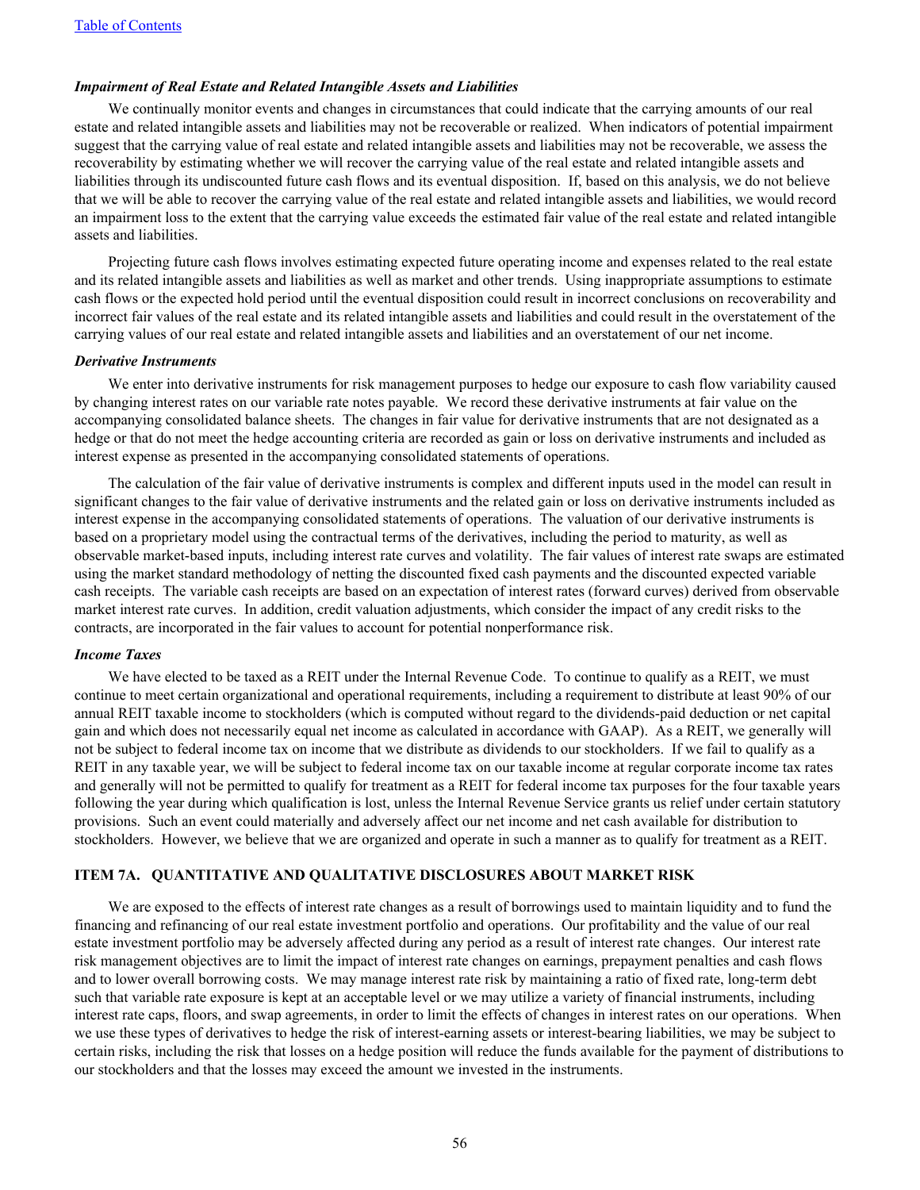## *Impairment of Real Estate and Related Intangible Assets and Liabilities*

We continually monitor events and changes in circumstances that could indicate that the carrying amounts of our real estate and related intangible assets and liabilities may not be recoverable or realized. When indicators of potential impairment suggest that the carrying value of real estate and related intangible assets and liabilities may not be recoverable, we assess the recoverability by estimating whether we will recover the carrying value of the real estate and related intangible assets and liabilities through its undiscounted future cash flows and its eventual disposition. If, based on this analysis, we do not believe that we will be able to recover the carrying value of the real estate and related intangible assets and liabilities, we would record an impairment loss to the extent that the carrying value exceeds the estimated fair value of the real estate and related intangible assets and liabilities.

Projecting future cash flows involves estimating expected future operating income and expenses related to the real estate and its related intangible assets and liabilities as well as market and other trends. Using inappropriate assumptions to estimate cash flows or the expected hold period until the eventual disposition could result in incorrect conclusions on recoverability and incorrect fair values of the real estate and its related intangible assets and liabilities and could result in the overstatement of the carrying values of our real estate and related intangible assets and liabilities and an overstatement of our net income.

#### *Derivative Instruments*

We enter into derivative instruments for risk management purposes to hedge our exposure to cash flow variability caused by changing interest rates on our variable rate notes payable. We record these derivative instruments at fair value on the accompanying consolidated balance sheets. The changes in fair value for derivative instruments that are not designated as a hedge or that do not meet the hedge accounting criteria are recorded as gain or loss on derivative instruments and included as interest expense as presented in the accompanying consolidated statements of operations.

The calculation of the fair value of derivative instruments is complex and different inputs used in the model can result in significant changes to the fair value of derivative instruments and the related gain or loss on derivative instruments included as interest expense in the accompanying consolidated statements of operations. The valuation of our derivative instruments is based on a proprietary model using the contractual terms of the derivatives, including the period to maturity, as well as observable market-based inputs, including interest rate curves and volatility. The fair values of interest rate swaps are estimated using the market standard methodology of netting the discounted fixed cash payments and the discounted expected variable cash receipts. The variable cash receipts are based on an expectation of interest rates (forward curves) derived from observable market interest rate curves. In addition, credit valuation adjustments, which consider the impact of any credit risks to the contracts, are incorporated in the fair values to account for potential nonperformance risk.

### *Income Taxes*

We have elected to be taxed as a REIT under the Internal Revenue Code. To continue to qualify as a REIT, we must continue to meet certain organizational and operational requirements, including a requirement to distribute at least 90% of our annual REIT taxable income to stockholders (which is computed without regard to the dividends-paid deduction or net capital gain and which does not necessarily equal net income as calculated in accordance with GAAP). As a REIT, we generally will not be subject to federal income tax on income that we distribute as dividends to our stockholders. If we fail to qualify as a REIT in any taxable year, we will be subject to federal income tax on our taxable income at regular corporate income tax rates and generally will not be permitted to qualify for treatment as a REIT for federal income tax purposes for the four taxable years following the year during which qualification is lost, unless the Internal Revenue Service grants us relief under certain statutory provisions. Such an event could materially and adversely affect our net income and net cash available for distribution to stockholders. However, we believe that we are organized and operate in such a manner as to qualify for treatment as a REIT.

### **ITEM 7A. QUANTITATIVE AND QUALITATIVE DISCLOSURES ABOUT MARKET RISK**

We are exposed to the effects of interest rate changes as a result of borrowings used to maintain liquidity and to fund the financing and refinancing of our real estate investment portfolio and operations. Our profitability and the value of our real estate investment portfolio may be adversely affected during any period as a result of interest rate changes. Our interest rate risk management objectives are to limit the impact of interest rate changes on earnings, prepayment penalties and cash flows and to lower overall borrowing costs. We may manage interest rate risk by maintaining a ratio of fixed rate, long-term debt such that variable rate exposure is kept at an acceptable level or we may utilize a variety of financial instruments, including interest rate caps, floors, and swap agreements, in order to limit the effects of changes in interest rates on our operations. When we use these types of derivatives to hedge the risk of interest-earning assets or interest-bearing liabilities, we may be subject to certain risks, including the risk that losses on a hedge position will reduce the funds available for the payment of distributions to our stockholders and that the losses may exceed the amount we invested in the instruments.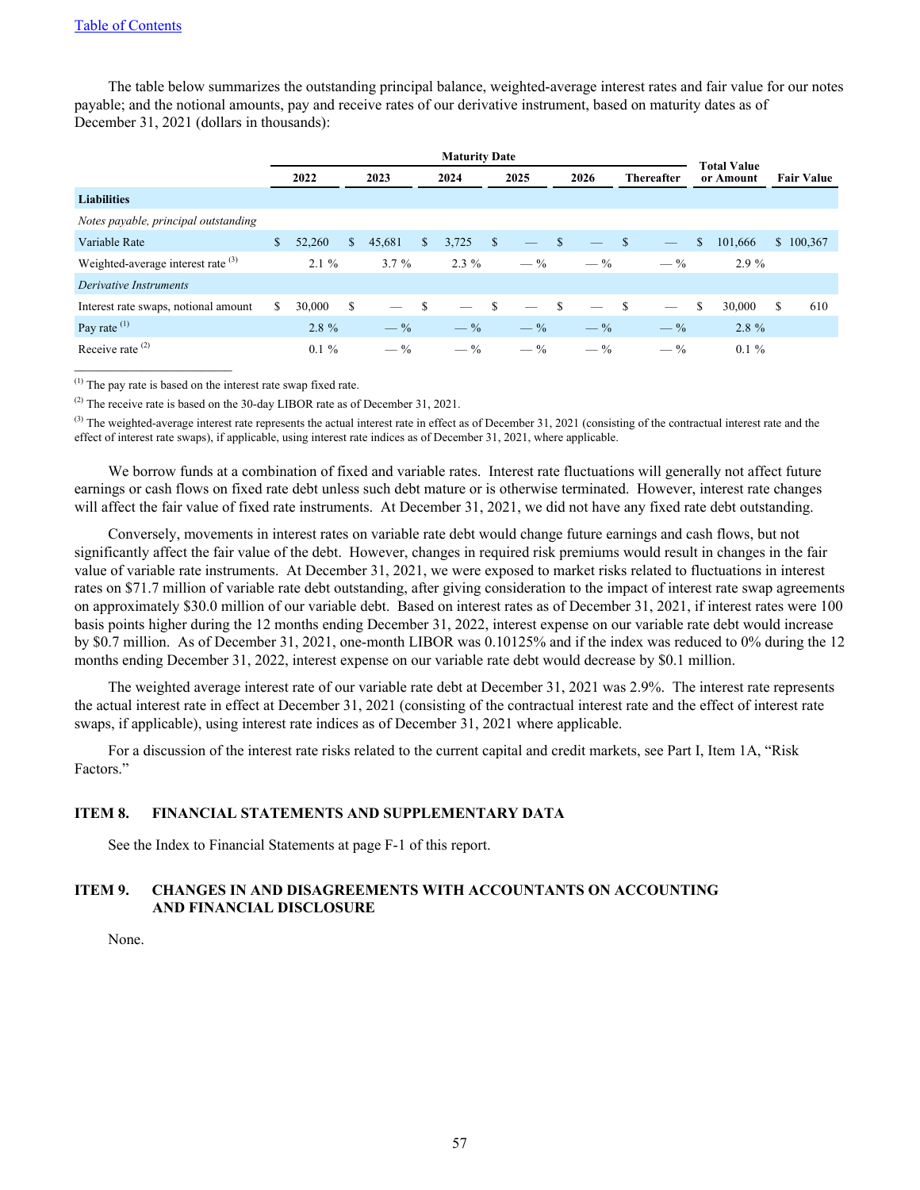## [Table of Contents](#page-1-0)

The table below summarizes the outstanding principal balance, weighted-average interest rates and fair value for our notes payable; and the notional amounts, pay and receive rates of our derivative instrument, based on maturity dates as of December 31, 2021 (dollars in thousands):

|                                      |      | <b>Maturity Date</b> |              |                |              |         |    | <b>Total Value</b> |    |                   |      |                          |    |                   |   |           |
|--------------------------------------|------|----------------------|--------------|----------------|--------------|---------|----|--------------------|----|-------------------|------|--------------------------|----|-------------------|---|-----------|
|                                      | 2022 |                      | 2023<br>2024 |                | 2025         |         |    | 2026               |    | <b>Thereafter</b> |      | or Amount                |    | <b>Fair Value</b> |   |           |
| <b>Liabilities</b>                   |      |                      |              |                |              |         |    |                    |    |                   |      |                          |    |                   |   |           |
| Notes payable, principal outstanding |      |                      |              |                |              |         |    |                    |    |                   |      |                          |    |                   |   |           |
| Variable Rate                        | \$   | 52,260               | S.           | 45,681         | \$           | 3,725   | S. |                    | S  |                   | - \$ | $\overline{\phantom{0}}$ | \$ | 101,666           |   | \$100,367 |
| Weighted-average interest rate $(3)$ |      | $2.1\%$              |              | $3.7\%$        |              | $2.3\%$ |    | $-$ %              |    | $-$ %             |      | $-$ %                    |    | $2.9\%$           |   |           |
| Derivative Instruments               |      |                      |              |                |              |         |    |                    |    |                   |      |                          |    |                   |   |           |
| Interest rate swaps, notional amount | \$   | 30,000               | \$           |                | <sup>S</sup> |         |    |                    | \$ |                   | - \$ |                          | S  | 30,000            | S | 610       |
| Pay rate $(1)$                       |      | $2.8\%$              |              | $-\frac{9}{6}$ |              | $-$ %   |    | $-\frac{9}{6}$     |    | $-\frac{9}{6}$    |      | $-$ %                    |    | $2.8 \%$          |   |           |
| Receive rate $(2)$                   |      | $0.1\%$              |              | $-$ %          |              | $-$ %   |    | $-$ %              |    | $-$ %             |      | $-$ %                    |    | $0.1 \%$          |   |           |
|                                      |      |                      |              |                |              |         |    |                    |    |                   |      |                          |    |                   |   |           |

(1) The pay rate is based on the interest rate swap fixed rate.

<sup>(2)</sup> The receive rate is based on the 30-day LIBOR rate as of December 31, 2021.

<sup>(3)</sup> The weighted-average interest rate represents the actual interest rate in effect as of December 31, 2021 (consisting of the contractual interest rate and the effect of interest rate swaps), if applicable, using interest rate indices as of December 31, 2021, where applicable.

We borrow funds at a combination of fixed and variable rates. Interest rate fluctuations will generally not affect future earnings or cash flows on fixed rate debt unless such debt mature or is otherwise terminated. However, interest rate changes will affect the fair value of fixed rate instruments. At December 31, 2021, we did not have any fixed rate debt outstanding.

Conversely, movements in interest rates on variable rate debt would change future earnings and cash flows, but not significantly affect the fair value of the debt. However, changes in required risk premiums would result in changes in the fair value of variable rate instruments. At December 31, 2021, we were exposed to market risks related to fluctuations in interest rates on \$71.7 million of variable rate debt outstanding, after giving consideration to the impact of interest rate swap agreements on approximately \$30.0 million of our variable debt. Based on interest rates as of December 31, 2021, if interest rates were 100 basis points higher during the 12 months ending December 31, 2022, interest expense on our variable rate debt would increase by \$0.7 million. As of December 31, 2021, one-month LIBOR was 0.10125% and if the index was reduced to 0% during the 12 months ending December 31, 2022, interest expense on our variable rate debt would decrease by \$0.1 million.

The weighted average interest rate of our variable rate debt at December 31, 2021 was 2.9%. The interest rate represents the actual interest rate in effect at December 31, 2021 (consisting of the contractual interest rate and the effect of interest rate swaps, if applicable), using interest rate indices as of December 31, 2021 where applicable.

For a discussion of the interest rate risks related to the current capital and credit markets, see Part I, Item 1A, "Risk Factors."

### **ITEM 8. FINANCIAL STATEMENTS AND SUPPLEMENTARY DATA**

See the Index to Financial Statements at page F-1 of this report.

# **ITEM 9. CHANGES IN AND DISAGREEMENTS WITH ACCOUNTANTS ON ACCOUNTING AND FINANCIAL DISCLOSURE**

None.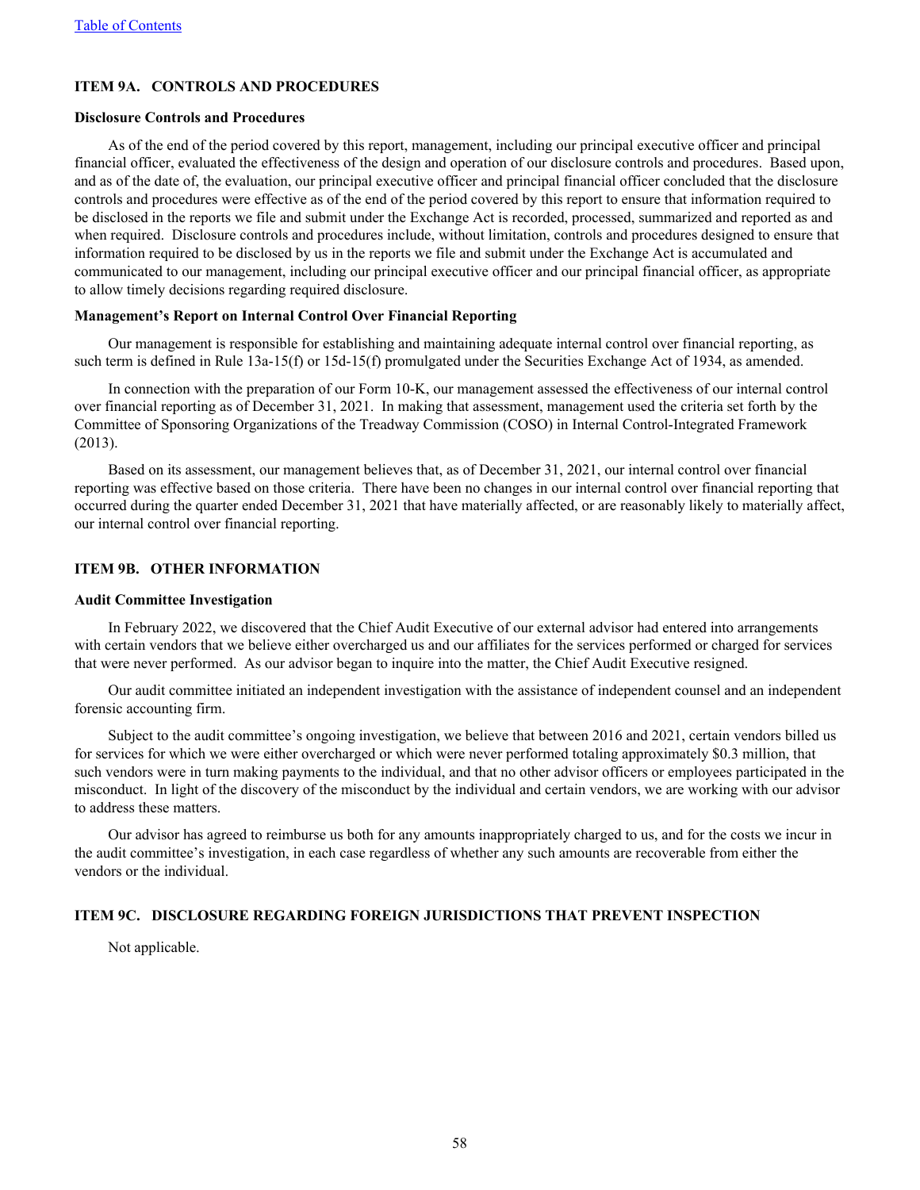# **ITEM 9A. CONTROLS AND PROCEDURES**

#### **Disclosure Controls and Procedures**

As of the end of the period covered by this report, management, including our principal executive officer and principal financial officer, evaluated the effectiveness of the design and operation of our disclosure controls and procedures. Based upon, and as of the date of, the evaluation, our principal executive officer and principal financial officer concluded that the disclosure controls and procedures were effective as of the end of the period covered by this report to ensure that information required to be disclosed in the reports we file and submit under the Exchange Act is recorded, processed, summarized and reported as and when required. Disclosure controls and procedures include, without limitation, controls and procedures designed to ensure that information required to be disclosed by us in the reports we file and submit under the Exchange Act is accumulated and communicated to our management, including our principal executive officer and our principal financial officer, as appropriate to allow timely decisions regarding required disclosure.

#### **Management's Report on Internal Control Over Financial Reporting**

Our management is responsible for establishing and maintaining adequate internal control over financial reporting, as such term is defined in Rule 13a-15(f) or 15d-15(f) promulgated under the Securities Exchange Act of 1934, as amended.

In connection with the preparation of our Form 10-K, our management assessed the effectiveness of our internal control over financial reporting as of December 31, 2021. In making that assessment, management used the criteria set forth by the Committee of Sponsoring Organizations of the Treadway Commission (COSO) in Internal Control-Integrated Framework (2013).

Based on its assessment, our management believes that, as of December 31, 2021, our internal control over financial reporting was effective based on those criteria. There have been no changes in our internal control over financial reporting that occurred during the quarter ended December 31, 2021 that have materially affected, or are reasonably likely to materially affect, our internal control over financial reporting.

## **ITEM 9B. OTHER INFORMATION**

#### **Audit Committee Investigation**

In February 2022, we discovered that the Chief Audit Executive of our external advisor had entered into arrangements with certain vendors that we believe either overcharged us and our affiliates for the services performed or charged for services that were never performed. As our advisor began to inquire into the matter, the Chief Audit Executive resigned.

Our audit committee initiated an independent investigation with the assistance of independent counsel and an independent forensic accounting firm.

Subject to the audit committee's ongoing investigation, we believe that between 2016 and 2021, certain vendors billed us for services for which we were either overcharged or which were never performed totaling approximately \$0.3 million, that such vendors were in turn making payments to the individual, and that no other advisor officers or employees participated in the misconduct. In light of the discovery of the misconduct by the individual and certain vendors, we are working with our advisor to address these matters.

Our advisor has agreed to reimburse us both for any amounts inappropriately charged to us, and for the costs we incur in the audit committee's investigation, in each case regardless of whether any such amounts are recoverable from either the vendors or the individual.

## **ITEM 9C. DISCLOSURE REGARDING FOREIGN JURISDICTIONS THAT PREVENT INSPECTION**

Not applicable.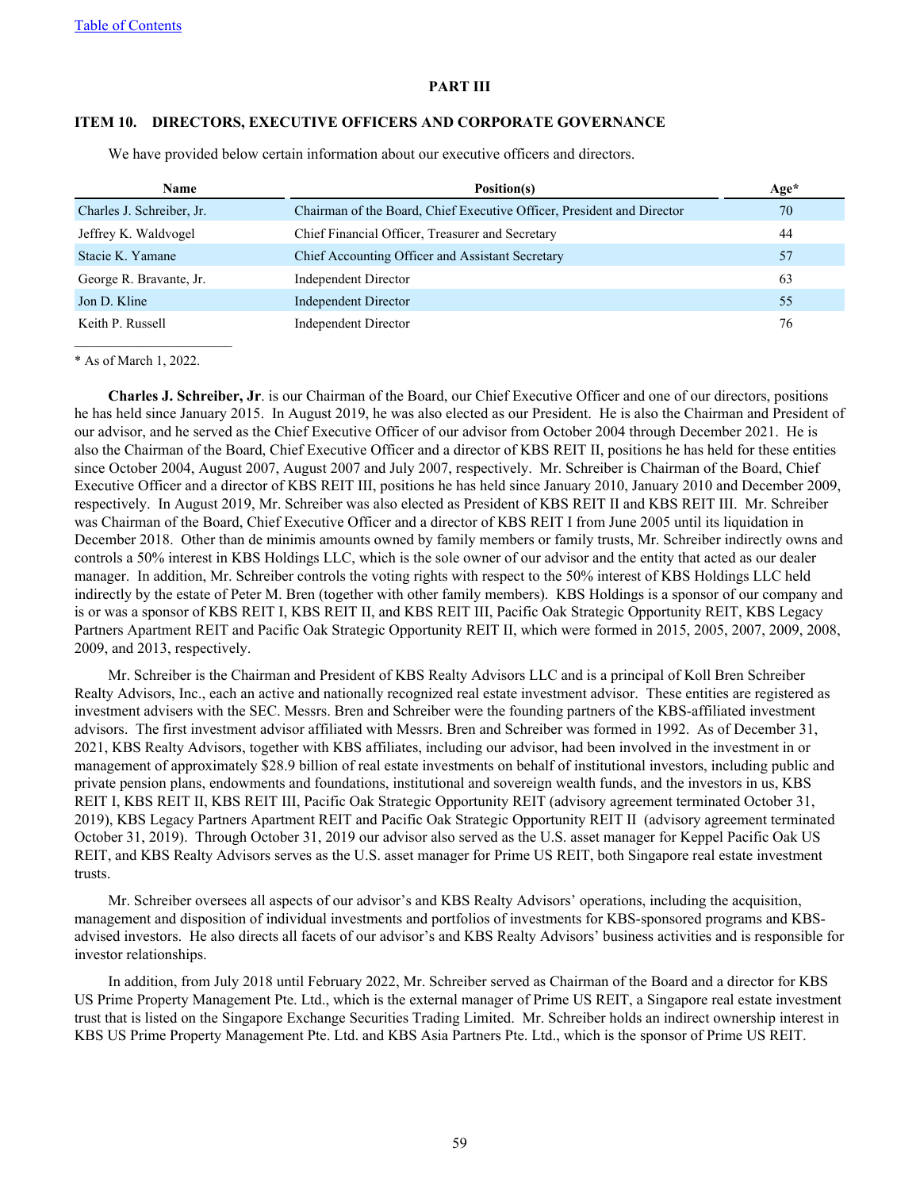## **PART III**

## **ITEM 10. DIRECTORS, EXECUTIVE OFFICERS AND CORPORATE GOVERNANCE**

We have provided below certain information about our executive officers and directors.

| Name                      | Position(s)                                                            | $Age*$ |
|---------------------------|------------------------------------------------------------------------|--------|
| Charles J. Schreiber, Jr. | Chairman of the Board, Chief Executive Officer, President and Director | 70     |
| Jeffrey K. Waldvogel      | Chief Financial Officer, Treasurer and Secretary                       | 44     |
| Stacie K. Yamane          | Chief Accounting Officer and Assistant Secretary                       | 57     |
| George R. Bravante, Jr.   | <b>Independent Director</b>                                            | 63     |
| Jon D. Kline              | <b>Independent Director</b>                                            | 55     |
| Keith P. Russell          | Independent Director                                                   | 76     |

\* As of March 1, 2022.

**Charles J. Schreiber, Jr**. is our Chairman of the Board, our Chief Executive Officer and one of our directors, positions he has held since January 2015. In August 2019, he was also elected as our President. He is also the Chairman and President of our advisor, and he served as the Chief Executive Officer of our advisor from October 2004 through December 2021. He is also the Chairman of the Board, Chief Executive Officer and a director of KBS REIT II, positions he has held for these entities since October 2004, August 2007, August 2007 and July 2007, respectively. Mr. Schreiber is Chairman of the Board, Chief Executive Officer and a director of KBS REIT III, positions he has held since January 2010, January 2010 and December 2009, respectively. In August 2019, Mr. Schreiber was also elected as President of KBS REIT II and KBS REIT III. Mr. Schreiber was Chairman of the Board, Chief Executive Officer and a director of KBS REIT I from June 2005 until its liquidation in December 2018. Other than de minimis amounts owned by family members or family trusts, Mr. Schreiber indirectly owns and controls a 50% interest in KBS Holdings LLC, which is the sole owner of our advisor and the entity that acted as our dealer manager. In addition, Mr. Schreiber controls the voting rights with respect to the 50% interest of KBS Holdings LLC held indirectly by the estate of Peter M. Bren (together with other family members). KBS Holdings is a sponsor of our company and is or was a sponsor of KBS REIT I, KBS REIT II, and KBS REIT III, Pacific Oak Strategic Opportunity REIT, KBS Legacy Partners Apartment REIT and Pacific Oak Strategic Opportunity REIT II, which were formed in 2015, 2005, 2007, 2009, 2008, 2009, and 2013, respectively.

Mr. Schreiber is the Chairman and President of KBS Realty Advisors LLC and is a principal of Koll Bren Schreiber Realty Advisors, Inc., each an active and nationally recognized real estate investment advisor. These entities are registered as investment advisers with the SEC. Messrs. Bren and Schreiber were the founding partners of the KBS-affiliated investment advisors. The first investment advisor affiliated with Messrs. Bren and Schreiber was formed in 1992. As of December 31, 2021, KBS Realty Advisors, together with KBS affiliates, including our advisor, had been involved in the investment in or management of approximately \$28.9 billion of real estate investments on behalf of institutional investors, including public and private pension plans, endowments and foundations, institutional and sovereign wealth funds, and the investors in us, KBS REIT I, KBS REIT II, KBS REIT III, Pacific Oak Strategic Opportunity REIT (advisory agreement terminated October 31, 2019), KBS Legacy Partners Apartment REIT and Pacific Oak Strategic Opportunity REIT II (advisory agreement terminated October 31, 2019). Through October 31, 2019 our advisor also served as the U.S. asset manager for Keppel Pacific Oak US REIT, and KBS Realty Advisors serves as the U.S. asset manager for Prime US REIT, both Singapore real estate investment trusts.

Mr. Schreiber oversees all aspects of our advisor's and KBS Realty Advisors' operations, including the acquisition, management and disposition of individual investments and portfolios of investments for KBS-sponsored programs and KBSadvised investors. He also directs all facets of our advisor's and KBS Realty Advisors' business activities and is responsible for investor relationships.

In addition, from July 2018 until February 2022, Mr. Schreiber served as Chairman of the Board and a director for KBS US Prime Property Management Pte. Ltd., which is the external manager of Prime US REIT, a Singapore real estate investment trust that is listed on the Singapore Exchange Securities Trading Limited. Mr. Schreiber holds an indirect ownership interest in KBS US Prime Property Management Pte. Ltd. and KBS Asia Partners Pte. Ltd., which is the sponsor of Prime US REIT.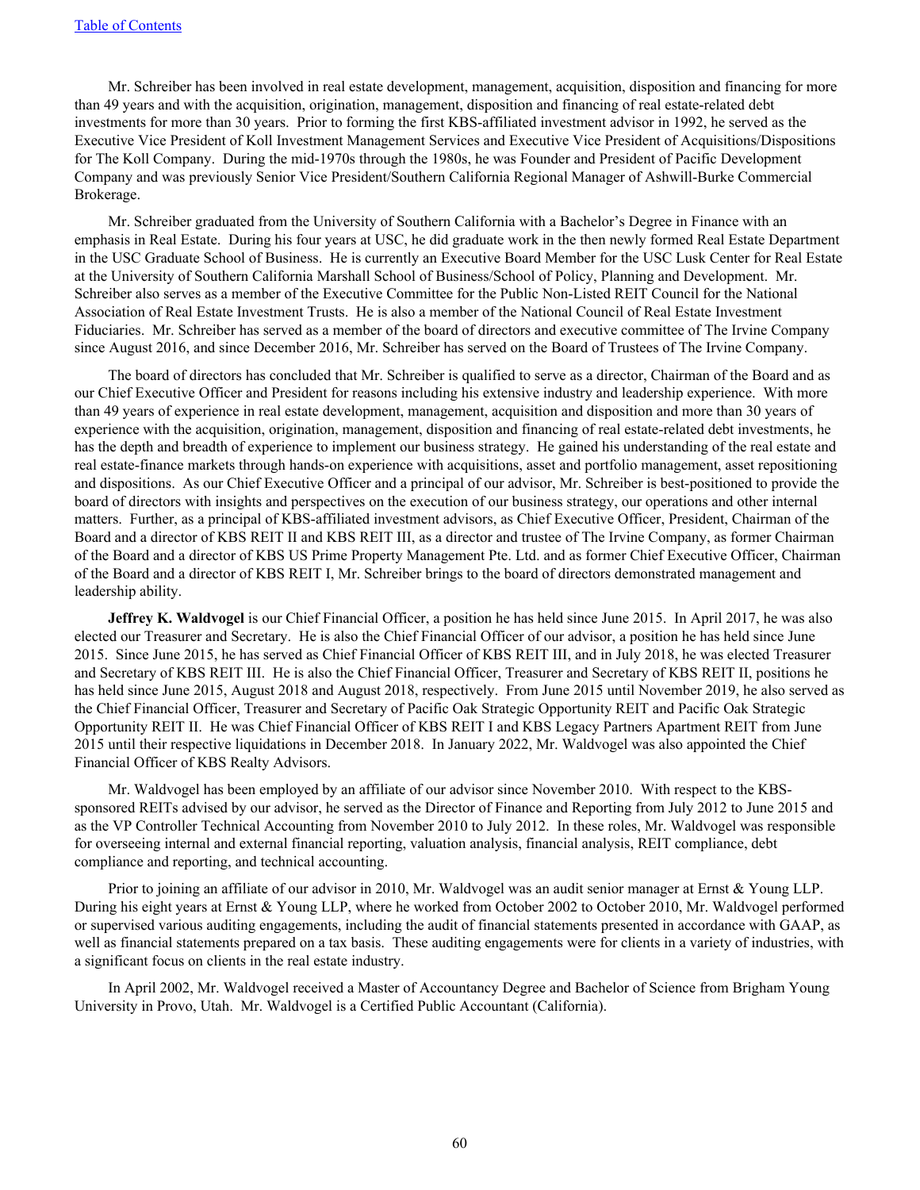Mr. Schreiber has been involved in real estate development, management, acquisition, disposition and financing for more than 49 years and with the acquisition, origination, management, disposition and financing of real estate-related debt investments for more than 30 years. Prior to forming the first KBS-affiliated investment advisor in 1992, he served as the Executive Vice President of Koll Investment Management Services and Executive Vice President of Acquisitions/Dispositions for The Koll Company. During the mid-1970s through the 1980s, he was Founder and President of Pacific Development Company and was previously Senior Vice President/Southern California Regional Manager of Ashwill-Burke Commercial Brokerage.

Mr. Schreiber graduated from the University of Southern California with a Bachelor's Degree in Finance with an emphasis in Real Estate. During his four years at USC, he did graduate work in the then newly formed Real Estate Department in the USC Graduate School of Business. He is currently an Executive Board Member for the USC Lusk Center for Real Estate at the University of Southern California Marshall School of Business/School of Policy, Planning and Development. Mr. Schreiber also serves as a member of the Executive Committee for the Public Non-Listed REIT Council for the National Association of Real Estate Investment Trusts. He is also a member of the National Council of Real Estate Investment Fiduciaries. Mr. Schreiber has served as a member of the board of directors and executive committee of The Irvine Company since August 2016, and since December 2016, Mr. Schreiber has served on the Board of Trustees of The Irvine Company.

The board of directors has concluded that Mr. Schreiber is qualified to serve as a director, Chairman of the Board and as our Chief Executive Officer and President for reasons including his extensive industry and leadership experience. With more than 49 years of experience in real estate development, management, acquisition and disposition and more than 30 years of experience with the acquisition, origination, management, disposition and financing of real estate-related debt investments, he has the depth and breadth of experience to implement our business strategy. He gained his understanding of the real estate and real estate-finance markets through hands-on experience with acquisitions, asset and portfolio management, asset repositioning and dispositions. As our Chief Executive Officer and a principal of our advisor, Mr. Schreiber is best-positioned to provide the board of directors with insights and perspectives on the execution of our business strategy, our operations and other internal matters. Further, as a principal of KBS-affiliated investment advisors, as Chief Executive Officer, President, Chairman of the Board and a director of KBS REIT II and KBS REIT III, as a director and trustee of The Irvine Company, as former Chairman of the Board and a director of KBS US Prime Property Management Pte. Ltd. and as former Chief Executive Officer, Chairman of the Board and a director of KBS REIT I, Mr. Schreiber brings to the board of directors demonstrated management and leadership ability.

**Jeffrey K. Waldvogel** is our Chief Financial Officer, a position he has held since June 2015. In April 2017, he was also elected our Treasurer and Secretary. He is also the Chief Financial Officer of our advisor, a position he has held since June 2015. Since June 2015, he has served as Chief Financial Officer of KBS REIT III, and in July 2018, he was elected Treasurer and Secretary of KBS REIT III. He is also the Chief Financial Officer, Treasurer and Secretary of KBS REIT II, positions he has held since June 2015, August 2018 and August 2018, respectively. From June 2015 until November 2019, he also served as the Chief Financial Officer, Treasurer and Secretary of Pacific Oak Strategic Opportunity REIT and Pacific Oak Strategic Opportunity REIT II. He was Chief Financial Officer of KBS REIT I and KBS Legacy Partners Apartment REIT from June 2015 until their respective liquidations in December 2018. In January 2022, Mr. Waldvogel was also appointed the Chief Financial Officer of KBS Realty Advisors.

Mr. Waldvogel has been employed by an affiliate of our advisor since November 2010. With respect to the KBSsponsored REITs advised by our advisor, he served as the Director of Finance and Reporting from July 2012 to June 2015 and as the VP Controller Technical Accounting from November 2010 to July 2012. In these roles, Mr. Waldvogel was responsible for overseeing internal and external financial reporting, valuation analysis, financial analysis, REIT compliance, debt compliance and reporting, and technical accounting.

Prior to joining an affiliate of our advisor in 2010, Mr. Waldvogel was an audit senior manager at Ernst & Young LLP. During his eight years at Ernst & Young LLP, where he worked from October 2002 to October 2010, Mr. Waldvogel performed or supervised various auditing engagements, including the audit of financial statements presented in accordance with GAAP, as well as financial statements prepared on a tax basis. These auditing engagements were for clients in a variety of industries, with a significant focus on clients in the real estate industry.

In April 2002, Mr. Waldvogel received a Master of Accountancy Degree and Bachelor of Science from Brigham Young University in Provo, Utah. Mr. Waldvogel is a Certified Public Accountant (California).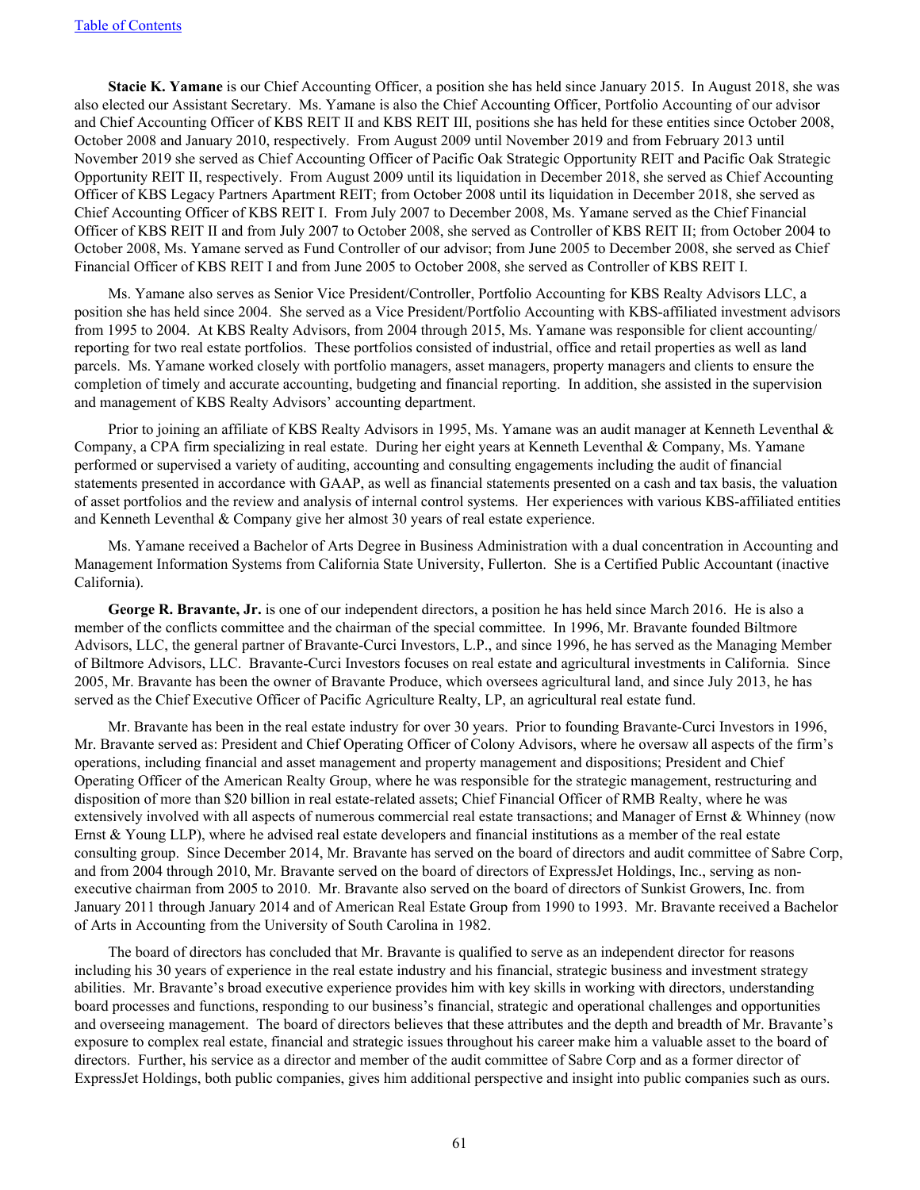**Stacie K. Yamane** is our Chief Accounting Officer, a position she has held since January 2015. In August 2018, she was also elected our Assistant Secretary. Ms. Yamane is also the Chief Accounting Officer, Portfolio Accounting of our advisor and Chief Accounting Officer of KBS REIT II and KBS REIT III, positions she has held for these entities since October 2008, October 2008 and January 2010, respectively. From August 2009 until November 2019 and from February 2013 until November 2019 she served as Chief Accounting Officer of Pacific Oak Strategic Opportunity REIT and Pacific Oak Strategic Opportunity REIT II, respectively. From August 2009 until its liquidation in December 2018, she served as Chief Accounting Officer of KBS Legacy Partners Apartment REIT; from October 2008 until its liquidation in December 2018, she served as Chief Accounting Officer of KBS REIT I. From July 2007 to December 2008, Ms. Yamane served as the Chief Financial Officer of KBS REIT II and from July 2007 to October 2008, she served as Controller of KBS REIT II; from October 2004 to October 2008, Ms. Yamane served as Fund Controller of our advisor; from June 2005 to December 2008, she served as Chief Financial Officer of KBS REIT I and from June 2005 to October 2008, she served as Controller of KBS REIT I.

Ms. Yamane also serves as Senior Vice President/Controller, Portfolio Accounting for KBS Realty Advisors LLC, a position she has held since 2004. She served as a Vice President/Portfolio Accounting with KBS-affiliated investment advisors from 1995 to 2004. At KBS Realty Advisors, from 2004 through 2015, Ms. Yamane was responsible for client accounting/ reporting for two real estate portfolios. These portfolios consisted of industrial, office and retail properties as well as land parcels. Ms. Yamane worked closely with portfolio managers, asset managers, property managers and clients to ensure the completion of timely and accurate accounting, budgeting and financial reporting. In addition, she assisted in the supervision and management of KBS Realty Advisors' accounting department.

Prior to joining an affiliate of KBS Realty Advisors in 1995, Ms. Yamane was an audit manager at Kenneth Leventhal & Company, a CPA firm specializing in real estate. During her eight years at Kenneth Leventhal & Company, Ms. Yamane performed or supervised a variety of auditing, accounting and consulting engagements including the audit of financial statements presented in accordance with GAAP, as well as financial statements presented on a cash and tax basis, the valuation of asset portfolios and the review and analysis of internal control systems. Her experiences with various KBS-affiliated entities and Kenneth Leventhal & Company give her almost 30 years of real estate experience.

Ms. Yamane received a Bachelor of Arts Degree in Business Administration with a dual concentration in Accounting and Management Information Systems from California State University, Fullerton. She is a Certified Public Accountant (inactive California).

**George R. Bravante, Jr.** is one of our independent directors, a position he has held since March 2016. He is also a member of the conflicts committee and the chairman of the special committee. In 1996, Mr. Bravante founded Biltmore Advisors, LLC, the general partner of Bravante-Curci Investors, L.P., and since 1996, he has served as the Managing Member of Biltmore Advisors, LLC. Bravante-Curci Investors focuses on real estate and agricultural investments in California. Since 2005, Mr. Bravante has been the owner of Bravante Produce, which oversees agricultural land, and since July 2013, he has served as the Chief Executive Officer of Pacific Agriculture Realty, LP, an agricultural real estate fund.

Mr. Bravante has been in the real estate industry for over 30 years. Prior to founding Bravante-Curci Investors in 1996, Mr. Bravante served as: President and Chief Operating Officer of Colony Advisors, where he oversaw all aspects of the firm's operations, including financial and asset management and property management and dispositions; President and Chief Operating Officer of the American Realty Group, where he was responsible for the strategic management, restructuring and disposition of more than \$20 billion in real estate-related assets; Chief Financial Officer of RMB Realty, where he was extensively involved with all aspects of numerous commercial real estate transactions; and Manager of Ernst & Whinney (now Ernst  $& Young LLP$ ), where he advised real estate developers and financial institutions as a member of the real estate consulting group. Since December 2014, Mr. Bravante has served on the board of directors and audit committee of Sabre Corp, and from 2004 through 2010, Mr. Bravante served on the board of directors of ExpressJet Holdings, Inc., serving as nonexecutive chairman from 2005 to 2010. Mr. Bravante also served on the board of directors of Sunkist Growers, Inc. from January 2011 through January 2014 and of American Real Estate Group from 1990 to 1993. Mr. Bravante received a Bachelor of Arts in Accounting from the University of South Carolina in 1982.

The board of directors has concluded that Mr. Bravante is qualified to serve as an independent director for reasons including his 30 years of experience in the real estate industry and his financial, strategic business and investment strategy abilities. Mr. Bravante's broad executive experience provides him with key skills in working with directors, understanding board processes and functions, responding to our business's financial, strategic and operational challenges and opportunities and overseeing management. The board of directors believes that these attributes and the depth and breadth of Mr. Bravante's exposure to complex real estate, financial and strategic issues throughout his career make him a valuable asset to the board of directors. Further, his service as a director and member of the audit committee of Sabre Corp and as a former director of ExpressJet Holdings, both public companies, gives him additional perspective and insight into public companies such as ours.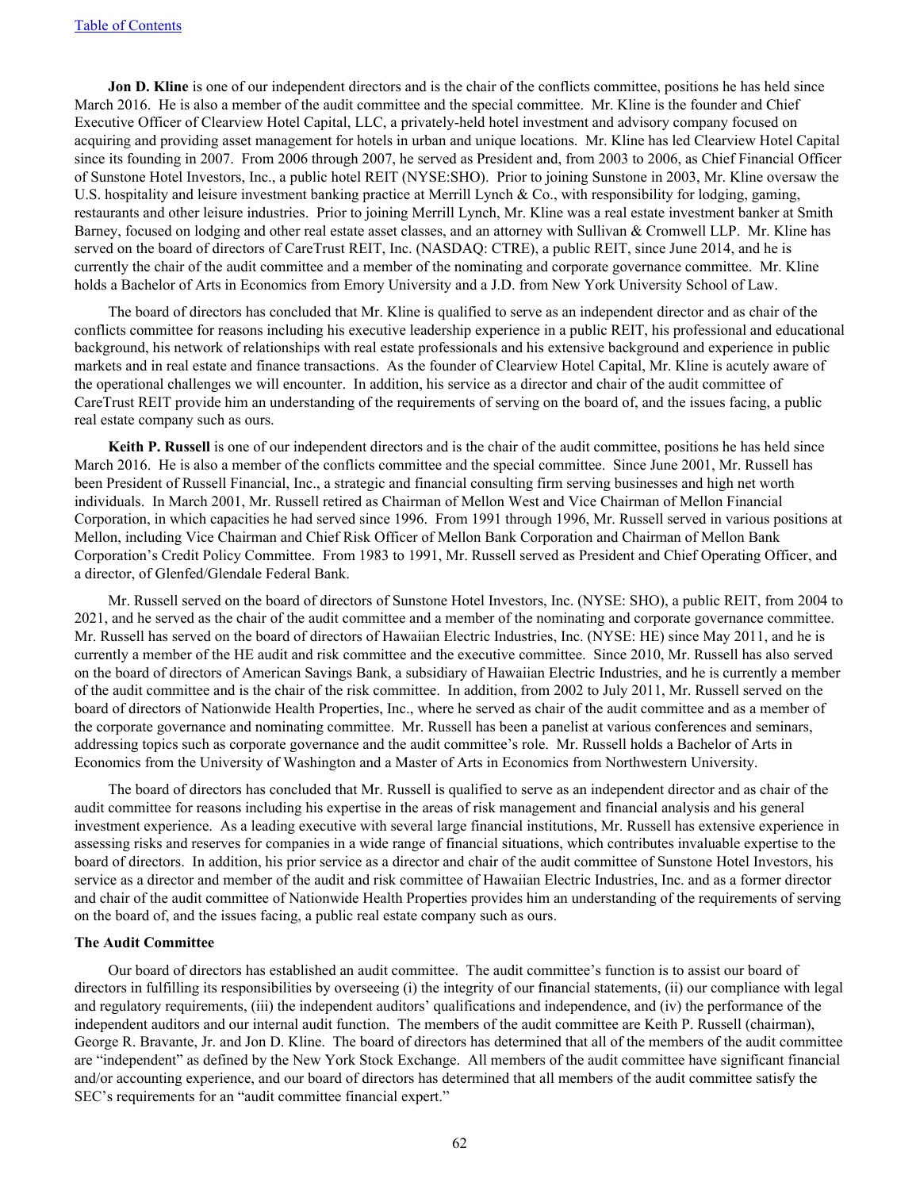**Jon D. Kline** is one of our independent directors and is the chair of the conflicts committee, positions he has held since March 2016. He is also a member of the audit committee and the special committee. Mr. Kline is the founder and Chief Executive Officer of Clearview Hotel Capital, LLC, a privately-held hotel investment and advisory company focused on acquiring and providing asset management for hotels in urban and unique locations. Mr. Kline has led Clearview Hotel Capital since its founding in 2007. From 2006 through 2007, he served as President and, from 2003 to 2006, as Chief Financial Officer of Sunstone Hotel Investors, Inc., a public hotel REIT (NYSE:SHO). Prior to joining Sunstone in 2003, Mr. Kline oversaw the U.S. hospitality and leisure investment banking practice at Merrill Lynch & Co., with responsibility for lodging, gaming, restaurants and other leisure industries. Prior to joining Merrill Lynch, Mr. Kline was a real estate investment banker at Smith Barney, focused on lodging and other real estate asset classes, and an attorney with Sullivan & Cromwell LLP. Mr. Kline has served on the board of directors of CareTrust REIT, Inc. (NASDAQ: CTRE), a public REIT, since June 2014, and he is currently the chair of the audit committee and a member of the nominating and corporate governance committee. Mr. Kline holds a Bachelor of Arts in Economics from Emory University and a J.D. from New York University School of Law.

The board of directors has concluded that Mr. Kline is qualified to serve as an independent director and as chair of the conflicts committee for reasons including his executive leadership experience in a public REIT, his professional and educational background, his network of relationships with real estate professionals and his extensive background and experience in public markets and in real estate and finance transactions. As the founder of Clearview Hotel Capital, Mr. Kline is acutely aware of the operational challenges we will encounter. In addition, his service as a director and chair of the audit committee of CareTrust REIT provide him an understanding of the requirements of serving on the board of, and the issues facing, a public real estate company such as ours.

**Keith P. Russell** is one of our independent directors and is the chair of the audit committee, positions he has held since March 2016. He is also a member of the conflicts committee and the special committee. Since June 2001, Mr. Russell has been President of Russell Financial, Inc., a strategic and financial consulting firm serving businesses and high net worth individuals. In March 2001, Mr. Russell retired as Chairman of Mellon West and Vice Chairman of Mellon Financial Corporation, in which capacities he had served since 1996. From 1991 through 1996, Mr. Russell served in various positions at Mellon, including Vice Chairman and Chief Risk Officer of Mellon Bank Corporation and Chairman of Mellon Bank Corporation's Credit Policy Committee. From 1983 to 1991, Mr. Russell served as President and Chief Operating Officer, and a director, of Glenfed/Glendale Federal Bank.

Mr. Russell served on the board of directors of Sunstone Hotel Investors, Inc. (NYSE: SHO), a public REIT, from 2004 to 2021, and he served as the chair of the audit committee and a member of the nominating and corporate governance committee. Mr. Russell has served on the board of directors of Hawaiian Electric Industries, Inc. (NYSE: HE) since May 2011, and he is currently a member of the HE audit and risk committee and the executive committee. Since 2010, Mr. Russell has also served on the board of directors of American Savings Bank, a subsidiary of Hawaiian Electric Industries, and he is currently a member of the audit committee and is the chair of the risk committee. In addition, from 2002 to July 2011, Mr. Russell served on the board of directors of Nationwide Health Properties, Inc., where he served as chair of the audit committee and as a member of the corporate governance and nominating committee. Mr. Russell has been a panelist at various conferences and seminars, addressing topics such as corporate governance and the audit committee's role. Mr. Russell holds a Bachelor of Arts in Economics from the University of Washington and a Master of Arts in Economics from Northwestern University.

The board of directors has concluded that Mr. Russell is qualified to serve as an independent director and as chair of the audit committee for reasons including his expertise in the areas of risk management and financial analysis and his general investment experience. As a leading executive with several large financial institutions, Mr. Russell has extensive experience in assessing risks and reserves for companies in a wide range of financial situations, which contributes invaluable expertise to the board of directors. In addition, his prior service as a director and chair of the audit committee of Sunstone Hotel Investors, his service as a director and member of the audit and risk committee of Hawaiian Electric Industries, Inc. and as a former director and chair of the audit committee of Nationwide Health Properties provides him an understanding of the requirements of serving on the board of, and the issues facing, a public real estate company such as ours.

### **The Audit Committee**

Our board of directors has established an audit committee. The audit committee's function is to assist our board of directors in fulfilling its responsibilities by overseeing (i) the integrity of our financial statements, (ii) our compliance with legal and regulatory requirements, (iii) the independent auditors' qualifications and independence, and (iv) the performance of the independent auditors and our internal audit function. The members of the audit committee are Keith P. Russell (chairman), George R. Bravante, Jr. and Jon D. Kline. The board of directors has determined that all of the members of the audit committee are "independent" as defined by the New York Stock Exchange. All members of the audit committee have significant financial and/or accounting experience, and our board of directors has determined that all members of the audit committee satisfy the SEC's requirements for an "audit committee financial expert."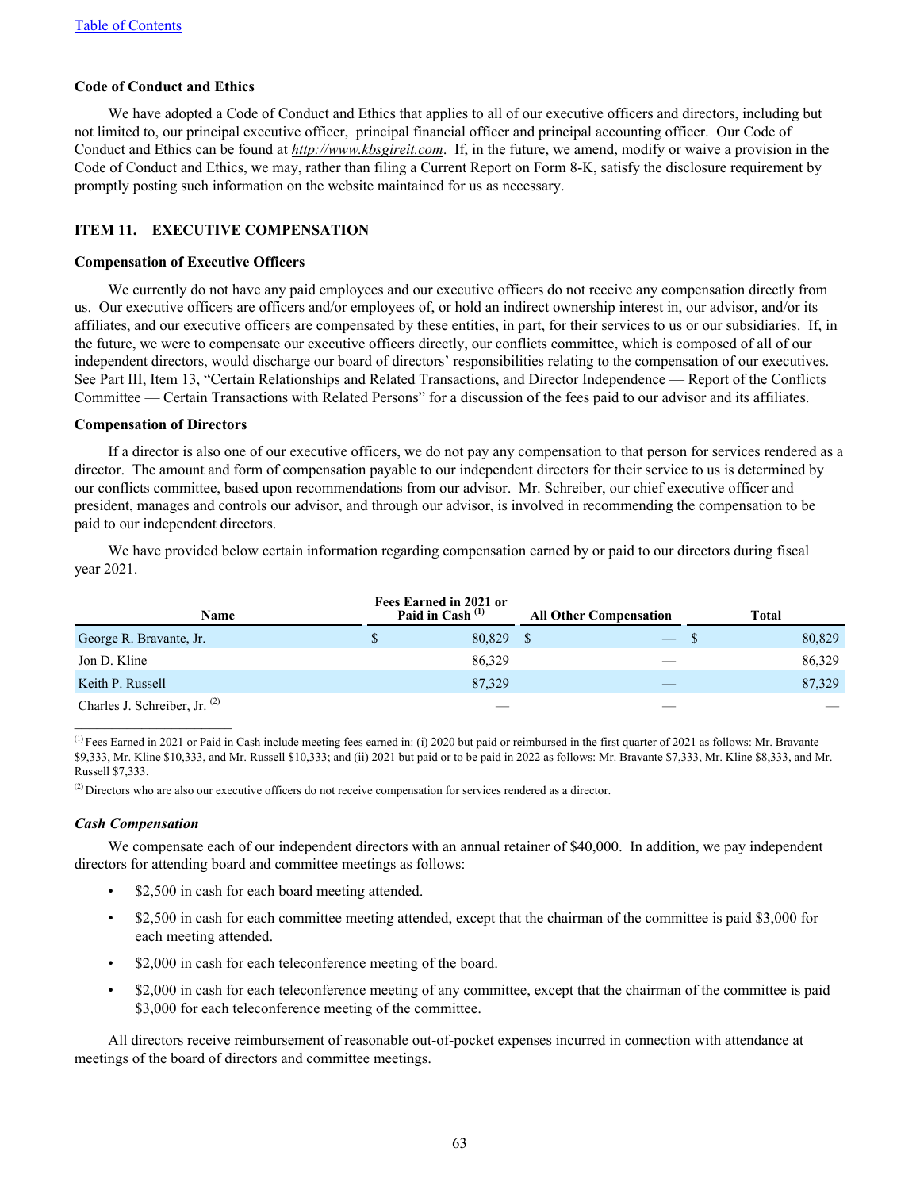## **Code of Conduct and Ethics**

We have adopted a Code of Conduct and Ethics that applies to all of our executive officers and directors, including but not limited to, our principal executive officer, principal financial officer and principal accounting officer. Our Code of Conduct and Ethics can be found at *http://www.kbsgireit.com*. If, in the future, we amend, modify or waive a provision in the Code of Conduct and Ethics, we may, rather than filing a Current Report on Form 8-K, satisfy the disclosure requirement by promptly posting such information on the website maintained for us as necessary.

## **ITEM 11. EXECUTIVE COMPENSATION**

#### **Compensation of Executive Officers**

We currently do not have any paid employees and our executive officers do not receive any compensation directly from us. Our executive officers are officers and/or employees of, or hold an indirect ownership interest in, our advisor, and/or its affiliates, and our executive officers are compensated by these entities, in part, for their services to us or our subsidiaries. If, in the future, we were to compensate our executive officers directly, our conflicts committee, which is composed of all of our independent directors, would discharge our board of directors' responsibilities relating to the compensation of our executives. See Part III, Item 13, "Certain Relationships and Related Transactions, and Director Independence — Report of the Conflicts Committee — Certain Transactions with Related Persons" for a discussion of the fees paid to our advisor and its affiliates.

#### **Compensation of Directors**

If a director is also one of our executive officers, we do not pay any compensation to that person for services rendered as a director. The amount and form of compensation payable to our independent directors for their service to us is determined by our conflicts committee, based upon recommendations from our advisor. Mr. Schreiber, our chief executive officer and president, manages and controls our advisor, and through our advisor, is involved in recommending the compensation to be paid to our independent directors.

We have provided below certain information regarding compensation earned by or paid to our directors during fiscal year 2021.

| Name                                     | Fees Earned in 2021 or<br>Paid in Cash $(1)$ | <b>All Other Compensation</b> | Total  |
|------------------------------------------|----------------------------------------------|-------------------------------|--------|
| George R. Bravante, Jr.                  | 80.829                                       | $-$                           | 80,829 |
| Jon D. Kline                             | 86.329                                       |                               | 86,329 |
| Keith P. Russell                         | 87.329                                       |                               | 87,329 |
| Charles J. Schreiber, Jr. <sup>(2)</sup> |                                              |                               |        |

 $^{(1)}$  Fees Earned in 2021 or Paid in Cash include meeting fees earned in: (i) 2020 but paid or reimbursed in the first quarter of 2021 as follows: Mr. Bravante \$9,333, Mr. Kline \$10,333, and Mr. Russell \$10,333; and (ii) 2021 but paid or to be paid in 2022 as follows: Mr. Bravante \$7,333, Mr. Kline \$8,333, and Mr. Russell \$7,333.

 $^{(2)}$  Directors who are also our executive officers do not receive compensation for services rendered as a director.

#### *Cash Compensation*

 $\mathcal{L}_\text{max}$  , where  $\mathcal{L}_\text{max}$  , we have the set of the set of the set of the set of the set of the set of the set of the set of the set of the set of the set of the set of the set of the set of the set of the set of

We compensate each of our independent directors with an annual retainer of \$40,000. In addition, we pay independent directors for attending board and committee meetings as follows:

- \$2,500 in cash for each board meeting attended.
- \$2,500 in cash for each committee meeting attended, except that the chairman of the committee is paid \$3,000 for each meeting attended.
- \$2,000 in cash for each teleconference meeting of the board.
- \$2,000 in cash for each teleconference meeting of any committee, except that the chairman of the committee is paid \$3,000 for each teleconference meeting of the committee.

All directors receive reimbursement of reasonable out-of-pocket expenses incurred in connection with attendance at meetings of the board of directors and committee meetings.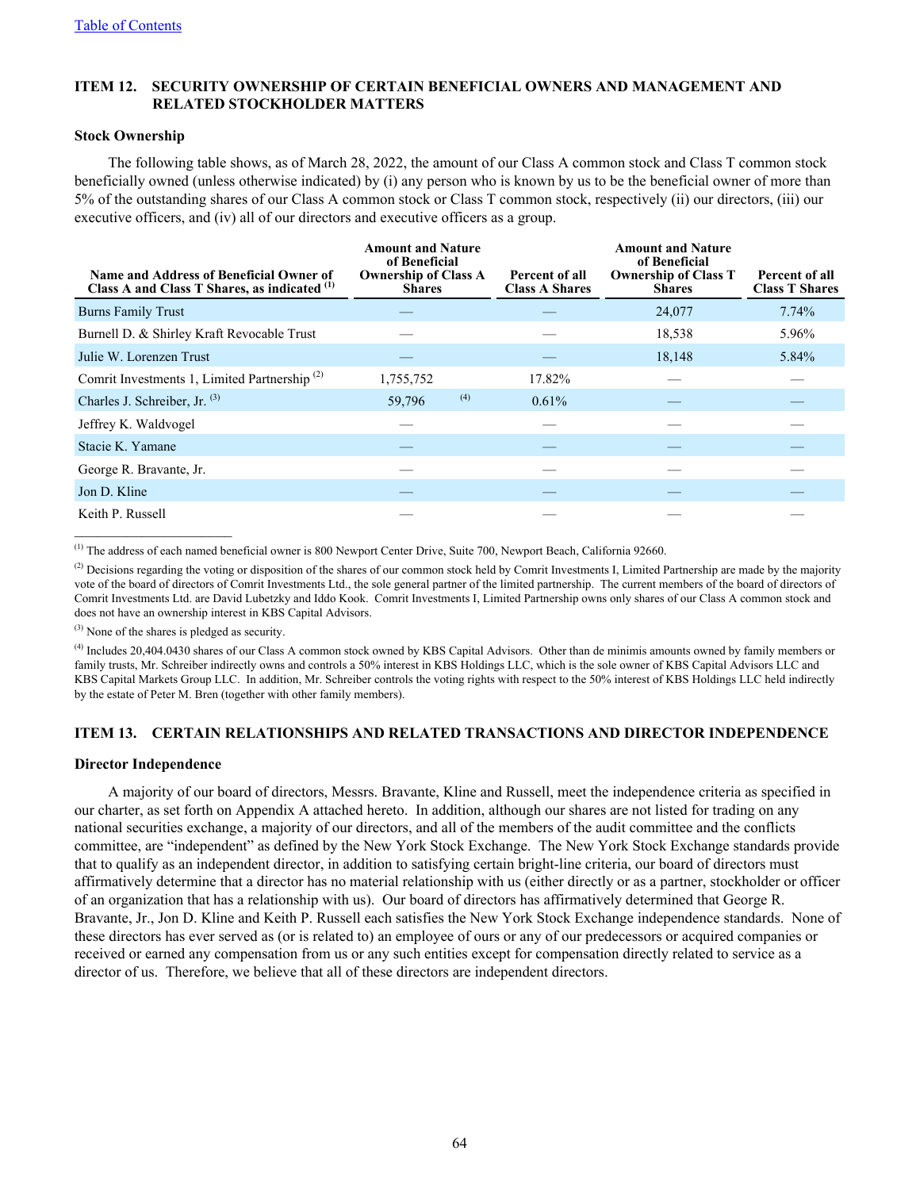# **ITEM 12. SECURITY OWNERSHIP OF CERTAIN BENEFICIAL OWNERS AND MANAGEMENT AND RELATED STOCKHOLDER MATTERS**

## **Stock Ownership**

The following table shows, as of March 28, 2022, the amount of our Class A common stock and Class T common stock beneficially owned (unless otherwise indicated) by (i) any person who is known by us to be the beneficial owner of more than 5% of the outstanding shares of our Class A common stock or Class T common stock, respectively (ii) our directors, (iii) our executive officers, and (iv) all of our directors and executive officers as a group.

| Name and Address of Beneficial Owner of<br>Class A and Class T Shares, as indicated (1) | <b>Amount and Nature</b><br>of Beneficial<br><b>Ownership of Class A</b><br><b>Shares</b> | Percent of all<br><b>Class A Shares</b> | <b>Amount and Nature</b><br>of Beneficial<br><b>Ownership of Class T</b><br><b>Shares</b> | Percent of all<br><b>Class T Shares</b> |
|-----------------------------------------------------------------------------------------|-------------------------------------------------------------------------------------------|-----------------------------------------|-------------------------------------------------------------------------------------------|-----------------------------------------|
| <b>Burns Family Trust</b>                                                               |                                                                                           |                                         | 24,077                                                                                    | 7.74%                                   |
| Burnell D. & Shirley Kraft Revocable Trust                                              |                                                                                           |                                         | 18,538                                                                                    | 5.96%                                   |
| Julie W. Lorenzen Trust                                                                 |                                                                                           |                                         | 18,148                                                                                    | 5.84%                                   |
| Comrit Investments 1, Limited Partnership <sup>(2)</sup>                                | 1,755,752                                                                                 | 17.82%                                  |                                                                                           |                                         |
| Charles J. Schreiber, Jr. (3)                                                           | (4)<br>59,796                                                                             | 0.61%                                   |                                                                                           |                                         |
| Jeffrey K. Waldvogel                                                                    |                                                                                           |                                         |                                                                                           |                                         |
| Stacie K. Yamane                                                                        |                                                                                           |                                         |                                                                                           |                                         |
| George R. Bravante, Jr.                                                                 |                                                                                           |                                         |                                                                                           |                                         |
| Jon D. Kline                                                                            |                                                                                           |                                         |                                                                                           |                                         |
| Keith P. Russell                                                                        |                                                                                           |                                         |                                                                                           |                                         |

(1) The address of each named beneficial owner is 800 Newport Center Drive, Suite 700, Newport Beach, California 92660.

<sup>(2)</sup> Decisions regarding the voting or disposition of the shares of our common stock held by Comrit Investments I, Limited Partnership are made by the majority vote of the board of directors of Comrit Investments Ltd., the sole general partner of the limited partnership. The current members of the board of directors of Comrit Investments Ltd. are David Lubetzky and Iddo Kook. Comrit Investments I, Limited Partnership owns only shares of our Class A common stock and does not have an ownership interest in KBS Capital Advisors.

(3) None of the shares is pledged as security.

(4) Includes 20,404.0430 shares of our Class A common stock owned by KBS Capital Advisors. Other than de minimis amounts owned by family members or family trusts, Mr. Schreiber indirectly owns and controls a 50% interest in KBS Holdings LLC, which is the sole owner of KBS Capital Advisors LLC and KBS Capital Markets Group LLC. In addition, Mr. Schreiber controls the voting rights with respect to the 50% interest of KBS Holdings LLC held indirectly by the estate of Peter M. Bren (together with other family members).

### **ITEM 13. CERTAIN RELATIONSHIPS AND RELATED TRANSACTIONS AND DIRECTOR INDEPENDENCE**

### **Director Independence**

A majority of our board of directors, Messrs. Bravante, Kline and Russell, meet the independence criteria as specified in our charter, as set forth on Appendix A attached hereto. In addition, although our shares are not listed for trading on any national securities exchange, a majority of our directors, and all of the members of the audit committee and the conflicts committee, are "independent" as defined by the New York Stock Exchange. The New York Stock Exchange standards provide that to qualify as an independent director, in addition to satisfying certain bright-line criteria, our board of directors must affirmatively determine that a director has no material relationship with us (either directly or as a partner, stockholder or officer of an organization that has a relationship with us). Our board of directors has affirmatively determined that George R. Bravante, Jr., Jon D. Kline and Keith P. Russell each satisfies the New York Stock Exchange independence standards. None of these directors has ever served as (or is related to) an employee of ours or any of our predecessors or acquired companies or received or earned any compensation from us or any such entities except for compensation directly related to service as a director of us. Therefore, we believe that all of these directors are independent directors.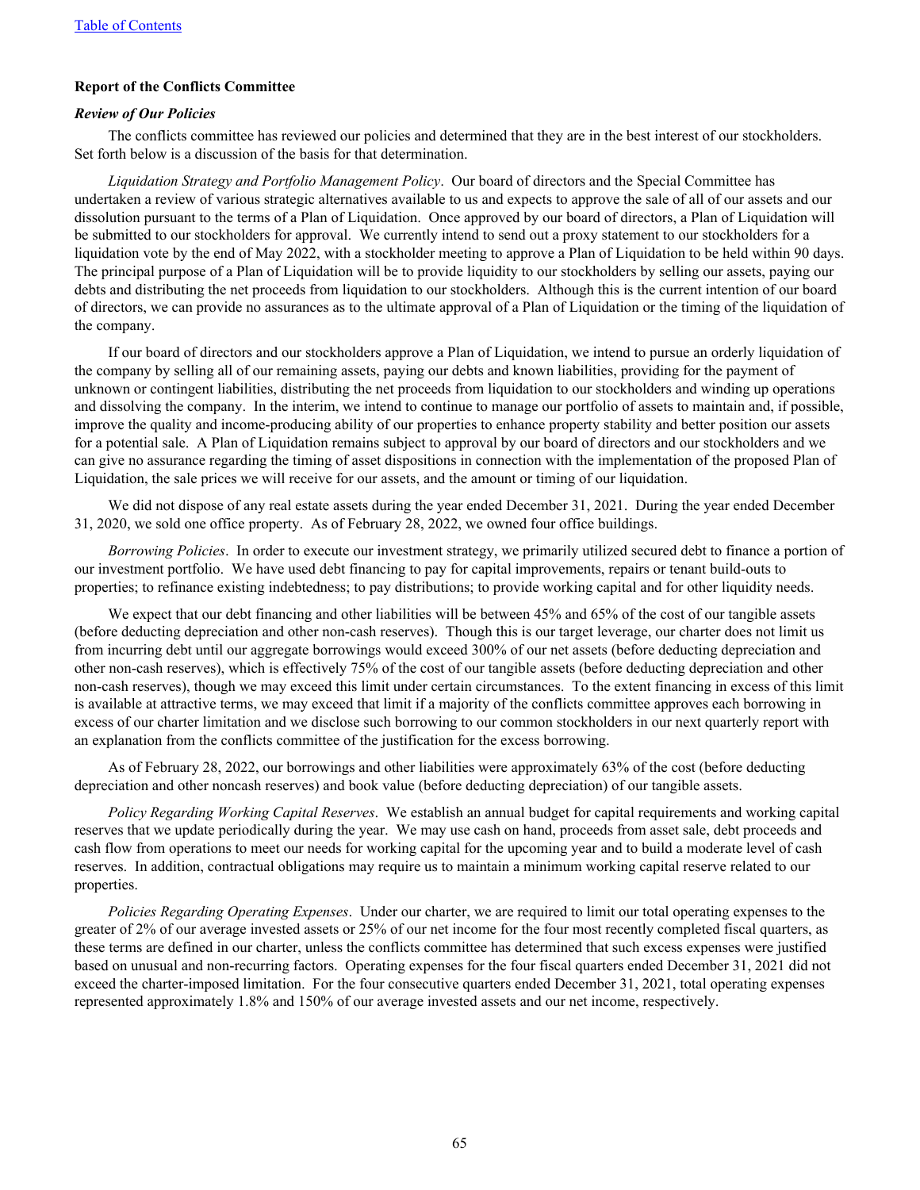# **Report of the Conflicts Committee**

## *Review of Our Policies*

The conflicts committee has reviewed our policies and determined that they are in the best interest of our stockholders. Set forth below is a discussion of the basis for that determination.

*Liquidation Strategy and Portfolio Management Policy*. Our board of directors and the Special Committee has undertaken a review of various strategic alternatives available to us and expects to approve the sale of all of our assets and our dissolution pursuant to the terms of a Plan of Liquidation. Once approved by our board of directors, a Plan of Liquidation will be submitted to our stockholders for approval. We currently intend to send out a proxy statement to our stockholders for a liquidation vote by the end of May 2022, with a stockholder meeting to approve a Plan of Liquidation to be held within 90 days. The principal purpose of a Plan of Liquidation will be to provide liquidity to our stockholders by selling our assets, paying our debts and distributing the net proceeds from liquidation to our stockholders. Although this is the current intention of our board of directors, we can provide no assurances as to the ultimate approval of a Plan of Liquidation or the timing of the liquidation of the company.

If our board of directors and our stockholders approve a Plan of Liquidation, we intend to pursue an orderly liquidation of the company by selling all of our remaining assets, paying our debts and known liabilities, providing for the payment of unknown or contingent liabilities, distributing the net proceeds from liquidation to our stockholders and winding up operations and dissolving the company. In the interim, we intend to continue to manage our portfolio of assets to maintain and, if possible, improve the quality and income-producing ability of our properties to enhance property stability and better position our assets for a potential sale. A Plan of Liquidation remains subject to approval by our board of directors and our stockholders and we can give no assurance regarding the timing of asset dispositions in connection with the implementation of the proposed Plan of Liquidation, the sale prices we will receive for our assets, and the amount or timing of our liquidation.

We did not dispose of any real estate assets during the year ended December 31, 2021. During the year ended December 31, 2020, we sold one office property. As of February 28, 2022, we owned four office buildings.

*Borrowing Policies*. In order to execute our investment strategy, we primarily utilized secured debt to finance a portion of our investment portfolio. We have used debt financing to pay for capital improvements, repairs or tenant build-outs to properties; to refinance existing indebtedness; to pay distributions; to provide working capital and for other liquidity needs.

We expect that our debt financing and other liabilities will be between 45% and 65% of the cost of our tangible assets (before deducting depreciation and other non-cash reserves). Though this is our target leverage, our charter does not limit us from incurring debt until our aggregate borrowings would exceed 300% of our net assets (before deducting depreciation and other non-cash reserves), which is effectively 75% of the cost of our tangible assets (before deducting depreciation and other non-cash reserves), though we may exceed this limit under certain circumstances. To the extent financing in excess of this limit is available at attractive terms, we may exceed that limit if a majority of the conflicts committee approves each borrowing in excess of our charter limitation and we disclose such borrowing to our common stockholders in our next quarterly report with an explanation from the conflicts committee of the justification for the excess borrowing.

As of February 28, 2022, our borrowings and other liabilities were approximately 63% of the cost (before deducting depreciation and other noncash reserves) and book value (before deducting depreciation) of our tangible assets.

*Policy Regarding Working Capital Reserves*. We establish an annual budget for capital requirements and working capital reserves that we update periodically during the year. We may use cash on hand, proceeds from asset sale, debt proceeds and cash flow from operations to meet our needs for working capital for the upcoming year and to build a moderate level of cash reserves. In addition, contractual obligations may require us to maintain a minimum working capital reserve related to our properties.

*Policies Regarding Operating Expenses*. Under our charter, we are required to limit our total operating expenses to the greater of 2% of our average invested assets or 25% of our net income for the four most recently completed fiscal quarters, as these terms are defined in our charter, unless the conflicts committee has determined that such excess expenses were justified based on unusual and non-recurring factors. Operating expenses for the four fiscal quarters ended December 31, 2021 did not exceed the charter-imposed limitation. For the four consecutive quarters ended December 31, 2021, total operating expenses represented approximately 1.8% and 150% of our average invested assets and our net income, respectively.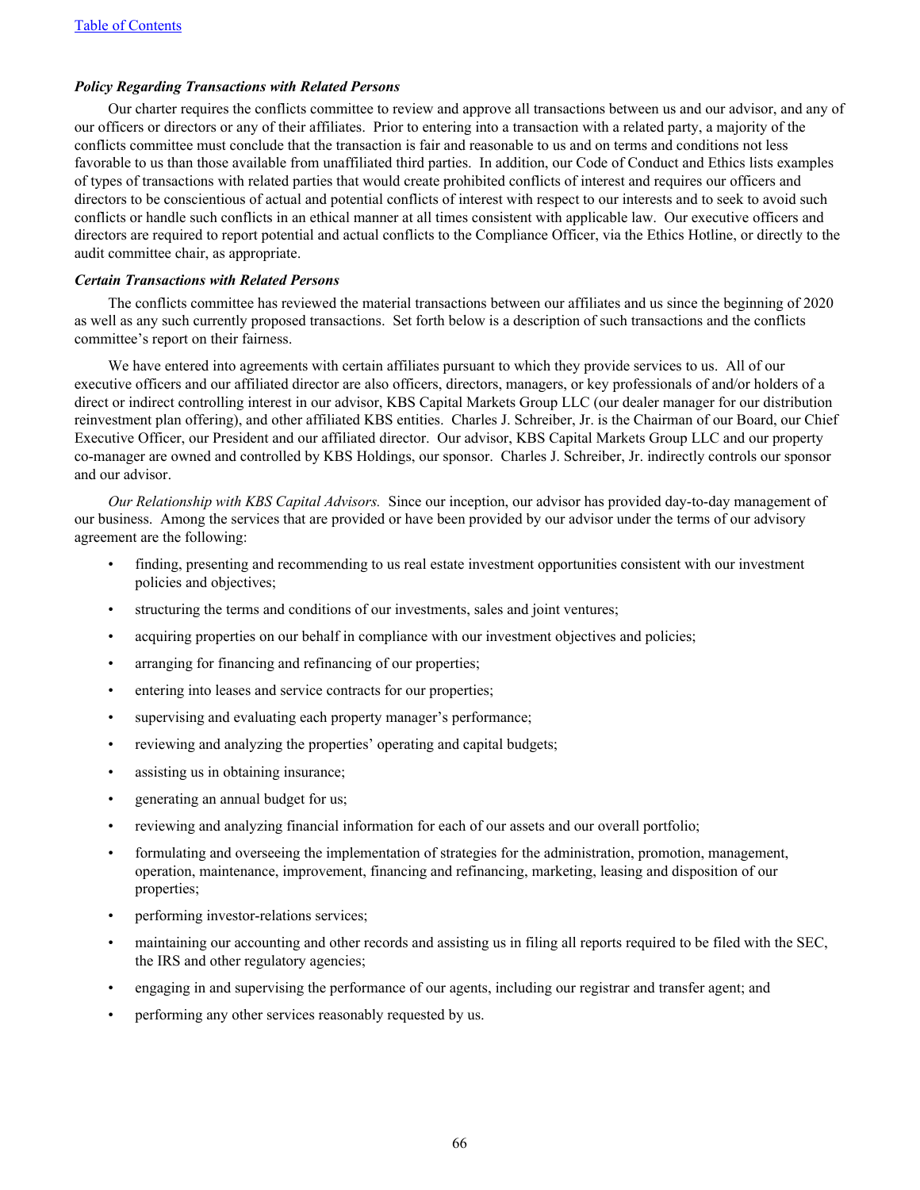### *Policy Regarding Transactions with Related Persons*

Our charter requires the conflicts committee to review and approve all transactions between us and our advisor, and any of our officers or directors or any of their affiliates. Prior to entering into a transaction with a related party, a majority of the conflicts committee must conclude that the transaction is fair and reasonable to us and on terms and conditions not less favorable to us than those available from unaffiliated third parties. In addition, our Code of Conduct and Ethics lists examples of types of transactions with related parties that would create prohibited conflicts of interest and requires our officers and directors to be conscientious of actual and potential conflicts of interest with respect to our interests and to seek to avoid such conflicts or handle such conflicts in an ethical manner at all times consistent with applicable law. Our executive officers and directors are required to report potential and actual conflicts to the Compliance Officer, via the Ethics Hotline, or directly to the audit committee chair, as appropriate.

### *Certain Transactions with Related Persons*

The conflicts committee has reviewed the material transactions between our affiliates and us since the beginning of 2020 as well as any such currently proposed transactions. Set forth below is a description of such transactions and the conflicts committee's report on their fairness.

We have entered into agreements with certain affiliates pursuant to which they provide services to us. All of our executive officers and our affiliated director are also officers, directors, managers, or key professionals of and/or holders of a direct or indirect controlling interest in our advisor, KBS Capital Markets Group LLC (our dealer manager for our distribution reinvestment plan offering), and other affiliated KBS entities. Charles J. Schreiber, Jr. is the Chairman of our Board, our Chief Executive Officer, our President and our affiliated director. Our advisor, KBS Capital Markets Group LLC and our property co-manager are owned and controlled by KBS Holdings, our sponsor. Charles J. Schreiber, Jr. indirectly controls our sponsor and our advisor.

*Our Relationship with KBS Capital Advisors.* Since our inception, our advisor has provided day-to-day management of our business. Among the services that are provided or have been provided by our advisor under the terms of our advisory agreement are the following:

- finding, presenting and recommending to us real estate investment opportunities consistent with our investment policies and objectives;
- structuring the terms and conditions of our investments, sales and joint ventures;
- acquiring properties on our behalf in compliance with our investment objectives and policies;
- arranging for financing and refinancing of our properties;
- entering into leases and service contracts for our properties;
- supervising and evaluating each property manager's performance;
- reviewing and analyzing the properties' operating and capital budgets;
- assisting us in obtaining insurance;
- generating an annual budget for us;
- reviewing and analyzing financial information for each of our assets and our overall portfolio;
- formulating and overseeing the implementation of strategies for the administration, promotion, management, operation, maintenance, improvement, financing and refinancing, marketing, leasing and disposition of our properties;
- performing investor-relations services;
- maintaining our accounting and other records and assisting us in filing all reports required to be filed with the SEC, the IRS and other regulatory agencies;
- engaging in and supervising the performance of our agents, including our registrar and transfer agent; and
- performing any other services reasonably requested by us.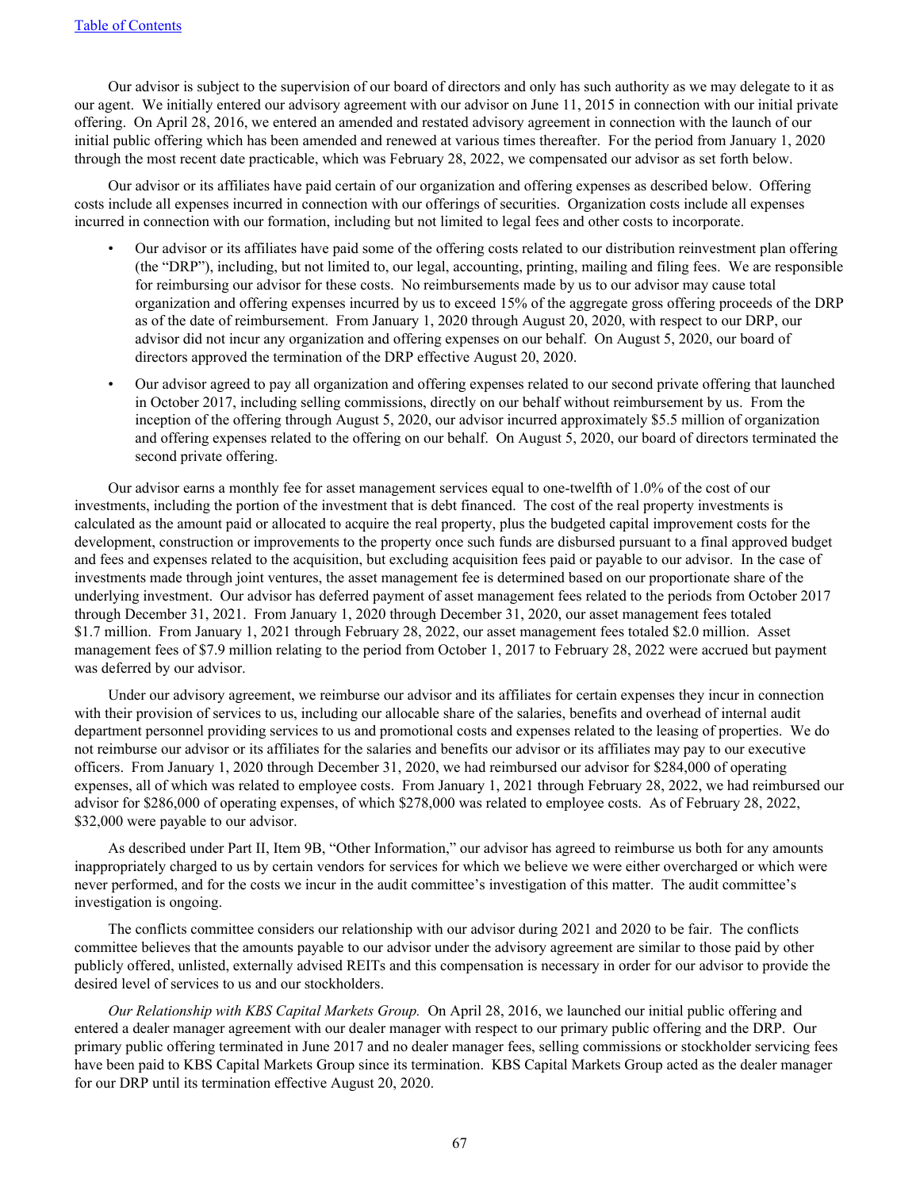Our advisor is subject to the supervision of our board of directors and only has such authority as we may delegate to it as our agent. We initially entered our advisory agreement with our advisor on June 11, 2015 in connection with our initial private offering. On April 28, 2016, we entered an amended and restated advisory agreement in connection with the launch of our initial public offering which has been amended and renewed at various times thereafter. For the period from January 1, 2020 through the most recent date practicable, which was February 28, 2022, we compensated our advisor as set forth below.

Our advisor or its affiliates have paid certain of our organization and offering expenses as described below. Offering costs include all expenses incurred in connection with our offerings of securities. Organization costs include all expenses incurred in connection with our formation, including but not limited to legal fees and other costs to incorporate.

- Our advisor or its affiliates have paid some of the offering costs related to our distribution reinvestment plan offering (the "DRP"), including, but not limited to, our legal, accounting, printing, mailing and filing fees. We are responsible for reimbursing our advisor for these costs. No reimbursements made by us to our advisor may cause total organization and offering expenses incurred by us to exceed 15% of the aggregate gross offering proceeds of the DRP as of the date of reimbursement. From January 1, 2020 through August 20, 2020, with respect to our DRP, our advisor did not incur any organization and offering expenses on our behalf. On August 5, 2020, our board of directors approved the termination of the DRP effective August 20, 2020.
- Our advisor agreed to pay all organization and offering expenses related to our second private offering that launched in October 2017, including selling commissions, directly on our behalf without reimbursement by us. From the inception of the offering through August 5, 2020, our advisor incurred approximately \$5.5 million of organization and offering expenses related to the offering on our behalf. On August 5, 2020, our board of directors terminated the second private offering.

Our advisor earns a monthly fee for asset management services equal to one-twelfth of 1.0% of the cost of our investments, including the portion of the investment that is debt financed. The cost of the real property investments is calculated as the amount paid or allocated to acquire the real property, plus the budgeted capital improvement costs for the development, construction or improvements to the property once such funds are disbursed pursuant to a final approved budget and fees and expenses related to the acquisition, but excluding acquisition fees paid or payable to our advisor. In the case of investments made through joint ventures, the asset management fee is determined based on our proportionate share of the underlying investment. Our advisor has deferred payment of asset management fees related to the periods from October 2017 through December 31, 2021. From January 1, 2020 through December 31, 2020, our asset management fees totaled \$1.7 million. From January 1, 2021 through February 28, 2022, our asset management fees totaled \$2.0 million. Asset management fees of \$7.9 million relating to the period from October 1, 2017 to February 28, 2022 were accrued but payment was deferred by our advisor.

Under our advisory agreement, we reimburse our advisor and its affiliates for certain expenses they incur in connection with their provision of services to us, including our allocable share of the salaries, benefits and overhead of internal audit department personnel providing services to us and promotional costs and expenses related to the leasing of properties. We do not reimburse our advisor or its affiliates for the salaries and benefits our advisor or its affiliates may pay to our executive officers. From January 1, 2020 through December 31, 2020, we had reimbursed our advisor for \$284,000 of operating expenses, all of which was related to employee costs. From January 1, 2021 through February 28, 2022, we had reimbursed our advisor for \$286,000 of operating expenses, of which \$278,000 was related to employee costs. As of February 28, 2022, \$32,000 were payable to our advisor.

As described under Part II, Item 9B, "Other Information," our advisor has agreed to reimburse us both for any amounts inappropriately charged to us by certain vendors for services for which we believe we were either overcharged or which were never performed, and for the costs we incur in the audit committee's investigation of this matter. The audit committee's investigation is ongoing.

The conflicts committee considers our relationship with our advisor during 2021 and 2020 to be fair. The conflicts committee believes that the amounts payable to our advisor under the advisory agreement are similar to those paid by other publicly offered, unlisted, externally advised REITs and this compensation is necessary in order for our advisor to provide the desired level of services to us and our stockholders.

*Our Relationship with KBS Capital Markets Group.* On April 28, 2016, we launched our initial public offering and entered a dealer manager agreement with our dealer manager with respect to our primary public offering and the DRP. Our primary public offering terminated in June 2017 and no dealer manager fees, selling commissions or stockholder servicing fees have been paid to KBS Capital Markets Group since its termination. KBS Capital Markets Group acted as the dealer manager for our DRP until its termination effective August 20, 2020.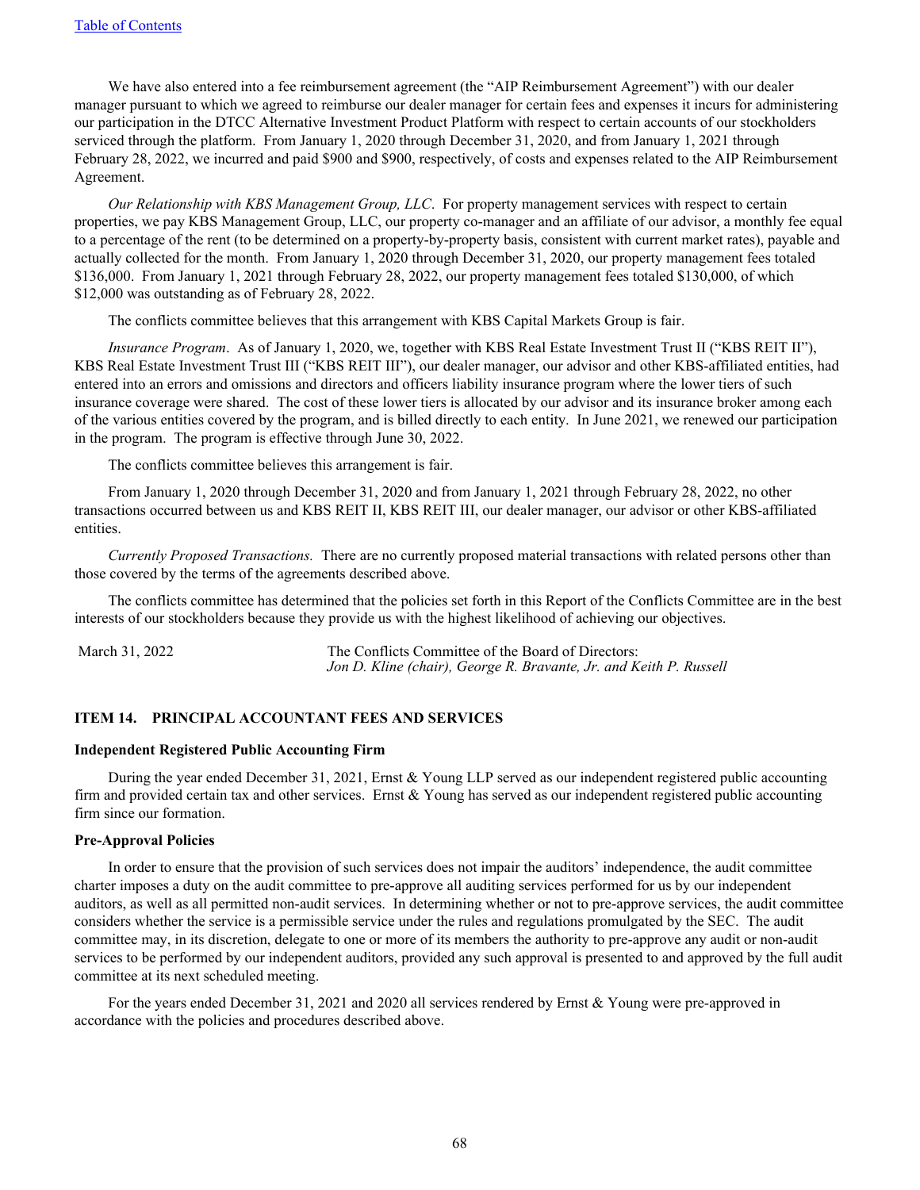We have also entered into a fee reimbursement agreement (the "AIP Reimbursement Agreement") with our dealer manager pursuant to which we agreed to reimburse our dealer manager for certain fees and expenses it incurs for administering our participation in the DTCC Alternative Investment Product Platform with respect to certain accounts of our stockholders serviced through the platform. From January 1, 2020 through December 31, 2020, and from January 1, 2021 through February 28, 2022, we incurred and paid \$900 and \$900, respectively, of costs and expenses related to the AIP Reimbursement Agreement.

*Our Relationship with KBS Management Group, LLC*. For property management services with respect to certain properties, we pay KBS Management Group, LLC, our property co-manager and an affiliate of our advisor, a monthly fee equal to a percentage of the rent (to be determined on a property-by-property basis, consistent with current market rates), payable and actually collected for the month. From January 1, 2020 through December 31, 2020, our property management fees totaled \$136,000. From January 1, 2021 through February 28, 2022, our property management fees totaled \$130,000, of which \$12,000 was outstanding as of February 28, 2022.

The conflicts committee believes that this arrangement with KBS Capital Markets Group is fair.

*Insurance Program.* As of January 1, 2020, we, together with KBS Real Estate Investment Trust II ("KBS REIT II"), KBS Real Estate Investment Trust III ("KBS REIT III"), our dealer manager, our advisor and other KBS-affiliated entities, had entered into an errors and omissions and directors and officers liability insurance program where the lower tiers of such insurance coverage were shared. The cost of these lower tiers is allocated by our advisor and its insurance broker among each of the various entities covered by the program, and is billed directly to each entity. In June 2021, we renewed our participation in the program. The program is effective through June 30, 2022.

The conflicts committee believes this arrangement is fair.

From January 1, 2020 through December 31, 2020 and from January 1, 2021 through February 28, 2022, no other transactions occurred between us and KBS REIT II, KBS REIT III, our dealer manager, our advisor or other KBS-affiliated entities.

*Currently Proposed Transactions.* There are no currently proposed material transactions with related persons other than those covered by the terms of the agreements described above.

The conflicts committee has determined that the policies set forth in this Report of the Conflicts Committee are in the best interests of our stockholders because they provide us with the highest likelihood of achieving our objectives.

March 31, 2022 The Conflicts Committee of the Board of Directors: *Jon D. Kline (chair), George R. Bravante, Jr. and Keith P. Russell*

# **ITEM 14. PRINCIPAL ACCOUNTANT FEES AND SERVICES**

#### **Independent Registered Public Accounting Firm**

During the year ended December 31, 2021, Ernst & Young LLP served as our independent registered public accounting firm and provided certain tax and other services. Ernst  $&$  Young has served as our independent registered public accounting firm since our formation.

### **Pre-Approval Policies**

In order to ensure that the provision of such services does not impair the auditors' independence, the audit committee charter imposes a duty on the audit committee to pre-approve all auditing services performed for us by our independent auditors, as well as all permitted non-audit services. In determining whether or not to pre-approve services, the audit committee considers whether the service is a permissible service under the rules and regulations promulgated by the SEC. The audit committee may, in its discretion, delegate to one or more of its members the authority to pre-approve any audit or non-audit services to be performed by our independent auditors, provided any such approval is presented to and approved by the full audit committee at its next scheduled meeting.

For the years ended December 31, 2021 and 2020 all services rendered by Ernst & Young were pre-approved in accordance with the policies and procedures described above.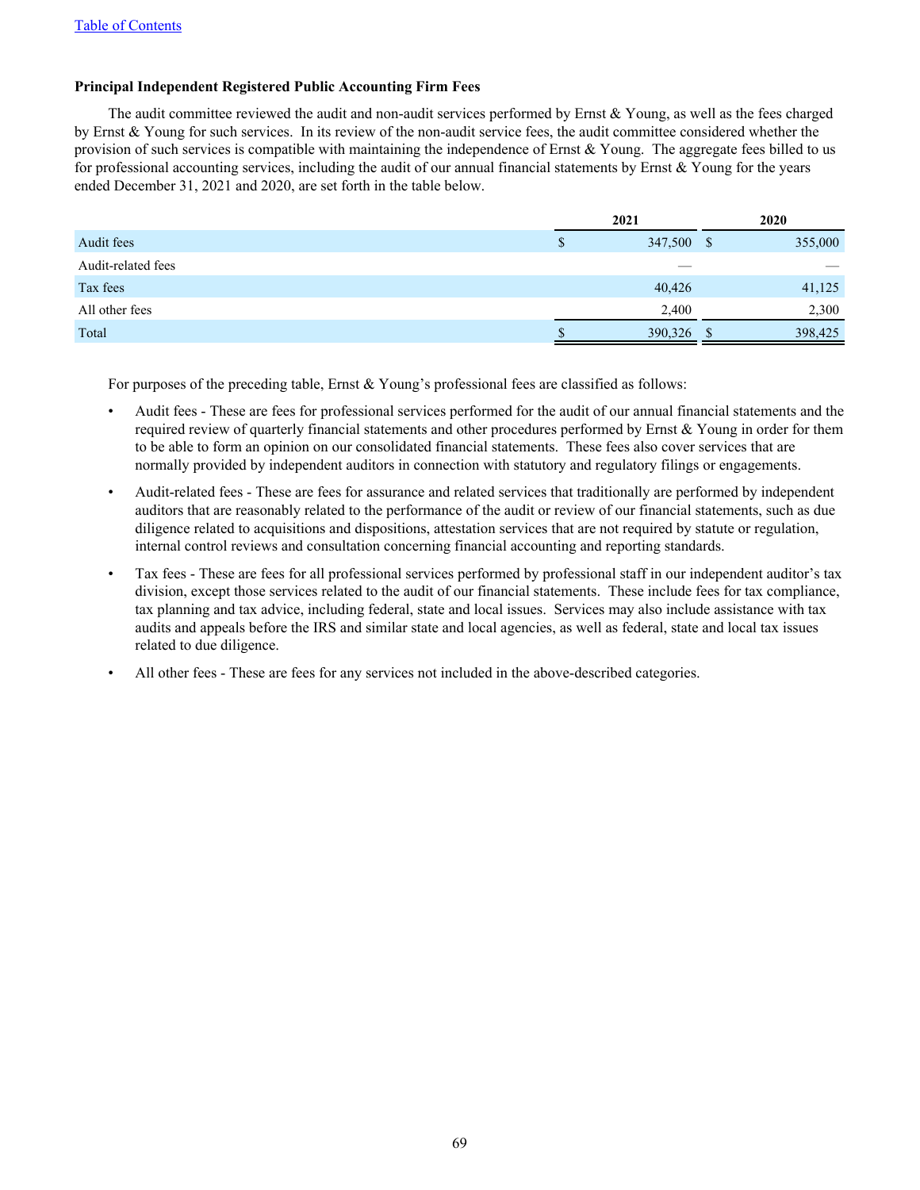# **Principal Independent Registered Public Accounting Firm Fees**

The audit committee reviewed the audit and non-audit services performed by Ernst  $\&$  Young, as well as the fees charged by Ernst & Young for such services. In its review of the non-audit service fees, the audit committee considered whether the provision of such services is compatible with maintaining the independence of Ernst & Young. The aggregate fees billed to us for professional accounting services, including the audit of our annual financial statements by Ernst  $\&$  Young for the years ended December 31, 2021 and 2020, are set forth in the table below.

|                    | 2021    |    | 2020    |
|--------------------|---------|----|---------|
| Audit fees         | 347,500 | -S | 355,000 |
| Audit-related fees |         |    |         |
| Tax fees           | 40,426  |    | 41,125  |
| All other fees     | 2,400   |    | 2,300   |
| Total              | 390,326 |    | 398,425 |

For purposes of the preceding table, Ernst & Young's professional fees are classified as follows:

- Audit fees These are fees for professional services performed for the audit of our annual financial statements and the required review of quarterly financial statements and other procedures performed by Ernst  $&$  Young in order for them to be able to form an opinion on our consolidated financial statements. These fees also cover services that are normally provided by independent auditors in connection with statutory and regulatory filings or engagements.
- Audit-related fees These are fees for assurance and related services that traditionally are performed by independent auditors that are reasonably related to the performance of the audit or review of our financial statements, such as due diligence related to acquisitions and dispositions, attestation services that are not required by statute or regulation, internal control reviews and consultation concerning financial accounting and reporting standards.
- Tax fees These are fees for all professional services performed by professional staff in our independent auditor's tax division, except those services related to the audit of our financial statements. These include fees for tax compliance, tax planning and tax advice, including federal, state and local issues. Services may also include assistance with tax audits and appeals before the IRS and similar state and local agencies, as well as federal, state and local tax issues related to due diligence.
- All other fees These are fees for any services not included in the above-described categories.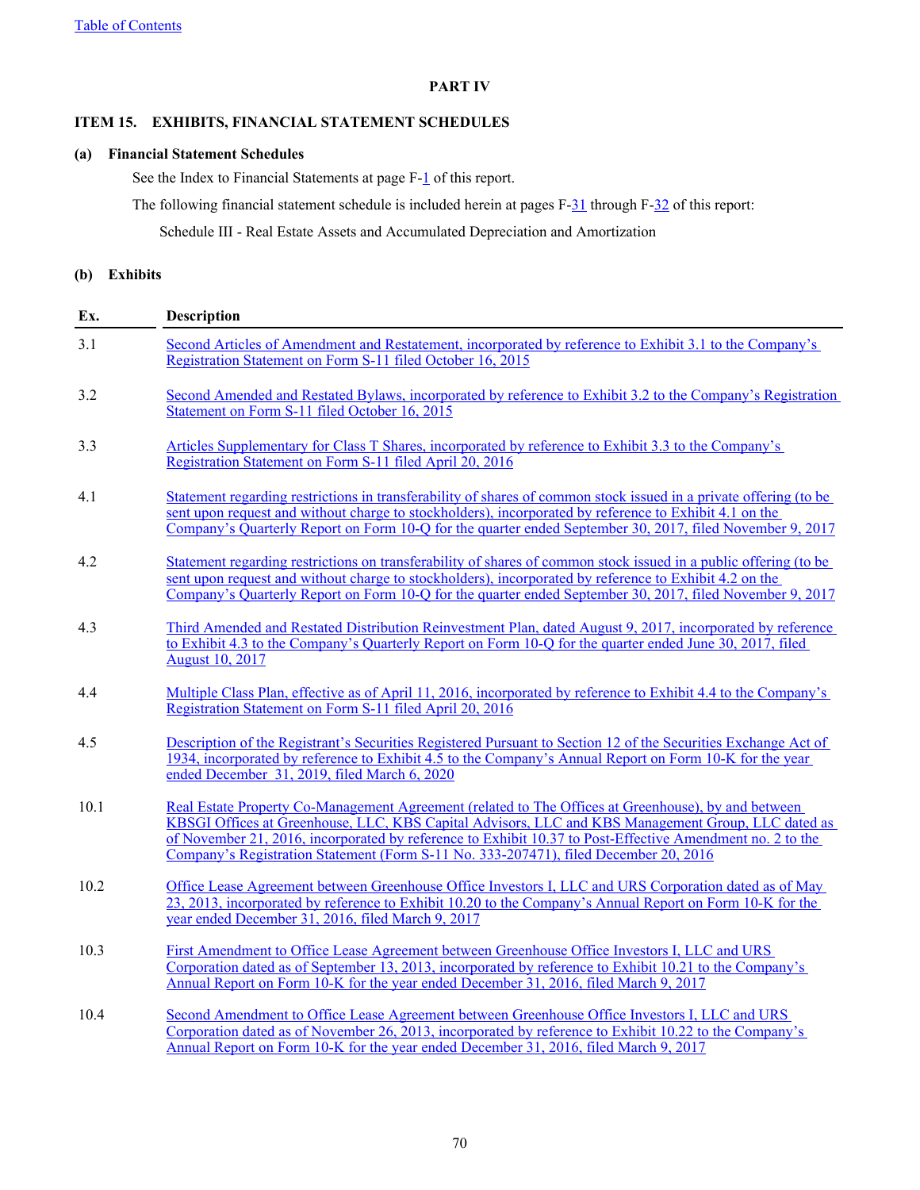# **PART IV**

# **ITEM 15. EXHIBITS, FINANCIAL STATEMENT SCHEDULES**

# **(a) Financial Statement Schedules**

See the Index to Financial Statements at page F[-1](#page-74-0) of this report.

The following financial statement schedule is included herein at pages F-[31](#page-104-0) through F-[32](#page-105-0) of this report:

Schedule III - Real Estate Assets and Accumulated Depreciation and Amortization

# **(b) Exhibits**

| Ex.  | Description                                                                                                                                                                                                                                                                                                                                                                                                    |
|------|----------------------------------------------------------------------------------------------------------------------------------------------------------------------------------------------------------------------------------------------------------------------------------------------------------------------------------------------------------------------------------------------------------------|
| 3.1  | Second Articles of Amendment and Restatement, incorporated by reference to Exhibit 3.1 to the Company's<br>Registration Statement on Form S-11 filed October 16, 2015                                                                                                                                                                                                                                          |
| 3.2  | Second Amended and Restated Bylaws, incorporated by reference to Exhibit 3.2 to the Company's Registration<br>Statement on Form S-11 filed October 16, 2015                                                                                                                                                                                                                                                    |
| 3.3  | Articles Supplementary for Class T Shares, incorporated by reference to Exhibit 3.3 to the Company's<br>Registration Statement on Form S-11 filed April 20, 2016                                                                                                                                                                                                                                               |
| 4.1  | Statement regarding restrictions in transferability of shares of common stock issued in a private offering (to be<br>sent upon request and without charge to stockholders), incorporated by reference to Exhibit 4.1 on the<br>Company's Quarterly Report on Form 10-Q for the quarter ended September 30, 2017, filed November 9, 2017                                                                        |
| 4.2  | Statement regarding restrictions on transferability of shares of common stock issued in a public offering (to be<br>sent upon request and without charge to stockholders), incorporated by reference to Exhibit 4.2 on the<br>Company's Quarterly Report on Form 10-Q for the quarter ended September 30, 2017, filed November 9, 2017                                                                         |
| 4.3  | Third Amended and Restated Distribution Reinvestment Plan, dated August 9, 2017, incorporated by reference<br>to Exhibit 4.3 to the Company's Quarterly Report on Form 10-Q for the quarter ended June 30, 2017, filed<br><b>August 10, 2017</b>                                                                                                                                                               |
| 4.4  | Multiple Class Plan, effective as of April 11, 2016, incorporated by reference to Exhibit 4.4 to the Company's<br>Registration Statement on Form S-11 filed April 20, 2016                                                                                                                                                                                                                                     |
| 4.5  | Description of the Registrant's Securities Registered Pursuant to Section 12 of the Securities Exchange Act of<br>1934, incorporated by reference to Exhibit 4.5 to the Company's Annual Report on Form 10-K for the year<br>ended December 31, 2019, filed March 6, 2020                                                                                                                                      |
| 10.1 | Real Estate Property Co-Management Agreement (related to The Offices at Greenhouse), by and between<br>KBSGI Offices at Greenhouse, LLC, KBS Capital Advisors, LLC and KBS Management Group, LLC dated as<br>of November 21, 2016, incorporated by reference to Exhibit 10.37 to Post-Effective Amendment no. 2 to the<br>Company's Registration Statement (Form S-11 No. 333-207471), filed December 20, 2016 |
| 10.2 | Office Lease Agreement between Greenhouse Office Investors I, LLC and URS Corporation dated as of May<br>23, 2013, incorporated by reference to Exhibit 10.20 to the Company's Annual Report on Form 10-K for the<br>year ended December 31, 2016, filed March 9, 2017                                                                                                                                         |
| 10.3 | First Amendment to Office Lease Agreement between Greenhouse Office Investors I, LLC and URS<br>Corporation dated as of September 13, 2013, incorporated by reference to Exhibit 10.21 to the Company's<br>Annual Report on Form 10-K for the year ended December 31, 2016, filed March 9, 2017                                                                                                                |
| 10.4 | Second Amendment to Office Lease Agreement between Greenhouse Office Investors I, LLC and URS<br>Corporation dated as of November 26, 2013, incorporated by reference to Exhibit 10.22 to the Company's<br>Annual Report on Form 10-K for the year ended December 31, 2016, filed March 9, 2017                                                                                                                |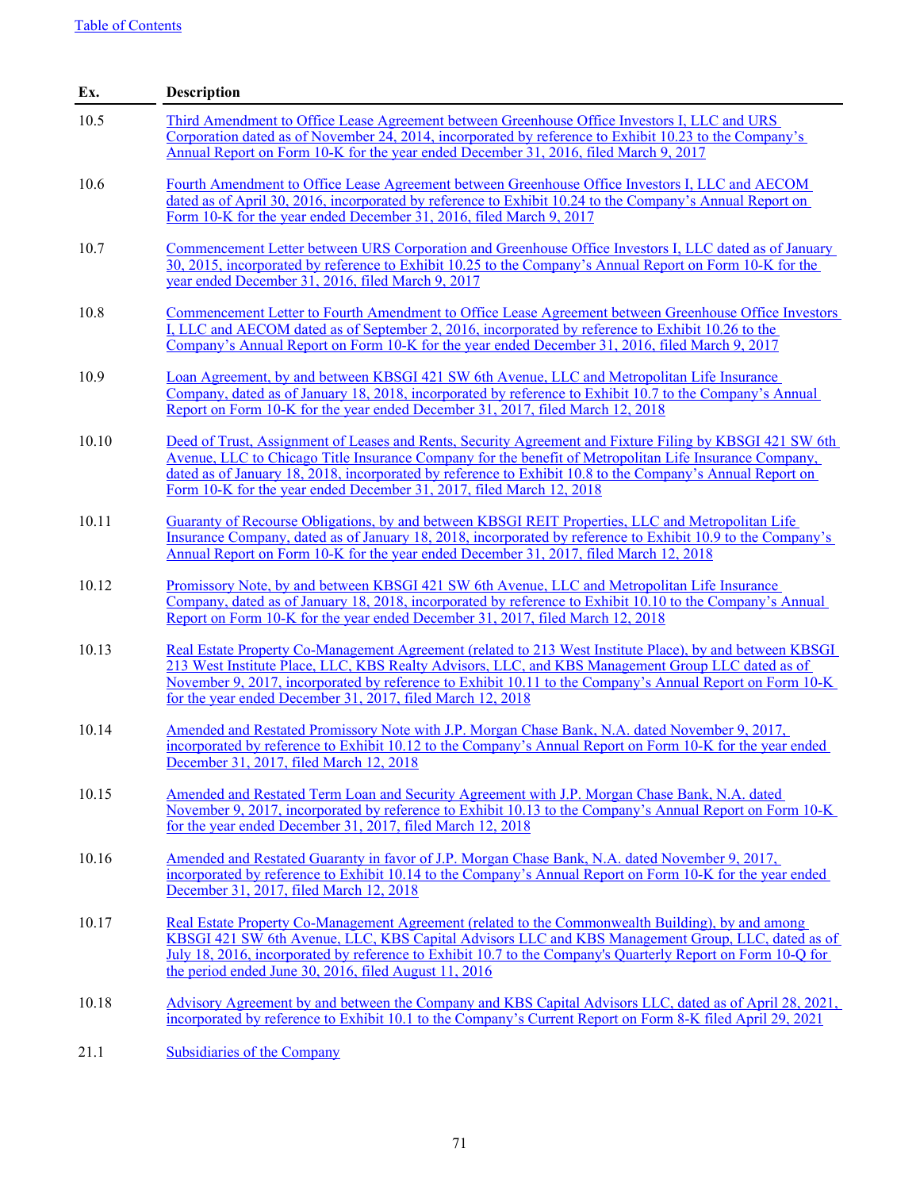| Ex.   | <b>Description</b>                                                                                                                                                                                                                                                                                                                                                                                      |
|-------|---------------------------------------------------------------------------------------------------------------------------------------------------------------------------------------------------------------------------------------------------------------------------------------------------------------------------------------------------------------------------------------------------------|
| 10.5  | Third Amendment to Office Lease Agreement between Greenhouse Office Investors I, LLC and URS<br>Corporation dated as of November 24, 2014, incorporated by reference to Exhibit 10.23 to the Company's<br>Annual Report on Form 10-K for the year ended December 31, 2016, filed March 9, 2017                                                                                                          |
| 10.6  | Fourth Amendment to Office Lease Agreement between Greenhouse Office Investors I, LLC and AECOM<br>dated as of April 30, 2016, incorporated by reference to Exhibit 10.24 to the Company's Annual Report on<br>Form 10-K for the year ended December 31, 2016, filed March 9, 2017                                                                                                                      |
| 10.7  | Commencement Letter between URS Corporation and Greenhouse Office Investors I, LLC dated as of January<br>30, 2015, incorporated by reference to Exhibit 10.25 to the Company's Annual Report on Form 10-K for the<br>year ended December 31, 2016, filed March 9, 2017                                                                                                                                 |
| 10.8  | Commencement Letter to Fourth Amendment to Office Lease Agreement between Greenhouse Office Investors<br>I, LLC and AECOM dated as of September 2, 2016, incorporated by reference to Exhibit 10.26 to the<br>Company's Annual Report on Form 10-K for the year ended December 31, 2016, filed March 9, 2017                                                                                            |
| 10.9  | Loan Agreement, by and between KBSGI 421 SW 6th Avenue, LLC and Metropolitan Life Insurance<br>Company, dated as of January 18, 2018, incorporated by reference to Exhibit 10.7 to the Company's Annual<br>Report on Form 10-K for the year ended December 31, 2017, filed March 12, 2018                                                                                                               |
| 10.10 | Deed of Trust, Assignment of Leases and Rents, Security Agreement and Fixture Filing by KBSGI 421 SW 6th<br>Avenue, LLC to Chicago Title Insurance Company for the benefit of Metropolitan Life Insurance Company,<br>dated as of January 18, 2018, incorporated by reference to Exhibit 10.8 to the Company's Annual Report on<br>Form 10-K for the year ended December 31, 2017, filed March 12, 2018 |
| 10.11 | Guaranty of Recourse Obligations, by and between KBSGI REIT Properties, LLC and Metropolitan Life<br>Insurance Company, dated as of January 18, 2018, incorporated by reference to Exhibit 10.9 to the Company's<br>Annual Report on Form 10-K for the year ended December 31, 2017, filed March 12, 2018                                                                                               |
| 10.12 | Promissory Note, by and between KBSGI 421 SW 6th Avenue, LLC and Metropolitan Life Insurance<br>Company, dated as of January 18, 2018, incorporated by reference to Exhibit 10.10 to the Company's Annual<br>Report on Form 10-K for the year ended December 31, 2017, filed March 12, 2018                                                                                                             |
| 10.13 | Real Estate Property Co-Management Agreement (related to 213 West Institute Place), by and between KBSGI<br>213 West Institute Place, LLC, KBS Realty Advisors, LLC, and KBS Management Group LLC dated as of<br>November 9, 2017, incorporated by reference to Exhibit 10.11 to the Company's Annual Report on Form 10-K<br>for the year ended December 31, 2017, filed March 12, 2018                 |
| 10.14 | Amended and Restated Promissory Note with J.P. Morgan Chase Bank, N.A. dated November 9, 2017,<br>incorporated by reference to Exhibit 10.12 to the Company's Annual Report on Form 10-K for the year ended<br>December 31, 2017, filed March 12, 2018                                                                                                                                                  |
| 10.15 | Amended and Restated Term Loan and Security Agreement with J.P. Morgan Chase Bank, N.A. dated<br>November 9, 2017, incorporated by reference to Exhibit 10.13 to the Company's Annual Report on Form 10-K<br>for the year ended December 31, 2017, filed March 12, 2018                                                                                                                                 |
| 10.16 | Amended and Restated Guaranty in favor of J.P. Morgan Chase Bank, N.A. dated November 9, 2017,<br>incorporated by reference to Exhibit 10.14 to the Company's Annual Report on Form 10-K for the year ended<br>December 31, 2017, filed March 12, 2018                                                                                                                                                  |
| 10.17 | Real Estate Property Co-Management Agreement (related to the Commonwealth Building), by and among<br>KBSGI 421 SW 6th Avenue, LLC, KBS Capital Advisors LLC and KBS Management Group, LLC, dated as of<br>July 18, 2016, incorporated by reference to Exhibit 10.7 to the Company's Quarterly Report on Form 10-Q for<br>the period ended June 30, 2016, filed August 11, 2016                          |
| 10.18 | Advisory Agreement by and between the Company and KBS Capital Advisors LLC, dated as of April 28, 2021,<br>incorporated by reference to Exhibit 10.1 to the Company's Current Report on Form 8-K filed April 29, 2021                                                                                                                                                                                   |
| 21.1  | <b>Subsidiaries of the Company</b>                                                                                                                                                                                                                                                                                                                                                                      |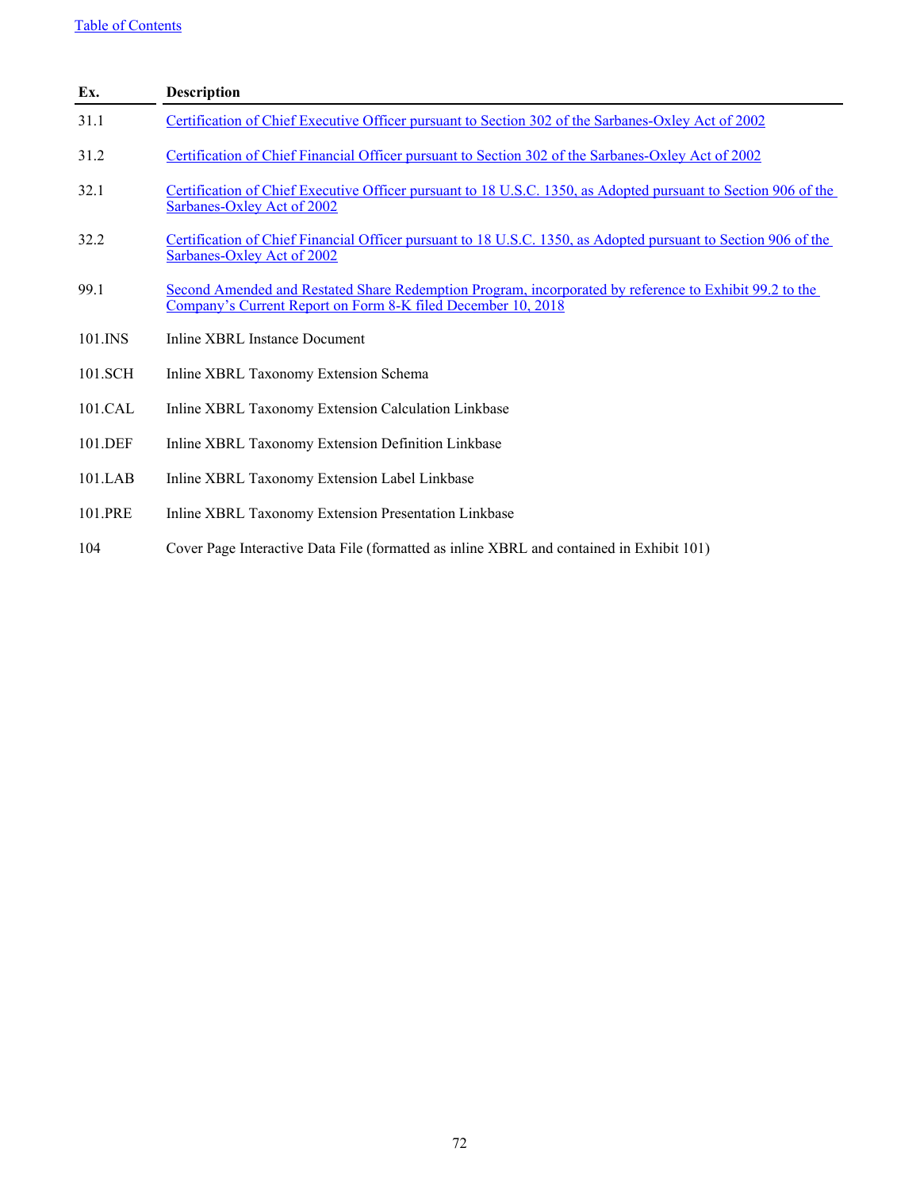| Ex.        | <b>Description</b>                                                                                                                                                     |
|------------|------------------------------------------------------------------------------------------------------------------------------------------------------------------------|
| 31.1       | Certification of Chief Executive Officer pursuant to Section 302 of the Sarbanes-Oxley Act of 2002                                                                     |
| 31.2       | Certification of Chief Financial Officer pursuant to Section 302 of the Sarbanes-Oxley Act of 2002                                                                     |
| 32.1       | Certification of Chief Executive Officer pursuant to 18 U.S.C. 1350, as Adopted pursuant to Section 906 of the<br>Sarbanes-Oxley Act of 2002                           |
| 32.2       | Certification of Chief Financial Officer pursuant to 18 U.S.C. 1350, as Adopted pursuant to Section 906 of the<br>Sarbanes-Oxley Act of 2002                           |
| 99.1       | Second Amended and Restated Share Redemption Program, incorporated by reference to Exhibit 99.2 to the<br>Company's Current Report on Form 8-K filed December 10, 2018 |
| 101.INS    | Inline XBRL Instance Document                                                                                                                                          |
| 101.SCH    | Inline XBRL Taxonomy Extension Schema                                                                                                                                  |
| 101.CAL    | Inline XBRL Taxonomy Extension Calculation Linkbase                                                                                                                    |
| 101.DEF    | Inline XBRL Taxonomy Extension Definition Linkbase                                                                                                                     |
| $101$ .LAB | Inline XBRL Taxonomy Extension Label Linkbase                                                                                                                          |
| 101.PRE    | Inline XBRL Taxonomy Extension Presentation Linkbase                                                                                                                   |
| 104        | Cover Page Interactive Data File (formatted as inline XBRL and contained in Exhibit 101)                                                                               |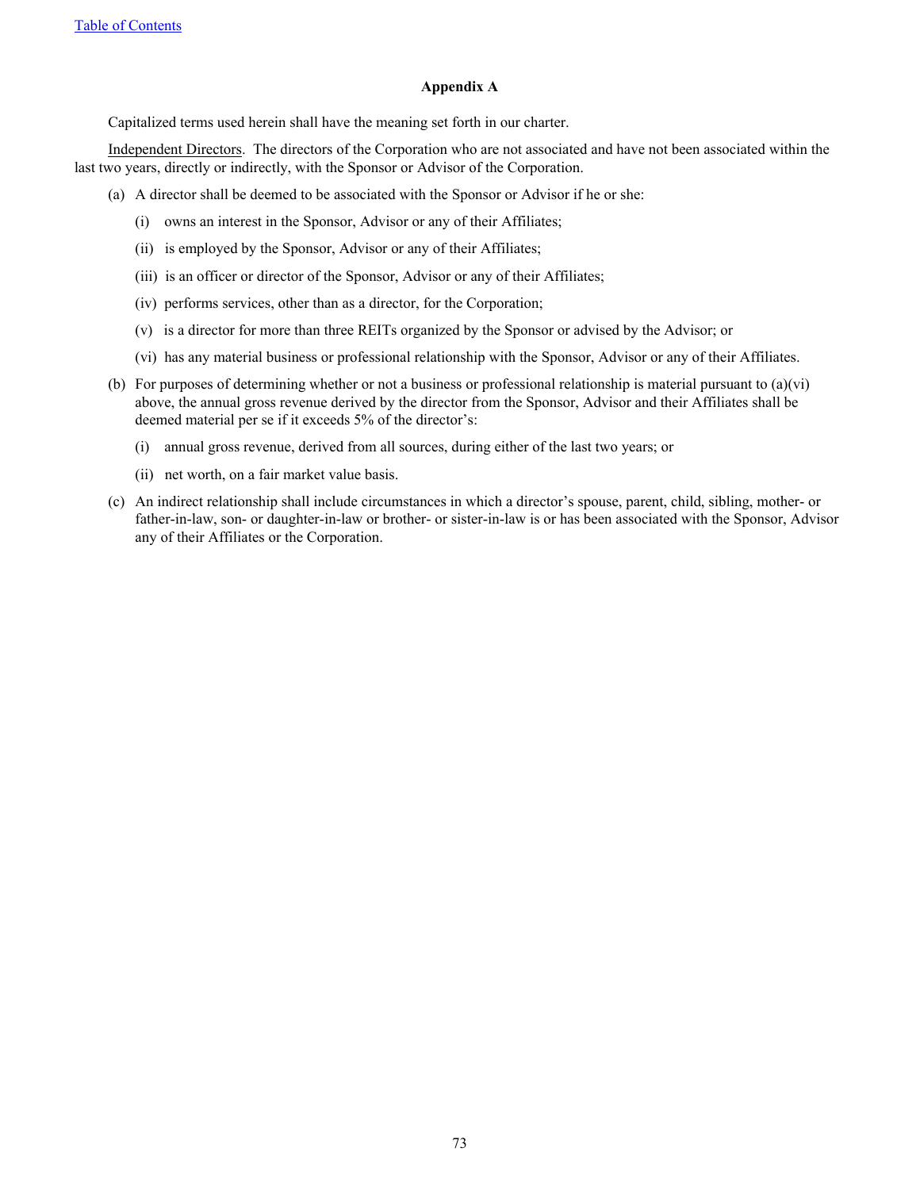### **Appendix A**

Capitalized terms used herein shall have the meaning set forth in our charter.

Independent Directors. The directors of the Corporation who are not associated and have not been associated within the last two years, directly or indirectly, with the Sponsor or Advisor of the Corporation.

- (a) A director shall be deemed to be associated with the Sponsor or Advisor if he or she:
	- (i) owns an interest in the Sponsor, Advisor or any of their Affiliates;
	- (ii) is employed by the Sponsor, Advisor or any of their Affiliates;
	- (iii) is an officer or director of the Sponsor, Advisor or any of their Affiliates;
	- (iv) performs services, other than as a director, for the Corporation;
	- (v) is a director for more than three REITs organized by the Sponsor or advised by the Advisor; or
	- (vi) has any material business or professional relationship with the Sponsor, Advisor or any of their Affiliates.
- (b) For purposes of determining whether or not a business or professional relationship is material pursuant to  $(a)(vi)$ above, the annual gross revenue derived by the director from the Sponsor, Advisor and their Affiliates shall be deemed material per se if it exceeds 5% of the director's:
	- (i) annual gross revenue, derived from all sources, during either of the last two years; or
	- (ii) net worth, on a fair market value basis.
- (c) An indirect relationship shall include circumstances in which a director's spouse, parent, child, sibling, mother- or father-in-law, son- or daughter-in-law or brother- or sister-in-law is or has been associated with the Sponsor, Advisor any of their Affiliates or the Corporation.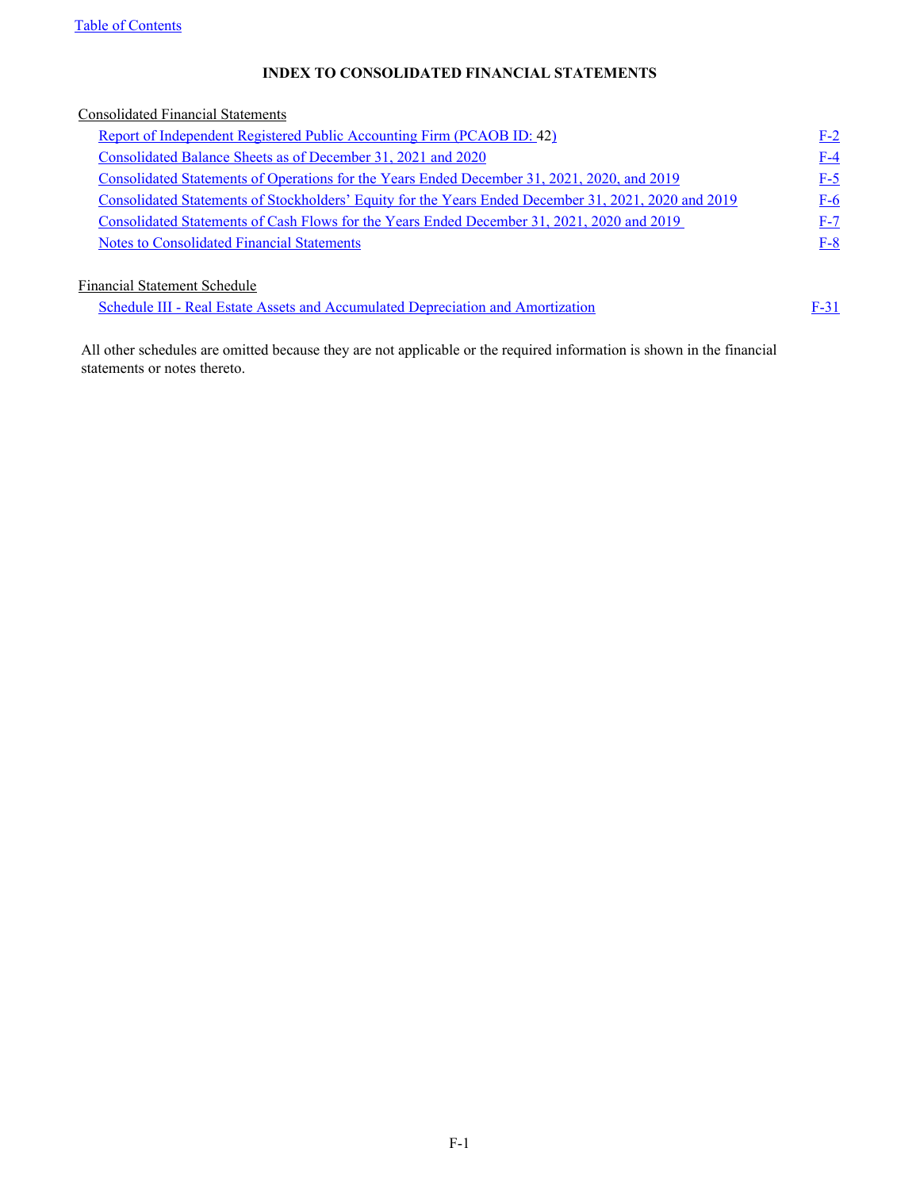### [Table of Contents](#page-1-0)

### **INDEX TO CONSOLIDATED FINANCIAL STATEMENTS**

# [Report of Independent Registered Public Accounting Firm \(PCAOB ID: 42\)](#page-75-0) [F-2](#page-75-0) [Consolidated Balance Sheets as of December 31, 2021 and 2020](#page-77-0) [F-4](#page-77-0) [Consolidated Statements of Operations for the Years Ended December 31, 2021, 2020, and 2019](#page-78-0) [F-5](#page-78-0) [Consolidated Statements of Stockholders' Equity for the Years Ended December 31, 2021, 2020 and 2019](#page-79-0) [F-6](#page-79-0) [Consolidated Statements of Cash Flows for the Years Ended December 31, 2021, 2020 and 2019 F-7](#page-80-0) [Notes to Consolidated Financial Statements](#page-81-0) [F-8](#page-81-0) Financial Statement Schedule [Schedule III - Real Estate Assets and Accumulated Depreciation and Amortization](#page-104-0) [F-31](#page-104-0) Consolidated Financial Statements

All other schedules are omitted because they are not applicable or the required information is shown in the financial statements or notes thereto.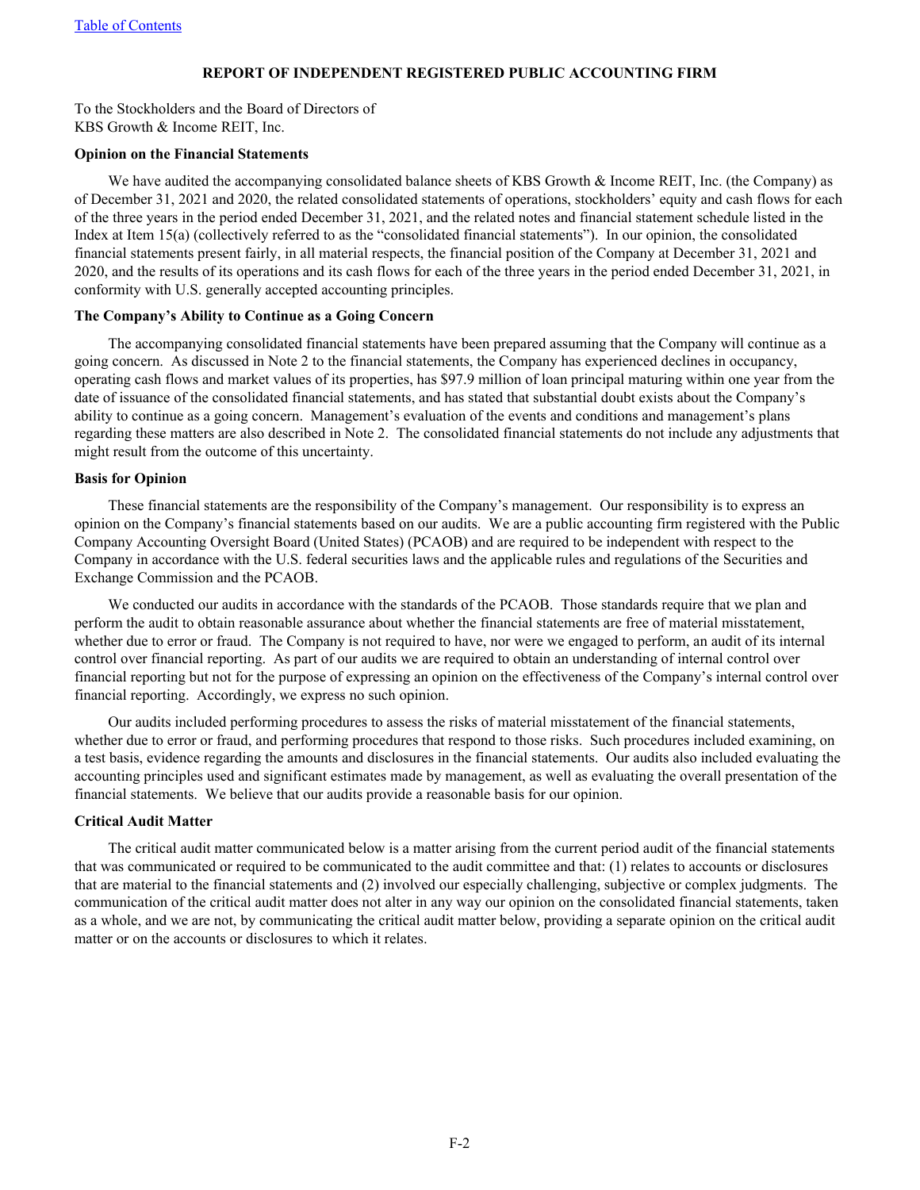### **REPORT OF INDEPENDENT REGISTERED PUBLIC ACCOUNTING FIRM**

<span id="page-75-0"></span>To the Stockholders and the Board of Directors of KBS Growth & Income REIT, Inc.

#### **Opinion on the Financial Statements**

We have audited the accompanying consolidated balance sheets of KBS Growth & Income REIT, Inc. (the Company) as of December 31, 2021 and 2020, the related consolidated statements of operations, stockholders' equity and cash flows for each of the three years in the period ended December 31, 2021, and the related notes and financial statement schedule listed in the Index at Item 15(a) (collectively referred to as the "consolidated financial statements"). In our opinion, the consolidated financial statements present fairly, in all material respects, the financial position of the Company at December 31, 2021 and 2020, and the results of its operations and its cash flows for each of the three years in the period ended December 31, 2021, in conformity with U.S. generally accepted accounting principles.

#### **The Company's Ability to Continue as a Going Concern**

The accompanying consolidated financial statements have been prepared assuming that the Company will continue as a going concern. As discussed in Note 2 to the financial statements, the Company has experienced declines in occupancy, operating cash flows and market values of its properties, has \$97.9 million of loan principal maturing within one year from the date of issuance of the consolidated financial statements, and has stated that substantial doubt exists about the Company's ability to continue as a going concern. Management's evaluation of the events and conditions and management's plans regarding these matters are also described in Note 2. The consolidated financial statements do not include any adjustments that might result from the outcome of this uncertainty.

#### **Basis for Opinion**

These financial statements are the responsibility of the Company's management. Our responsibility is to express an opinion on the Company's financial statements based on our audits. We are a public accounting firm registered with the Public Company Accounting Oversight Board (United States) (PCAOB) and are required to be independent with respect to the Company in accordance with the U.S. federal securities laws and the applicable rules and regulations of the Securities and Exchange Commission and the PCAOB.

We conducted our audits in accordance with the standards of the PCAOB. Those standards require that we plan and perform the audit to obtain reasonable assurance about whether the financial statements are free of material misstatement, whether due to error or fraud. The Company is not required to have, nor were we engaged to perform, an audit of its internal control over financial reporting. As part of our audits we are required to obtain an understanding of internal control over financial reporting but not for the purpose of expressing an opinion on the effectiveness of the Company's internal control over financial reporting. Accordingly, we express no such opinion.

Our audits included performing procedures to assess the risks of material misstatement of the financial statements, whether due to error or fraud, and performing procedures that respond to those risks. Such procedures included examining, on a test basis, evidence regarding the amounts and disclosures in the financial statements. Our audits also included evaluating the accounting principles used and significant estimates made by management, as well as evaluating the overall presentation of the financial statements. We believe that our audits provide a reasonable basis for our opinion.

#### **Critical Audit Matter**

The critical audit matter communicated below is a matter arising from the current period audit of the financial statements that was communicated or required to be communicated to the audit committee and that: (1) relates to accounts or disclosures that are material to the financial statements and (2) involved our especially challenging, subjective or complex judgments. The communication of the critical audit matter does not alter in any way our opinion on the consolidated financial statements, taken as a whole, and we are not, by communicating the critical audit matter below, providing a separate opinion on the critical audit matter or on the accounts or disclosures to which it relates.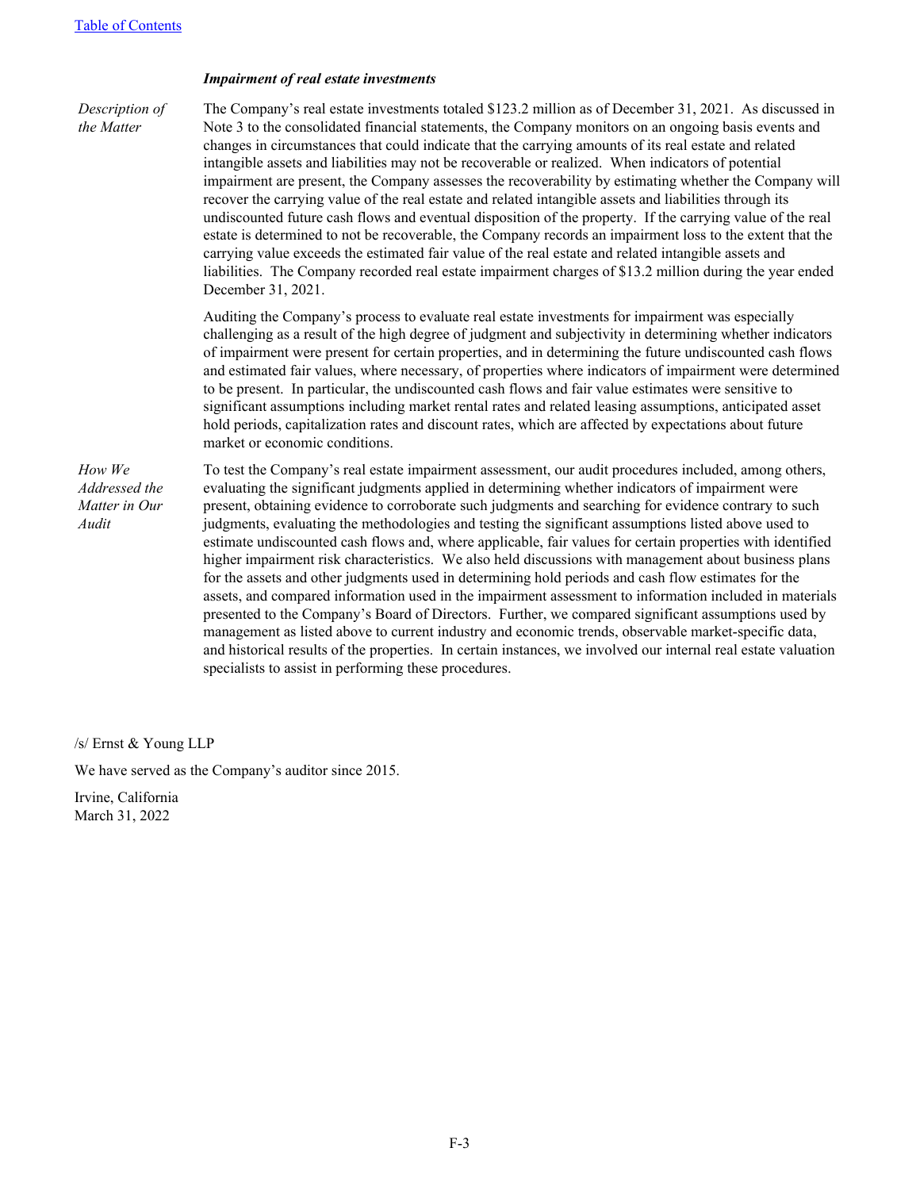# *Impairment of real estate investments*

| Description of<br>the Matter                      | The Company's real estate investments totaled \$123.2 million as of December 31, 2021. As discussed in<br>Note 3 to the consolidated financial statements, the Company monitors on an ongoing basis events and<br>changes in circumstances that could indicate that the carrying amounts of its real estate and related<br>intangible assets and liabilities may not be recoverable or realized. When indicators of potential<br>impairment are present, the Company assesses the recoverability by estimating whether the Company will<br>recover the carrying value of the real estate and related intangible assets and liabilities through its<br>undiscounted future cash flows and eventual disposition of the property. If the carrying value of the real<br>estate is determined to not be recoverable, the Company records an impairment loss to the extent that the<br>carrying value exceeds the estimated fair value of the real estate and related intangible assets and<br>liabilities. The Company recorded real estate impairment charges of \$13.2 million during the year ended<br>December 31, 2021.                                                                                                                                        |
|---------------------------------------------------|----------------------------------------------------------------------------------------------------------------------------------------------------------------------------------------------------------------------------------------------------------------------------------------------------------------------------------------------------------------------------------------------------------------------------------------------------------------------------------------------------------------------------------------------------------------------------------------------------------------------------------------------------------------------------------------------------------------------------------------------------------------------------------------------------------------------------------------------------------------------------------------------------------------------------------------------------------------------------------------------------------------------------------------------------------------------------------------------------------------------------------------------------------------------------------------------------------------------------------------------------------------|
|                                                   | Auditing the Company's process to evaluate real estate investments for impairment was especially<br>challenging as a result of the high degree of judgment and subjectivity in determining whether indicators<br>of impairment were present for certain properties, and in determining the future undiscounted cash flows<br>and estimated fair values, where necessary, of properties where indicators of impairment were determined<br>to be present. In particular, the undiscounted cash flows and fair value estimates were sensitive to<br>significant assumptions including market rental rates and related leasing assumptions, anticipated asset<br>hold periods, capitalization rates and discount rates, which are affected by expectations about future<br>market or economic conditions.                                                                                                                                                                                                                                                                                                                                                                                                                                                          |
| How We<br>Addressed the<br>Matter in Our<br>Audit | To test the Company's real estate impairment assessment, our audit procedures included, among others,<br>evaluating the significant judgments applied in determining whether indicators of impairment were<br>present, obtaining evidence to corroborate such judgments and searching for evidence contrary to such<br>judgments, evaluating the methodologies and testing the significant assumptions listed above used to<br>estimate undiscounted cash flows and, where applicable, fair values for certain properties with identified<br>higher impairment risk characteristics. We also held discussions with management about business plans<br>for the assets and other judgments used in determining hold periods and cash flow estimates for the<br>assets, and compared information used in the impairment assessment to information included in materials<br>presented to the Company's Board of Directors. Further, we compared significant assumptions used by<br>management as listed above to current industry and economic trends, observable market-specific data,<br>and historical results of the properties. In certain instances, we involved our internal real estate valuation<br>specialists to assist in performing these procedures. |

/s/ Ernst & Young LLP

We have served as the Company's auditor since 2015.

Irvine, California March 31, 2022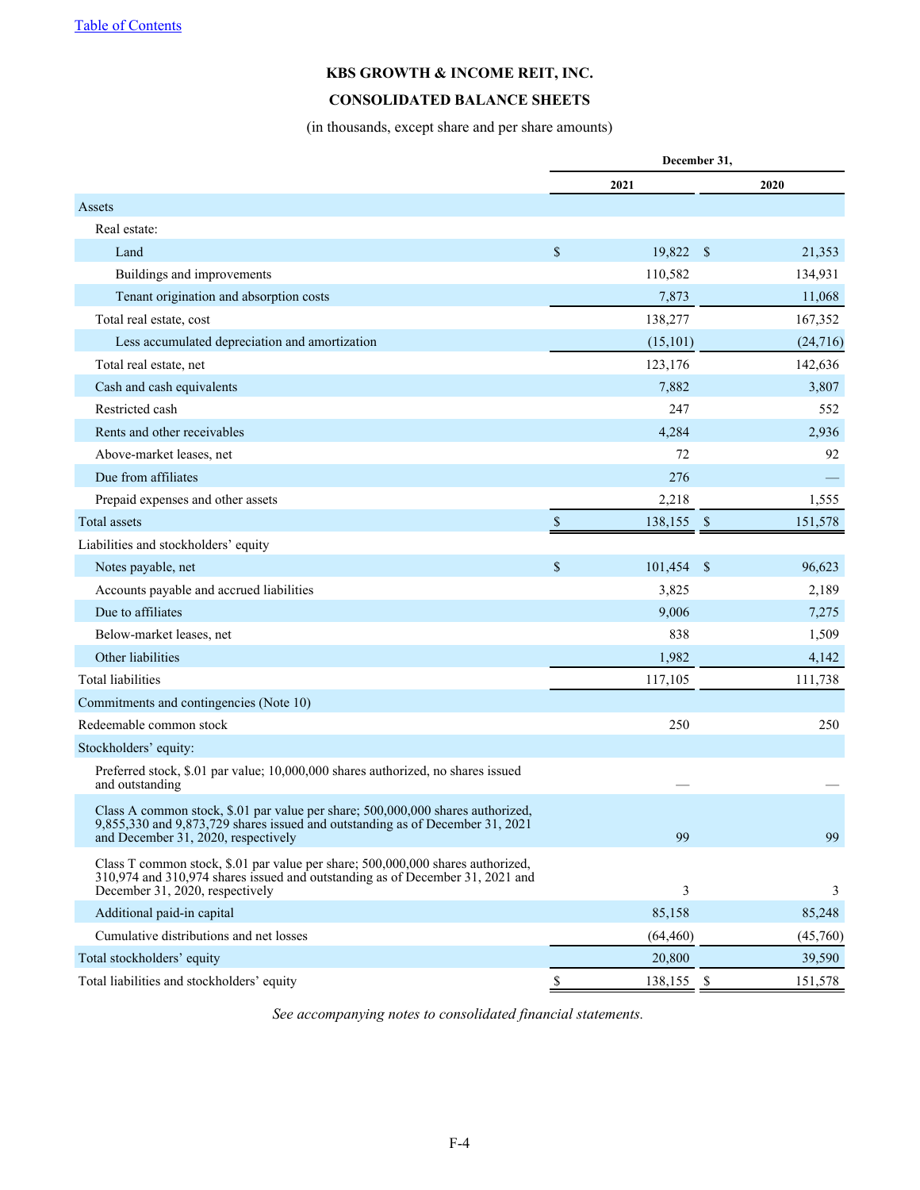## **CONSOLIDATED BALANCE SHEETS**

(in thousands, except share and per share amounts)

<span id="page-77-0"></span>

|                                                                                                                                                                                                         |               | December 31, |               |           |
|---------------------------------------------------------------------------------------------------------------------------------------------------------------------------------------------------------|---------------|--------------|---------------|-----------|
|                                                                                                                                                                                                         |               | 2021         |               | 2020      |
| Assets                                                                                                                                                                                                  |               |              |               |           |
| Real estate:                                                                                                                                                                                            |               |              |               |           |
| Land                                                                                                                                                                                                    | $\sqrt{3}$    | 19,822       | $\mathcal{S}$ | 21,353    |
| Buildings and improvements                                                                                                                                                                              |               | 110,582      |               | 134,931   |
| Tenant origination and absorption costs                                                                                                                                                                 |               | 7,873        |               | 11,068    |
| Total real estate, cost                                                                                                                                                                                 |               | 138,277      |               | 167,352   |
| Less accumulated depreciation and amortization                                                                                                                                                          |               | (15,101)     |               | (24, 716) |
| Total real estate, net                                                                                                                                                                                  |               | 123,176      |               | 142,636   |
| Cash and cash equivalents                                                                                                                                                                               |               | 7,882        |               | 3,807     |
| Restricted cash                                                                                                                                                                                         |               | 247          |               | 552       |
| Rents and other receivables                                                                                                                                                                             |               | 4,284        |               | 2,936     |
| Above-market leases, net                                                                                                                                                                                |               | 72           |               | 92        |
| Due from affiliates                                                                                                                                                                                     |               | 276          |               |           |
| Prepaid expenses and other assets                                                                                                                                                                       |               | 2,218        |               | 1,555     |
| Total assets                                                                                                                                                                                            | <sup>\$</sup> | 138,155      | - \$          | 151,578   |
| Liabilities and stockholders' equity                                                                                                                                                                    |               |              |               |           |
| Notes payable, net                                                                                                                                                                                      | $\mathbb{S}$  | 101,454      | \$            | 96,623    |
| Accounts payable and accrued liabilities                                                                                                                                                                |               | 3,825        |               | 2,189     |
| Due to affiliates                                                                                                                                                                                       |               | 9,006        |               | 7,275     |
| Below-market leases, net                                                                                                                                                                                |               | 838          |               | 1,509     |
| Other liabilities                                                                                                                                                                                       |               | 1,982        |               | 4,142     |
| <b>Total liabilities</b>                                                                                                                                                                                |               | 117,105      |               | 111,738   |
| Commitments and contingencies (Note 10)                                                                                                                                                                 |               |              |               |           |
| Redeemable common stock                                                                                                                                                                                 |               | 250          |               | 250       |
| Stockholders' equity:                                                                                                                                                                                   |               |              |               |           |
| Preferred stock, \$.01 par value; 10,000,000 shares authorized, no shares issued<br>and outstanding                                                                                                     |               |              |               |           |
| Class A common stock, \$.01 par value per share; 500,000,000 shares authorized,<br>9,855,330 and 9,873,729 shares issued and outstanding as of December 31, 2021<br>and December 31, 2020, respectively |               | 99           |               | 99        |
| Class T common stock, \$.01 par value per share; 500,000,000 shares authorized,<br>310,974 and 310,974 shares issued and outstanding as of December 31, 2021 and<br>December 31, 2020, respectively     |               | 3            |               | 3         |
| Additional paid-in capital                                                                                                                                                                              |               | 85,158       |               | 85,248    |
| Cumulative distributions and net losses                                                                                                                                                                 |               | (64, 460)    |               | (45,760)  |
| Total stockholders' equity                                                                                                                                                                              |               | 20,800       |               | 39,590    |
| Total liabilities and stockholders' equity                                                                                                                                                              | \$            | 138,155 \$   |               | 151,578   |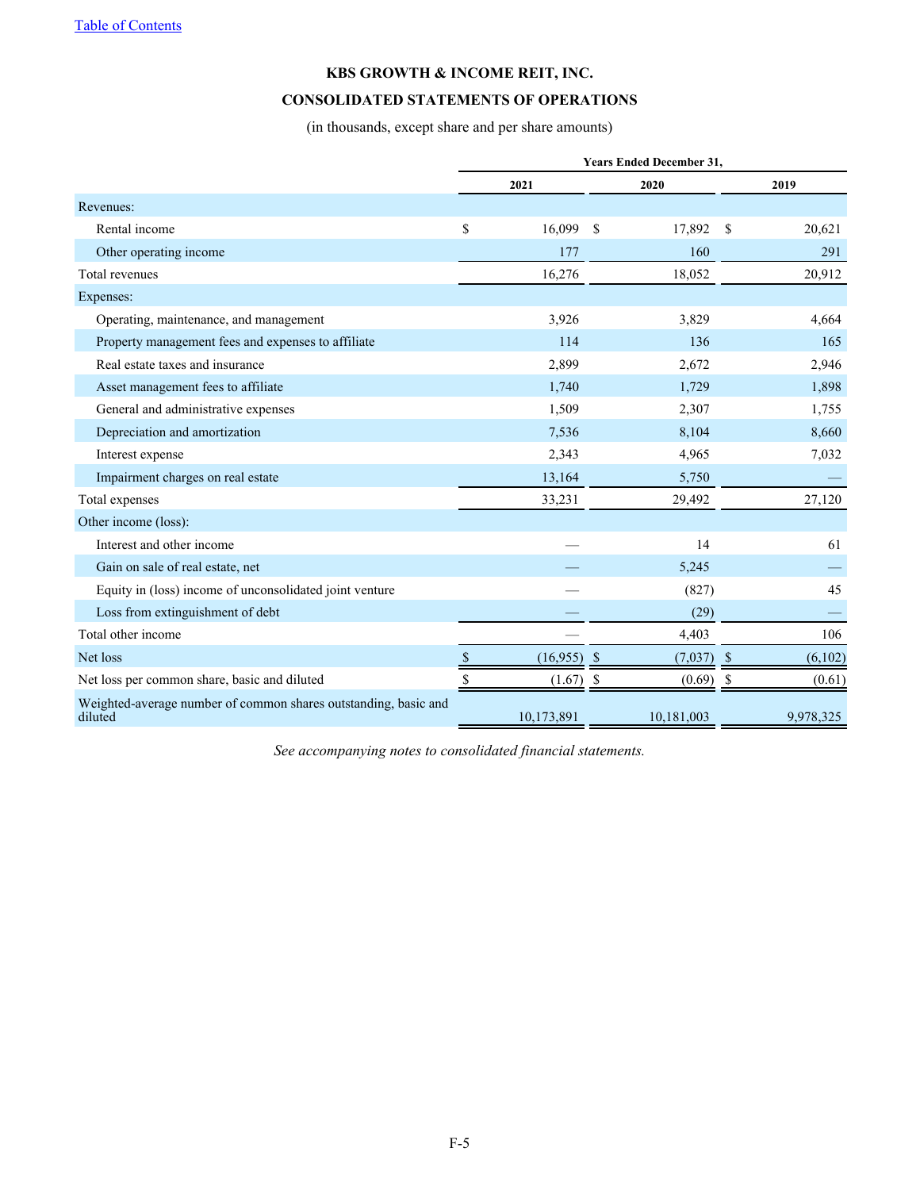# **CONSOLIDATED STATEMENTS OF OPERATIONS**

(in thousands, except share and per share amounts)

<span id="page-78-0"></span>

|                                                                            | <b>Years Ended December 31,</b> |               |    |              |               |           |  |
|----------------------------------------------------------------------------|---------------------------------|---------------|----|--------------|---------------|-----------|--|
|                                                                            |                                 | 2021          |    | 2020         |               | 2019      |  |
| Revenues:                                                                  |                                 |               |    |              |               |           |  |
| Rental income                                                              | \$                              | 16,099        | -S | 17,892       | <sup>\$</sup> | 20,621    |  |
| Other operating income                                                     |                                 | 177           |    | 160          |               | 291       |  |
| <b>Total revenues</b>                                                      |                                 | 16,276        |    | 18,052       |               | 20,912    |  |
| Expenses:                                                                  |                                 |               |    |              |               |           |  |
| Operating, maintenance, and management                                     |                                 | 3,926         |    | 3,829        |               | 4,664     |  |
| Property management fees and expenses to affiliate                         |                                 | 114           |    | 136          |               | 165       |  |
| Real estate taxes and insurance                                            |                                 | 2,899         |    | 2,672        |               | 2,946     |  |
| Asset management fees to affiliate                                         |                                 | 1,740         |    | 1,729        |               | 1,898     |  |
| General and administrative expenses                                        |                                 | 1,509         |    | 2,307        |               | 1,755     |  |
| Depreciation and amortization                                              |                                 | 7,536         |    | 8,104        |               | 8,660     |  |
| Interest expense                                                           |                                 | 2,343         |    | 4,965        |               | 7,032     |  |
| Impairment charges on real estate                                          |                                 | 13,164        |    | 5,750        |               |           |  |
| Total expenses                                                             |                                 | 33,231        |    | 29,492       |               | 27,120    |  |
| Other income (loss):                                                       |                                 |               |    |              |               |           |  |
| Interest and other income                                                  |                                 |               |    | 14           |               | 61        |  |
| Gain on sale of real estate, net                                           |                                 |               |    | 5,245        |               |           |  |
| Equity in (loss) income of unconsolidated joint venture                    |                                 |               |    | (827)        |               | 45        |  |
| Loss from extinguishment of debt                                           |                                 |               |    | (29)         |               |           |  |
| Total other income                                                         |                                 |               |    | 4,403        |               | 106       |  |
| Net loss                                                                   | $\sqrt{\frac{2}{5}}$            | $(16,955)$ \$ |    | $(7,037)$ \$ |               | (6,102)   |  |
| Net loss per common share, basic and diluted                               | \$                              | $(1.67)$ \$   |    | (0.69)       | - \$          | (0.61)    |  |
| Weighted-average number of common shares outstanding, basic and<br>diluted |                                 | 10,173,891    |    | 10,181,003   |               | 9,978,325 |  |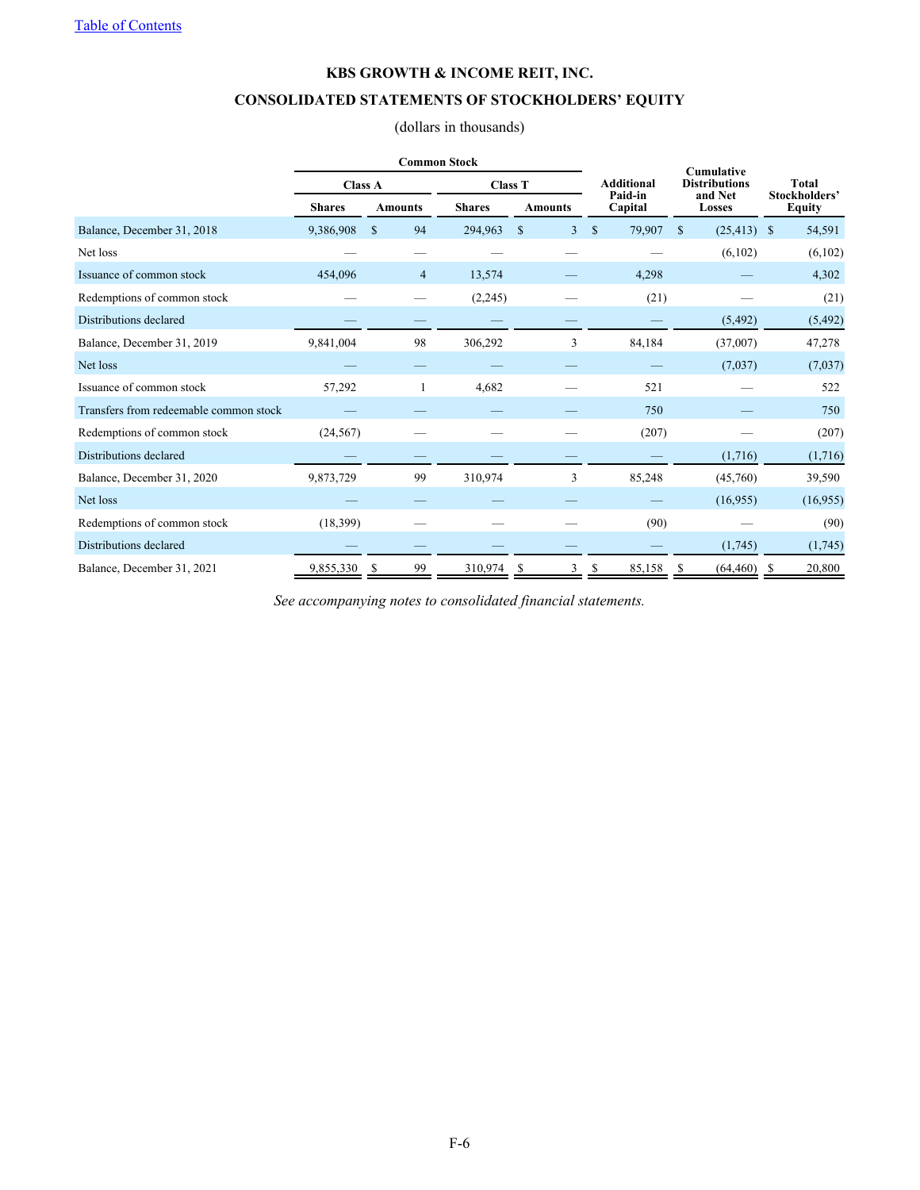# **CONSOLIDATED STATEMENTS OF STOCKHOLDERS' EQUITY**

(dollars in thousands)

<span id="page-79-0"></span>

|                                        |                |                | <b>Common Stock</b> |                    | <b>Cumulative</b>            |                                 |                                                |  |
|----------------------------------------|----------------|----------------|---------------------|--------------------|------------------------------|---------------------------------|------------------------------------------------|--|
|                                        | <b>Class A</b> |                | <b>Class T</b>      |                    | <b>Additional</b><br>Paid-in | <b>Distributions</b><br>and Net | <b>Total</b><br>Stockholders'<br><b>Equity</b> |  |
|                                        | <b>Shares</b>  | <b>Amounts</b> | <b>Shares</b>       | <b>Amounts</b>     | Capital                      | Losses                          |                                                |  |
| Balance, December 31, 2018             | 9,386,908      | 94<br>\$       | 294,963             | 3<br>$\mathcal{S}$ | 79,907<br>\$                 | $(25, 413)$ \$<br><sup>\$</sup> | 54,591                                         |  |
| Net loss                               |                |                |                     |                    |                              | (6,102)                         | (6,102)                                        |  |
| Issuance of common stock               | 454,096        | $\overline{4}$ | 13,574              |                    | 4,298                        |                                 | 4,302                                          |  |
| Redemptions of common stock            |                |                | (2,245)             |                    | (21)                         |                                 | (21)                                           |  |
| Distributions declared                 |                |                |                     |                    |                              | (5, 492)                        | (5, 492)                                       |  |
| Balance, December 31, 2019             | 9,841,004      | 98             | 306,292             | 3                  | 84,184                       | (37,007)                        | 47,278                                         |  |
| Net loss                               |                |                |                     |                    |                              | (7,037)                         | (7,037)                                        |  |
| Issuance of common stock               | 57,292         |                | 4,682               |                    | 521                          |                                 | 522                                            |  |
| Transfers from redeemable common stock |                |                |                     |                    | 750                          |                                 | 750                                            |  |
| Redemptions of common stock            | (24, 567)      |                |                     |                    | (207)                        |                                 | (207)                                          |  |
| Distributions declared                 |                |                |                     |                    |                              | (1,716)                         | (1,716)                                        |  |
| Balance, December 31, 2020             | 9,873,729      | 99             | 310,974             | 3                  | 85,248                       | (45,760)                        | 39,590                                         |  |
| Net loss                               |                |                |                     |                    |                              | (16,955)                        | (16,955)                                       |  |
| Redemptions of common stock            | (18,399)       |                |                     |                    | (90)                         |                                 | (90)                                           |  |
| Distributions declared                 |                |                |                     |                    |                              | (1,745)                         | (1,745)                                        |  |
| Balance, December 31, 2021             | 9,855,330      | 99<br>S        | 310,974             | \$<br>3            | 85,158<br>S                  | (64, 460)                       | 20,800<br>-S                                   |  |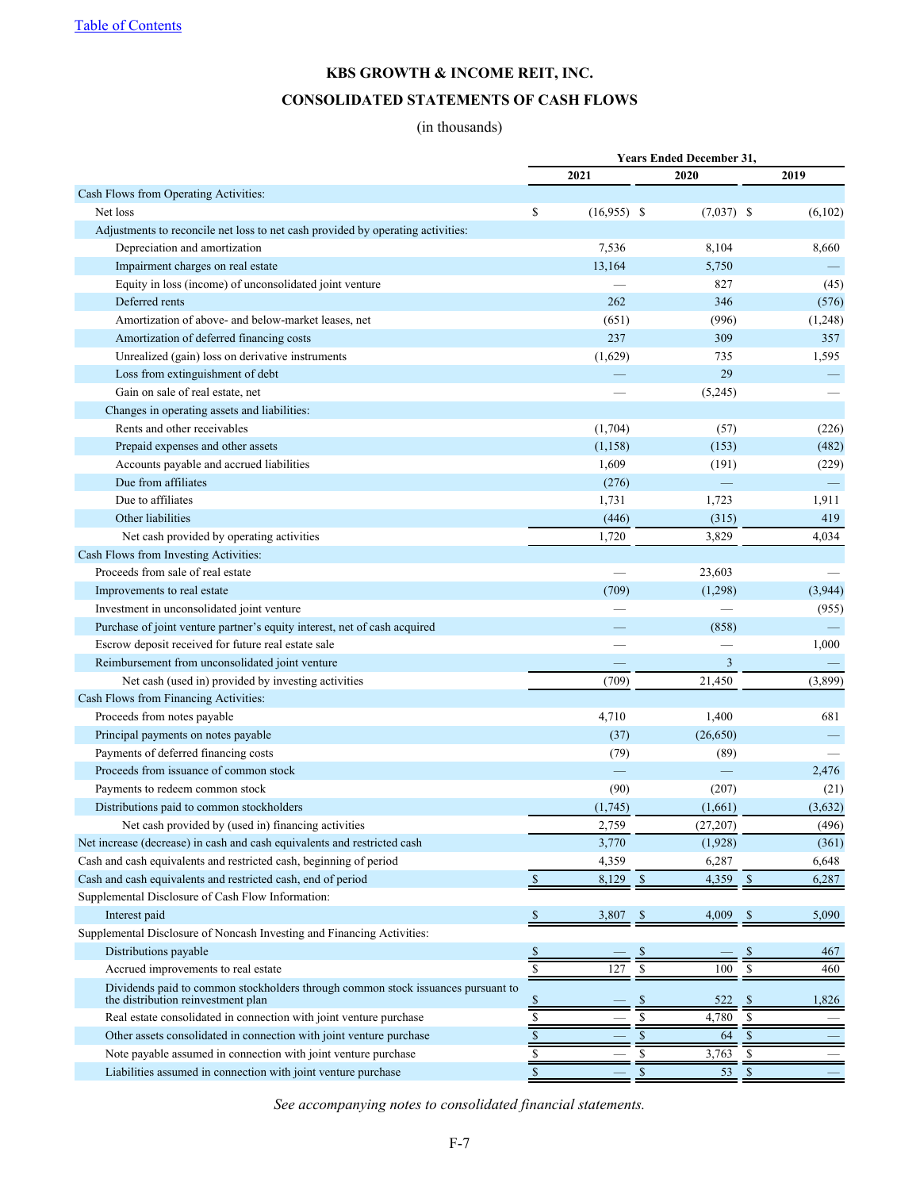# **CONSOLIDATED STATEMENTS OF CASH FLOWS**

### (in thousands)

<span id="page-80-0"></span>

|                                                                                  | <b>Years Ended December 31,</b> |                        |                        |  |  |
|----------------------------------------------------------------------------------|---------------------------------|------------------------|------------------------|--|--|
|                                                                                  | 2021                            | 2020                   | 2019                   |  |  |
| Cash Flows from Operating Activities:                                            |                                 |                        |                        |  |  |
| Net loss                                                                         | \$<br>$(16,955)$ \$             | $(7,037)$ \$           | (6,102)                |  |  |
| Adjustments to reconcile net loss to net cash provided by operating activities:  |                                 |                        |                        |  |  |
| Depreciation and amortization                                                    | 7,536                           | 8,104                  | 8,660                  |  |  |
| Impairment charges on real estate                                                | 13,164                          | 5,750                  |                        |  |  |
| Equity in loss (income) of unconsolidated joint venture                          |                                 | 827                    | (45)                   |  |  |
| Deferred rents                                                                   | 262                             | 346                    | (576)                  |  |  |
| Amortization of above- and below-market leases, net                              | (651)                           | (996)                  | (1,248)                |  |  |
| Amortization of deferred financing costs                                         | 237                             | 309                    | 357                    |  |  |
| Unrealized (gain) loss on derivative instruments                                 | (1,629)                         | 735                    | 1,595                  |  |  |
| Loss from extinguishment of debt                                                 |                                 | 29                     |                        |  |  |
| Gain on sale of real estate, net                                                 |                                 | (5,245)                |                        |  |  |
| Changes in operating assets and liabilities:                                     |                                 |                        |                        |  |  |
| Rents and other receivables                                                      | (1,704)                         | (57)                   | (226)                  |  |  |
| Prepaid expenses and other assets                                                | (1,158)                         | (153)                  | (482)                  |  |  |
| Accounts payable and accrued liabilities                                         | 1,609                           | (191)                  | (229)                  |  |  |
| Due from affiliates                                                              | (276)                           |                        |                        |  |  |
| Due to affiliates                                                                | 1,731                           | 1,723                  | 1,911                  |  |  |
| Other liabilities                                                                | (446)                           | (315)                  | 419                    |  |  |
| Net cash provided by operating activities                                        | 1,720                           | 3,829                  | 4,034                  |  |  |
| Cash Flows from Investing Activities:                                            |                                 |                        |                        |  |  |
| Proceeds from sale of real estate                                                |                                 | 23,603                 |                        |  |  |
| Improvements to real estate                                                      | (709)                           | (1,298)                | (3,944)                |  |  |
| Investment in unconsolidated joint venture                                       |                                 |                        | (955)                  |  |  |
| Purchase of joint venture partner's equity interest, net of cash acquired        |                                 | (858)                  |                        |  |  |
| Escrow deposit received for future real estate sale                              |                                 |                        | 1,000                  |  |  |
| Reimbursement from unconsolidated joint venture                                  |                                 | $\overline{3}$         |                        |  |  |
| Net cash (used in) provided by investing activities                              | (709)                           | 21,450                 | (3,899)                |  |  |
| Cash Flows from Financing Activities:                                            |                                 |                        |                        |  |  |
| Proceeds from notes payable                                                      | 4,710                           | 1,400                  | 681                    |  |  |
| Principal payments on notes payable                                              | (37)                            | (26,650)               |                        |  |  |
| Payments of deferred financing costs                                             | (79)                            | (89)                   |                        |  |  |
| Proceeds from issuance of common stock                                           |                                 |                        | 2,476                  |  |  |
| Payments to redeem common stock                                                  | (90)                            | (207)                  | (21)                   |  |  |
| Distributions paid to common stockholders                                        | (1,745)                         | (1,661)                | (3,632)                |  |  |
| Net cash provided by (used in) financing activities                              | 2,759                           | (27, 207)              | (496)                  |  |  |
| Net increase (decrease) in cash and cash equivalents and restricted cash         | 3,770                           | (1,928)                | (361)                  |  |  |
| Cash and cash equivalents and restricted cash, beginning of period               | 4,359                           | 6,287                  | 6,648                  |  |  |
| Cash and cash equivalents and restricted cash, end of period                     | $\mathcal{S}$<br>8,129          | $\mathcal{S}$<br>4,359 | $\mathbb{S}$<br>6,287  |  |  |
| Supplemental Disclosure of Cash Flow Information:                                |                                 |                        |                        |  |  |
| Interest paid                                                                    | 3,807                           | 4,009<br><sup>2</sup>  | 5,090<br><sup>2</sup>  |  |  |
| Supplemental Disclosure of Noncash Investing and Financing Activities:           |                                 |                        |                        |  |  |
| Distributions payable                                                            |                                 | \$                     | 467<br><sup>\$</sup>   |  |  |
| Accrued improvements to real estate                                              | $\mathbf S$<br>127              | \$<br>100              | $\mathbb{S}$<br>460    |  |  |
| Dividends paid to common stockholders through common stock issuances pursuant to |                                 |                        |                        |  |  |
| the distribution reinvestment plan                                               | \$                              | \$<br>522              | 1,826<br><sup>\$</sup> |  |  |
| Real estate consolidated in connection with joint venture purchase               | \$                              | \$<br>4,780            | \$                     |  |  |
| Other assets consolidated in connection with joint venture purchase              | \$                              | \$<br>64               | \$                     |  |  |
| Note payable assumed in connection with joint venture purchase                   | S                               | \$<br>3,763            | \$                     |  |  |
| Liabilities assumed in connection with joint venture purchase                    |                                 | \$<br>53               | $\mathbb{S}$           |  |  |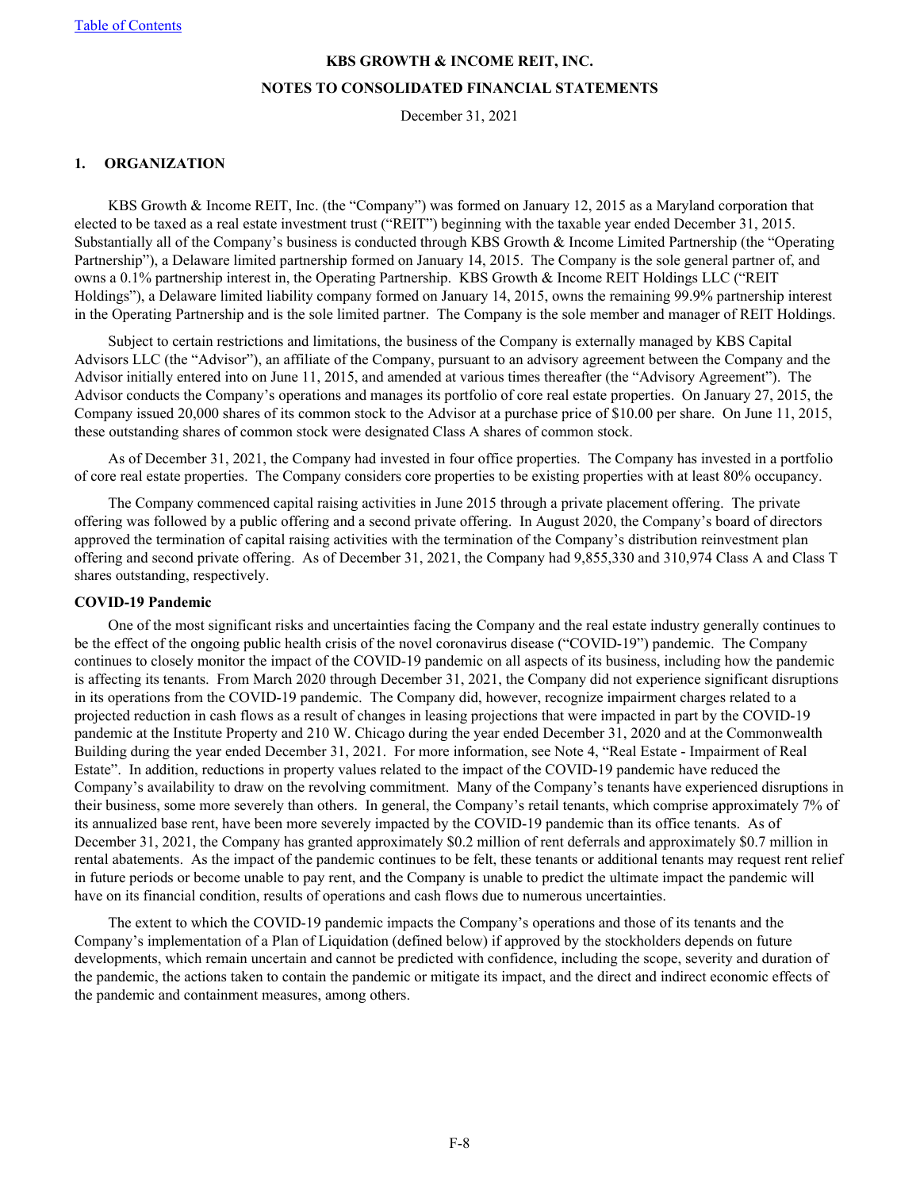# **KBS GROWTH & INCOME REIT, INC. NOTES TO CONSOLIDATED FINANCIAL STATEMENTS**

December 31, 2021

#### <span id="page-81-0"></span>**1. ORGANIZATION**

KBS Growth & Income REIT, Inc. (the "Company") was formed on January 12, 2015 as a Maryland corporation that elected to be taxed as a real estate investment trust ("REIT") beginning with the taxable year ended December 31, 2015. Substantially all of the Company's business is conducted through KBS Growth & Income Limited Partnership (the "Operating Partnership"), a Delaware limited partnership formed on January 14, 2015. The Company is the sole general partner of, and owns a 0.1% partnership interest in, the Operating Partnership. KBS Growth & Income REIT Holdings LLC ("REIT Holdings"), a Delaware limited liability company formed on January 14, 2015, owns the remaining 99.9% partnership interest in the Operating Partnership and is the sole limited partner. The Company is the sole member and manager of REIT Holdings.

Subject to certain restrictions and limitations, the business of the Company is externally managed by KBS Capital Advisors LLC (the "Advisor"), an affiliate of the Company, pursuant to an advisory agreement between the Company and the Advisor initially entered into on June 11, 2015, and amended at various times thereafter (the "Advisory Agreement"). The Advisor conducts the Company's operations and manages its portfolio of core real estate properties. On January 27, 2015, the Company issued 20,000 shares of its common stock to the Advisor at a purchase price of \$10.00 per share. On June 11, 2015, these outstanding shares of common stock were designated Class A shares of common stock.

As of December 31, 2021, the Company had invested in four office properties. The Company has invested in a portfolio of core real estate properties. The Company considers core properties to be existing properties with at least 80% occupancy.

The Company commenced capital raising activities in June 2015 through a private placement offering. The private offering was followed by a public offering and a second private offering. In August 2020, the Company's board of directors approved the termination of capital raising activities with the termination of the Company's distribution reinvestment plan offering and second private offering. As of December 31, 2021, the Company had 9,855,330 and 310,974 Class A and Class T shares outstanding, respectively.

#### **COVID-19 Pandemic**

One of the most significant risks and uncertainties facing the Company and the real estate industry generally continues to be the effect of the ongoing public health crisis of the novel coronavirus disease ("COVID-19") pandemic. The Company continues to closely monitor the impact of the COVID-19 pandemic on all aspects of its business, including how the pandemic is affecting its tenants. From March 2020 through December 31, 2021, the Company did not experience significant disruptions in its operations from the COVID-19 pandemic. The Company did, however, recognize impairment charges related to a projected reduction in cash flows as a result of changes in leasing projections that were impacted in part by the COVID-19 pandemic at the Institute Property and 210 W. Chicago during the year ended December 31, 2020 and at the Commonwealth Building during the year ended December 31, 2021. For more information, see Note 4, "Real Estate - Impairment of Real Estate". In addition, reductions in property values related to the impact of the COVID-19 pandemic have reduced the Company's availability to draw on the revolving commitment. Many of the Company's tenants have experienced disruptions in their business, some more severely than others. In general, the Company's retail tenants, which comprise approximately 7% of its annualized base rent, have been more severely impacted by the COVID-19 pandemic than its office tenants. As of December 31, 2021, the Company has granted approximately \$0.2 million of rent deferrals and approximately \$0.7 million in rental abatements. As the impact of the pandemic continues to be felt, these tenants or additional tenants may request rent relief in future periods or become unable to pay rent, and the Company is unable to predict the ultimate impact the pandemic will have on its financial condition, results of operations and cash flows due to numerous uncertainties.

The extent to which the COVID-19 pandemic impacts the Company's operations and those of its tenants and the Company's implementation of a Plan of Liquidation (defined below) if approved by the stockholders depends on future developments, which remain uncertain and cannot be predicted with confidence, including the scope, severity and duration of the pandemic, the actions taken to contain the pandemic or mitigate its impact, and the direct and indirect economic effects of the pandemic and containment measures, among others.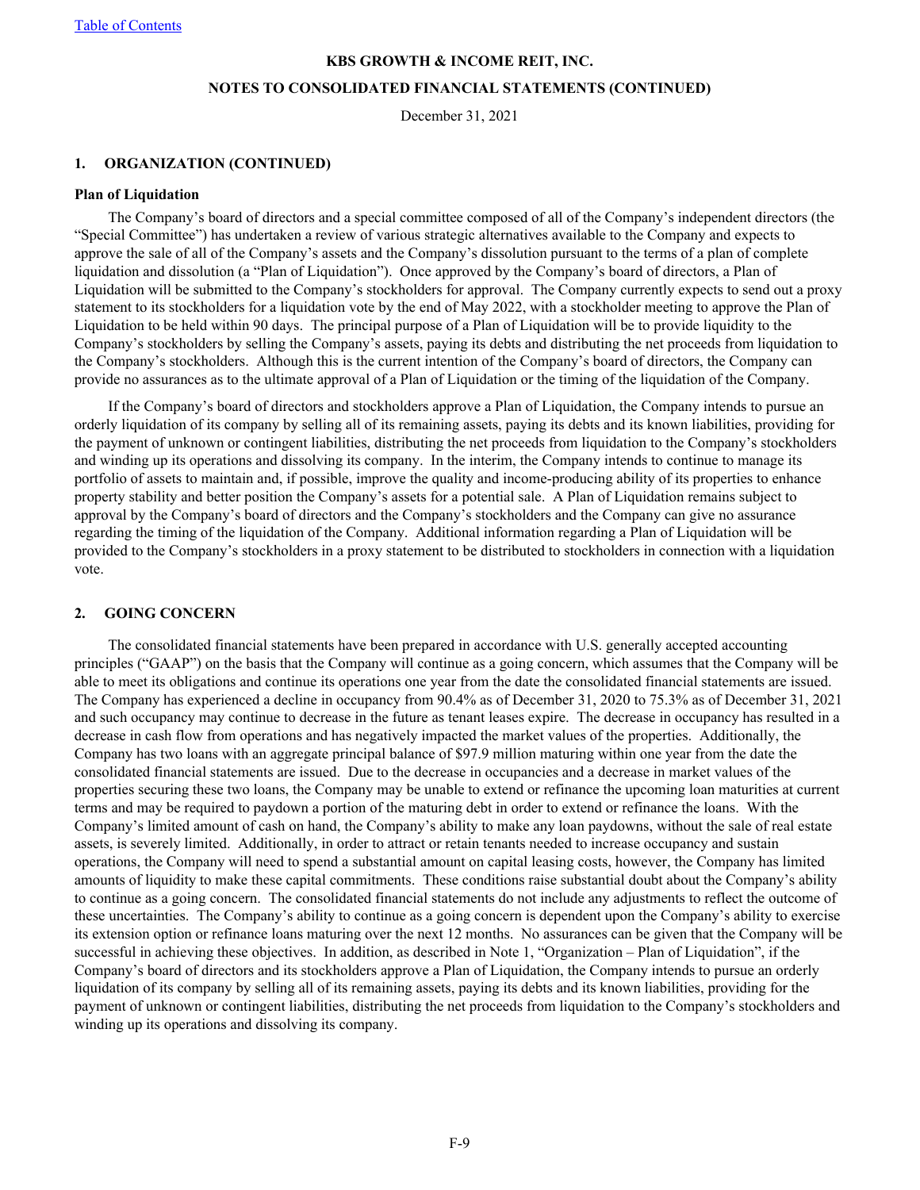#### **NOTES TO CONSOLIDATED FINANCIAL STATEMENTS (CONTINUED)**

December 31, 2021

#### **1. ORGANIZATION (CONTINUED)**

#### **Plan of Liquidation**

The Company's board of directors and a special committee composed of all of the Company's independent directors (the "Special Committee") has undertaken a review of various strategic alternatives available to the Company and expects to approve the sale of all of the Company's assets and the Company's dissolution pursuant to the terms of a plan of complete liquidation and dissolution (a "Plan of Liquidation"). Once approved by the Company's board of directors, a Plan of Liquidation will be submitted to the Company's stockholders for approval. The Company currently expects to send out a proxy statement to its stockholders for a liquidation vote by the end of May 2022, with a stockholder meeting to approve the Plan of Liquidation to be held within 90 days. The principal purpose of a Plan of Liquidation will be to provide liquidity to the Company's stockholders by selling the Company's assets, paying its debts and distributing the net proceeds from liquidation to the Company's stockholders. Although this is the current intention of the Company's board of directors, the Company can provide no assurances as to the ultimate approval of a Plan of Liquidation or the timing of the liquidation of the Company.

If the Company's board of directors and stockholders approve a Plan of Liquidation, the Company intends to pursue an orderly liquidation of its company by selling all of its remaining assets, paying its debts and its known liabilities, providing for the payment of unknown or contingent liabilities, distributing the net proceeds from liquidation to the Company's stockholders and winding up its operations and dissolving its company. In the interim, the Company intends to continue to manage its portfolio of assets to maintain and, if possible, improve the quality and income-producing ability of its properties to enhance property stability and better position the Company's assets for a potential sale. A Plan of Liquidation remains subject to approval by the Company's board of directors and the Company's stockholders and the Company can give no assurance regarding the timing of the liquidation of the Company. Additional information regarding a Plan of Liquidation will be provided to the Company's stockholders in a proxy statement to be distributed to stockholders in connection with a liquidation vote.

#### **2. GOING CONCERN**

The consolidated financial statements have been prepared in accordance with U.S. generally accepted accounting principles ("GAAP") on the basis that the Company will continue as a going concern, which assumes that the Company will be able to meet its obligations and continue its operations one year from the date the consolidated financial statements are issued. The Company has experienced a decline in occupancy from 90.4% as of December 31, 2020 to 75.3% as of December 31, 2021 and such occupancy may continue to decrease in the future as tenant leases expire. The decrease in occupancy has resulted in a decrease in cash flow from operations and has negatively impacted the market values of the properties. Additionally, the Company has two loans with an aggregate principal balance of \$97.9 million maturing within one year from the date the consolidated financial statements are issued. Due to the decrease in occupancies and a decrease in market values of the properties securing these two loans, the Company may be unable to extend or refinance the upcoming loan maturities at current terms and may be required to paydown a portion of the maturing debt in order to extend or refinance the loans. With the Company's limited amount of cash on hand, the Company's ability to make any loan paydowns, without the sale of real estate assets, is severely limited. Additionally, in order to attract or retain tenants needed to increase occupancy and sustain operations, the Company will need to spend a substantial amount on capital leasing costs, however, the Company has limited amounts of liquidity to make these capital commitments. These conditions raise substantial doubt about the Company's ability to continue as a going concern. The consolidated financial statements do not include any adjustments to reflect the outcome of these uncertainties. The Company's ability to continue as a going concern is dependent upon the Company's ability to exercise its extension option or refinance loans maturing over the next 12 months. No assurances can be given that the Company will be successful in achieving these objectives. In addition, as described in Note 1, "Organization – Plan of Liquidation", if the Company's board of directors and its stockholders approve a Plan of Liquidation, the Company intends to pursue an orderly liquidation of its company by selling all of its remaining assets, paying its debts and its known liabilities, providing for the payment of unknown or contingent liabilities, distributing the net proceeds from liquidation to the Company's stockholders and winding up its operations and dissolving its company.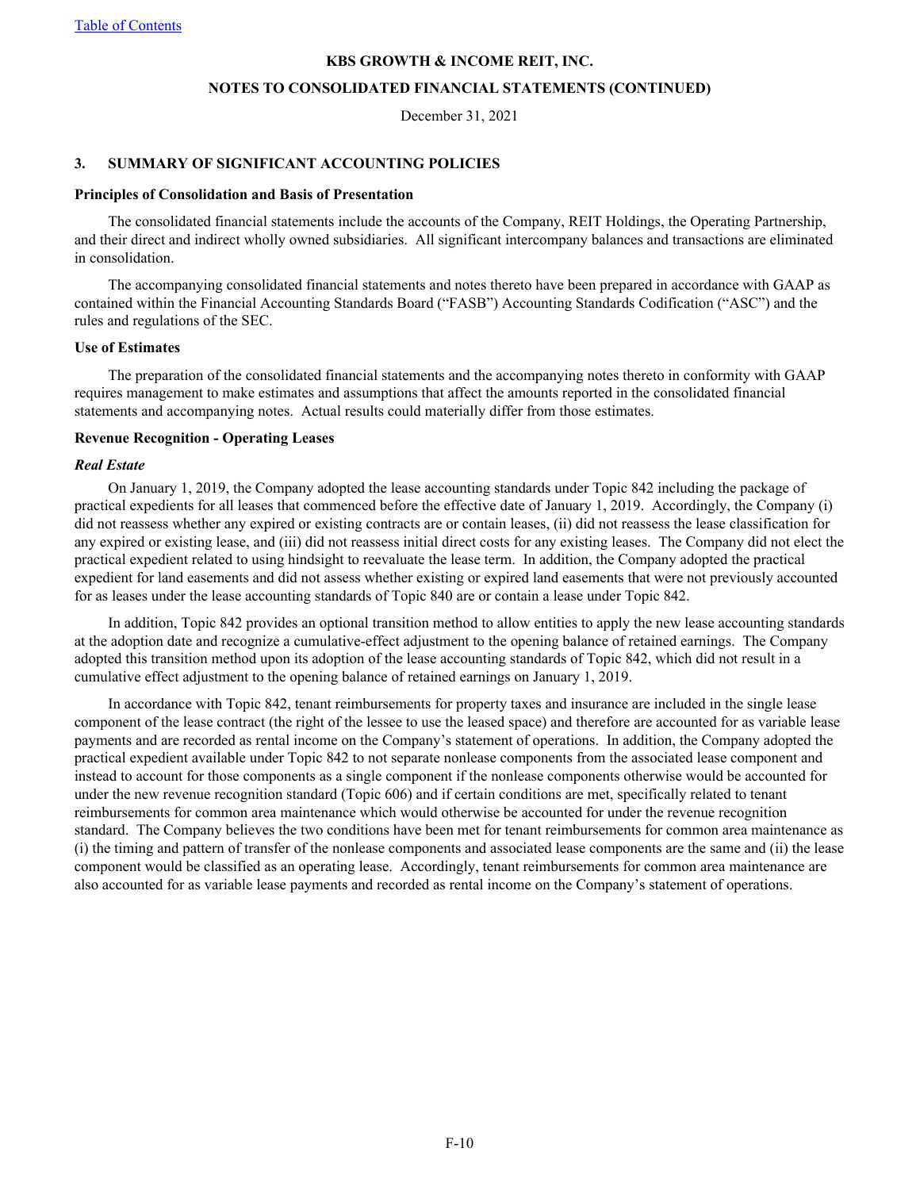#### **NOTES TO CONSOLIDATED FINANCIAL STATEMENTS (CONTINUED)**

December 31, 2021

### **3. SUMMARY OF SIGNIFICANT ACCOUNTING POLICIES**

#### **Principles of Consolidation and Basis of Presentation**

The consolidated financial statements include the accounts of the Company, REIT Holdings, the Operating Partnership, and their direct and indirect wholly owned subsidiaries. All significant intercompany balances and transactions are eliminated in consolidation.

The accompanying consolidated financial statements and notes thereto have been prepared in accordance with GAAP as contained within the Financial Accounting Standards Board ("FASB") Accounting Standards Codification ("ASC") and the rules and regulations of the SEC.

#### **Use of Estimates**

The preparation of the consolidated financial statements and the accompanying notes thereto in conformity with GAAP requires management to make estimates and assumptions that affect the amounts reported in the consolidated financial statements and accompanying notes. Actual results could materially differ from those estimates.

#### **Revenue Recognition - Operating Leases**

#### *Real Estate*

On January 1, 2019, the Company adopted the lease accounting standards under Topic 842 including the package of practical expedients for all leases that commenced before the effective date of January 1, 2019. Accordingly, the Company (i) did not reassess whether any expired or existing contracts are or contain leases, (ii) did not reassess the lease classification for any expired or existing lease, and (iii) did not reassess initial direct costs for any existing leases. The Company did not elect the practical expedient related to using hindsight to reevaluate the lease term. In addition, the Company adopted the practical expedient for land easements and did not assess whether existing or expired land easements that were not previously accounted for as leases under the lease accounting standards of Topic 840 are or contain a lease under Topic 842.

In addition, Topic 842 provides an optional transition method to allow entities to apply the new lease accounting standards at the adoption date and recognize a cumulative-effect adjustment to the opening balance of retained earnings. The Company adopted this transition method upon its adoption of the lease accounting standards of Topic 842, which did not result in a cumulative effect adjustment to the opening balance of retained earnings on January 1, 2019.

In accordance with Topic 842, tenant reimbursements for property taxes and insurance are included in the single lease component of the lease contract (the right of the lessee to use the leased space) and therefore are accounted for as variable lease payments and are recorded as rental income on the Company's statement of operations. In addition, the Company adopted the practical expedient available under Topic 842 to not separate nonlease components from the associated lease component and instead to account for those components as a single component if the nonlease components otherwise would be accounted for under the new revenue recognition standard (Topic 606) and if certain conditions are met, specifically related to tenant reimbursements for common area maintenance which would otherwise be accounted for under the revenue recognition standard. The Company believes the two conditions have been met for tenant reimbursements for common area maintenance as (i) the timing and pattern of transfer of the nonlease components and associated lease components are the same and (ii) the lease component would be classified as an operating lease. Accordingly, tenant reimbursements for common area maintenance are also accounted for as variable lease payments and recorded as rental income on the Company's statement of operations.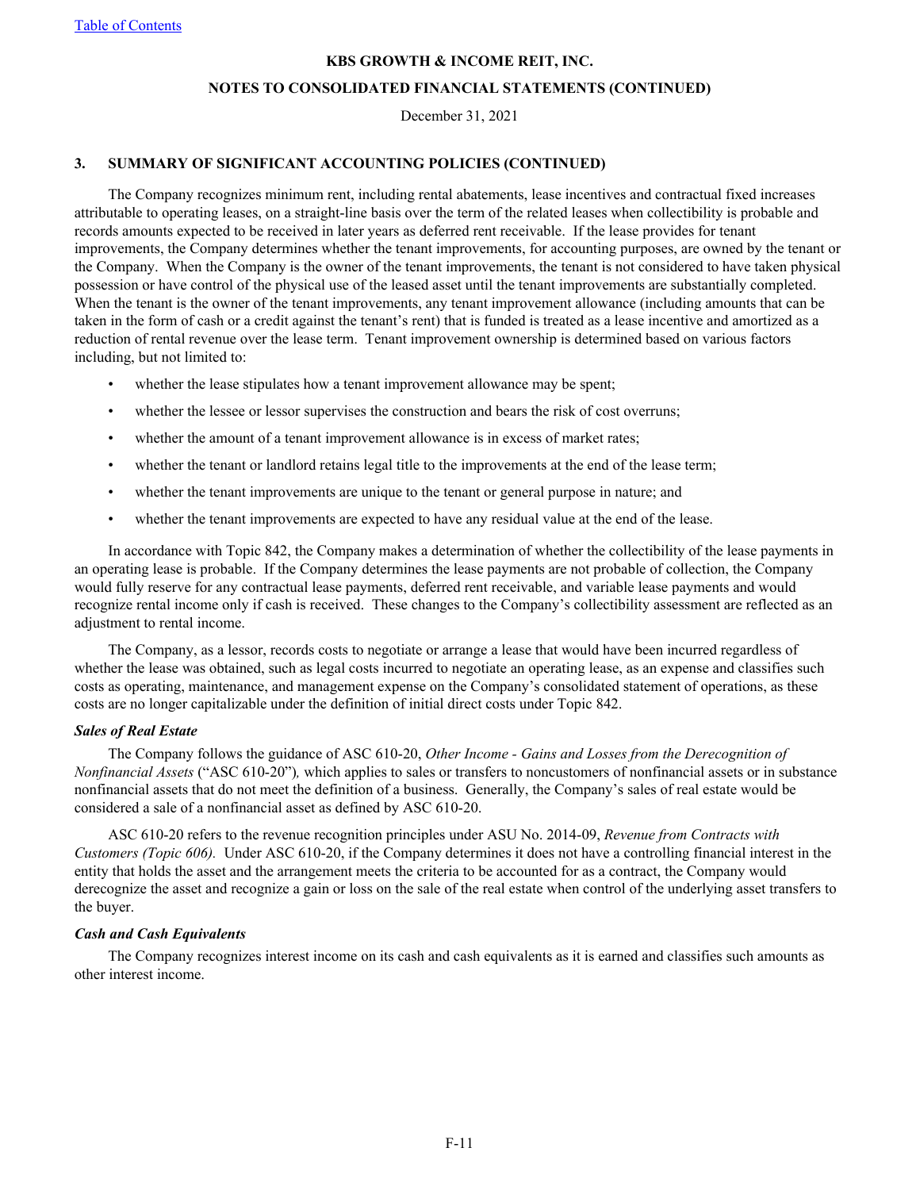#### **NOTES TO CONSOLIDATED FINANCIAL STATEMENTS (CONTINUED)**

December 31, 2021

### **3. SUMMARY OF SIGNIFICANT ACCOUNTING POLICIES (CONTINUED)**

The Company recognizes minimum rent, including rental abatements, lease incentives and contractual fixed increases attributable to operating leases, on a straight-line basis over the term of the related leases when collectibility is probable and records amounts expected to be received in later years as deferred rent receivable. If the lease provides for tenant improvements, the Company determines whether the tenant improvements, for accounting purposes, are owned by the tenant or the Company. When the Company is the owner of the tenant improvements, the tenant is not considered to have taken physical possession or have control of the physical use of the leased asset until the tenant improvements are substantially completed. When the tenant is the owner of the tenant improvements, any tenant improvement allowance (including amounts that can be taken in the form of cash or a credit against the tenant's rent) that is funded is treated as a lease incentive and amortized as a reduction of rental revenue over the lease term. Tenant improvement ownership is determined based on various factors including, but not limited to:

- whether the lease stipulates how a tenant improvement allowance may be spent;
- whether the lessee or lessor supervises the construction and bears the risk of cost overruns;
- whether the amount of a tenant improvement allowance is in excess of market rates;
- whether the tenant or landlord retains legal title to the improvements at the end of the lease term;
- whether the tenant improvements are unique to the tenant or general purpose in nature; and
- whether the tenant improvements are expected to have any residual value at the end of the lease.

In accordance with Topic 842, the Company makes a determination of whether the collectibility of the lease payments in an operating lease is probable. If the Company determines the lease payments are not probable of collection, the Company would fully reserve for any contractual lease payments, deferred rent receivable, and variable lease payments and would recognize rental income only if cash is received. These changes to the Company's collectibility assessment are reflected as an adjustment to rental income.

The Company, as a lessor, records costs to negotiate or arrange a lease that would have been incurred regardless of whether the lease was obtained, such as legal costs incurred to negotiate an operating lease, as an expense and classifies such costs as operating, maintenance, and management expense on the Company's consolidated statement of operations, as these costs are no longer capitalizable under the definition of initial direct costs under Topic 842.

### *Sales of Real Estate*

The Company follows the guidance of ASC 610-20, *Other Income - Gains and Losses from the Derecognition of Nonfinancial Assets* ("ASC 610-20")*,* which applies to sales or transfers to noncustomers of nonfinancial assets or in substance nonfinancial assets that do not meet the definition of a business. Generally, the Company's sales of real estate would be considered a sale of a nonfinancial asset as defined by ASC 610-20.

ASC 610-20 refers to the revenue recognition principles under ASU No. 2014-09, *Revenue from Contracts with Customers (Topic 606).* Under ASC 610-20, if the Company determines it does not have a controlling financial interest in the entity that holds the asset and the arrangement meets the criteria to be accounted for as a contract, the Company would derecognize the asset and recognize a gain or loss on the sale of the real estate when control of the underlying asset transfers to the buyer.

### *Cash and Cash Equivalents*

The Company recognizes interest income on its cash and cash equivalents as it is earned and classifies such amounts as other interest income.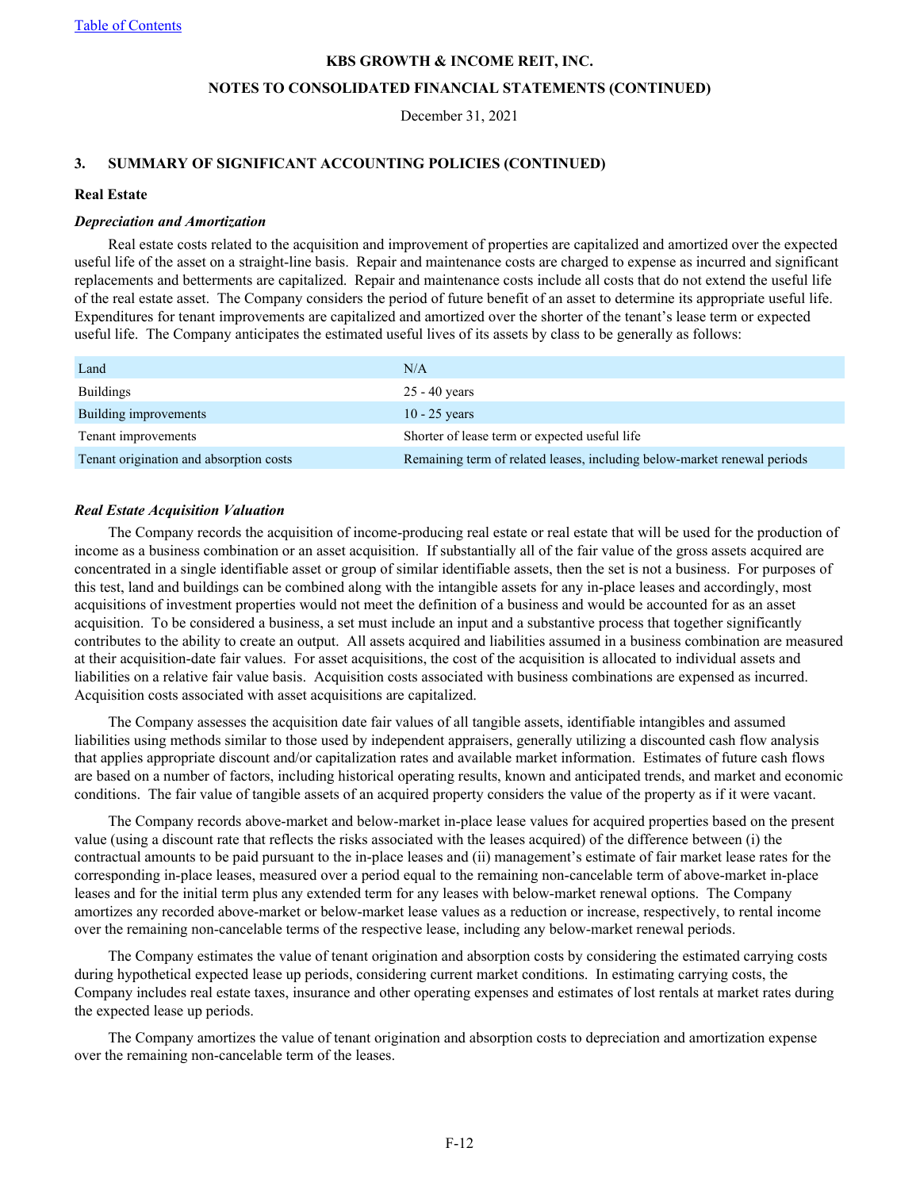#### **NOTES TO CONSOLIDATED FINANCIAL STATEMENTS (CONTINUED)**

December 31, 2021

### **3. SUMMARY OF SIGNIFICANT ACCOUNTING POLICIES (CONTINUED)**

#### **Real Estate**

#### *Depreciation and Amortization*

Real estate costs related to the acquisition and improvement of properties are capitalized and amortized over the expected useful life of the asset on a straight-line basis. Repair and maintenance costs are charged to expense as incurred and significant replacements and betterments are capitalized. Repair and maintenance costs include all costs that do not extend the useful life of the real estate asset. The Company considers the period of future benefit of an asset to determine its appropriate useful life. Expenditures for tenant improvements are capitalized and amortized over the shorter of the tenant's lease term or expected useful life. The Company anticipates the estimated useful lives of its assets by class to be generally as follows:

| Land                                    | N/A                                                                      |
|-----------------------------------------|--------------------------------------------------------------------------|
| <b>Buildings</b>                        | $25 - 40$ years                                                          |
| Building improvements                   | $10 - 25$ years                                                          |
| Tenant improvements                     | Shorter of lease term or expected useful life                            |
| Tenant origination and absorption costs | Remaining term of related leases, including below-market renewal periods |

#### *Real Estate Acquisition Valuation*

The Company records the acquisition of income-producing real estate or real estate that will be used for the production of income as a business combination or an asset acquisition. If substantially all of the fair value of the gross assets acquired are concentrated in a single identifiable asset or group of similar identifiable assets, then the set is not a business. For purposes of this test, land and buildings can be combined along with the intangible assets for any in-place leases and accordingly, most acquisitions of investment properties would not meet the definition of a business and would be accounted for as an asset acquisition. To be considered a business, a set must include an input and a substantive process that together significantly contributes to the ability to create an output. All assets acquired and liabilities assumed in a business combination are measured at their acquisition-date fair values. For asset acquisitions, the cost of the acquisition is allocated to individual assets and liabilities on a relative fair value basis. Acquisition costs associated with business combinations are expensed as incurred. Acquisition costs associated with asset acquisitions are capitalized.

The Company assesses the acquisition date fair values of all tangible assets, identifiable intangibles and assumed liabilities using methods similar to those used by independent appraisers, generally utilizing a discounted cash flow analysis that applies appropriate discount and/or capitalization rates and available market information. Estimates of future cash flows are based on a number of factors, including historical operating results, known and anticipated trends, and market and economic conditions. The fair value of tangible assets of an acquired property considers the value of the property as if it were vacant.

The Company records above-market and below-market in-place lease values for acquired properties based on the present value (using a discount rate that reflects the risks associated with the leases acquired) of the difference between (i) the contractual amounts to be paid pursuant to the in-place leases and (ii) management's estimate of fair market lease rates for the corresponding in-place leases, measured over a period equal to the remaining non-cancelable term of above-market in-place leases and for the initial term plus any extended term for any leases with below-market renewal options. The Company amortizes any recorded above-market or below-market lease values as a reduction or increase, respectively, to rental income over the remaining non-cancelable terms of the respective lease, including any below-market renewal periods.

The Company estimates the value of tenant origination and absorption costs by considering the estimated carrying costs during hypothetical expected lease up periods, considering current market conditions. In estimating carrying costs, the Company includes real estate taxes, insurance and other operating expenses and estimates of lost rentals at market rates during the expected lease up periods.

The Company amortizes the value of tenant origination and absorption costs to depreciation and amortization expense over the remaining non-cancelable term of the leases.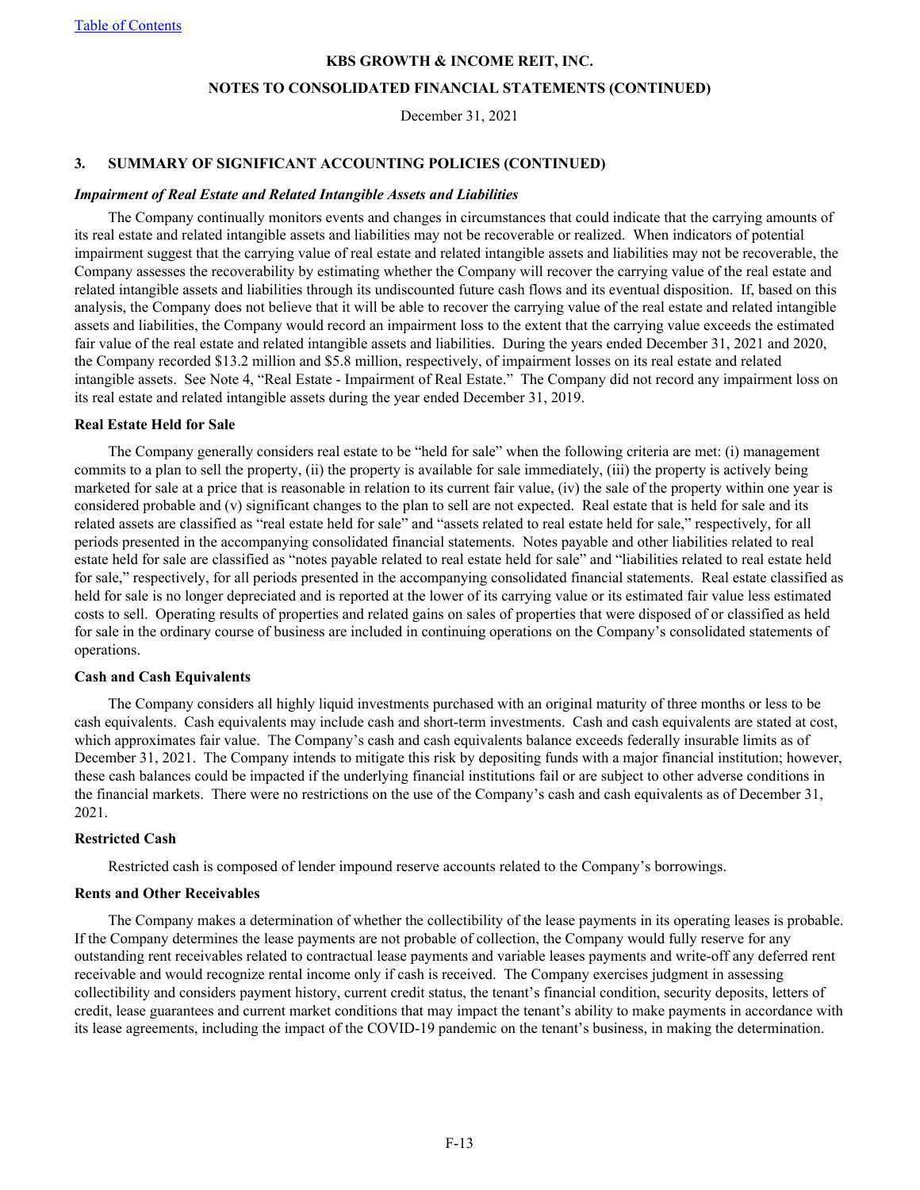[Table of Contents](#page-1-0)

#### **KBS GROWTH & INCOME REIT, INC.**

#### **NOTES TO CONSOLIDATED FINANCIAL STATEMENTS (CONTINUED)**

December 31, 2021

#### **3. SUMMARY OF SIGNIFICANT ACCOUNTING POLICIES (CONTINUED)**

#### *Impairment of Real Estate and Related Intangible Assets and Liabilities*

The Company continually monitors events and changes in circumstances that could indicate that the carrying amounts of its real estate and related intangible assets and liabilities may not be recoverable or realized. When indicators of potential impairment suggest that the carrying value of real estate and related intangible assets and liabilities may not be recoverable, the Company assesses the recoverability by estimating whether the Company will recover the carrying value of the real estate and related intangible assets and liabilities through its undiscounted future cash flows and its eventual disposition. If, based on this analysis, the Company does not believe that it will be able to recover the carrying value of the real estate and related intangible assets and liabilities, the Company would record an impairment loss to the extent that the carrying value exceeds the estimated fair value of the real estate and related intangible assets and liabilities. During the years ended December 31, 2021 and 2020, the Company recorded \$13.2 million and \$5.8 million, respectively, of impairment losses on its real estate and related intangible assets. See Note 4, "Real Estate - Impairment of Real Estate." The Company did not record any impairment loss on its real estate and related intangible assets during the year ended December 31, 2019.

#### **Real Estate Held for Sale**

The Company generally considers real estate to be "held for sale" when the following criteria are met: (i) management commits to a plan to sell the property, (ii) the property is available for sale immediately, (iii) the property is actively being marketed for sale at a price that is reasonable in relation to its current fair value, (iv) the sale of the property within one year is considered probable and (v) significant changes to the plan to sell are not expected. Real estate that is held for sale and its related assets are classified as "real estate held for sale" and "assets related to real estate held for sale," respectively, for all periods presented in the accompanying consolidated financial statements. Notes payable and other liabilities related to real estate held for sale are classified as "notes payable related to real estate held for sale" and "liabilities related to real estate held for sale," respectively, for all periods presented in the accompanying consolidated financial statements. Real estate classified as held for sale is no longer depreciated and is reported at the lower of its carrying value or its estimated fair value less estimated costs to sell. Operating results of properties and related gains on sales of properties that were disposed of or classified as held for sale in the ordinary course of business are included in continuing operations on the Company's consolidated statements of operations.

### **Cash and Cash Equivalents**

The Company considers all highly liquid investments purchased with an original maturity of three months or less to be cash equivalents. Cash equivalents may include cash and short-term investments. Cash and cash equivalents are stated at cost, which approximates fair value. The Company's cash and cash equivalents balance exceeds federally insurable limits as of December 31, 2021. The Company intends to mitigate this risk by depositing funds with a major financial institution; however, these cash balances could be impacted if the underlying financial institutions fail or are subject to other adverse conditions in the financial markets. There were no restrictions on the use of the Company's cash and cash equivalents as of December 31, 2021.

### **Restricted Cash**

Restricted cash is composed of lender impound reserve accounts related to the Company's borrowings.

#### **Rents and Other Receivables**

The Company makes a determination of whether the collectibility of the lease payments in its operating leases is probable. If the Company determines the lease payments are not probable of collection, the Company would fully reserve for any outstanding rent receivables related to contractual lease payments and variable leases payments and write-off any deferred rent receivable and would recognize rental income only if cash is received. The Company exercises judgment in assessing collectibility and considers payment history, current credit status, the tenant's financial condition, security deposits, letters of credit, lease guarantees and current market conditions that may impact the tenant's ability to make payments in accordance with its lease agreements, including the impact of the COVID-19 pandemic on the tenant's business, in making the determination.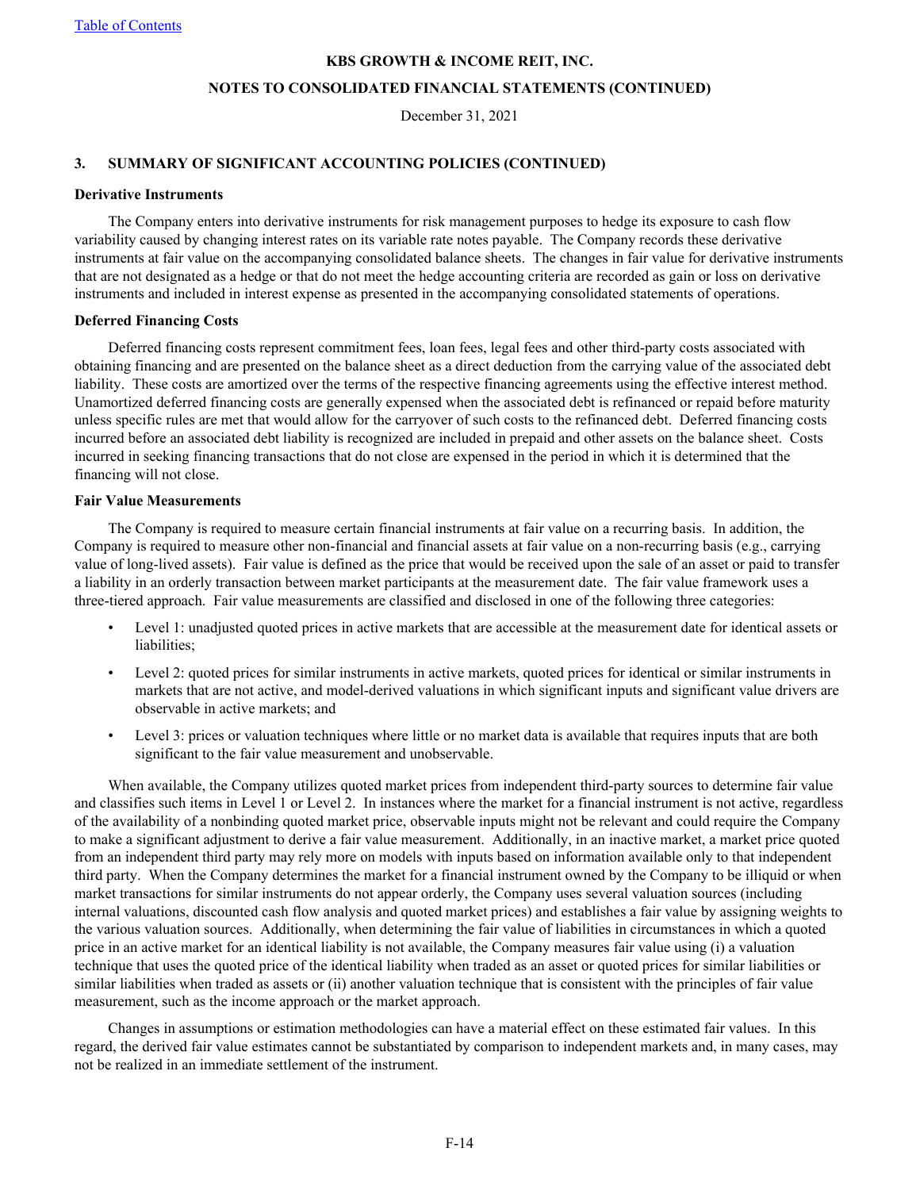#### **NOTES TO CONSOLIDATED FINANCIAL STATEMENTS (CONTINUED)**

December 31, 2021

#### **3. SUMMARY OF SIGNIFICANT ACCOUNTING POLICIES (CONTINUED)**

#### **Derivative Instruments**

The Company enters into derivative instruments for risk management purposes to hedge its exposure to cash flow variability caused by changing interest rates on its variable rate notes payable. The Company records these derivative instruments at fair value on the accompanying consolidated balance sheets. The changes in fair value for derivative instruments that are not designated as a hedge or that do not meet the hedge accounting criteria are recorded as gain or loss on derivative instruments and included in interest expense as presented in the accompanying consolidated statements of operations.

#### **Deferred Financing Costs**

Deferred financing costs represent commitment fees, loan fees, legal fees and other third-party costs associated with obtaining financing and are presented on the balance sheet as a direct deduction from the carrying value of the associated debt liability. These costs are amortized over the terms of the respective financing agreements using the effective interest method. Unamortized deferred financing costs are generally expensed when the associated debt is refinanced or repaid before maturity unless specific rules are met that would allow for the carryover of such costs to the refinanced debt. Deferred financing costs incurred before an associated debt liability is recognized are included in prepaid and other assets on the balance sheet. Costs incurred in seeking financing transactions that do not close are expensed in the period in which it is determined that the financing will not close.

#### **Fair Value Measurements**

The Company is required to measure certain financial instruments at fair value on a recurring basis. In addition, the Company is required to measure other non-financial and financial assets at fair value on a non-recurring basis (e.g., carrying value of long-lived assets). Fair value is defined as the price that would be received upon the sale of an asset or paid to transfer a liability in an orderly transaction between market participants at the measurement date. The fair value framework uses a three-tiered approach. Fair value measurements are classified and disclosed in one of the following three categories:

- Level 1: unadjusted quoted prices in active markets that are accessible at the measurement date for identical assets or liabilities;
- Level 2: quoted prices for similar instruments in active markets, quoted prices for identical or similar instruments in markets that are not active, and model-derived valuations in which significant inputs and significant value drivers are observable in active markets; and
- Level 3: prices or valuation techniques where little or no market data is available that requires inputs that are both significant to the fair value measurement and unobservable.

When available, the Company utilizes quoted market prices from independent third-party sources to determine fair value and classifies such items in Level 1 or Level 2. In instances where the market for a financial instrument is not active, regardless of the availability of a nonbinding quoted market price, observable inputs might not be relevant and could require the Company to make a significant adjustment to derive a fair value measurement. Additionally, in an inactive market, a market price quoted from an independent third party may rely more on models with inputs based on information available only to that independent third party. When the Company determines the market for a financial instrument owned by the Company to be illiquid or when market transactions for similar instruments do not appear orderly, the Company uses several valuation sources (including internal valuations, discounted cash flow analysis and quoted market prices) and establishes a fair value by assigning weights to the various valuation sources. Additionally, when determining the fair value of liabilities in circumstances in which a quoted price in an active market for an identical liability is not available, the Company measures fair value using (i) a valuation technique that uses the quoted price of the identical liability when traded as an asset or quoted prices for similar liabilities or similar liabilities when traded as assets or (ii) another valuation technique that is consistent with the principles of fair value measurement, such as the income approach or the market approach.

Changes in assumptions or estimation methodologies can have a material effect on these estimated fair values. In this regard, the derived fair value estimates cannot be substantiated by comparison to independent markets and, in many cases, may not be realized in an immediate settlement of the instrument.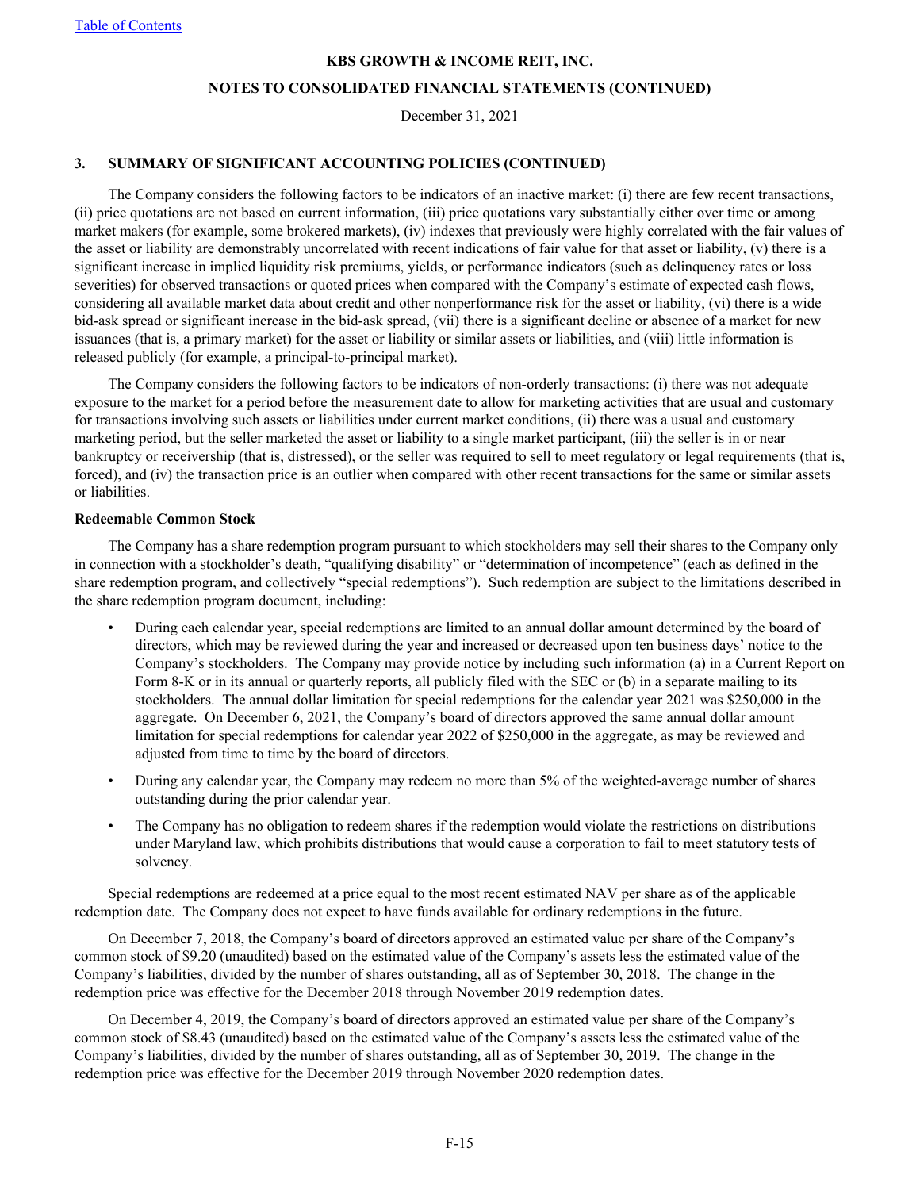[Table of Contents](#page-1-0)

#### **KBS GROWTH & INCOME REIT, INC.**

#### **NOTES TO CONSOLIDATED FINANCIAL STATEMENTS (CONTINUED)**

December 31, 2021

### **3. SUMMARY OF SIGNIFICANT ACCOUNTING POLICIES (CONTINUED)**

The Company considers the following factors to be indicators of an inactive market: (i) there are few recent transactions, (ii) price quotations are not based on current information, (iii) price quotations vary substantially either over time or among market makers (for example, some brokered markets), (iv) indexes that previously were highly correlated with the fair values of the asset or liability are demonstrably uncorrelated with recent indications of fair value for that asset or liability, (v) there is a significant increase in implied liquidity risk premiums, yields, or performance indicators (such as delinquency rates or loss severities) for observed transactions or quoted prices when compared with the Company's estimate of expected cash flows, considering all available market data about credit and other nonperformance risk for the asset or liability, (vi) there is a wide bid-ask spread or significant increase in the bid-ask spread, (vii) there is a significant decline or absence of a market for new issuances (that is, a primary market) for the asset or liability or similar assets or liabilities, and (viii) little information is released publicly (for example, a principal-to-principal market).

The Company considers the following factors to be indicators of non-orderly transactions: (i) there was not adequate exposure to the market for a period before the measurement date to allow for marketing activities that are usual and customary for transactions involving such assets or liabilities under current market conditions, (ii) there was a usual and customary marketing period, but the seller marketed the asset or liability to a single market participant, (iii) the seller is in or near bankruptcy or receivership (that is, distressed), or the seller was required to sell to meet regulatory or legal requirements (that is, forced), and (iv) the transaction price is an outlier when compared with other recent transactions for the same or similar assets or liabilities.

#### **Redeemable Common Stock**

The Company has a share redemption program pursuant to which stockholders may sell their shares to the Company only in connection with a stockholder's death, "qualifying disability" or "determination of incompetence" (each as defined in the share redemption program, and collectively "special redemptions"). Such redemption are subject to the limitations described in the share redemption program document, including:

- During each calendar year, special redemptions are limited to an annual dollar amount determined by the board of directors, which may be reviewed during the year and increased or decreased upon ten business days' notice to the Company's stockholders. The Company may provide notice by including such information (a) in a Current Report on Form 8-K or in its annual or quarterly reports, all publicly filed with the SEC or (b) in a separate mailing to its stockholders. The annual dollar limitation for special redemptions for the calendar year 2021 was \$250,000 in the aggregate. On December 6, 2021, the Company's board of directors approved the same annual dollar amount limitation for special redemptions for calendar year 2022 of \$250,000 in the aggregate, as may be reviewed and adjusted from time to time by the board of directors.
- During any calendar year, the Company may redeem no more than 5% of the weighted-average number of shares outstanding during the prior calendar year.
- The Company has no obligation to redeem shares if the redemption would violate the restrictions on distributions under Maryland law, which prohibits distributions that would cause a corporation to fail to meet statutory tests of solvency.

Special redemptions are redeemed at a price equal to the most recent estimated NAV per share as of the applicable redemption date. The Company does not expect to have funds available for ordinary redemptions in the future.

On December 7, 2018, the Company's board of directors approved an estimated value per share of the Company's common stock of \$9.20 (unaudited) based on the estimated value of the Company's assets less the estimated value of the Company's liabilities, divided by the number of shares outstanding, all as of September 30, 2018. The change in the redemption price was effective for the December 2018 through November 2019 redemption dates.

On December 4, 2019, the Company's board of directors approved an estimated value per share of the Company's common stock of \$8.43 (unaudited) based on the estimated value of the Company's assets less the estimated value of the Company's liabilities, divided by the number of shares outstanding, all as of September 30, 2019. The change in the redemption price was effective for the December 2019 through November 2020 redemption dates.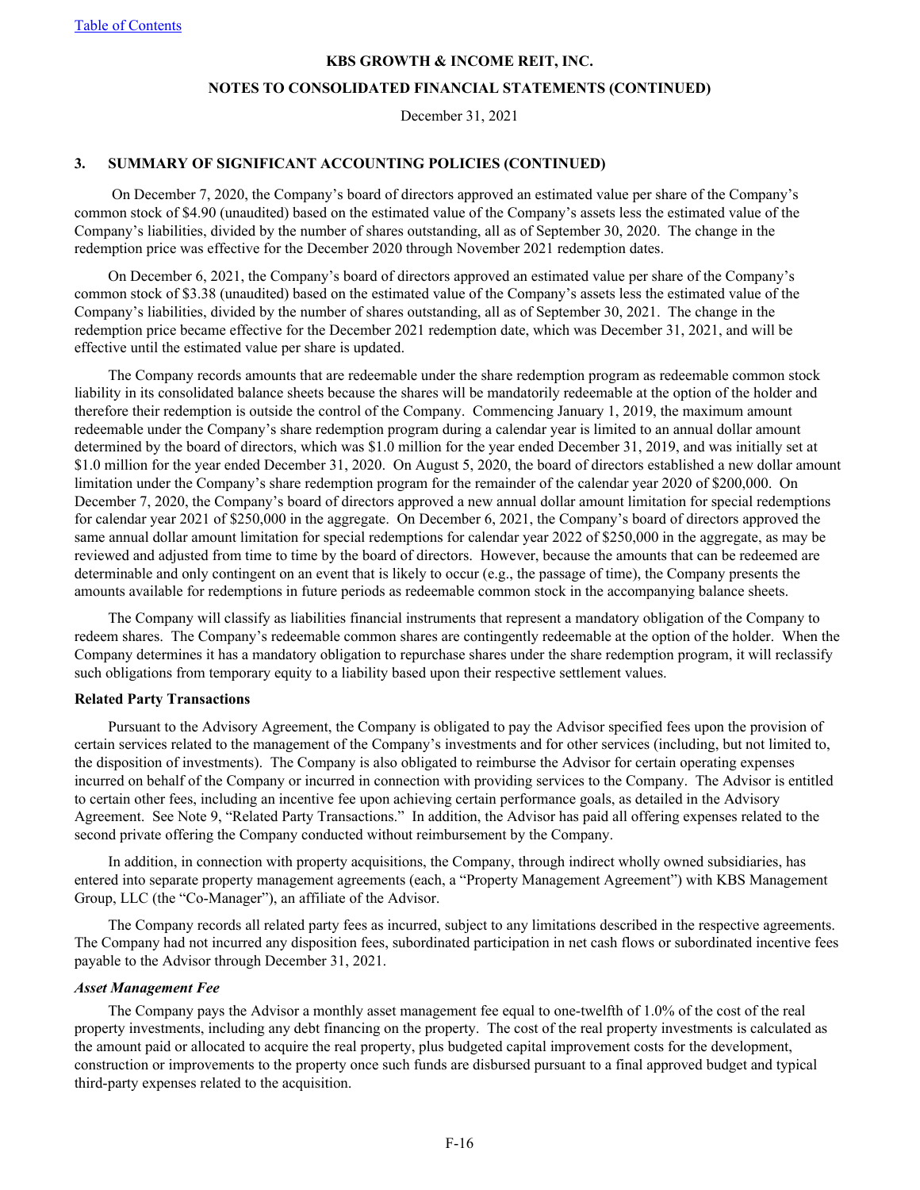#### **NOTES TO CONSOLIDATED FINANCIAL STATEMENTS (CONTINUED)**

December 31, 2021

### **3. SUMMARY OF SIGNIFICANT ACCOUNTING POLICIES (CONTINUED)**

 On December 7, 2020, the Company's board of directors approved an estimated value per share of the Company's common stock of \$4.90 (unaudited) based on the estimated value of the Company's assets less the estimated value of the Company's liabilities, divided by the number of shares outstanding, all as of September 30, 2020. The change in the redemption price was effective for the December 2020 through November 2021 redemption dates.

On December 6, 2021, the Company's board of directors approved an estimated value per share of the Company's common stock of \$3.38 (unaudited) based on the estimated value of the Company's assets less the estimated value of the Company's liabilities, divided by the number of shares outstanding, all as of September 30, 2021. The change in the redemption price became effective for the December 2021 redemption date, which was December 31, 2021, and will be effective until the estimated value per share is updated.

The Company records amounts that are redeemable under the share redemption program as redeemable common stock liability in its consolidated balance sheets because the shares will be mandatorily redeemable at the option of the holder and therefore their redemption is outside the control of the Company. Commencing January 1, 2019, the maximum amount redeemable under the Company's share redemption program during a calendar year is limited to an annual dollar amount determined by the board of directors, which was \$1.0 million for the year ended December 31, 2019, and was initially set at \$1.0 million for the year ended December 31, 2020. On August 5, 2020, the board of directors established a new dollar amount limitation under the Company's share redemption program for the remainder of the calendar year 2020 of \$200,000. On December 7, 2020, the Company's board of directors approved a new annual dollar amount limitation for special redemptions for calendar year 2021 of \$250,000 in the aggregate. On December 6, 2021, the Company's board of directors approved the same annual dollar amount limitation for special redemptions for calendar year 2022 of \$250,000 in the aggregate, as may be reviewed and adjusted from time to time by the board of directors. However, because the amounts that can be redeemed are determinable and only contingent on an event that is likely to occur (e.g., the passage of time), the Company presents the amounts available for redemptions in future periods as redeemable common stock in the accompanying balance sheets.

The Company will classify as liabilities financial instruments that represent a mandatory obligation of the Company to redeem shares. The Company's redeemable common shares are contingently redeemable at the option of the holder. When the Company determines it has a mandatory obligation to repurchase shares under the share redemption program, it will reclassify such obligations from temporary equity to a liability based upon their respective settlement values.

### **Related Party Transactions**

Pursuant to the Advisory Agreement, the Company is obligated to pay the Advisor specified fees upon the provision of certain services related to the management of the Company's investments and for other services (including, but not limited to, the disposition of investments). The Company is also obligated to reimburse the Advisor for certain operating expenses incurred on behalf of the Company or incurred in connection with providing services to the Company. The Advisor is entitled to certain other fees, including an incentive fee upon achieving certain performance goals, as detailed in the Advisory Agreement. See Note 9, "Related Party Transactions." In addition, the Advisor has paid all offering expenses related to the second private offering the Company conducted without reimbursement by the Company.

In addition, in connection with property acquisitions, the Company, through indirect wholly owned subsidiaries, has entered into separate property management agreements (each, a "Property Management Agreement") with KBS Management Group, LLC (the "Co-Manager"), an affiliate of the Advisor.

The Company records all related party fees as incurred, subject to any limitations described in the respective agreements. The Company had not incurred any disposition fees, subordinated participation in net cash flows or subordinated incentive fees payable to the Advisor through December 31, 2021.

#### *Asset Management Fee*

The Company pays the Advisor a monthly asset management fee equal to one-twelfth of 1.0% of the cost of the real property investments, including any debt financing on the property. The cost of the real property investments is calculated as the amount paid or allocated to acquire the real property, plus budgeted capital improvement costs for the development, construction or improvements to the property once such funds are disbursed pursuant to a final approved budget and typical third-party expenses related to the acquisition.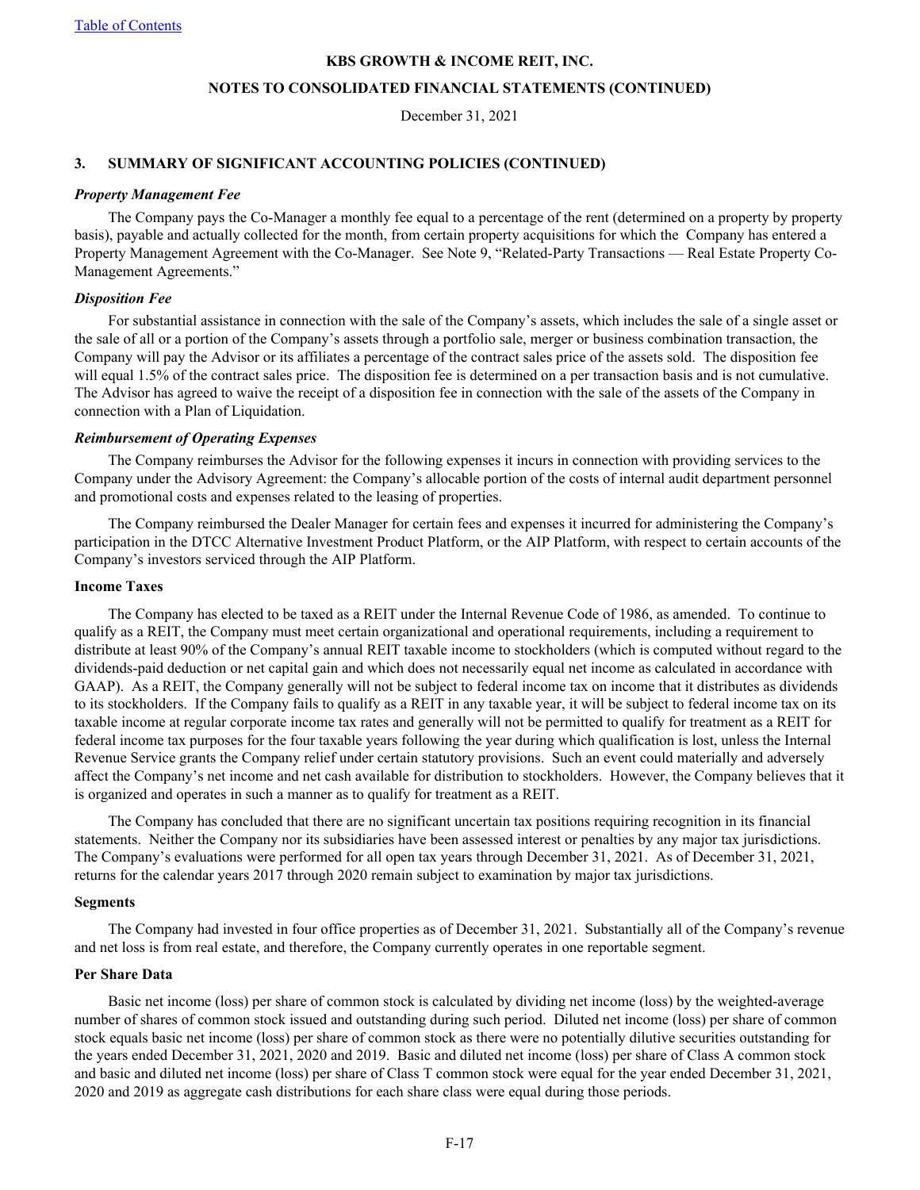#### **NOTES TO CONSOLIDATED FINANCIAL STATEMENTS (CONTINUED)**

December 31, 2021

#### **3. SUMMARY OF SIGNIFICANT ACCOUNTING POLICIES (CONTINUED)**

#### *Property Management Fee*

The Company pays the Co-Manager a monthly fee equal to a percentage of the rent (determined on a property by property basis), payable and actually collected for the month, from certain property acquisitions for which the Company has entered a Property Management Agreement with the Co-Manager. See Note 9, "Related-Party Transactions — Real Estate Property Co-Management Agreements."

### *Disposition Fee*

For substantial assistance in connection with the sale of the Company's assets, which includes the sale of a single asset or the sale of all or a portion of the Company's assets through a portfolio sale, merger or business combination transaction, the Company will pay the Advisor or its affiliates a percentage of the contract sales price of the assets sold. The disposition fee will equal 1.5% of the contract sales price. The disposition fee is determined on a per transaction basis and is not cumulative. The Advisor has agreed to waive the receipt of a disposition fee in connection with the sale of the assets of the Company in connection with a Plan of Liquidation.

#### *Reimbursement of Operating Expenses*

The Company reimburses the Advisor for the following expenses it incurs in connection with providing services to the Company under the Advisory Agreement: the Company's allocable portion of the costs of internal audit department personnel and promotional costs and expenses related to the leasing of properties.

The Company reimbursed the Dealer Manager for certain fees and expenses it incurred for administering the Company's participation in the DTCC Alternative Investment Product Platform, or the AIP Platform, with respect to certain accounts of the Company's investors serviced through the AIP Platform.

#### **Income Taxes**

The Company has elected to be taxed as a REIT under the Internal Revenue Code of 1986, as amended. To continue to qualify as a REIT, the Company must meet certain organizational and operational requirements, including a requirement to distribute at least 90% of the Company's annual REIT taxable income to stockholders (which is computed without regard to the dividends-paid deduction or net capital gain and which does not necessarily equal net income as calculated in accordance with GAAP). As a REIT, the Company generally will not be subject to federal income tax on income that it distributes as dividends to its stockholders. If the Company fails to qualify as a REIT in any taxable year, it will be subject to federal income tax on its taxable income at regular corporate income tax rates and generally will not be permitted to qualify for treatment as a REIT for federal income tax purposes for the four taxable years following the year during which qualification is lost, unless the Internal Revenue Service grants the Company relief under certain statutory provisions. Such an event could materially and adversely affect the Company's net income and net cash available for distribution to stockholders. However, the Company believes that it is organized and operates in such a manner as to qualify for treatment as a REIT.

The Company has concluded that there are no significant uncertain tax positions requiring recognition in its financial statements. Neither the Company nor its subsidiaries have been assessed interest or penalties by any major tax jurisdictions. The Company's evaluations were performed for all open tax years through December 31, 2021. As of December 31, 2021, returns for the calendar years 2017 through 2020 remain subject to examination by major tax jurisdictions.

#### **Segments**

The Company had invested in four office properties as of December 31, 2021. Substantially all of the Company's revenue and net loss is from real estate, and therefore, the Company currently operates in one reportable segment.

#### **Per Share Data**

Basic net income (loss) per share of common stock is calculated by dividing net income (loss) by the weighted-average number of shares of common stock issued and outstanding during such period. Diluted net income (loss) per share of common stock equals basic net income (loss) per share of common stock as there were no potentially dilutive securities outstanding for the years ended December 31, 2021, 2020 and 2019. Basic and diluted net income (loss) per share of Class A common stock and basic and diluted net income (loss) per share of Class T common stock were equal for the year ended December 31, 2021, 2020 and 2019 as aggregate cash distributions for each share class were equal during those periods.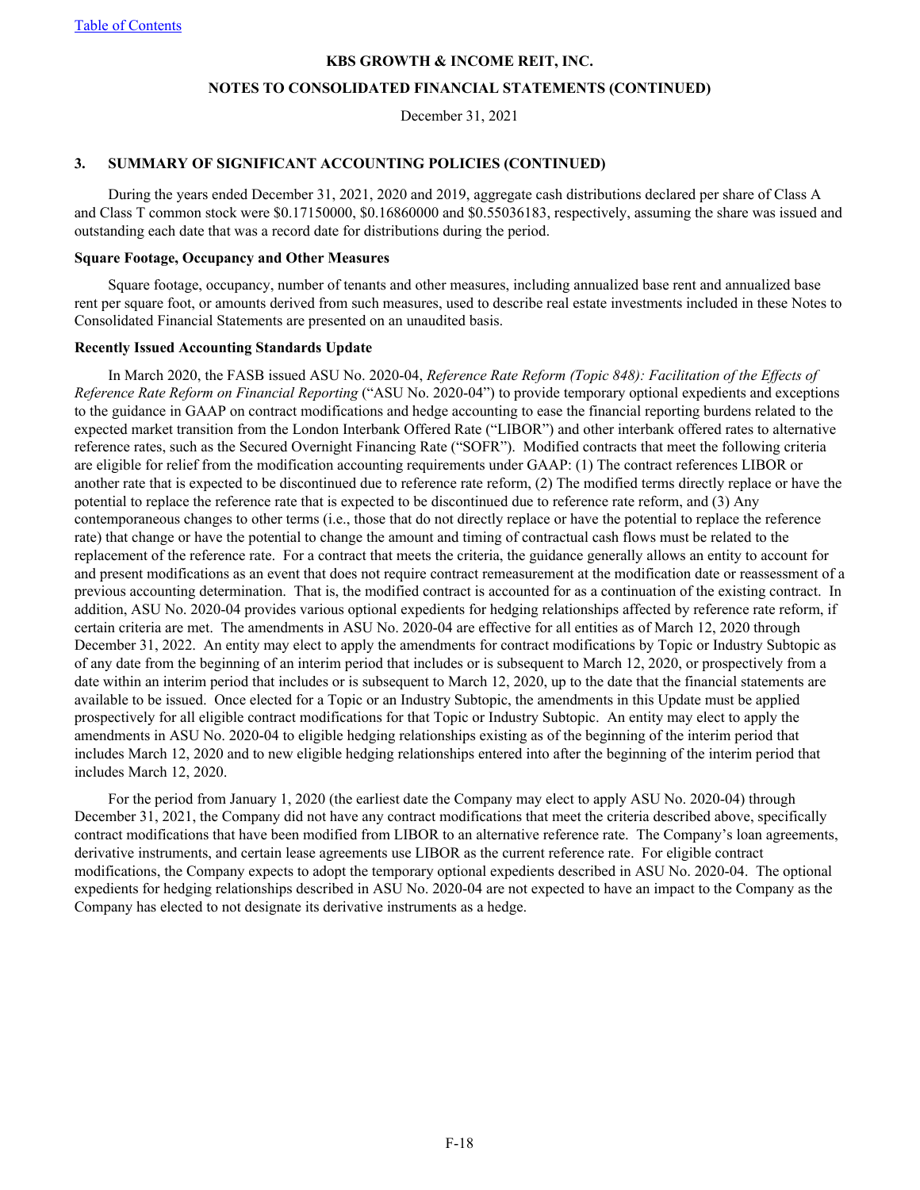#### **NOTES TO CONSOLIDATED FINANCIAL STATEMENTS (CONTINUED)**

December 31, 2021

### **3. SUMMARY OF SIGNIFICANT ACCOUNTING POLICIES (CONTINUED)**

During the years ended December 31, 2021, 2020 and 2019, aggregate cash distributions declared per share of Class A and Class T common stock were \$0.17150000, \$0.16860000 and \$0.55036183, respectively, assuming the share was issued and outstanding each date that was a record date for distributions during the period.

### **Square Footage, Occupancy and Other Measures**

Square footage, occupancy, number of tenants and other measures, including annualized base rent and annualized base rent per square foot, or amounts derived from such measures, used to describe real estate investments included in these Notes to Consolidated Financial Statements are presented on an unaudited basis.

### **Recently Issued Accounting Standards Update**

In March 2020, the FASB issued ASU No. 2020-04, *Reference Rate Reform (Topic 848): Facilitation of the Effects of Reference Rate Reform on Financial Reporting* ("ASU No. 2020-04") to provide temporary optional expedients and exceptions to the guidance in GAAP on contract modifications and hedge accounting to ease the financial reporting burdens related to the expected market transition from the London Interbank Offered Rate ("LIBOR") and other interbank offered rates to alternative reference rates, such as the Secured Overnight Financing Rate ("SOFR"). Modified contracts that meet the following criteria are eligible for relief from the modification accounting requirements under GAAP: (1) The contract references LIBOR or another rate that is expected to be discontinued due to reference rate reform, (2) The modified terms directly replace or have the potential to replace the reference rate that is expected to be discontinued due to reference rate reform, and (3) Any contemporaneous changes to other terms (i.e., those that do not directly replace or have the potential to replace the reference rate) that change or have the potential to change the amount and timing of contractual cash flows must be related to the replacement of the reference rate. For a contract that meets the criteria, the guidance generally allows an entity to account for and present modifications as an event that does not require contract remeasurement at the modification date or reassessment of a previous accounting determination. That is, the modified contract is accounted for as a continuation of the existing contract. In addition, ASU No. 2020-04 provides various optional expedients for hedging relationships affected by reference rate reform, if certain criteria are met. The amendments in ASU No. 2020-04 are effective for all entities as of March 12, 2020 through December 31, 2022. An entity may elect to apply the amendments for contract modifications by Topic or Industry Subtopic as of any date from the beginning of an interim period that includes or is subsequent to March 12, 2020, or prospectively from a date within an interim period that includes or is subsequent to March 12, 2020, up to the date that the financial statements are available to be issued. Once elected for a Topic or an Industry Subtopic, the amendments in this Update must be applied prospectively for all eligible contract modifications for that Topic or Industry Subtopic. An entity may elect to apply the amendments in ASU No. 2020-04 to eligible hedging relationships existing as of the beginning of the interim period that includes March 12, 2020 and to new eligible hedging relationships entered into after the beginning of the interim period that includes March 12, 2020.

For the period from January 1, 2020 (the earliest date the Company may elect to apply ASU No. 2020-04) through December 31, 2021, the Company did not have any contract modifications that meet the criteria described above, specifically contract modifications that have been modified from LIBOR to an alternative reference rate. The Company's loan agreements, derivative instruments, and certain lease agreements use LIBOR as the current reference rate. For eligible contract modifications, the Company expects to adopt the temporary optional expedients described in ASU No. 2020-04. The optional expedients for hedging relationships described in ASU No. 2020-04 are not expected to have an impact to the Company as the Company has elected to not designate its derivative instruments as a hedge.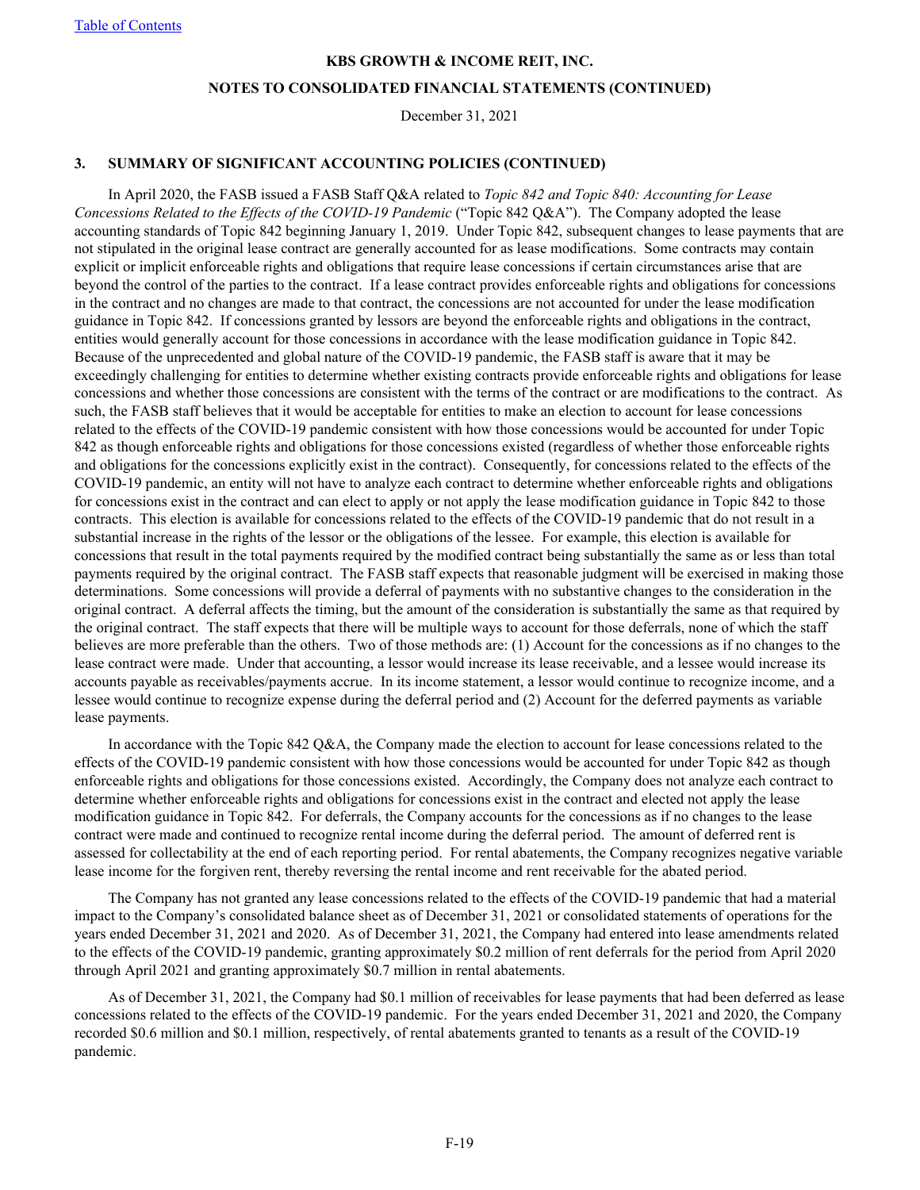[Table of Contents](#page-1-0)

#### **KBS GROWTH & INCOME REIT, INC.**

#### **NOTES TO CONSOLIDATED FINANCIAL STATEMENTS (CONTINUED)**

December 31, 2021

### **3. SUMMARY OF SIGNIFICANT ACCOUNTING POLICIES (CONTINUED)**

In April 2020, the FASB issued a FASB Staff Q&A related to *Topic 842 and Topic 840: Accounting for Lease Concessions Related to the Effects of the COVID-19 Pandemic* ("Topic 842 Q&A"). The Company adopted the lease accounting standards of Topic 842 beginning January 1, 2019. Under Topic 842, subsequent changes to lease payments that are not stipulated in the original lease contract are generally accounted for as lease modifications. Some contracts may contain explicit or implicit enforceable rights and obligations that require lease concessions if certain circumstances arise that are beyond the control of the parties to the contract. If a lease contract provides enforceable rights and obligations for concessions in the contract and no changes are made to that contract, the concessions are not accounted for under the lease modification guidance in Topic 842. If concessions granted by lessors are beyond the enforceable rights and obligations in the contract, entities would generally account for those concessions in accordance with the lease modification guidance in Topic 842. Because of the unprecedented and global nature of the COVID-19 pandemic, the FASB staff is aware that it may be exceedingly challenging for entities to determine whether existing contracts provide enforceable rights and obligations for lease concessions and whether those concessions are consistent with the terms of the contract or are modifications to the contract. As such, the FASB staff believes that it would be acceptable for entities to make an election to account for lease concessions related to the effects of the COVID-19 pandemic consistent with how those concessions would be accounted for under Topic 842 as though enforceable rights and obligations for those concessions existed (regardless of whether those enforceable rights and obligations for the concessions explicitly exist in the contract). Consequently, for concessions related to the effects of the COVID-19 pandemic, an entity will not have to analyze each contract to determine whether enforceable rights and obligations for concessions exist in the contract and can elect to apply or not apply the lease modification guidance in Topic 842 to those contracts. This election is available for concessions related to the effects of the COVID-19 pandemic that do not result in a substantial increase in the rights of the lessor or the obligations of the lessee. For example, this election is available for concessions that result in the total payments required by the modified contract being substantially the same as or less than total payments required by the original contract. The FASB staff expects that reasonable judgment will be exercised in making those determinations. Some concessions will provide a deferral of payments with no substantive changes to the consideration in the original contract. A deferral affects the timing, but the amount of the consideration is substantially the same as that required by the original contract. The staff expects that there will be multiple ways to account for those deferrals, none of which the staff believes are more preferable than the others. Two of those methods are: (1) Account for the concessions as if no changes to the lease contract were made. Under that accounting, a lessor would increase its lease receivable, and a lessee would increase its accounts payable as receivables/payments accrue. In its income statement, a lessor would continue to recognize income, and a lessee would continue to recognize expense during the deferral period and (2) Account for the deferred payments as variable lease payments.

In accordance with the Topic 842 Q&A, the Company made the election to account for lease concessions related to the effects of the COVID-19 pandemic consistent with how those concessions would be accounted for under Topic 842 as though enforceable rights and obligations for those concessions existed. Accordingly, the Company does not analyze each contract to determine whether enforceable rights and obligations for concessions exist in the contract and elected not apply the lease modification guidance in Topic 842. For deferrals, the Company accounts for the concessions as if no changes to the lease contract were made and continued to recognize rental income during the deferral period. The amount of deferred rent is assessed for collectability at the end of each reporting period. For rental abatements, the Company recognizes negative variable lease income for the forgiven rent, thereby reversing the rental income and rent receivable for the abated period.

The Company has not granted any lease concessions related to the effects of the COVID-19 pandemic that had a material impact to the Company's consolidated balance sheet as of December 31, 2021 or consolidated statements of operations for the years ended December 31, 2021 and 2020. As of December 31, 2021, the Company had entered into lease amendments related to the effects of the COVID-19 pandemic, granting approximately \$0.2 million of rent deferrals for the period from April 2020 through April 2021 and granting approximately \$0.7 million in rental abatements.

As of December 31, 2021, the Company had \$0.1 million of receivables for lease payments that had been deferred as lease concessions related to the effects of the COVID-19 pandemic. For the years ended December 31, 2021 and 2020, the Company recorded \$0.6 million and \$0.1 million, respectively, of rental abatements granted to tenants as a result of the COVID-19 pandemic.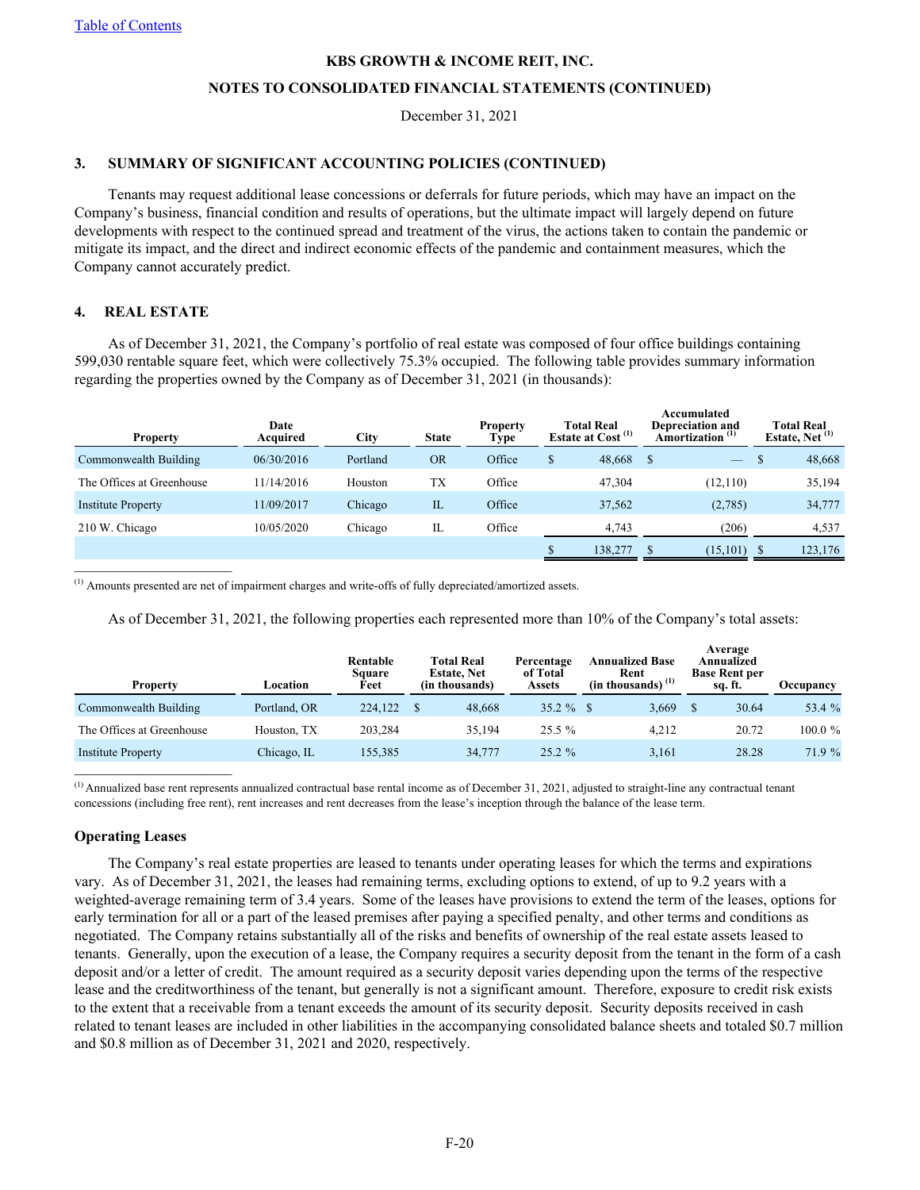#### **NOTES TO CONSOLIDATED FINANCIAL STATEMENTS (CONTINUED)**

December 31, 2021

### **3. SUMMARY OF SIGNIFICANT ACCOUNTING POLICIES (CONTINUED)**

Tenants may request additional lease concessions or deferrals for future periods, which may have an impact on the Company's business, financial condition and results of operations, but the ultimate impact will largely depend on future developments with respect to the continued spread and treatment of the virus, the actions taken to contain the pandemic or mitigate its impact, and the direct and indirect economic effects of the pandemic and containment measures, which the Company cannot accurately predict.

### **4. REAL ESTATE**

As of December 31, 2021, the Company's portfolio of real estate was composed of four office buildings containing 599,030 rentable square feet, which were collectively 75.3% occupied. The following table provides summary information regarding the properties owned by the Company as of December 31, 2021 (in thousands):

| Date<br><b>Property</b><br>Acquired |            | <b>City</b> | <b>State</b> | <b>Property</b><br>Type | <b>Total Real</b><br>Estate at Cost <sup>(1)</sup> |              | Accumulated<br><b>Depreciation and</b><br>Amortization <sup>(1)</sup> | <b>Total Real</b><br>Estate, Net $^{(1)}$ |         |
|-------------------------------------|------------|-------------|--------------|-------------------------|----------------------------------------------------|--------------|-----------------------------------------------------------------------|-------------------------------------------|---------|
| Commonwealth Building               | 06/30/2016 | Portland    | <b>OR</b>    | Office                  | \$<br>48,668                                       | $\mathbf{s}$ | $\frac{1}{2}$                                                         |                                           | 48,668  |
| The Offices at Greenhouse           | 11/14/2016 | Houston     | <b>TX</b>    | Office                  | 47.304                                             |              | (12,110)                                                              |                                           | 35,194  |
| <b>Institute Property</b>           | 11/09/2017 | Chicago     | IL           | Office                  | 37,562                                             |              | (2,785)                                                               |                                           | 34,777  |
| 210 W. Chicago                      | 10/05/2020 | Chicago     | IL           | Office                  | 4.743                                              |              | (206)                                                                 |                                           | 4,537   |
|                                     |            |             |              |                         | 138.277                                            |              | (15, 101)                                                             |                                           | 123,176 |
|                                     |            |             |              |                         |                                                    |              |                                                                       |                                           |         |

(1) Amounts presented are net of impairment charges and write-offs of fully depreciated/amortized assets.

As of December 31, 2021, the following properties each represented more than 10% of the Company's total assets:

| <b>Property</b>           | Location     | Rentable<br>Square<br>Feet |          | <b>Total Real</b><br><b>Estate, Net</b><br>(in thousands) | Percentage<br>of Total<br><b>Assets</b> | <b>Annualized Base</b><br>Rent<br>$(in thousands)$ <sup>(1)</sup> | Average<br>Annualized<br><b>Base Rent per</b><br>sq. ft. | Occupancy  |
|---------------------------|--------------|----------------------------|----------|-----------------------------------------------------------|-----------------------------------------|-------------------------------------------------------------------|----------------------------------------------------------|------------|
| Commonwealth Building     | Portland, OR | 224,122                    | <b>S</b> | 48.668                                                    | $35.2 \%$ \$                            | 3,669                                                             | 30.64                                                    | 53.4 %     |
| The Offices at Greenhouse | Houston, TX  | 203.284                    |          | 35.194                                                    | $25.5\%$                                | 4.212                                                             | 20.72                                                    | $100.0 \%$ |
| <b>Institute Property</b> | Chicago, IL  | 155,385                    |          | 34,777                                                    | $25.2 \%$                               | 3,161                                                             | 28.28                                                    | 71.9 %     |
|                           |              |                            |          |                                                           |                                         |                                                                   |                                                          |            |

(1) Annualized base rent represents annualized contractual base rental income as of December 31, 2021, adjusted to straight-line any contractual tenant concessions (including free rent), rent increases and rent decreases from the lease's inception through the balance of the lease term.

### **Operating Leases**

The Company's real estate properties are leased to tenants under operating leases for which the terms and expirations vary. As of December 31, 2021, the leases had remaining terms, excluding options to extend, of up to 9.2 years with a weighted-average remaining term of 3.4 years. Some of the leases have provisions to extend the term of the leases, options for early termination for all or a part of the leased premises after paying a specified penalty, and other terms and conditions as negotiated. The Company retains substantially all of the risks and benefits of ownership of the real estate assets leased to tenants. Generally, upon the execution of a lease, the Company requires a security deposit from the tenant in the form of a cash deposit and/or a letter of credit. The amount required as a security deposit varies depending upon the terms of the respective lease and the creditworthiness of the tenant, but generally is not a significant amount. Therefore, exposure to credit risk exists to the extent that a receivable from a tenant exceeds the amount of its security deposit. Security deposits received in cash related to tenant leases are included in other liabilities in the accompanying consolidated balance sheets and totaled \$0.7 million and \$0.8 million as of December 31, 2021 and 2020, respectively.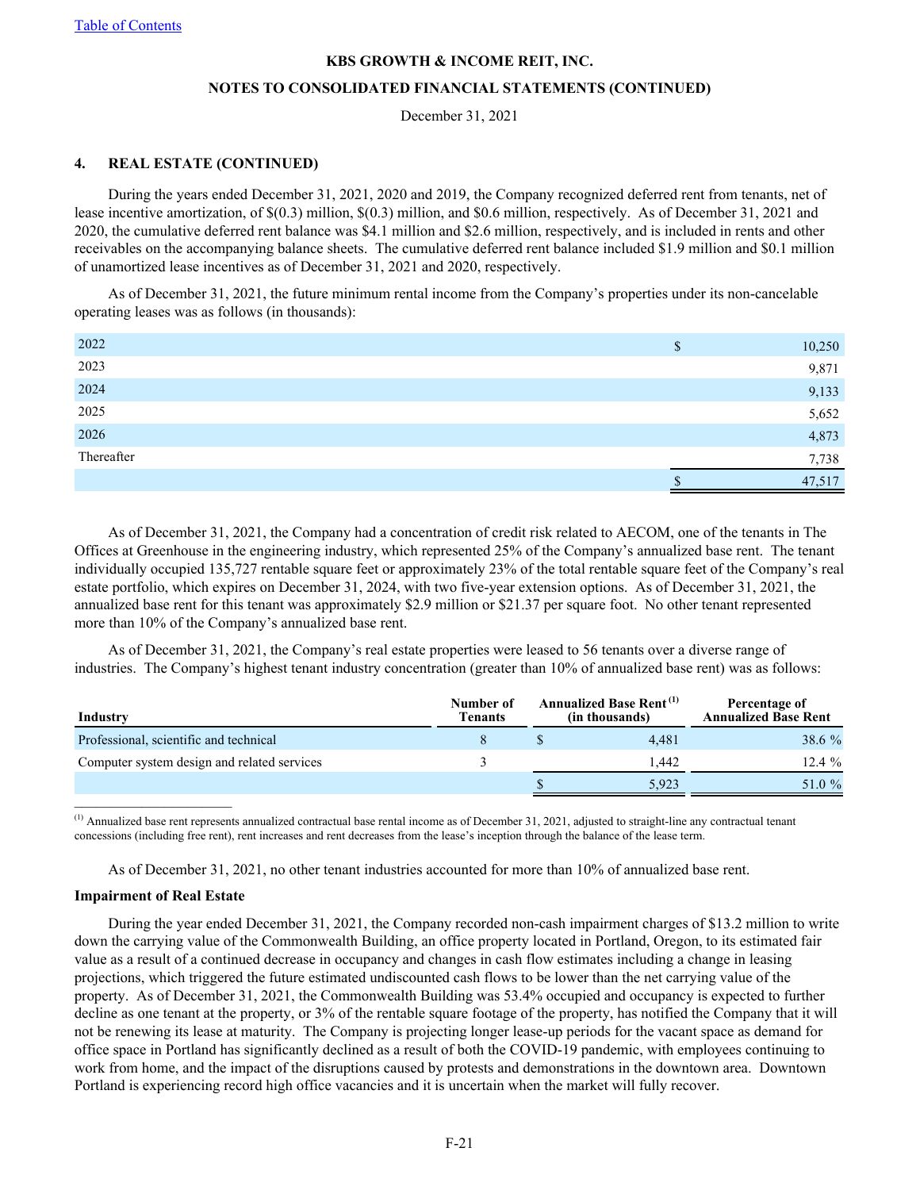#### **NOTES TO CONSOLIDATED FINANCIAL STATEMENTS (CONTINUED)**

December 31, 2021

#### **4. REAL ESTATE (CONTINUED)**

During the years ended December 31, 2021, 2020 and 2019, the Company recognized deferred rent from tenants, net of lease incentive amortization, of \$(0.3) million, \$(0.3) million, and \$0.6 million, respectively. As of December 31, 2021 and 2020, the cumulative deferred rent balance was \$4.1 million and \$2.6 million, respectively, and is included in rents and other receivables on the accompanying balance sheets. The cumulative deferred rent balance included \$1.9 million and \$0.1 million of unamortized lease incentives as of December 31, 2021 and 2020, respectively.

As of December 31, 2021, the future minimum rental income from the Company's properties under its non-cancelable operating leases was as follows (in thousands):

| 2022       | Φ | 10,250 |
|------------|---|--------|
| 2023       |   | 9,871  |
| 2024       |   | 9,133  |
| 2025       |   | 5,652  |
| 2026       |   | 4,873  |
| Thereafter |   | 7,738  |
|            |   | 47,517 |

As of December 31, 2021, the Company had a concentration of credit risk related to AECOM, one of the tenants in The Offices at Greenhouse in the engineering industry, which represented 25% of the Company's annualized base rent. The tenant individually occupied 135,727 rentable square feet or approximately 23% of the total rentable square feet of the Company's real estate portfolio, which expires on December 31, 2024, with two five-year extension options. As of December 31, 2021, the annualized base rent for this tenant was approximately \$2.9 million or \$21.37 per square foot. No other tenant represented more than 10% of the Company's annualized base rent.

As of December 31, 2021, the Company's real estate properties were leased to 56 tenants over a diverse range of industries. The Company's highest tenant industry concentration (greater than 10% of annualized base rent) was as follows:

| Industry                                    | Number of<br><b>Tenants</b> | <b>Annualized Base Rent</b> <sup>(1)</sup><br>(in thousands) | Percentage of<br><b>Annualized Base Rent</b> |
|---------------------------------------------|-----------------------------|--------------------------------------------------------------|----------------------------------------------|
| Professional, scientific and technical      |                             | 4.481                                                        | 38.6 %                                       |
| Computer system design and related services |                             | 1.442                                                        | $12.4\%$                                     |
|                                             |                             | 5.923                                                        | 51.0 %                                       |
|                                             |                             |                                                              |                                              |

 $<sup>(1)</sup>$  Annualized base rent represents annualized contractual base rental income as of December 31, 2021, adjusted to straight-line any contractual tenant</sup> concessions (including free rent), rent increases and rent decreases from the lease's inception through the balance of the lease term.

As of December 31, 2021, no other tenant industries accounted for more than 10% of annualized base rent.

#### **Impairment of Real Estate**

During the year ended December 31, 2021, the Company recorded non-cash impairment charges of \$13.2 million to write down the carrying value of the Commonwealth Building, an office property located in Portland, Oregon, to its estimated fair value as a result of a continued decrease in occupancy and changes in cash flow estimates including a change in leasing projections, which triggered the future estimated undiscounted cash flows to be lower than the net carrying value of the property. As of December 31, 2021, the Commonwealth Building was 53.4% occupied and occupancy is expected to further decline as one tenant at the property, or 3% of the rentable square footage of the property, has notified the Company that it will not be renewing its lease at maturity. The Company is projecting longer lease-up periods for the vacant space as demand for office space in Portland has significantly declined as a result of both the COVID-19 pandemic, with employees continuing to work from home, and the impact of the disruptions caused by protests and demonstrations in the downtown area. Downtown Portland is experiencing record high office vacancies and it is uncertain when the market will fully recover.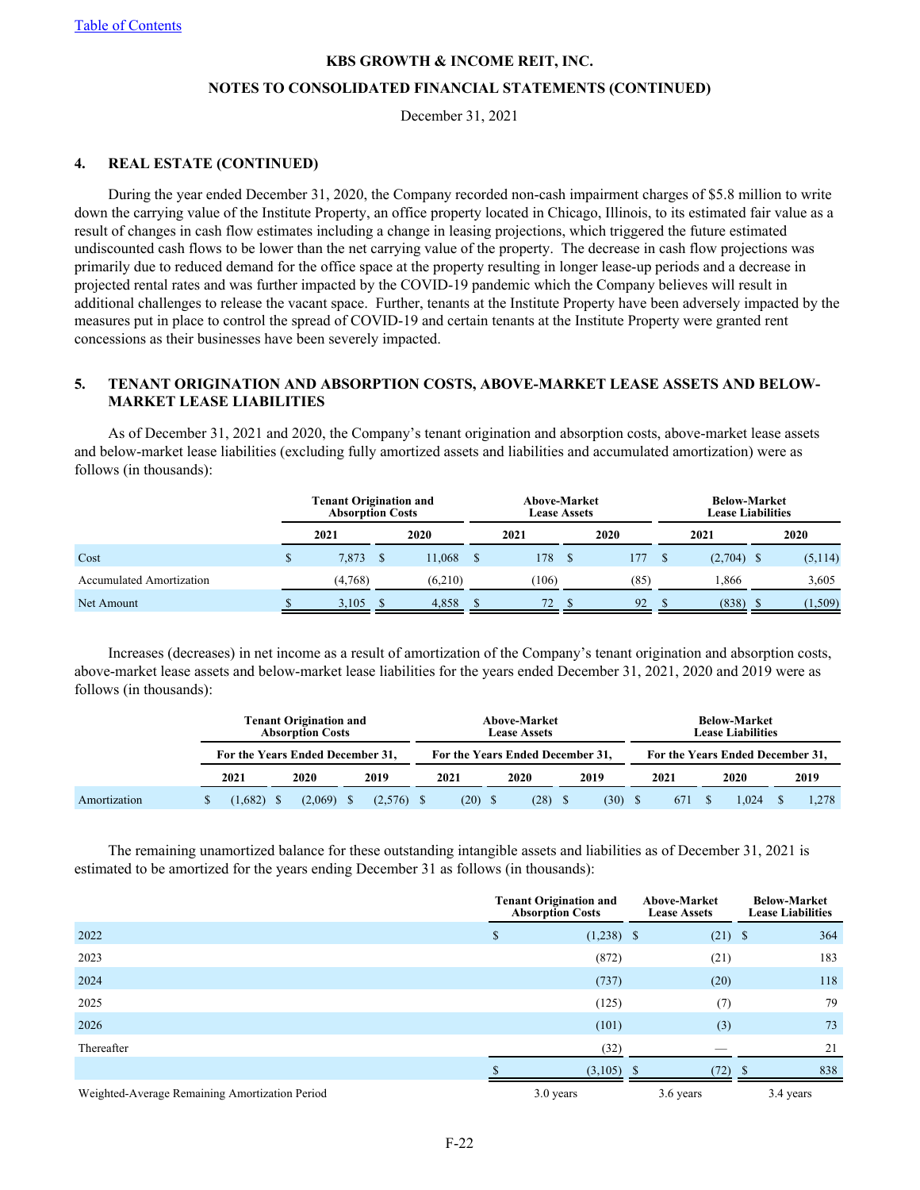#### **NOTES TO CONSOLIDATED FINANCIAL STATEMENTS (CONTINUED)**

December 31, 2021

#### **4. REAL ESTATE (CONTINUED)**

During the year ended December 31, 2020, the Company recorded non-cash impairment charges of \$5.8 million to write down the carrying value of the Institute Property, an office property located in Chicago, Illinois, to its estimated fair value as a result of changes in cash flow estimates including a change in leasing projections, which triggered the future estimated undiscounted cash flows to be lower than the net carrying value of the property. The decrease in cash flow projections was primarily due to reduced demand for the office space at the property resulting in longer lease-up periods and a decrease in projected rental rates and was further impacted by the COVID-19 pandemic which the Company believes will result in additional challenges to release the vacant space. Further, tenants at the Institute Property have been adversely impacted by the measures put in place to control the spread of COVID-19 and certain tenants at the Institute Property were granted rent concessions as their businesses have been severely impacted.

### **5. TENANT ORIGINATION AND ABSORPTION COSTS, ABOVE-MARKET LEASE ASSETS AND BELOW-MARKET LEASE LIABILITIES**

As of December 31, 2021 and 2020, the Company's tenant origination and absorption costs, above-market lease assets and below-market lease liabilities (excluding fully amortized assets and liabilities and accumulated amortization) were as follows (in thousands):

|                                 | <b>Tenant Origination and</b><br><b>Absorption Costs</b> |         |  | <b>Above-Market</b><br><b>Lease Assets</b> |  |       |  | <b>Below-Market</b><br><b>Lease Liabilities</b> |  |              |  |          |
|---------------------------------|----------------------------------------------------------|---------|--|--------------------------------------------|--|-------|--|-------------------------------------------------|--|--------------|--|----------|
|                                 |                                                          | 2021    |  | 2020                                       |  | 2021  |  | 2020                                            |  | 2021         |  | 2020     |
| Cost                            |                                                          | 7.873   |  | 11,068                                     |  | 178   |  | 177                                             |  | $(2,704)$ \$ |  | (5,114)  |
| <b>Accumulated Amortization</b> |                                                          | (4,768) |  | (6,210)                                    |  | (106) |  | (85)                                            |  | .866         |  | 3,605    |
| Net Amount                      |                                                          | 3.105   |  | 4,858                                      |  | 72    |  | 92                                              |  | (838)        |  | (1, 509) |

Increases (decreases) in net income as a result of amortization of the Company's tenant origination and absorption costs, above-market lease assets and below-market lease liabilities for the years ended December 31, 2021, 2020 and 2019 were as follows (in thousands):

|              |              | <b>Tenant Origination and</b><br><b>Absorption Costs</b> |              |      |                                  |      | <b>Above-Market</b><br><b>Lease Assets</b> |  |           | <b>Below-Market</b><br><b>Lease Liabilities</b> |       |  |       |  |       |  |  |
|--------------|--------------|----------------------------------------------------------|--------------|------|----------------------------------|------|--------------------------------------------|--|-----------|-------------------------------------------------|-------|--|-------|--|-------|--|--|
|              |              | For the Years Ended December 31,                         |              |      | For the Years Ended December 31, |      |                                            |  |           | For the Years Ended December 31,                |       |  |       |  |       |  |  |
|              | 2021         | 2020                                                     | 2019         | 2021 |                                  | 2020 |                                            |  | 2019      |                                                 | 2021  |  | 2020  |  | 2019  |  |  |
| Amortization | $(1.682)$ \$ | (2.069)                                                  | $(2,576)$ \$ |      | $(20)$ \$                        |      | $(28)$ \$                                  |  | $(30)$ \$ |                                                 | 671 S |  | 1.024 |  | 1.278 |  |  |

The remaining unamortized balance for these outstanding intangible assets and liabilities as of December 31, 2021 is estimated to be amortized for the years ending December 31 as follows (in thousands):

|                                                | <b>Tenant Origination and</b><br><b>Absorption Costs</b> | <b>Above-Market</b><br><b>Lease Assets</b> |                    | <b>Below-Market</b><br><b>Lease Liabilities</b> |
|------------------------------------------------|----------------------------------------------------------|--------------------------------------------|--------------------|-------------------------------------------------|
| 2022                                           | $(1,238)$ \$                                             |                                            | (21)<br>$\sqrt{s}$ | 364                                             |
| 2023                                           | (872)                                                    |                                            | (21)               | 183                                             |
| 2024                                           | (737)                                                    |                                            | (20)               | 118                                             |
| 2025                                           | (125)                                                    |                                            | (7)                | 79                                              |
| 2026                                           | (101)                                                    |                                            | (3)                | 73                                              |
| Thereafter                                     | (32)                                                     |                                            |                    | 21                                              |
|                                                | (3,105)                                                  |                                            |                    | 838                                             |
| Weighted-Average Remaining Amortization Period | 3.0 years                                                | 3.6 years                                  |                    | 3.4 years                                       |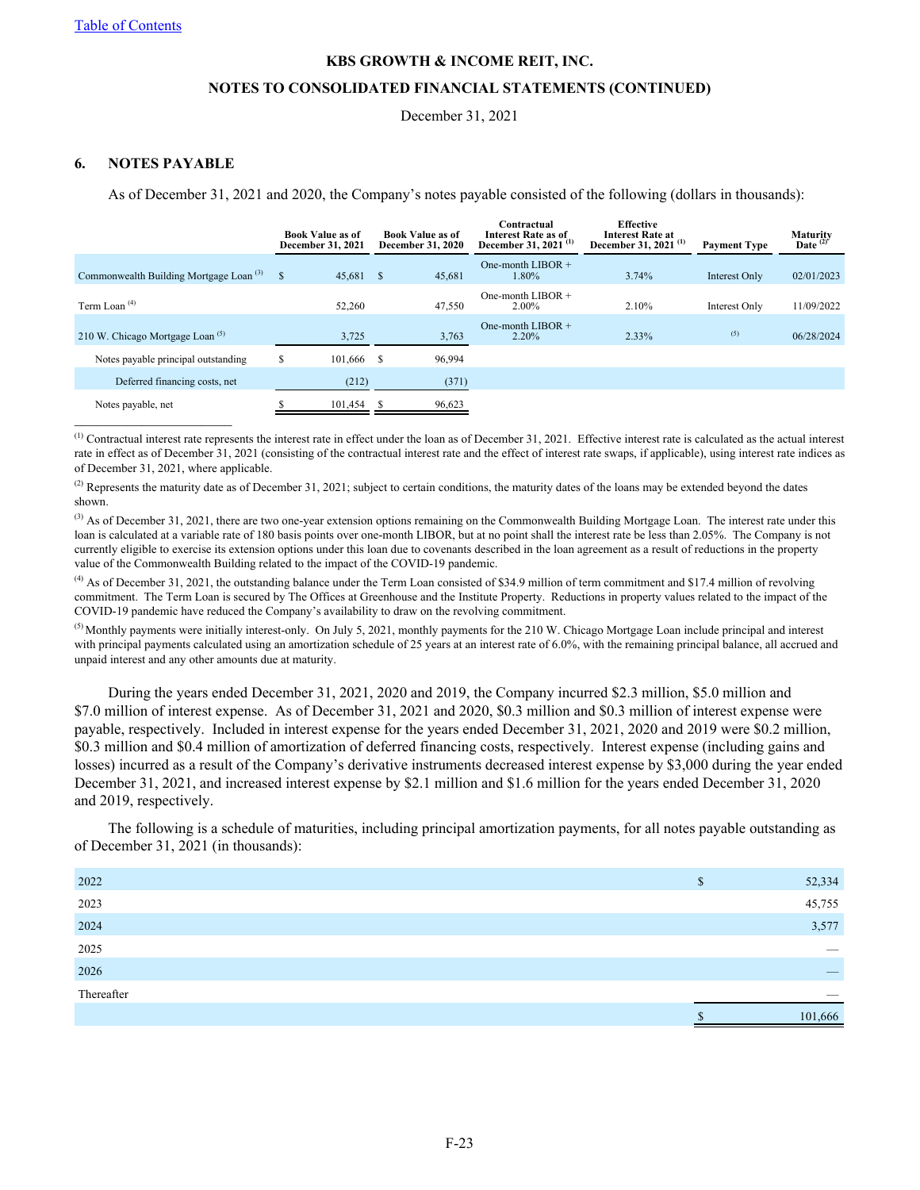#### **NOTES TO CONSOLIDATED FINANCIAL STATEMENTS (CONTINUED)**

December 31, 2021

#### **6. NOTES PAYABLE**

As of December 31, 2021 and 2020, the Company's notes payable consisted of the following (dollars in thousands):

| <b>Book Value as of</b> |                          | Contractual<br>Interest Rate as of<br>December 31, 2021 <sup>(1)</sup>                      | <b>Effective</b><br><b>Interest Rate at</b><br>December 31, 2021 <sup>(1)</sup>    | <b>Payment Type</b> | <b>Maturity</b><br>Date $(2)$ |
|-------------------------|--------------------------|---------------------------------------------------------------------------------------------|------------------------------------------------------------------------------------|---------------------|-------------------------------|
| S                       | - S                      | One-month $LIBOR +$<br>1.80%                                                                | 3.74%                                                                              | Interest Only       | 02/01/2023                    |
|                         |                          | One-month $LIBOR +$<br>2.00%                                                                | 2.10%                                                                              | Interest Only       | 11/09/2022                    |
|                         |                          | One-month $LIBOR +$<br>2.20%                                                                | 2.33%                                                                              | (5)                 | 06/28/2024                    |
| D.                      |                          |                                                                                             |                                                                                    |                     |                               |
|                         |                          |                                                                                             |                                                                                    |                     |                               |
|                         |                          |                                                                                             |                                                                                    |                     |                               |
|                         | <b>December 31, 2021</b> | <b>Book Value as of</b><br>45,681<br>52,260<br>3,725<br>101,666 \$<br>(212)<br>$101,454$ \$ | <b>December 31, 2020</b><br>45,681<br>47,550<br>3,763<br>96,994<br>(371)<br>96,623 |                     |                               |

 $<sup>(1)</sup>$  Contractual interest rate represents the interest rate in effect under the loan as of December 31, 2021. Effective interest rate is calculated as the actual interest</sup> rate in effect as of December 31, 2021 (consisting of the contractual interest rate and the effect of interest rate swaps, if applicable), using interest rate indices as of December 31, 2021, where applicable.

 $^{(2)}$  Represents the maturity date as of December 31, 2021; subject to certain conditions, the maturity dates of the loans may be extended beyond the dates shown.

 $<sup>(3)</sup>$  As of December 31, 2021, there are two one-year extension options remaining on the Commonwealth Building Mortgage Loan. The interest rate under this</sup> loan is calculated at a variable rate of 180 basis points over one-month LIBOR, but at no point shall the interest rate be less than 2.05%. The Company is not currently eligible to exercise its extension options under this loan due to covenants described in the loan agreement as a result of reductions in the property value of the Commonwealth Building related to the impact of the COVID-19 pandemic.

<sup>(4)</sup> As of December 31, 2021, the outstanding balance under the Term Loan consisted of \$34.9 million of term commitment and \$17.4 million of revolving commitment. The Term Loan is secured by The Offices at Greenhouse and the Institute Property. Reductions in property values related to the impact of the COVID-19 pandemic have reduced the Company's availability to draw on the revolving commitment.

<sup>(5)</sup> Monthly payments were initially interest-only. On July 5, 2021, monthly payments for the 210 W. Chicago Mortgage Loan include principal and interest with principal payments calculated using an amortization schedule of 25 years at an interest rate of 6.0%, with the remaining principal balance, all accrued and unpaid interest and any other amounts due at maturity.

During the years ended December 31, 2021, 2020 and 2019, the Company incurred \$2.3 million, \$5.0 million and \$7.0 million of interest expense. As of December 31, 2021 and 2020, \$0.3 million and \$0.3 million of interest expense were payable, respectively. Included in interest expense for the years ended December 31, 2021, 2020 and 2019 were \$0.2 million, \$0.3 million and \$0.4 million of amortization of deferred financing costs, respectively. Interest expense (including gains and losses) incurred as a result of the Company's derivative instruments decreased interest expense by \$3,000 during the year ended December 31, 2021, and increased interest expense by \$2.1 million and \$1.6 million for the years ended December 31, 2020 and 2019, respectively.

The following is a schedule of maturities, including principal amortization payments, for all notes payable outstanding as of December 31, 2021 (in thousands):

| 2022       | 52,334                   |
|------------|--------------------------|
| 2023       | 45,755                   |
| 2024       | 3,577                    |
| 2025       | $\overline{\phantom{a}}$ |
| 2026       |                          |
| Thereafter |                          |
|            | 101,666                  |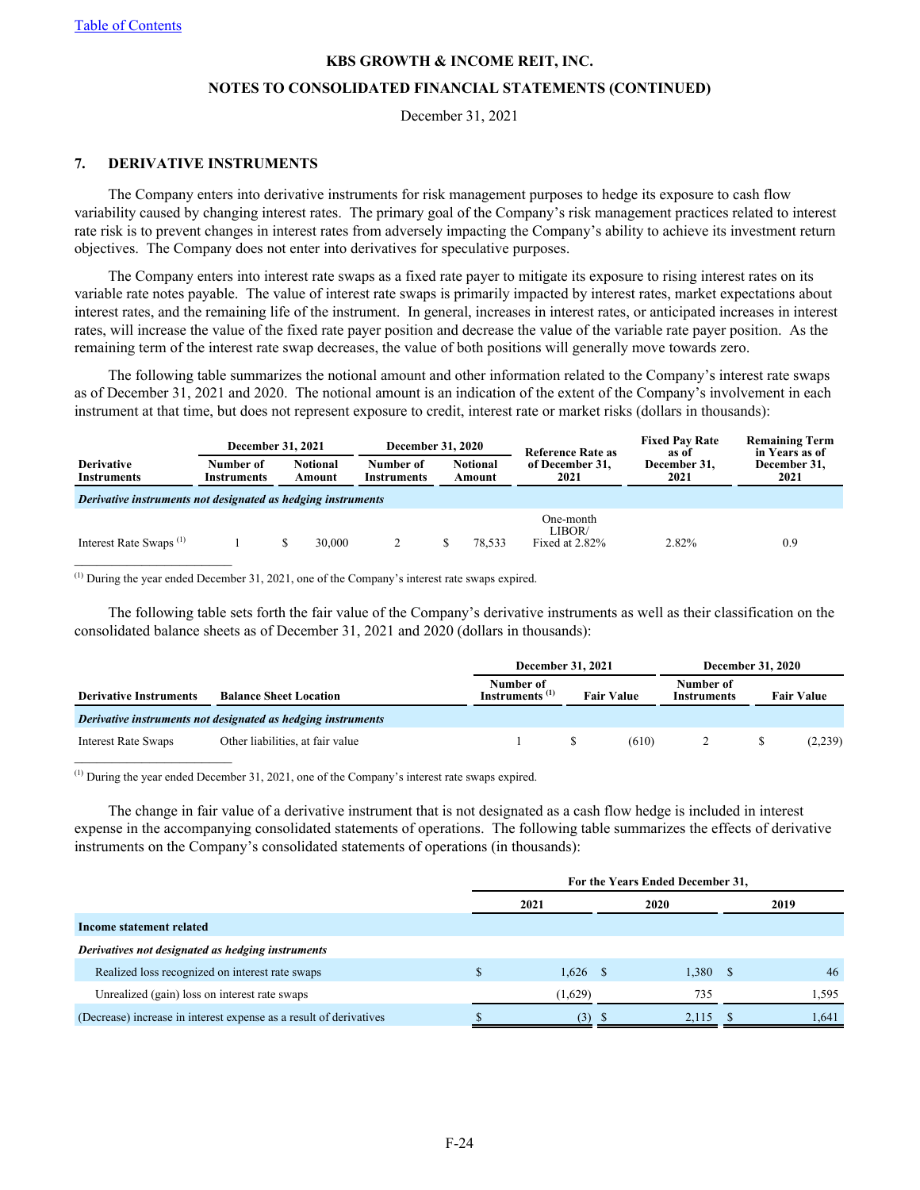#### **NOTES TO CONSOLIDATED FINANCIAL STATEMENTS (CONTINUED)**

December 31, 2021

### **7. DERIVATIVE INSTRUMENTS**

The Company enters into derivative instruments for risk management purposes to hedge its exposure to cash flow variability caused by changing interest rates. The primary goal of the Company's risk management practices related to interest rate risk is to prevent changes in interest rates from adversely impacting the Company's ability to achieve its investment return objectives. The Company does not enter into derivatives for speculative purposes.

The Company enters into interest rate swaps as a fixed rate payer to mitigate its exposure to rising interest rates on its variable rate notes payable. The value of interest rate swaps is primarily impacted by interest rates, market expectations about interest rates, and the remaining life of the instrument. In general, increases in interest rates, or anticipated increases in interest rates, will increase the value of the fixed rate payer position and decrease the value of the variable rate payer position. As the remaining term of the interest rate swap decreases, the value of both positions will generally move towards zero.

The following table summarizes the notional amount and other information related to the Company's interest rate swaps as of December 31, 2021 and 2020. The notional amount is an indication of the extent of the Company's involvement in each instrument at that time, but does not represent exposure to credit, interest rate or market risks (dollars in thousands):

|                                                              | <b>December 31, 2021</b> |                           | <b>December 31, 2020</b> |                          |                           | <b>Reference Rate as</b> | <b>Fixed Pay Rate</b><br>as of           | <b>Remaining Term</b><br>in Years as of |                      |
|--------------------------------------------------------------|--------------------------|---------------------------|--------------------------|--------------------------|---------------------------|--------------------------|------------------------------------------|-----------------------------------------|----------------------|
| <b>Derivative</b><br>Instruments                             | Number of<br>Instruments | <b>Notional</b><br>Amount |                          | Number of<br>Instruments | <b>Notional</b><br>Amount |                          | of December 31.<br>2021                  | December 31.<br>2021                    | December 31.<br>2021 |
| Derivative instruments not designated as hedging instruments |                          |                           |                          |                          |                           |                          |                                          |                                         |                      |
| Interest Rate Swaps <sup>(1)</sup>                           |                          |                           | 30,000                   |                          |                           | 78.533                   | One-month<br>LIBOR/<br>Fixed at $2.82\%$ | 2.82%                                   | 0.9                  |

 $<sup>(1)</sup>$  During the year ended December 31, 2021, one of the Company's interest rate swaps expired.</sup>

The following table sets forth the fair value of the Company's derivative instruments as well as their classification on the consolidated balance sheets as of December 31, 2021 and 2020 (dollars in thousands):

|                               |                                                              | December 31, 2021                       |                   | <b>December 31, 2020</b>        |  |                   |  |  |
|-------------------------------|--------------------------------------------------------------|-----------------------------------------|-------------------|---------------------------------|--|-------------------|--|--|
| <b>Derivative Instruments</b> | <b>Balance Sheet Location</b>                                | Number of<br>Instruments <sup>(1)</sup> | <b>Fair Value</b> | Number of<br><b>Instruments</b> |  | <b>Fair Value</b> |  |  |
|                               | Derivative instruments not designated as hedging instruments |                                         |                   |                                 |  |                   |  |  |
| Interest Rate Swaps           | Other liabilities, at fair value                             |                                         | (610)             |                                 |  | (2,239)           |  |  |

 $<sup>(1)</sup>$  During the year ended December 31, 2021, one of the Company's interest rate swaps expired.</sup>

The change in fair value of a derivative instrument that is not designated as a cash flow hedge is included in interest expense in the accompanying consolidated statements of operations. The following table summarizes the effects of derivative instruments on the Company's consolidated statements of operations (in thousands):

|                                                                    | For the Years Ended December 31, |         |     |       |     |       |  |  |  |
|--------------------------------------------------------------------|----------------------------------|---------|-----|-------|-----|-------|--|--|--|
|                                                                    |                                  | 2019    |     |       |     |       |  |  |  |
| Income statement related                                           |                                  |         |     |       |     |       |  |  |  |
| Derivatives not designated as hedging instruments                  |                                  |         |     |       |     |       |  |  |  |
| Realized loss recognized on interest rate swaps                    |                                  | 1,626   | - 8 | 1,380 | - 8 | 46    |  |  |  |
| Unrealized (gain) loss on interest rate swaps                      |                                  | (1,629) |     | 735   |     | 1,595 |  |  |  |
| (Decrease) increase in interest expense as a result of derivatives |                                  | (3)     |     | 2,115 |     | 1.641 |  |  |  |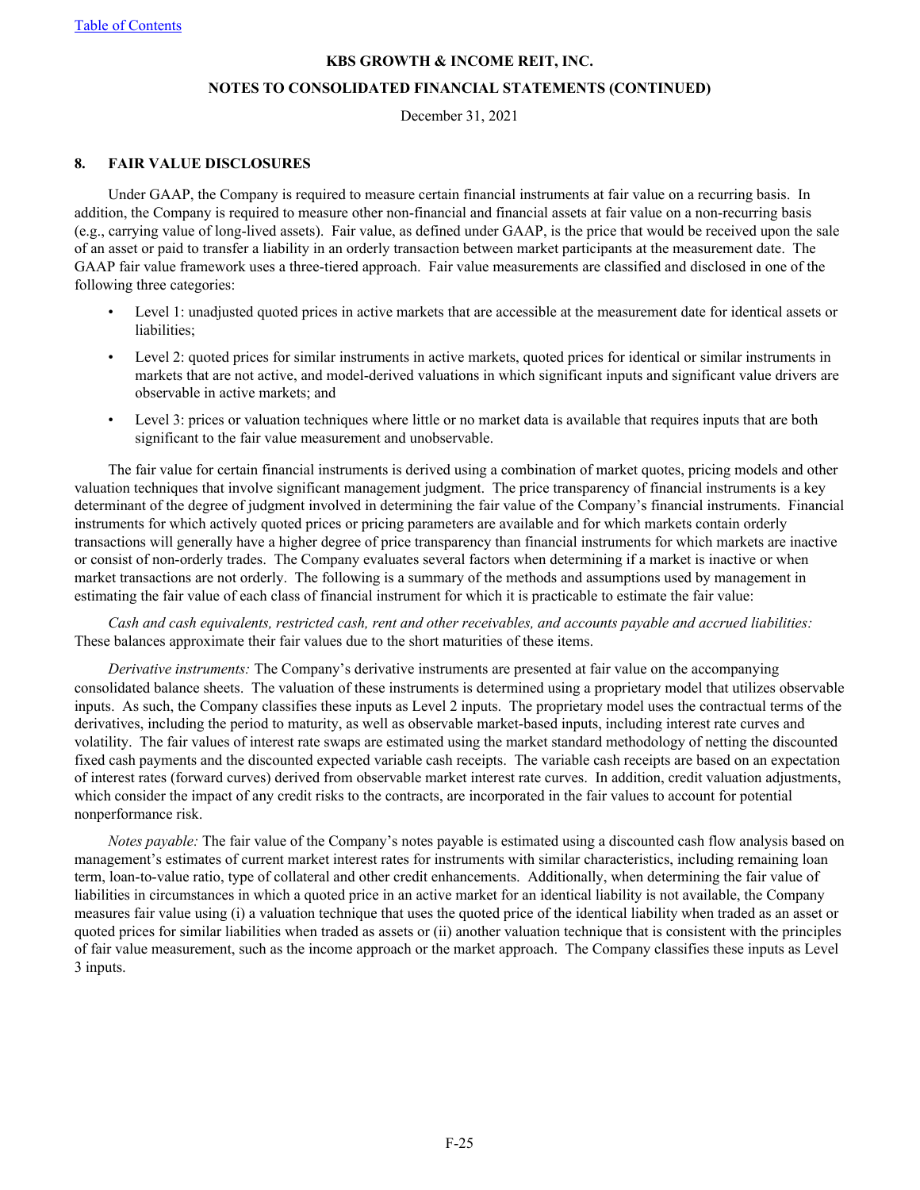#### **NOTES TO CONSOLIDATED FINANCIAL STATEMENTS (CONTINUED)**

December 31, 2021

### **8. FAIR VALUE DISCLOSURES**

Under GAAP, the Company is required to measure certain financial instruments at fair value on a recurring basis. In addition, the Company is required to measure other non-financial and financial assets at fair value on a non-recurring basis (e.g., carrying value of long-lived assets). Fair value, as defined under GAAP, is the price that would be received upon the sale of an asset or paid to transfer a liability in an orderly transaction between market participants at the measurement date. The GAAP fair value framework uses a three-tiered approach. Fair value measurements are classified and disclosed in one of the following three categories:

- Level 1: unadjusted quoted prices in active markets that are accessible at the measurement date for identical assets or liabilities;
- Level 2: quoted prices for similar instruments in active markets, quoted prices for identical or similar instruments in markets that are not active, and model-derived valuations in which significant inputs and significant value drivers are observable in active markets; and
- Level 3: prices or valuation techniques where little or no market data is available that requires inputs that are both significant to the fair value measurement and unobservable.

The fair value for certain financial instruments is derived using a combination of market quotes, pricing models and other valuation techniques that involve significant management judgment. The price transparency of financial instruments is a key determinant of the degree of judgment involved in determining the fair value of the Company's financial instruments. Financial instruments for which actively quoted prices or pricing parameters are available and for which markets contain orderly transactions will generally have a higher degree of price transparency than financial instruments for which markets are inactive or consist of non-orderly trades. The Company evaluates several factors when determining if a market is inactive or when market transactions are not orderly. The following is a summary of the methods and assumptions used by management in estimating the fair value of each class of financial instrument for which it is practicable to estimate the fair value:

*Cash and cash equivalents, restricted cash, rent and other receivables, and accounts payable and accrued liabilities:* These balances approximate their fair values due to the short maturities of these items.

*Derivative instruments:* The Company's derivative instruments are presented at fair value on the accompanying consolidated balance sheets. The valuation of these instruments is determined using a proprietary model that utilizes observable inputs. As such, the Company classifies these inputs as Level 2 inputs. The proprietary model uses the contractual terms of the derivatives, including the period to maturity, as well as observable market-based inputs, including interest rate curves and volatility. The fair values of interest rate swaps are estimated using the market standard methodology of netting the discounted fixed cash payments and the discounted expected variable cash receipts. The variable cash receipts are based on an expectation of interest rates (forward curves) derived from observable market interest rate curves. In addition, credit valuation adjustments, which consider the impact of any credit risks to the contracts, are incorporated in the fair values to account for potential nonperformance risk.

*Notes payable:* The fair value of the Company's notes payable is estimated using a discounted cash flow analysis based on management's estimates of current market interest rates for instruments with similar characteristics, including remaining loan term, loan-to-value ratio, type of collateral and other credit enhancements. Additionally, when determining the fair value of liabilities in circumstances in which a quoted price in an active market for an identical liability is not available, the Company measures fair value using (i) a valuation technique that uses the quoted price of the identical liability when traded as an asset or quoted prices for similar liabilities when traded as assets or (ii) another valuation technique that is consistent with the principles of fair value measurement, such as the income approach or the market approach. The Company classifies these inputs as Level 3 inputs.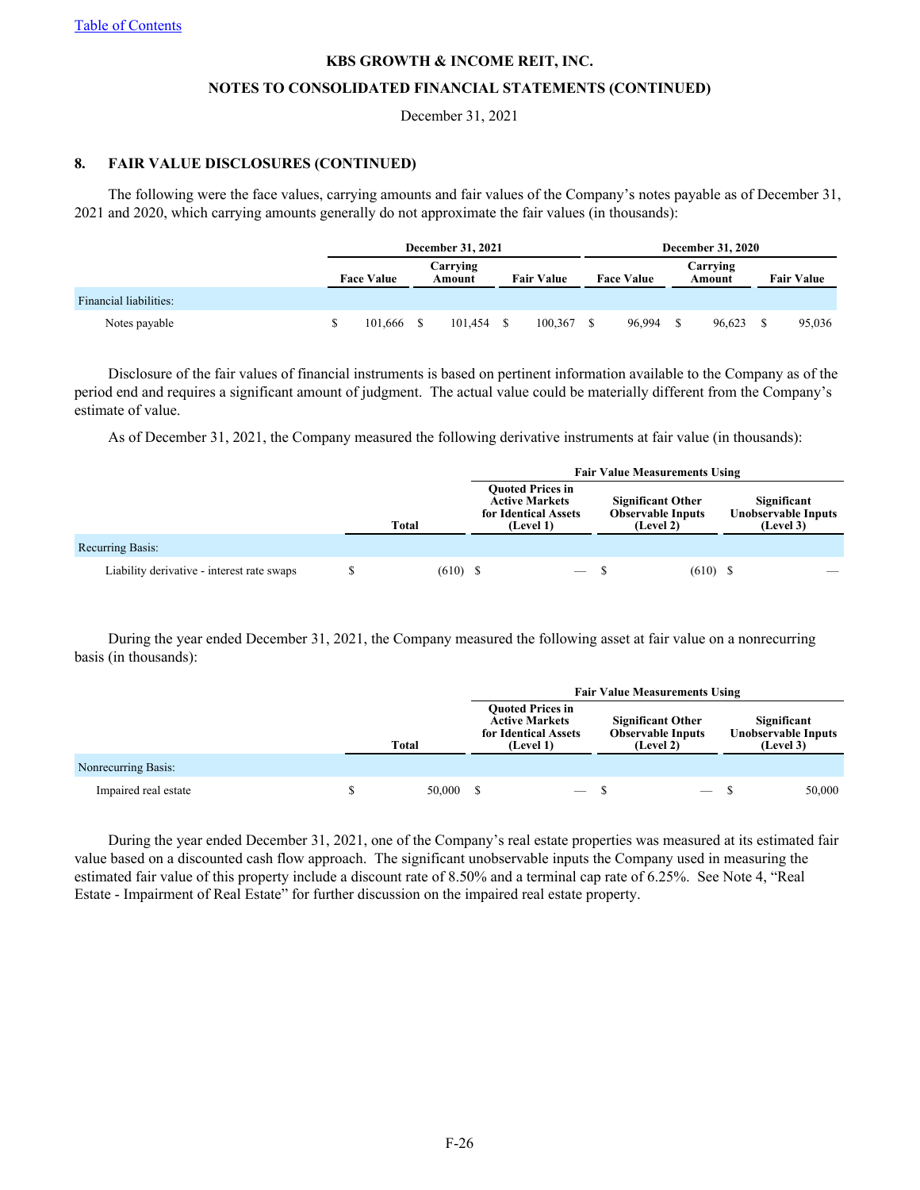#### **NOTES TO CONSOLIDATED FINANCIAL STATEMENTS (CONTINUED)**

December 31, 2021

### **8. FAIR VALUE DISCLOSURES (CONTINUED)**

The following were the face values, carrying amounts and fair values of the Company's notes payable as of December 31, 2021 and 2020, which carrying amounts generally do not approximate the fair values (in thousands):

|                        |                   |                    | December 31, 2021 |                   |         | <b>December 31, 2020</b> |                   |  |                    |  |                   |  |
|------------------------|-------------------|--------------------|-------------------|-------------------|---------|--------------------------|-------------------|--|--------------------|--|-------------------|--|
|                        | <b>Face Value</b> | Carrying<br>Amount |                   | <b>Fair Value</b> |         |                          | <b>Face Value</b> |  | Carrying<br>Amount |  | <b>Fair Value</b> |  |
| Financial liabilities: |                   |                    |                   |                   |         |                          |                   |  |                    |  |                   |  |
| Notes payable          | 101.666 \$        |                    | 101.454 \$        |                   | 100.367 |                          | 96.994            |  | 96.623             |  | 95,036            |  |

Disclosure of the fair values of financial instruments is based on pertinent information available to the Company as of the period end and requires a significant amount of judgment. The actual value could be materially different from the Company's estimate of value.

As of December 31, 2021, the Company measured the following derivative instruments at fair value (in thousands):

|                                            |            | <b>Fair Value Measurements Using</b> |                                                                                       |  |                                                                   |  |                                                        |  |  |  |
|--------------------------------------------|------------|--------------------------------------|---------------------------------------------------------------------------------------|--|-------------------------------------------------------------------|--|--------------------------------------------------------|--|--|--|
|                                            | Total      |                                      | <b>Ouoted Prices in</b><br><b>Active Markets</b><br>for Identical Assets<br>(Level 1) |  | <b>Significant Other</b><br><b>Observable Inputs</b><br>(Level 2) |  | Significant<br><b>Unobservable Inputs</b><br>(Level 3) |  |  |  |
| Recurring Basis:                           |            |                                      |                                                                                       |  |                                                                   |  |                                                        |  |  |  |
| Liability derivative - interest rate swaps | $(610)$ \$ |                                      | $\hspace{0.1mm}-\hspace{0.1mm}$                                                       |  | $(610)$ \$                                                        |  |                                                        |  |  |  |

During the year ended December 31, 2021, the Company measured the following asset at fair value on a nonrecurring basis (in thousands):

|                      |        | <b>Fair Value Measurements Using</b> |                                                                                       |  |                                                                   |  |                                                 |  |  |  |  |  |
|----------------------|--------|--------------------------------------|---------------------------------------------------------------------------------------|--|-------------------------------------------------------------------|--|-------------------------------------------------|--|--|--|--|--|
|                      | Total  |                                      | <b>Ouoted Prices in</b><br><b>Active Markets</b><br>for Identical Assets<br>(Level 1) |  | <b>Significant Other</b><br><b>Observable Inputs</b><br>(Level 2) |  | Significant<br>Unobservable Inputs<br>(Level 3) |  |  |  |  |  |
| Nonrecurring Basis:  |        |                                      |                                                                                       |  |                                                                   |  |                                                 |  |  |  |  |  |
| Impaired real estate | 50,000 |                                      |                                                                                       |  |                                                                   |  | 50,000                                          |  |  |  |  |  |

During the year ended December 31, 2021, one of the Company's real estate properties was measured at its estimated fair value based on a discounted cash flow approach. The significant unobservable inputs the Company used in measuring the estimated fair value of this property include a discount rate of 8.50% and a terminal cap rate of 6.25%. See Note 4, "Real Estate - Impairment of Real Estate" for further discussion on the impaired real estate property.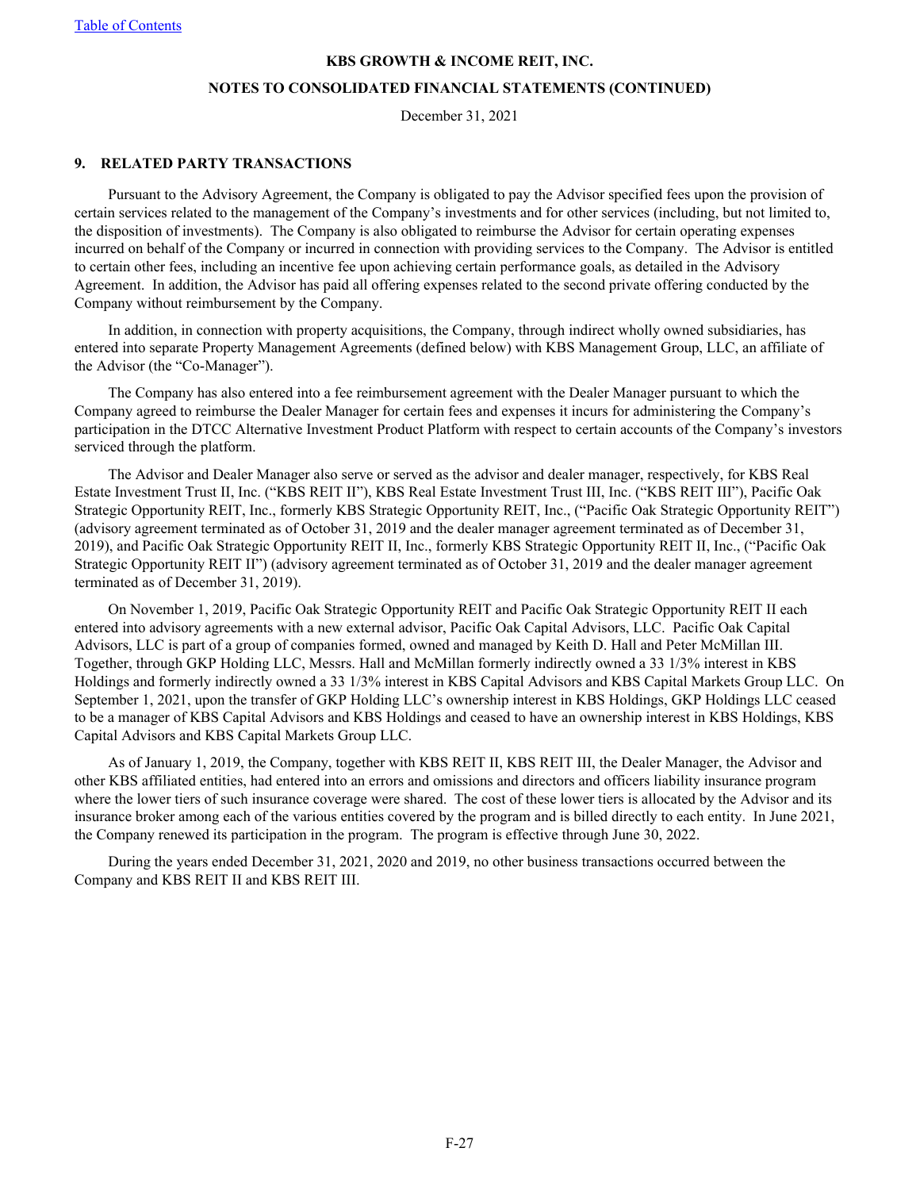#### **NOTES TO CONSOLIDATED FINANCIAL STATEMENTS (CONTINUED)**

December 31, 2021

### **9. RELATED PARTY TRANSACTIONS**

Pursuant to the Advisory Agreement, the Company is obligated to pay the Advisor specified fees upon the provision of certain services related to the management of the Company's investments and for other services (including, but not limited to, the disposition of investments). The Company is also obligated to reimburse the Advisor for certain operating expenses incurred on behalf of the Company or incurred in connection with providing services to the Company. The Advisor is entitled to certain other fees, including an incentive fee upon achieving certain performance goals, as detailed in the Advisory Agreement. In addition, the Advisor has paid all offering expenses related to the second private offering conducted by the Company without reimbursement by the Company.

In addition, in connection with property acquisitions, the Company, through indirect wholly owned subsidiaries, has entered into separate Property Management Agreements (defined below) with KBS Management Group, LLC, an affiliate of the Advisor (the "Co-Manager").

The Company has also entered into a fee reimbursement agreement with the Dealer Manager pursuant to which the Company agreed to reimburse the Dealer Manager for certain fees and expenses it incurs for administering the Company's participation in the DTCC Alternative Investment Product Platform with respect to certain accounts of the Company's investors serviced through the platform.

The Advisor and Dealer Manager also serve or served as the advisor and dealer manager, respectively, for KBS Real Estate Investment Trust II, Inc. ("KBS REIT II"), KBS Real Estate Investment Trust III, Inc. ("KBS REIT III"), Pacific Oak Strategic Opportunity REIT, Inc., formerly KBS Strategic Opportunity REIT, Inc., ("Pacific Oak Strategic Opportunity REIT") (advisory agreement terminated as of October 31, 2019 and the dealer manager agreement terminated as of December 31, 2019), and Pacific Oak Strategic Opportunity REIT II, Inc., formerly KBS Strategic Opportunity REIT II, Inc., ("Pacific Oak Strategic Opportunity REIT II") (advisory agreement terminated as of October 31, 2019 and the dealer manager agreement terminated as of December 31, 2019).

On November 1, 2019, Pacific Oak Strategic Opportunity REIT and Pacific Oak Strategic Opportunity REIT II each entered into advisory agreements with a new external advisor, Pacific Oak Capital Advisors, LLC. Pacific Oak Capital Advisors, LLC is part of a group of companies formed, owned and managed by Keith D. Hall and Peter McMillan III. Together, through GKP Holding LLC, Messrs. Hall and McMillan formerly indirectly owned a 33 1/3% interest in KBS Holdings and formerly indirectly owned a 33 1/3% interest in KBS Capital Advisors and KBS Capital Markets Group LLC. On September 1, 2021, upon the transfer of GKP Holding LLC's ownership interest in KBS Holdings, GKP Holdings LLC ceased to be a manager of KBS Capital Advisors and KBS Holdings and ceased to have an ownership interest in KBS Holdings, KBS Capital Advisors and KBS Capital Markets Group LLC.

As of January 1, 2019, the Company, together with KBS REIT II, KBS REIT III, the Dealer Manager, the Advisor and other KBS affiliated entities, had entered into an errors and omissions and directors and officers liability insurance program where the lower tiers of such insurance coverage were shared. The cost of these lower tiers is allocated by the Advisor and its insurance broker among each of the various entities covered by the program and is billed directly to each entity. In June 2021, the Company renewed its participation in the program. The program is effective through June 30, 2022.

During the years ended December 31, 2021, 2020 and 2019, no other business transactions occurred between the Company and KBS REIT II and KBS REIT III.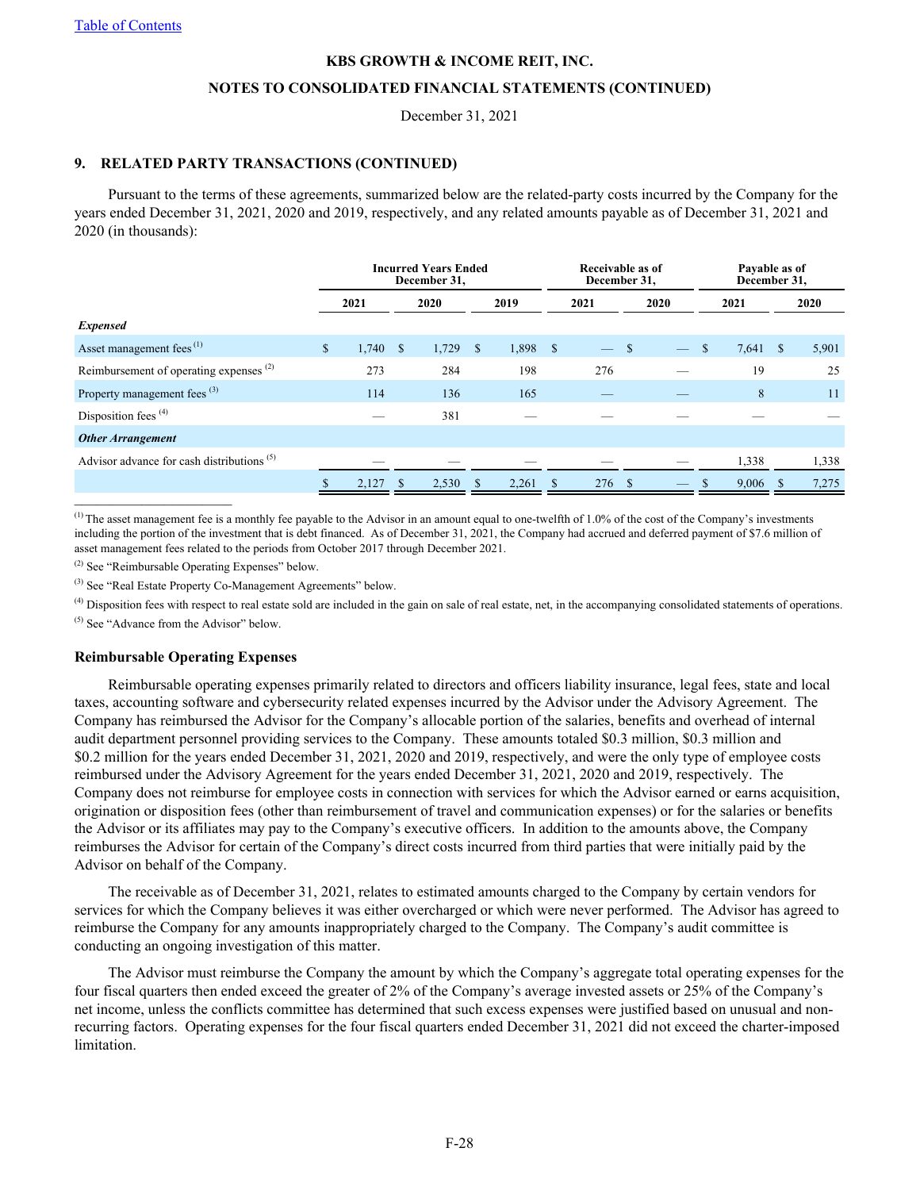#### **NOTES TO CONSOLIDATED FINANCIAL STATEMENTS (CONTINUED)**

December 31, 2021

### **9. RELATED PARTY TRANSACTIONS (CONTINUED)**

Pursuant to the terms of these agreements, summarized below are the related-party costs incurred by the Company for the years ended December 31, 2021, 2020 and 2019, respectively, and any related amounts payable as of December 31, 2021 and 2020 (in thousands):

|                                                       | <b>Incurred Years Ended</b><br>December 31, |       |      |       |    | Receivable as of<br>December 31, |    |                          |      |      | Payable as of<br>December 31, |       |               |       |
|-------------------------------------------------------|---------------------------------------------|-------|------|-------|----|----------------------------------|----|--------------------------|------|------|-------------------------------|-------|---------------|-------|
|                                                       |                                             | 2021  |      | 2020  |    | 2019                             |    | 2021                     |      | 2020 |                               | 2021  |               | 2020  |
| <b>Expensed</b>                                       |                                             |       |      |       |    |                                  |    |                          |      |      |                               |       |               |       |
| Asset management fees <sup>(1)</sup>                  | $\mathbb{S}$                                | 1,740 | - \$ | 1,729 | S  | 1,898                            | -S | $\overline{\phantom{0}}$ | - \$ |      | \$                            | 7,641 | <sup>\$</sup> | 5,901 |
| Reimbursement of operating expenses <sup>(2)</sup>    |                                             | 273   |      | 284   |    | 198                              |    | 276                      |      |      |                               | 19    |               | 25    |
| Property management fees <sup>(3)</sup>               |                                             | 114   |      | 136   |    | 165                              |    |                          |      |      |                               | 8     |               | 11    |
| Disposition fees $(4)$                                |                                             |       |      | 381   |    |                                  |    |                          |      |      |                               |       |               |       |
| <b>Other Arrangement</b>                              |                                             |       |      |       |    |                                  |    |                          |      |      |                               |       |               |       |
| Advisor advance for cash distributions <sup>(5)</sup> |                                             |       |      |       |    |                                  |    |                          |      |      |                               | 1,338 |               | 1,338 |
|                                                       |                                             | 2,127 |      | 2,530 | -S | 2,261                            | -8 | 276S                     |      |      |                               | 9,006 | -8            | 7,275 |
|                                                       |                                             |       |      |       |    |                                  |    |                          |      |      |                               |       |               |       |

 $<sup>(1)</sup>$  The asset management fee is a monthly fee payable to the Advisor in an amount equal to one-twelfth of 1.0% of the cost of the Company's investments</sup> including the portion of the investment that is debt financed. As of December 31, 2021, the Company had accrued and deferred payment of \$7.6 million of asset management fees related to the periods from October 2017 through December 2021.

(2) See "Reimbursable Operating Expenses" below.

(3) See "Real Estate Property Co-Management Agreements" below.

<sup>(4)</sup> Disposition fees with respect to real estate sold are included in the gain on sale of real estate, net, in the accompanying consolidated statements of operations.

(5) See "Advance from the Advisor" below.

#### **Reimbursable Operating Expenses**

Reimbursable operating expenses primarily related to directors and officers liability insurance, legal fees, state and local taxes, accounting software and cybersecurity related expenses incurred by the Advisor under the Advisory Agreement. The Company has reimbursed the Advisor for the Company's allocable portion of the salaries, benefits and overhead of internal audit department personnel providing services to the Company. These amounts totaled \$0.3 million, \$0.3 million and \$0.2 million for the years ended December 31, 2021, 2020 and 2019, respectively, and were the only type of employee costs reimbursed under the Advisory Agreement for the years ended December 31, 2021, 2020 and 2019, respectively. The Company does not reimburse for employee costs in connection with services for which the Advisor earned or earns acquisition, origination or disposition fees (other than reimbursement of travel and communication expenses) or for the salaries or benefits the Advisor or its affiliates may pay to the Company's executive officers. In addition to the amounts above, the Company reimburses the Advisor for certain of the Company's direct costs incurred from third parties that were initially paid by the Advisor on behalf of the Company.

The receivable as of December 31, 2021, relates to estimated amounts charged to the Company by certain vendors for services for which the Company believes it was either overcharged or which were never performed. The Advisor has agreed to reimburse the Company for any amounts inappropriately charged to the Company. The Company's audit committee is conducting an ongoing investigation of this matter.

The Advisor must reimburse the Company the amount by which the Company's aggregate total operating expenses for the four fiscal quarters then ended exceed the greater of 2% of the Company's average invested assets or 25% of the Company's net income, unless the conflicts committee has determined that such excess expenses were justified based on unusual and nonrecurring factors. Operating expenses for the four fiscal quarters ended December 31, 2021 did not exceed the charter-imposed limitation.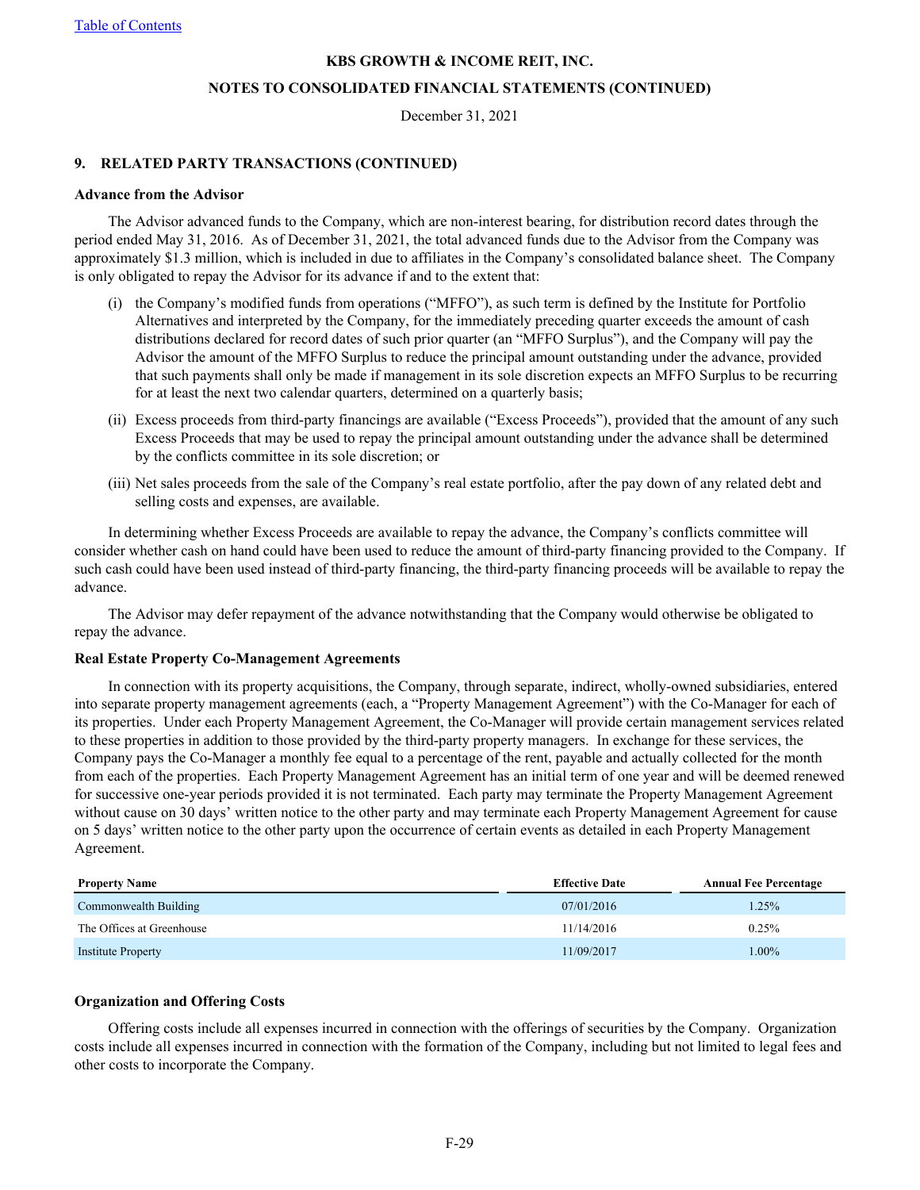#### **NOTES TO CONSOLIDATED FINANCIAL STATEMENTS (CONTINUED)**

December 31, 2021

### **9. RELATED PARTY TRANSACTIONS (CONTINUED)**

#### **Advance from the Advisor**

The Advisor advanced funds to the Company, which are non-interest bearing, for distribution record dates through the period ended May 31, 2016. As of December 31, 2021, the total advanced funds due to the Advisor from the Company was approximately \$1.3 million, which is included in due to affiliates in the Company's consolidated balance sheet. The Company is only obligated to repay the Advisor for its advance if and to the extent that:

- (i) the Company's modified funds from operations ("MFFO"), as such term is defined by the Institute for Portfolio Alternatives and interpreted by the Company, for the immediately preceding quarter exceeds the amount of cash distributions declared for record dates of such prior quarter (an "MFFO Surplus"), and the Company will pay the Advisor the amount of the MFFO Surplus to reduce the principal amount outstanding under the advance, provided that such payments shall only be made if management in its sole discretion expects an MFFO Surplus to be recurring for at least the next two calendar quarters, determined on a quarterly basis;
- (ii) Excess proceeds from third-party financings are available ("Excess Proceeds"), provided that the amount of any such Excess Proceeds that may be used to repay the principal amount outstanding under the advance shall be determined by the conflicts committee in its sole discretion; or
- (iii) Net sales proceeds from the sale of the Company's real estate portfolio, after the pay down of any related debt and selling costs and expenses, are available.

In determining whether Excess Proceeds are available to repay the advance, the Company's conflicts committee will consider whether cash on hand could have been used to reduce the amount of third-party financing provided to the Company. If such cash could have been used instead of third-party financing, the third-party financing proceeds will be available to repay the advance.

The Advisor may defer repayment of the advance notwithstanding that the Company would otherwise be obligated to repay the advance.

#### **Real Estate Property Co-Management Agreements**

In connection with its property acquisitions, the Company, through separate, indirect, wholly-owned subsidiaries, entered into separate property management agreements (each, a "Property Management Agreement") with the Co-Manager for each of its properties. Under each Property Management Agreement, the Co-Manager will provide certain management services related to these properties in addition to those provided by the third-party property managers. In exchange for these services, the Company pays the Co-Manager a monthly fee equal to a percentage of the rent, payable and actually collected for the month from each of the properties. Each Property Management Agreement has an initial term of one year and will be deemed renewed for successive one-year periods provided it is not terminated. Each party may terminate the Property Management Agreement without cause on 30 days' written notice to the other party and may terminate each Property Management Agreement for cause on 5 days' written notice to the other party upon the occurrence of certain events as detailed in each Property Management Agreement.

| <b>Property Name</b>      | <b>Effective Date</b> | <b>Annual Fee Percentage</b> |
|---------------------------|-----------------------|------------------------------|
| Commonwealth Building     | 07/01/2016            | .25%                         |
| The Offices at Greenhouse | 11/14/2016            | 0.25%                        |
| Institute Property        | 11/09/2017            | $.00\%$                      |

### **Organization and Offering Costs**

Offering costs include all expenses incurred in connection with the offerings of securities by the Company. Organization costs include all expenses incurred in connection with the formation of the Company, including but not limited to legal fees and other costs to incorporate the Company.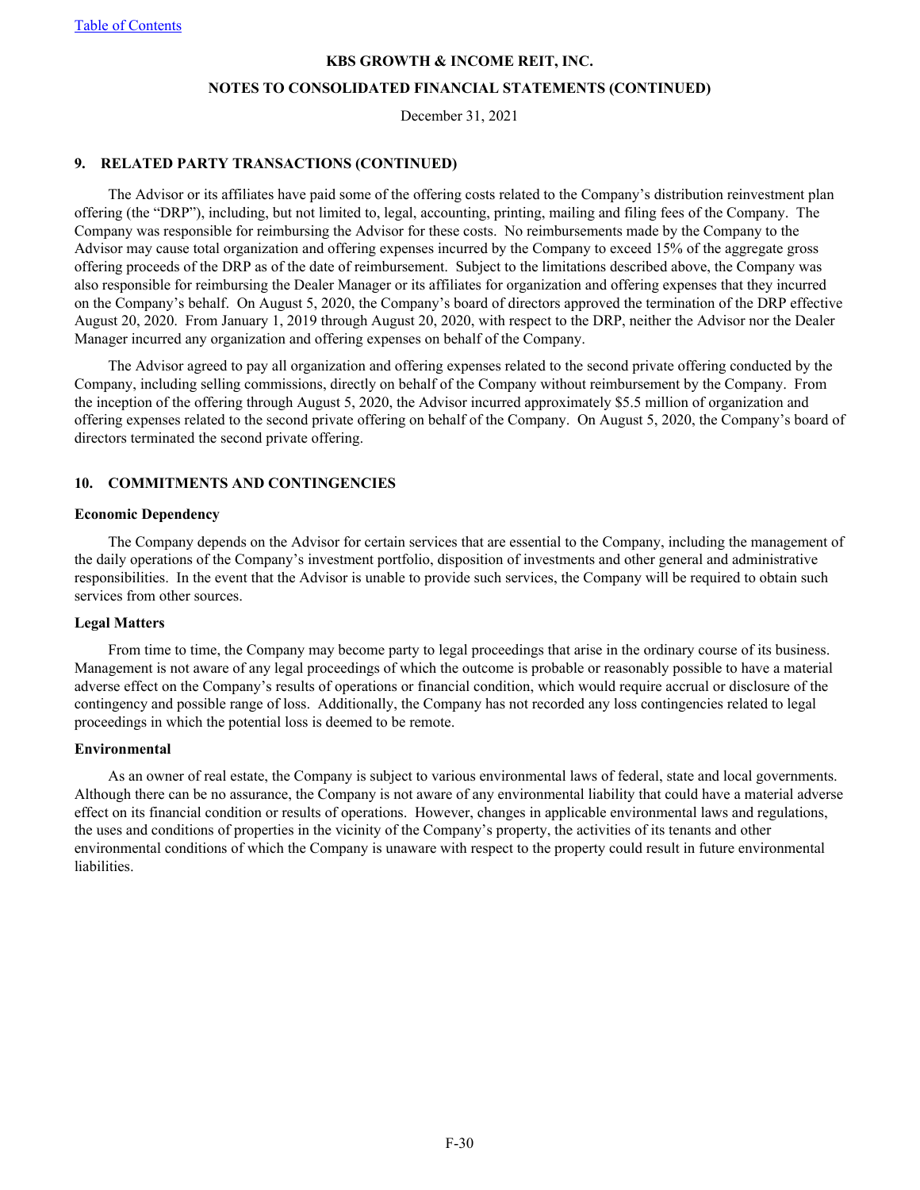#### **NOTES TO CONSOLIDATED FINANCIAL STATEMENTS (CONTINUED)**

December 31, 2021

### **9. RELATED PARTY TRANSACTIONS (CONTINUED)**

The Advisor or its affiliates have paid some of the offering costs related to the Company's distribution reinvestment plan offering (the "DRP"), including, but not limited to, legal, accounting, printing, mailing and filing fees of the Company. The Company was responsible for reimbursing the Advisor for these costs. No reimbursements made by the Company to the Advisor may cause total organization and offering expenses incurred by the Company to exceed 15% of the aggregate gross offering proceeds of the DRP as of the date of reimbursement. Subject to the limitations described above, the Company was also responsible for reimbursing the Dealer Manager or its affiliates for organization and offering expenses that they incurred on the Company's behalf. On August 5, 2020, the Company's board of directors approved the termination of the DRP effective August 20, 2020. From January 1, 2019 through August 20, 2020, with respect to the DRP, neither the Advisor nor the Dealer Manager incurred any organization and offering expenses on behalf of the Company.

The Advisor agreed to pay all organization and offering expenses related to the second private offering conducted by the Company, including selling commissions, directly on behalf of the Company without reimbursement by the Company. From the inception of the offering through August 5, 2020, the Advisor incurred approximately \$5.5 million of organization and offering expenses related to the second private offering on behalf of the Company. On August 5, 2020, the Company's board of directors terminated the second private offering.

### **10. COMMITMENTS AND CONTINGENCIES**

#### **Economic Dependency**

The Company depends on the Advisor for certain services that are essential to the Company, including the management of the daily operations of the Company's investment portfolio, disposition of investments and other general and administrative responsibilities. In the event that the Advisor is unable to provide such services, the Company will be required to obtain such services from other sources.

#### **Legal Matters**

From time to time, the Company may become party to legal proceedings that arise in the ordinary course of its business. Management is not aware of any legal proceedings of which the outcome is probable or reasonably possible to have a material adverse effect on the Company's results of operations or financial condition, which would require accrual or disclosure of the contingency and possible range of loss. Additionally, the Company has not recorded any loss contingencies related to legal proceedings in which the potential loss is deemed to be remote.

#### **Environmental**

As an owner of real estate, the Company is subject to various environmental laws of federal, state and local governments. Although there can be no assurance, the Company is not aware of any environmental liability that could have a material adverse effect on its financial condition or results of operations. However, changes in applicable environmental laws and regulations, the uses and conditions of properties in the vicinity of the Company's property, the activities of its tenants and other environmental conditions of which the Company is unaware with respect to the property could result in future environmental **liabilities**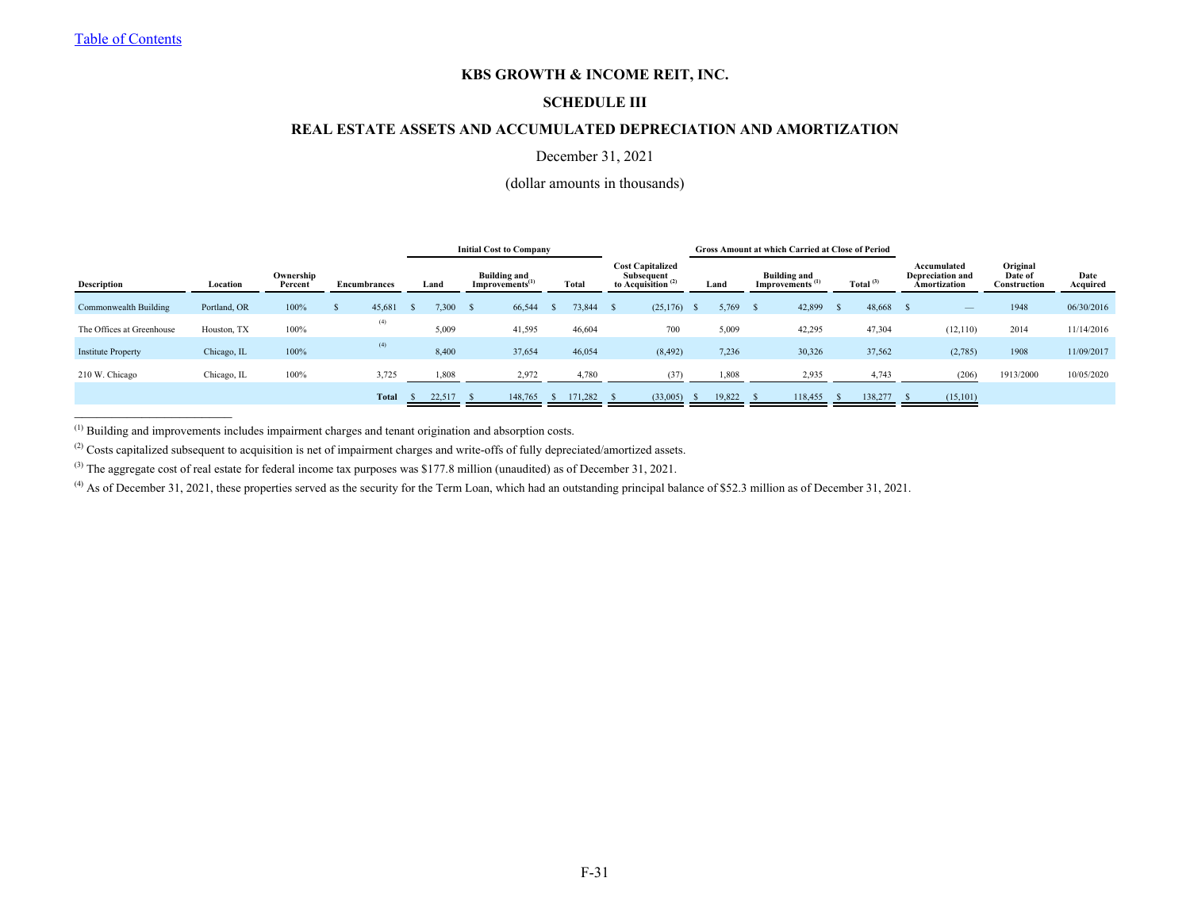#### **SCHEDULE III**

#### **REAL ESTATE ASSETS AND ACCUMULATED DEPRECIATION AND AMORTIZATION**

December 31, 2021

(dollar amounts in thousands)

<span id="page-104-0"></span>

|                           |              |                      |                     |              | <b>Initial Cost to Company</b> |  |                                                    |  |              |  | <b>Gross Amount at which Carried at Close of Period</b>       |  |        |  |                                                    |  |                |  |                                                        |                                     |                  |
|---------------------------|--------------|----------------------|---------------------|--------------|--------------------------------|--|----------------------------------------------------|--|--------------|--|---------------------------------------------------------------|--|--------|--|----------------------------------------------------|--|----------------|--|--------------------------------------------------------|-------------------------------------|------------------|
| <b>Description</b>        | Location     | Ownership<br>Percent | <b>Encumbrances</b> |              | Land                           |  | <b>Building and</b><br>Improvements <sup>(1)</sup> |  | <b>Total</b> |  | <b>Cost Capitalized</b><br>Subsequent<br>to Acquisition $(2)$ |  | Land   |  | <b>Building and</b><br>Improvements <sup>(1)</sup> |  | Total $^{(3)}$ |  | Accumulated<br><b>Depreciation and</b><br>Amortization | Original<br>Date of<br>Construction | Date<br>Acquired |
| Commonwealth Building     | Portland, OR | 100%                 | 45,681              |              | 7,300                          |  | 66,544                                             |  | 73,844       |  | (25, 176)                                                     |  | 5,769  |  | 42,899                                             |  | 48,668         |  |                                                        | 1948                                | 06/30/2016       |
| The Offices at Greenhouse | Houston, TX  | 100%                 | (4)                 |              | 5,009                          |  | 41,595                                             |  | 46,604       |  | 700                                                           |  | 5,009  |  | 42,295                                             |  | 47,304         |  | (12, 110)                                              | 2014                                | 11/14/2016       |
| <b>Institute Property</b> | Chicago, IL  | 100%                 | (4)                 |              | 8,400                          |  | 37,654                                             |  | 46,054       |  | (8, 492)                                                      |  | 7,236  |  | 30,326                                             |  | 37,562         |  | (2,785)                                                | 1908                                | 11/09/2017       |
| 210 W. Chicago            | Chicago, IL  | 100%                 |                     | 3,725        | 1,808                          |  | 2,972                                              |  | 4,780        |  | (37)                                                          |  | 1,808  |  | 2,935                                              |  | 4,743          |  | (206)                                                  | 1913/2000                           | 10/05/2020       |
|                           |              |                      |                     | <b>Total</b> | 22,517                         |  | 148,765                                            |  | 171.282      |  | (33,005)                                                      |  | 19,822 |  | 118,455                                            |  | 138,277        |  | (15, 101)                                              |                                     |                  |
|                           |              |                      |                     |              |                                |  |                                                    |  |              |  |                                                               |  |        |  |                                                    |  |                |  |                                                        |                                     |                  |

(1) Building and improvements includes impairment charges and tenant origination and absorption costs.

<sup>(2)</sup> Costs capitalized subsequent to acquisition is net of impairment charges and write-offs of fully depreciated/amortized assets.

<sup>(3)</sup> The aggregate cost of real estate for federal income tax purposes was \$177.8 million (unaudited) as of December 31, 2021.

<sup>(4)</sup> As of December 31, 2021, these properties served as the security for the Term Loan, which had an outstanding principal balance of \$52.3 million as of December 31, 2021.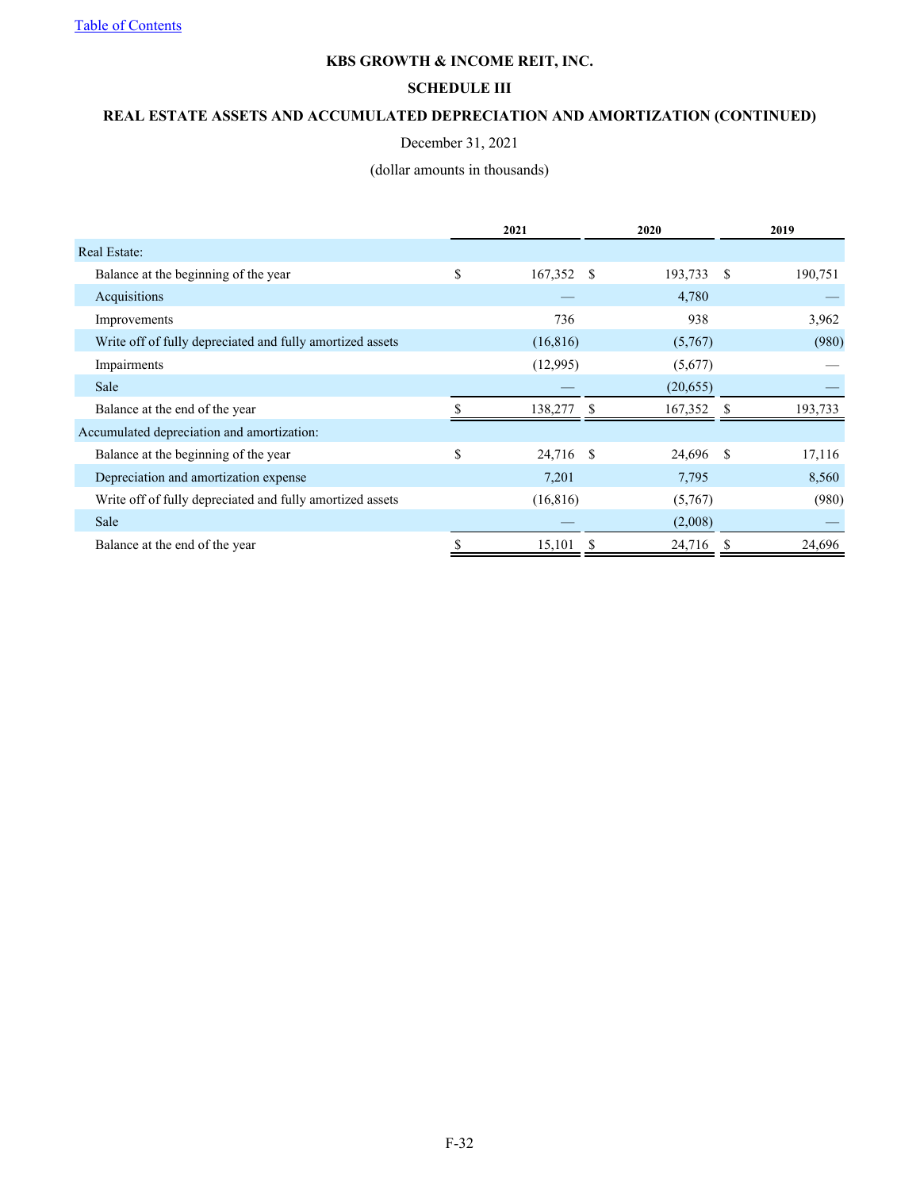[Table of Contents](#page-1-0)

### **KBS GROWTH & INCOME REIT, INC.**

### **SCHEDULE III**

# **REAL ESTATE ASSETS AND ACCUMULATED DEPRECIATION AND AMORTIZATION (CONTINUED)**

```
December 31, 2021
```
### (dollar amounts in thousands)

|                                                           | 2021             |    | 2020     |               | 2019    |
|-----------------------------------------------------------|------------------|----|----------|---------------|---------|
| Real Estate:                                              |                  |    |          |               |         |
| Balance at the beginning of the year                      | \$<br>167,352 \$ |    | 193,733  | S             | 190,751 |
| Acquisitions                                              |                  |    | 4,780    |               |         |
| Improvements                                              | 736              |    | 938      |               | 3,962   |
| Write off of fully depreciated and fully amortized assets | (16, 816)        |    | (5,767)  |               | (980)   |
| Impairments                                               | (12,995)         |    | (5,677)  |               |         |
| Sale                                                      |                  |    | (20,655) |               |         |
| Balance at the end of the year                            | 138,277          | -S | 167,352  | \$.           | 193,733 |
| Accumulated depreciation and amortization:                |                  |    |          |               |         |
| Balance at the beginning of the year                      | \$<br>24,716 \$  |    | 24,696   | <sup>\$</sup> | 17,116  |
| Depreciation and amortization expense                     | 7,201            |    | 7,795    |               | 8,560   |
| Write off of fully depreciated and fully amortized assets | (16, 816)        |    | (5,767)  |               | (980)   |
| Sale                                                      |                  |    | (2,008)  |               |         |
| Balance at the end of the year                            | 15,101           |    | 24,716   | S             | 24,696  |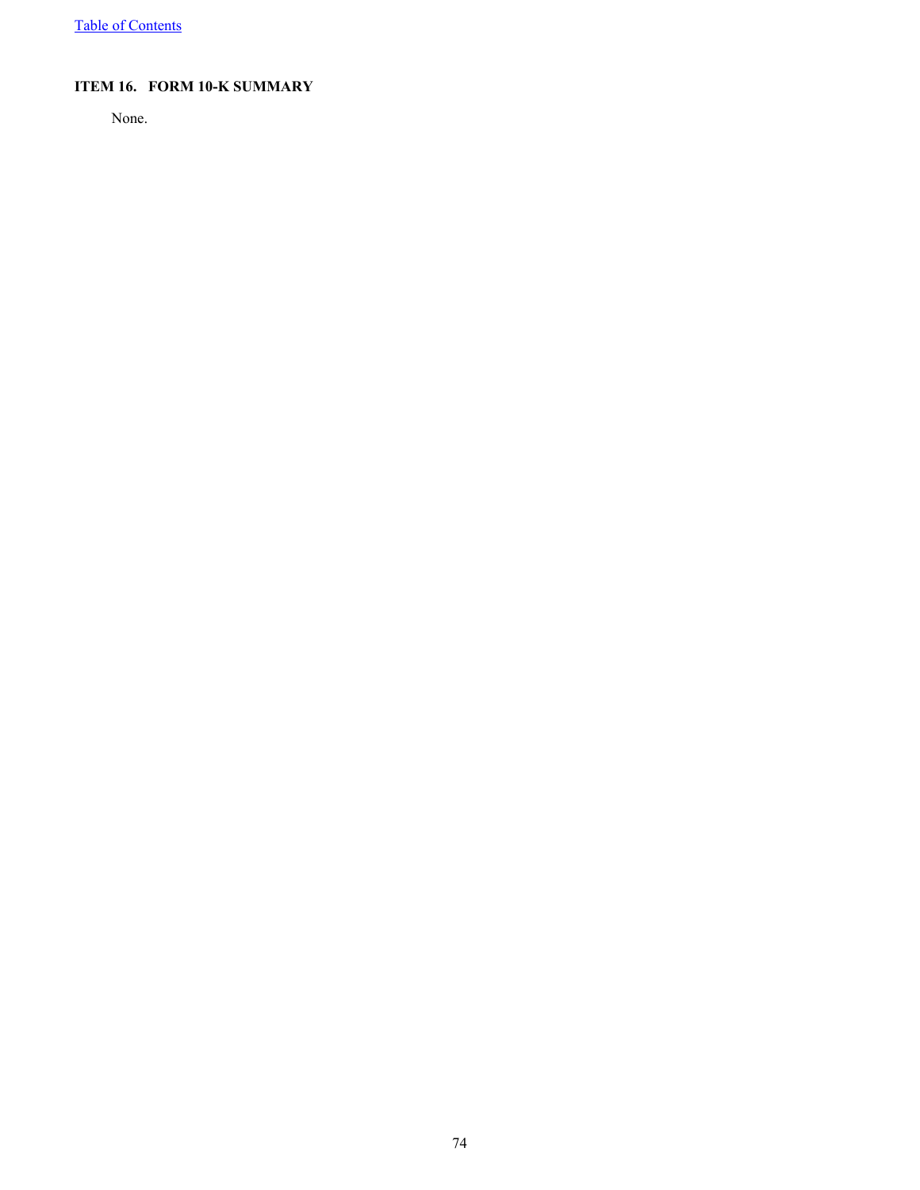# **ITEM 16. FORM 10-K SUMMARY**

None.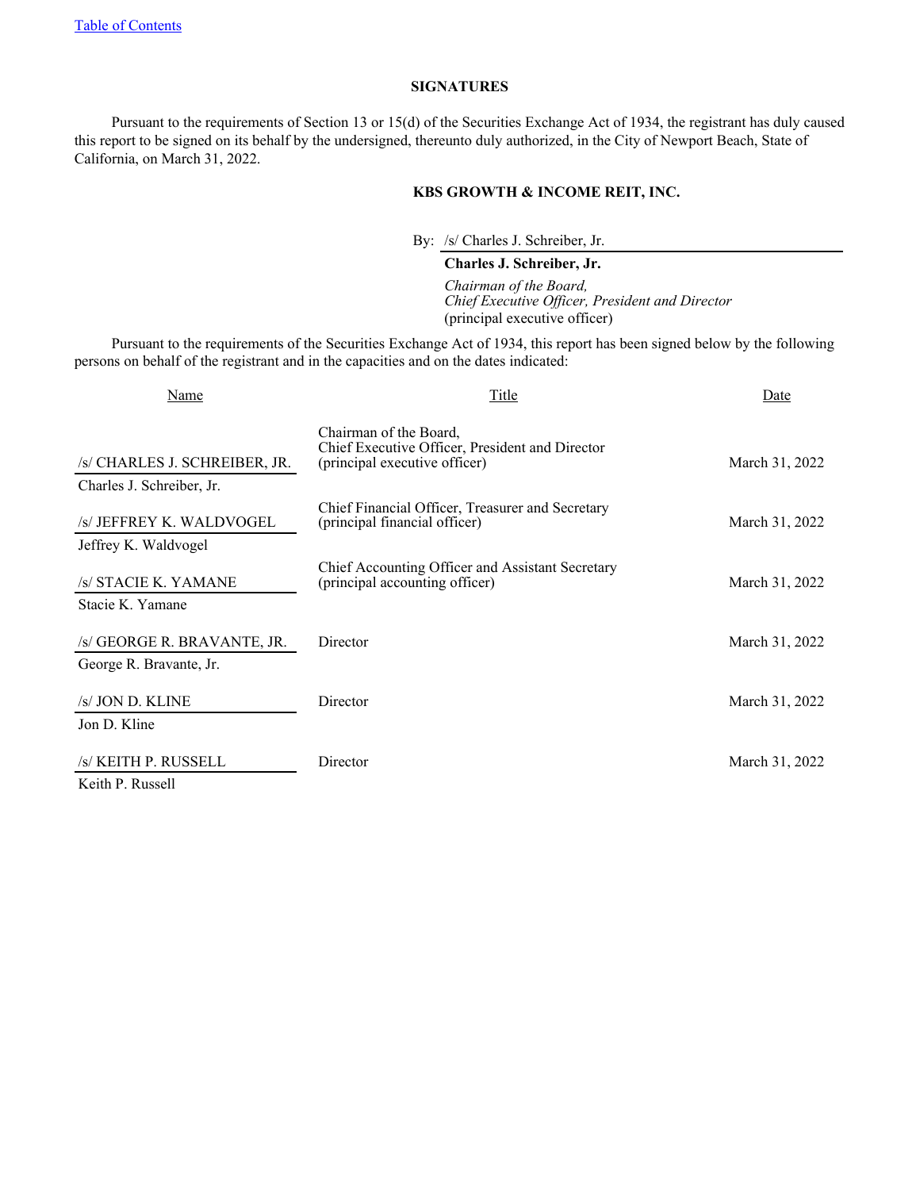### **SIGNATURES**

Pursuant to the requirements of Section 13 or 15(d) of the Securities Exchange Act of 1934, the registrant has duly caused this report to be signed on its behalf by the undersigned, thereunto duly authorized, in the City of Newport Beach, State of California, on March 31, 2022.

### **KBS GROWTH & INCOME REIT, INC.**

By: /s/ Charles J. Schreiber, Jr.

#### **Charles J. Schreiber, Jr.**

*Chairman of the Board, Chief Executive Officer, President and Director* (principal executive officer)

Pursuant to the requirements of the Securities Exchange Act of 1934, this report has been signed below by the following persons on behalf of the registrant and in the capacities and on the dates indicated:

| Name                                                       | Title                                                                                                      | Date           |
|------------------------------------------------------------|------------------------------------------------------------------------------------------------------------|----------------|
| /s/ CHARLES J. SCHREIBER, JR.<br>Charles J. Schreiber, Jr. | Chairman of the Board,<br>Chief Executive Officer, President and Director<br>(principal executive officer) | March 31, 2022 |
| /s/ JEFFREY K. WALDVOGEL<br>Jeffrey K. Waldvogel           | Chief Financial Officer, Treasurer and Secretary<br>(principal financial officer)                          | March 31, 2022 |
| /s/ STACIE K. YAMANE<br>Stacie K. Yamane                   | Chief Accounting Officer and Assistant Secretary<br>(principal accounting officer)                         | March 31, 2022 |
| /s/ GEORGE R. BRAVANTE, JR.                                | Director                                                                                                   | March 31, 2022 |
| George R. Bravante, Jr.<br>/s/ JON D. KLINE                | Director                                                                                                   | March 31, 2022 |
| Jon D. Kline<br>/s/ KEITH P. RUSSELL<br>Keith P. Russell   | Director                                                                                                   | March 31, 2022 |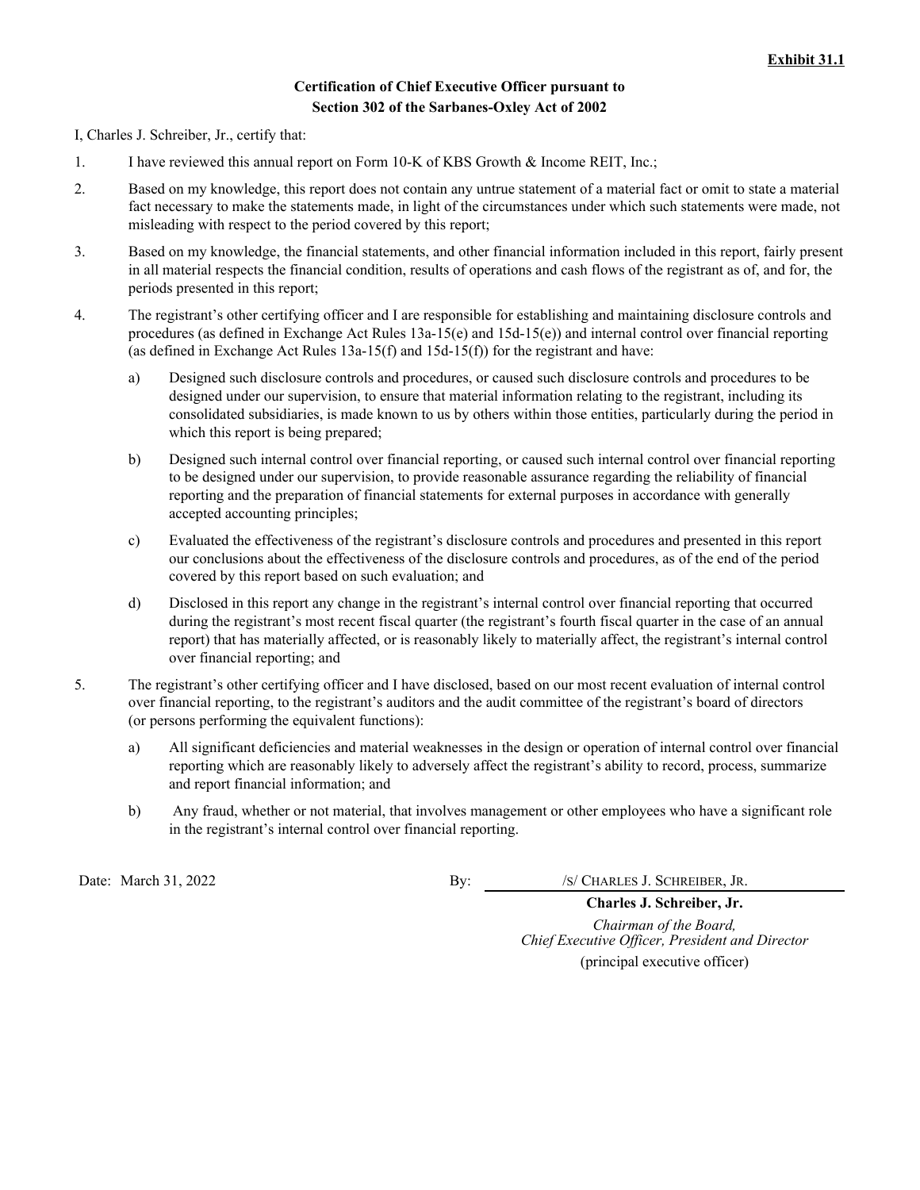## **Certification of Chief Executive Officer pursuant to Section 302 of the Sarbanes-Oxley Act of 2002**

I, Charles J. Schreiber, Jr., certify that:

- 1. I have reviewed this annual report on Form 10-K of KBS Growth & Income REIT, Inc.;
- 2. Based on my knowledge, this report does not contain any untrue statement of a material fact or omit to state a material fact necessary to make the statements made, in light of the circumstances under which such statements were made, not misleading with respect to the period covered by this report;
- 3. Based on my knowledge, the financial statements, and other financial information included in this report, fairly present in all material respects the financial condition, results of operations and cash flows of the registrant as of, and for, the periods presented in this report;
- 4. The registrant's other certifying officer and I are responsible for establishing and maintaining disclosure controls and procedures (as defined in Exchange Act Rules 13a-15(e) and 15d-15(e)) and internal control over financial reporting (as defined in Exchange Act Rules  $13a-15(f)$  and  $15d-15(f)$ ) for the registrant and have:
	- a) Designed such disclosure controls and procedures, or caused such disclosure controls and procedures to be designed under our supervision, to ensure that material information relating to the registrant, including its consolidated subsidiaries, is made known to us by others within those entities, particularly during the period in which this report is being prepared;
	- b) Designed such internal control over financial reporting, or caused such internal control over financial reporting to be designed under our supervision, to provide reasonable assurance regarding the reliability of financial reporting and the preparation of financial statements for external purposes in accordance with generally accepted accounting principles;
	- c) Evaluated the effectiveness of the registrant's disclosure controls and procedures and presented in this report our conclusions about the effectiveness of the disclosure controls and procedures, as of the end of the period covered by this report based on such evaluation; and
	- d) Disclosed in this report any change in the registrant's internal control over financial reporting that occurred during the registrant's most recent fiscal quarter (the registrant's fourth fiscal quarter in the case of an annual report) that has materially affected, or is reasonably likely to materially affect, the registrant's internal control over financial reporting; and
- 5. The registrant's other certifying officer and I have disclosed, based on our most recent evaluation of internal control over financial reporting, to the registrant's auditors and the audit committee of the registrant's board of directors (or persons performing the equivalent functions):
	- a) All significant deficiencies and material weaknesses in the design or operation of internal control over financial reporting which are reasonably likely to adversely affect the registrant's ability to record, process, summarize and report financial information; and
	- b) Any fraud, whether or not material, that involves management or other employees who have a significant role in the registrant's internal control over financial reporting.

Date: March 31, 2022 By: /S/ CHARLES J. SCHREIBER, JR.

**Charles J. Schreiber, Jr.** *Chairman of the Board, Chief Executive Officer, President and Director* (principal executive officer)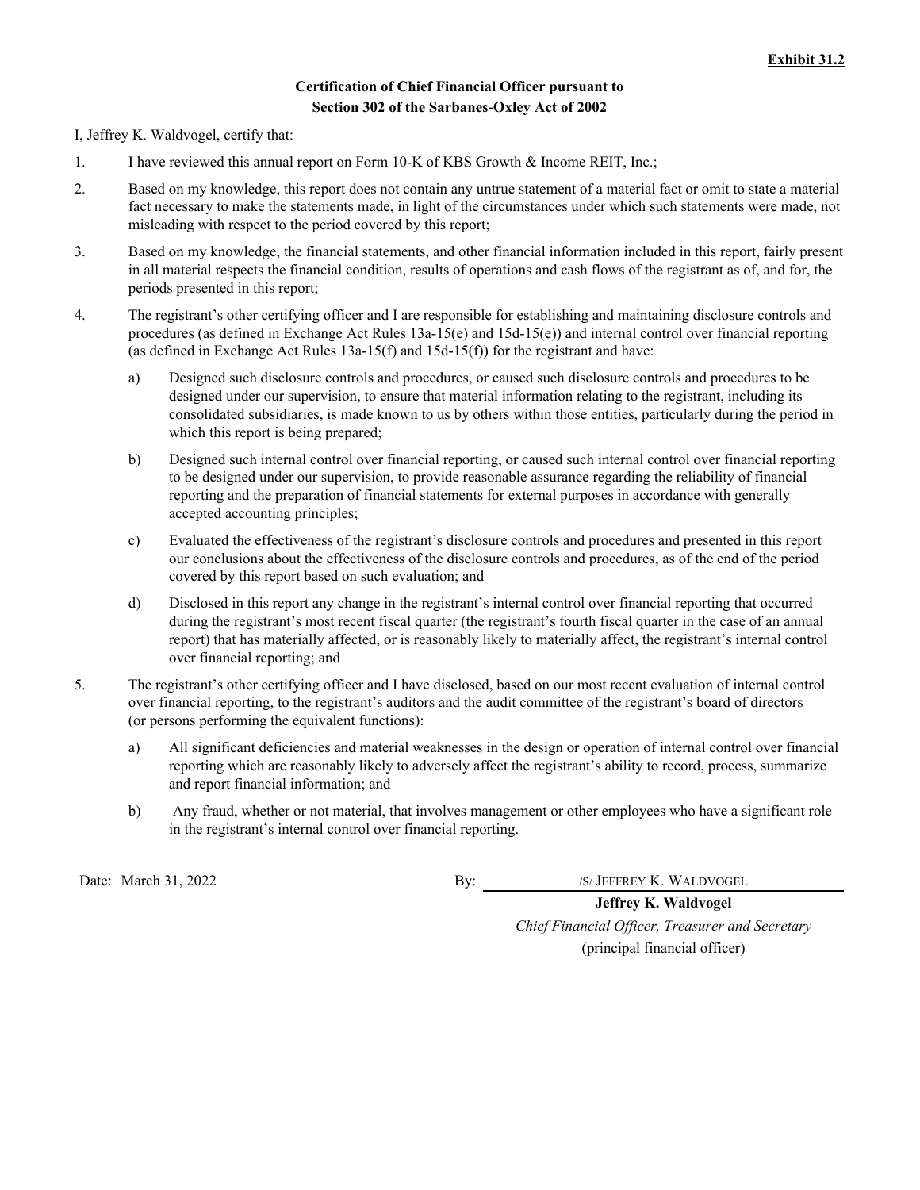## **Certification of Chief Financial Officer pursuant to Section 302 of the Sarbanes-Oxley Act of 2002**

I, Jeffrey K. Waldvogel, certify that:

- 1. I have reviewed this annual report on Form 10-K of KBS Growth & Income REIT, Inc.;
- 2. Based on my knowledge, this report does not contain any untrue statement of a material fact or omit to state a material fact necessary to make the statements made, in light of the circumstances under which such statements were made, not misleading with respect to the period covered by this report;
- 3. Based on my knowledge, the financial statements, and other financial information included in this report, fairly present in all material respects the financial condition, results of operations and cash flows of the registrant as of, and for, the periods presented in this report;
- 4. The registrant's other certifying officer and I are responsible for establishing and maintaining disclosure controls and procedures (as defined in Exchange Act Rules 13a-15(e) and 15d-15(e)) and internal control over financial reporting (as defined in Exchange Act Rules  $13a-15(f)$  and  $15d-15(f)$ ) for the registrant and have:
	- a) Designed such disclosure controls and procedures, or caused such disclosure controls and procedures to be designed under our supervision, to ensure that material information relating to the registrant, including its consolidated subsidiaries, is made known to us by others within those entities, particularly during the period in which this report is being prepared;
	- b) Designed such internal control over financial reporting, or caused such internal control over financial reporting to be designed under our supervision, to provide reasonable assurance regarding the reliability of financial reporting and the preparation of financial statements for external purposes in accordance with generally accepted accounting principles;
	- c) Evaluated the effectiveness of the registrant's disclosure controls and procedures and presented in this report our conclusions about the effectiveness of the disclosure controls and procedures, as of the end of the period covered by this report based on such evaluation; and
	- d) Disclosed in this report any change in the registrant's internal control over financial reporting that occurred during the registrant's most recent fiscal quarter (the registrant's fourth fiscal quarter in the case of an annual report) that has materially affected, or is reasonably likely to materially affect, the registrant's internal control over financial reporting; and
- 5. The registrant's other certifying officer and I have disclosed, based on our most recent evaluation of internal control over financial reporting, to the registrant's auditors and the audit committee of the registrant's board of directors (or persons performing the equivalent functions):
	- a) All significant deficiencies and material weaknesses in the design or operation of internal control over financial reporting which are reasonably likely to adversely affect the registrant's ability to record, process, summarize and report financial information; and
	- b) Any fraud, whether or not material, that involves management or other employees who have a significant role in the registrant's internal control over financial reporting.

Date: March 31, 2022 By: /S/ JEFFREY K. WALDVOGEL

**Jeffrey K. Waldvogel** *Chief Financial Officer, Treasurer and Secretary* (principal financial officer)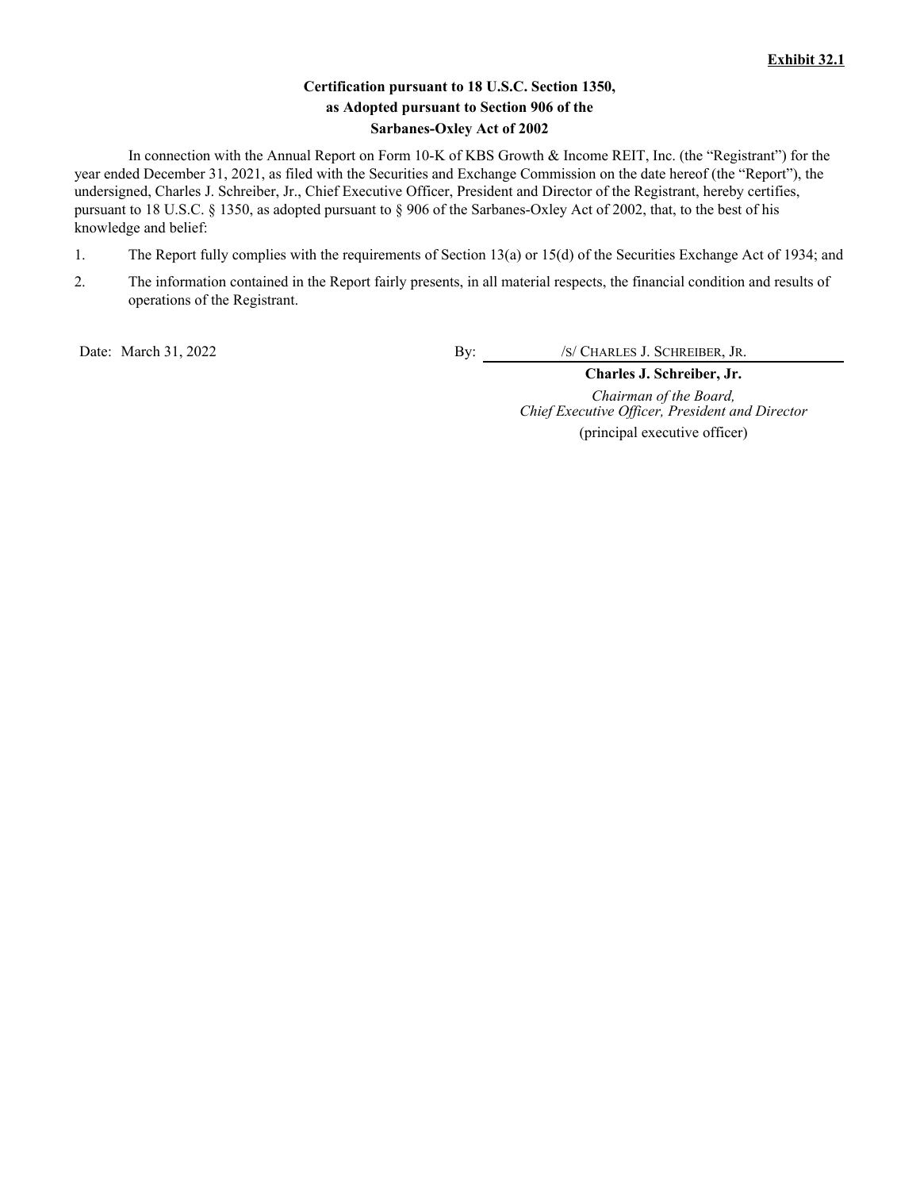## **Certification pursuant to 18 U.S.C. Section 1350, as Adopted pursuant to Section 906 of the Sarbanes-Oxley Act of 2002**

In connection with the Annual Report on Form 10-K of KBS Growth & Income REIT, Inc. (the "Registrant") for the year ended December 31, 2021, as filed with the Securities and Exchange Commission on the date hereof (the "Report"), the undersigned, Charles J. Schreiber, Jr., Chief Executive Officer, President and Director of the Registrant, hereby certifies, pursuant to 18 U.S.C. § 1350, as adopted pursuant to § 906 of the Sarbanes-Oxley Act of 2002, that, to the best of his knowledge and belief:

- 1. The Report fully complies with the requirements of Section 13(a) or 15(d) of the Securities Exchange Act of 1934; and
- 2. The information contained in the Report fairly presents, in all material respects, the financial condition and results of operations of the Registrant.

Date: March 31, 2022 By: /S/ CHARLES J. SCHREIBER, JR.

**Charles J. Schreiber, Jr.** *Chairman of the Board, Chief Executive Officer, President and Director* (principal executive officer)